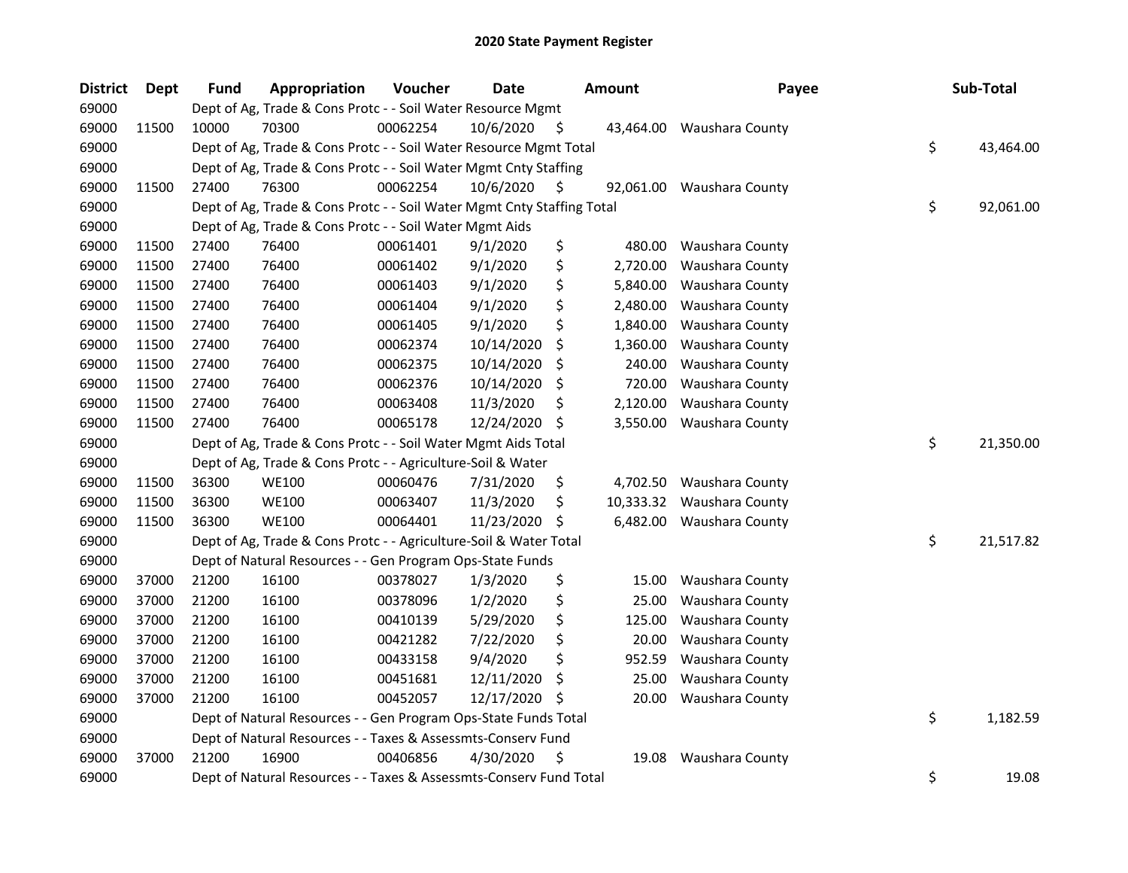| <b>District</b> | Dept  | <b>Fund</b> | Appropriation                                                          | Voucher  | <b>Date</b> |     | <b>Amount</b> | Payee                     | Sub-Total       |
|-----------------|-------|-------------|------------------------------------------------------------------------|----------|-------------|-----|---------------|---------------------------|-----------------|
| 69000           |       |             | Dept of Ag, Trade & Cons Protc - - Soil Water Resource Mgmt            |          |             |     |               |                           |                 |
| 69000           | 11500 | 10000       | 70300                                                                  | 00062254 | 10/6/2020   | \$  | 43,464.00     | Waushara County           |                 |
| 69000           |       |             | Dept of Ag, Trade & Cons Protc - - Soil Water Resource Mgmt Total      |          |             |     |               |                           | \$<br>43,464.00 |
| 69000           |       |             | Dept of Ag, Trade & Cons Protc - - Soil Water Mgmt Cnty Staffing       |          |             |     |               |                           |                 |
| 69000           | 11500 | 27400       | 76300                                                                  | 00062254 | 10/6/2020   | \$. |               | 92,061.00 Waushara County |                 |
| 69000           |       |             | Dept of Ag, Trade & Cons Protc - - Soil Water Mgmt Cnty Staffing Total |          |             |     |               |                           | \$<br>92,061.00 |
| 69000           |       |             | Dept of Ag, Trade & Cons Protc - - Soil Water Mgmt Aids                |          |             |     |               |                           |                 |
| 69000           | 11500 | 27400       | 76400                                                                  | 00061401 | 9/1/2020    | \$  | 480.00        | Waushara County           |                 |
| 69000           | 11500 | 27400       | 76400                                                                  | 00061402 | 9/1/2020    | \$  | 2,720.00      | Waushara County           |                 |
| 69000           | 11500 | 27400       | 76400                                                                  | 00061403 | 9/1/2020    | \$  | 5,840.00      | Waushara County           |                 |
| 69000           | 11500 | 27400       | 76400                                                                  | 00061404 | 9/1/2020    | \$  | 2,480.00      | Waushara County           |                 |
| 69000           | 11500 | 27400       | 76400                                                                  | 00061405 | 9/1/2020    | \$  | 1,840.00      | Waushara County           |                 |
| 69000           | 11500 | 27400       | 76400                                                                  | 00062374 | 10/14/2020  | \$  | 1,360.00      | Waushara County           |                 |
| 69000           | 11500 | 27400       | 76400                                                                  | 00062375 | 10/14/2020  | \$  | 240.00        | Waushara County           |                 |
| 69000           | 11500 | 27400       | 76400                                                                  | 00062376 | 10/14/2020  | \$  | 720.00        | Waushara County           |                 |
| 69000           | 11500 | 27400       | 76400                                                                  | 00063408 | 11/3/2020   | Ş   | 2,120.00      | Waushara County           |                 |
| 69000           | 11500 | 27400       | 76400                                                                  | 00065178 | 12/24/2020  | S   | 3,550.00      | Waushara County           |                 |
| 69000           |       |             | Dept of Ag, Trade & Cons Protc - - Soil Water Mgmt Aids Total          |          |             |     |               |                           | \$<br>21,350.00 |
| 69000           |       |             | Dept of Ag, Trade & Cons Protc - - Agriculture-Soil & Water            |          |             |     |               |                           |                 |
| 69000           | 11500 | 36300       | <b>WE100</b>                                                           | 00060476 | 7/31/2020   | \$  | 4,702.50      | Waushara County           |                 |
| 69000           | 11500 | 36300       | <b>WE100</b>                                                           | 00063407 | 11/3/2020   | \$  | 10,333.32     | Waushara County           |                 |
| 69000           | 11500 | 36300       | <b>WE100</b>                                                           | 00064401 | 11/23/2020  | \$  | 6,482.00      | Waushara County           |                 |
| 69000           |       |             | Dept of Ag, Trade & Cons Protc - - Agriculture-Soil & Water Total      |          |             |     |               |                           | \$<br>21,517.82 |
| 69000           |       |             | Dept of Natural Resources - - Gen Program Ops-State Funds              |          |             |     |               |                           |                 |
| 69000           | 37000 | 21200       | 16100                                                                  | 00378027 | 1/3/2020    | \$  | 15.00         | Waushara County           |                 |
| 69000           | 37000 | 21200       | 16100                                                                  | 00378096 | 1/2/2020    | \$  | 25.00         | Waushara County           |                 |
| 69000           | 37000 | 21200       | 16100                                                                  | 00410139 | 5/29/2020   | \$  | 125.00        | Waushara County           |                 |
| 69000           | 37000 | 21200       | 16100                                                                  | 00421282 | 7/22/2020   | \$  | 20.00         | Waushara County           |                 |
| 69000           | 37000 | 21200       | 16100                                                                  | 00433158 | 9/4/2020    | \$  | 952.59        | Waushara County           |                 |
| 69000           | 37000 | 21200       | 16100                                                                  | 00451681 | 12/11/2020  | \$, | 25.00         | Waushara County           |                 |
| 69000           | 37000 | 21200       | 16100                                                                  | 00452057 | 12/17/2020  | \$, | 20.00         | Waushara County           |                 |
| 69000           |       |             | Dept of Natural Resources - - Gen Program Ops-State Funds Total        |          |             |     |               |                           | \$<br>1,182.59  |
| 69000           |       |             | Dept of Natural Resources - - Taxes & Assessmts-Conserv Fund           |          |             |     |               |                           |                 |
| 69000           | 37000 | 21200       | 16900                                                                  | 00406856 | 4/30/2020   | \$  | 19.08         | Waushara County           |                 |
| 69000           |       |             | Dept of Natural Resources - - Taxes & Assessmts-Conserv Fund Total     |          |             |     |               |                           | \$<br>19.08     |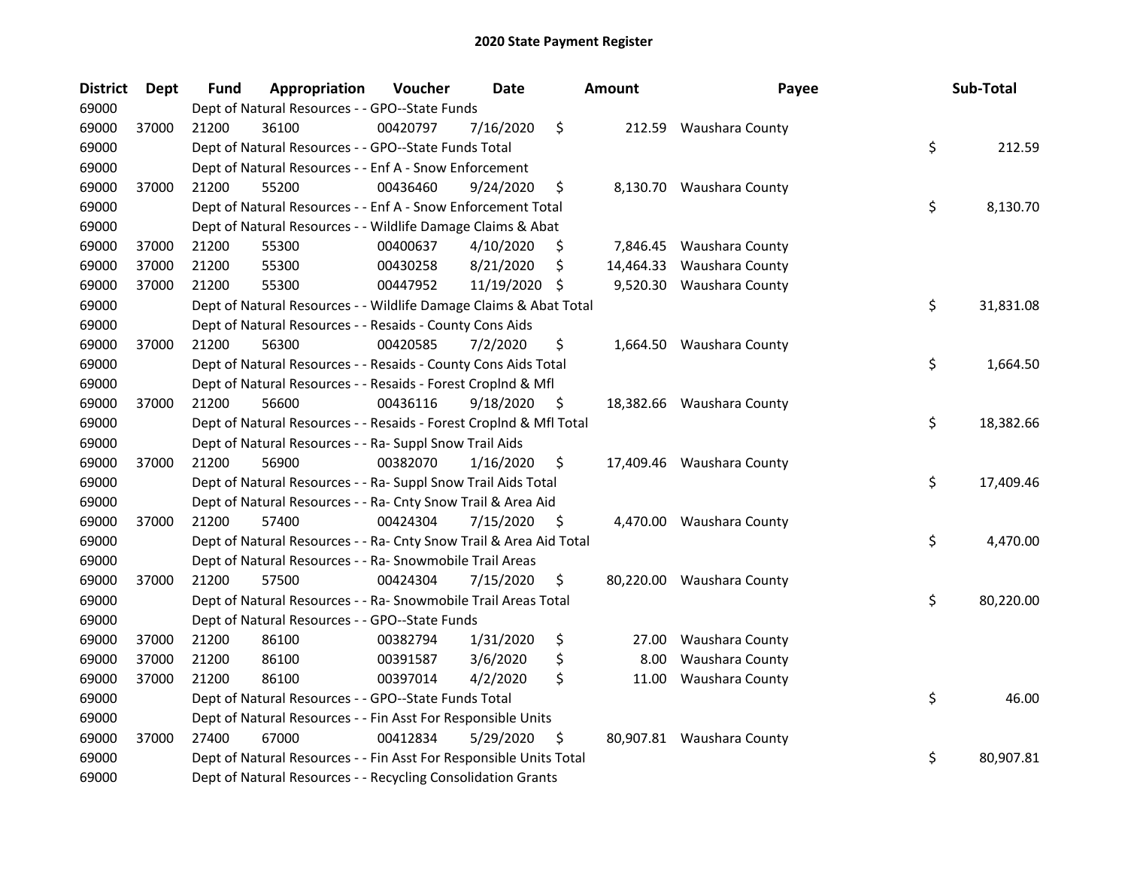| <b>District</b> | <b>Dept</b> | <b>Fund</b> | Appropriation                                                      | Voucher  | <b>Date</b>   | <b>Amount</b>   | Payee                     | Sub-Total       |
|-----------------|-------------|-------------|--------------------------------------------------------------------|----------|---------------|-----------------|---------------------------|-----------------|
| 69000           |             |             | Dept of Natural Resources - - GPO--State Funds                     |          |               |                 |                           |                 |
| 69000           | 37000       | 21200       | 36100                                                              | 00420797 | 7/16/2020     | \$              | 212.59 Waushara County    |                 |
| 69000           |             |             | Dept of Natural Resources - - GPO--State Funds Total               |          |               |                 |                           | \$<br>212.59    |
| 69000           |             |             | Dept of Natural Resources - - Enf A - Snow Enforcement             |          |               |                 |                           |                 |
| 69000           | 37000       | 21200       | 55200                                                              | 00436460 | 9/24/2020     | \$              | 8,130.70 Waushara County  |                 |
| 69000           |             |             | Dept of Natural Resources - - Enf A - Snow Enforcement Total       |          |               |                 |                           | \$<br>8,130.70  |
| 69000           |             |             | Dept of Natural Resources - - Wildlife Damage Claims & Abat        |          |               |                 |                           |                 |
| 69000           | 37000       | 21200       | 55300                                                              | 00400637 | 4/10/2020     | \$              | 7,846.45 Waushara County  |                 |
| 69000           | 37000       | 21200       | 55300                                                              | 00430258 | 8/21/2020     | \$<br>14,464.33 | Waushara County           |                 |
| 69000           | 37000       | 21200       | 55300                                                              | 00447952 | 11/19/2020 \$ |                 | 9,520.30 Waushara County  |                 |
| 69000           |             |             | Dept of Natural Resources - - Wildlife Damage Claims & Abat Total  |          |               |                 |                           | \$<br>31,831.08 |
| 69000           |             |             | Dept of Natural Resources - - Resaids - County Cons Aids           |          |               |                 |                           |                 |
| 69000           | 37000       | 21200       | 56300                                                              | 00420585 | 7/2/2020      | \$              | 1,664.50 Waushara County  |                 |
| 69000           |             |             | Dept of Natural Resources - - Resaids - County Cons Aids Total     |          |               |                 |                           | \$<br>1,664.50  |
| 69000           |             |             | Dept of Natural Resources - - Resaids - Forest Croplnd & Mfl       |          |               |                 |                           |                 |
| 69000           | 37000       | 21200       | 56600                                                              | 00436116 | 9/18/2020     | \$              | 18,382.66 Waushara County |                 |
| 69000           |             |             | Dept of Natural Resources - - Resaids - Forest CropInd & Mfl Total |          |               |                 |                           | \$<br>18,382.66 |
| 69000           |             |             | Dept of Natural Resources - - Ra- Suppl Snow Trail Aids            |          |               |                 |                           |                 |
| 69000           | 37000       | 21200       | 56900                                                              | 00382070 | 1/16/2020     | \$              | 17,409.46 Waushara County |                 |
| 69000           |             |             | Dept of Natural Resources - - Ra- Suppl Snow Trail Aids Total      |          |               |                 |                           | \$<br>17,409.46 |
| 69000           |             |             | Dept of Natural Resources - - Ra- Cnty Snow Trail & Area Aid       |          |               |                 |                           |                 |
| 69000           | 37000       | 21200       | 57400                                                              | 00424304 | 7/15/2020     | \$              | 4,470.00 Waushara County  |                 |
| 69000           |             |             | Dept of Natural Resources - - Ra- Cnty Snow Trail & Area Aid Total |          |               |                 |                           | \$<br>4,470.00  |
| 69000           |             |             | Dept of Natural Resources - - Ra- Snowmobile Trail Areas           |          |               |                 |                           |                 |
| 69000           | 37000       | 21200       | 57500                                                              | 00424304 | 7/15/2020     | \$              | 80,220.00 Waushara County |                 |
| 69000           |             |             | Dept of Natural Resources - - Ra- Snowmobile Trail Areas Total     |          |               |                 |                           | \$<br>80,220.00 |
| 69000           |             |             | Dept of Natural Resources - - GPO--State Funds                     |          |               |                 |                           |                 |
| 69000           | 37000       | 21200       | 86100                                                              | 00382794 | 1/31/2020     | \$<br>27.00     | Waushara County           |                 |
| 69000           | 37000       | 21200       | 86100                                                              | 00391587 | 3/6/2020      | \$<br>8.00      | Waushara County           |                 |
| 69000           | 37000       | 21200       | 86100                                                              | 00397014 | 4/2/2020      | \$<br>11.00     | Waushara County           |                 |
| 69000           |             |             | Dept of Natural Resources - - GPO--State Funds Total               |          |               |                 |                           | \$<br>46.00     |
| 69000           |             |             | Dept of Natural Resources - - Fin Asst For Responsible Units       |          |               |                 |                           |                 |
| 69000           | 37000       | 27400       | 67000                                                              | 00412834 | 5/29/2020     | \$              | 80,907.81 Waushara County |                 |
| 69000           |             |             | Dept of Natural Resources - - Fin Asst For Responsible Units Total |          |               |                 |                           | \$<br>80,907.81 |
| 69000           |             |             | Dept of Natural Resources - - Recycling Consolidation Grants       |          |               |                 |                           |                 |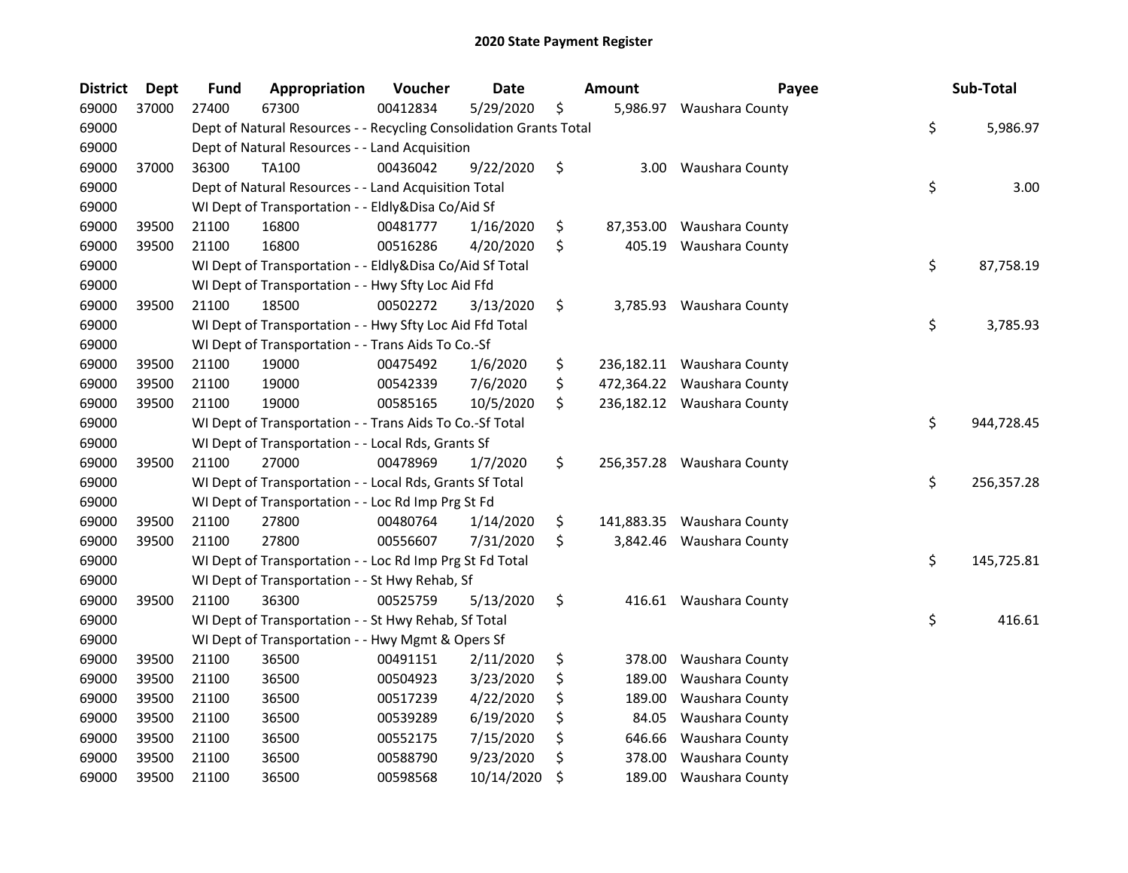| <b>District</b> | <b>Dept</b> | <b>Fund</b> | Appropriation                                                      | Voucher  | <b>Date</b> | <b>Amount</b>    | Payee                      | Sub-Total        |
|-----------------|-------------|-------------|--------------------------------------------------------------------|----------|-------------|------------------|----------------------------|------------------|
| 69000           | 37000       | 27400       | 67300                                                              | 00412834 | 5/29/2020   | \$<br>5,986.97   | Waushara County            |                  |
| 69000           |             |             | Dept of Natural Resources - - Recycling Consolidation Grants Total |          |             |                  |                            | \$<br>5,986.97   |
| 69000           |             |             | Dept of Natural Resources - - Land Acquisition                     |          |             |                  |                            |                  |
| 69000           | 37000       | 36300       | <b>TA100</b>                                                       | 00436042 | 9/22/2020   | \$<br>3.00       | Waushara County            |                  |
| 69000           |             |             | Dept of Natural Resources - - Land Acquisition Total               |          |             |                  |                            | \$<br>3.00       |
| 69000           |             |             | WI Dept of Transportation - - Eldly&Disa Co/Aid Sf                 |          |             |                  |                            |                  |
| 69000           | 39500       | 21100       | 16800                                                              | 00481777 | 1/16/2020   | \$<br>87,353.00  | Waushara County            |                  |
| 69000           | 39500       | 21100       | 16800                                                              | 00516286 | 4/20/2020   | \$<br>405.19     | Waushara County            |                  |
| 69000           |             |             | WI Dept of Transportation - - Eldly&Disa Co/Aid Sf Total           |          |             |                  |                            | \$<br>87,758.19  |
| 69000           |             |             | WI Dept of Transportation - - Hwy Sfty Loc Aid Ffd                 |          |             |                  |                            |                  |
| 69000           | 39500       | 21100       | 18500                                                              | 00502272 | 3/13/2020   | \$               | 3,785.93 Waushara County   |                  |
| 69000           |             |             | WI Dept of Transportation - - Hwy Sfty Loc Aid Ffd Total           |          |             |                  |                            | \$<br>3,785.93   |
| 69000           |             |             | WI Dept of Transportation - - Trans Aids To Co.-Sf                 |          |             |                  |                            |                  |
| 69000           | 39500       | 21100       | 19000                                                              | 00475492 | 1/6/2020    | \$<br>236,182.11 | Waushara County            |                  |
| 69000           | 39500       | 21100       | 19000                                                              | 00542339 | 7/6/2020    | \$<br>472,364.22 | Waushara County            |                  |
| 69000           | 39500       | 21100       | 19000                                                              | 00585165 | 10/5/2020   | \$               | 236,182.12 Waushara County |                  |
| 69000           |             |             | WI Dept of Transportation - - Trans Aids To Co.-Sf Total           |          |             |                  |                            | \$<br>944,728.45 |
| 69000           |             |             | WI Dept of Transportation - - Local Rds, Grants Sf                 |          |             |                  |                            |                  |
| 69000           | 39500       | 21100       | 27000                                                              | 00478969 | 1/7/2020    | \$<br>256,357.28 | Waushara County            |                  |
| 69000           |             |             | WI Dept of Transportation - - Local Rds, Grants Sf Total           |          |             |                  |                            | \$<br>256,357.28 |
| 69000           |             |             | WI Dept of Transportation - - Loc Rd Imp Prg St Fd                 |          |             |                  |                            |                  |
| 69000           | 39500       | 21100       | 27800                                                              | 00480764 | 1/14/2020   | \$<br>141,883.35 | Waushara County            |                  |
| 69000           | 39500       | 21100       | 27800                                                              | 00556607 | 7/31/2020   | \$<br>3,842.46   | Waushara County            |                  |
| 69000           |             |             | WI Dept of Transportation - - Loc Rd Imp Prg St Fd Total           |          |             |                  |                            | \$<br>145,725.81 |
| 69000           |             |             | WI Dept of Transportation - - St Hwy Rehab, Sf                     |          |             |                  |                            |                  |
| 69000           | 39500       | 21100       | 36300                                                              | 00525759 | 5/13/2020   | \$               | 416.61 Waushara County     |                  |
| 69000           |             |             | WI Dept of Transportation - - St Hwy Rehab, Sf Total               |          |             |                  |                            | \$<br>416.61     |
| 69000           |             |             | WI Dept of Transportation - - Hwy Mgmt & Opers Sf                  |          |             |                  |                            |                  |
| 69000           | 39500       | 21100       | 36500                                                              | 00491151 | 2/11/2020   | \$<br>378.00     | Waushara County            |                  |
| 69000           | 39500       | 21100       | 36500                                                              | 00504923 | 3/23/2020   | \$<br>189.00     | Waushara County            |                  |
| 69000           | 39500       | 21100       | 36500                                                              | 00517239 | 4/22/2020   | \$<br>189.00     | Waushara County            |                  |
| 69000           | 39500       | 21100       | 36500                                                              | 00539289 | 6/19/2020   | \$<br>84.05      | Waushara County            |                  |
| 69000           | 39500       | 21100       | 36500                                                              | 00552175 | 7/15/2020   | \$<br>646.66     | Waushara County            |                  |
| 69000           | 39500       | 21100       | 36500                                                              | 00588790 | 9/23/2020   | \$<br>378.00     | Waushara County            |                  |
| 69000           | 39500       | 21100       | 36500                                                              | 00598568 | 10/14/2020  | \$<br>189.00     | Waushara County            |                  |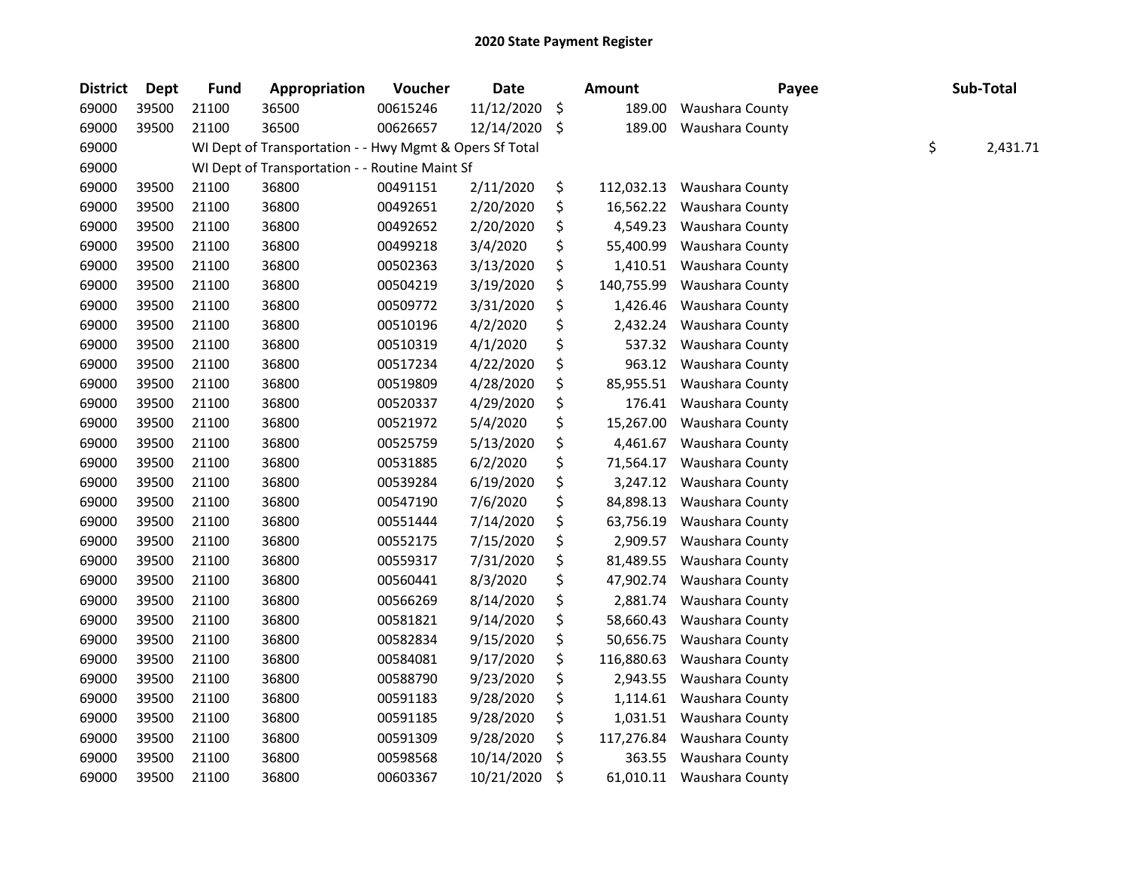| <b>District</b> | <b>Dept</b> | <b>Fund</b> | Appropriation                                           | Voucher  | <b>Date</b> |     | Amount     | Payee                     | Sub-Total      |
|-----------------|-------------|-------------|---------------------------------------------------------|----------|-------------|-----|------------|---------------------------|----------------|
| 69000           | 39500       | 21100       | 36500                                                   | 00615246 | 11/12/2020  | \$  | 189.00     | Waushara County           |                |
| 69000           | 39500       | 21100       | 36500                                                   | 00626657 | 12/14/2020  | -\$ | 189.00     | Waushara County           |                |
| 69000           |             |             | WI Dept of Transportation - - Hwy Mgmt & Opers Sf Total |          |             |     |            |                           | \$<br>2,431.71 |
| 69000           |             |             | WI Dept of Transportation - - Routine Maint Sf          |          |             |     |            |                           |                |
| 69000           | 39500       | 21100       | 36800                                                   | 00491151 | 2/11/2020   | \$  | 112,032.13 | Waushara County           |                |
| 69000           | 39500       | 21100       | 36800                                                   | 00492651 | 2/20/2020   | \$  | 16,562.22  | Waushara County           |                |
| 69000           | 39500       | 21100       | 36800                                                   | 00492652 | 2/20/2020   | \$  | 4,549.23   | Waushara County           |                |
| 69000           | 39500       | 21100       | 36800                                                   | 00499218 | 3/4/2020    | \$  | 55,400.99  | Waushara County           |                |
| 69000           | 39500       | 21100       | 36800                                                   | 00502363 | 3/13/2020   | \$  | 1,410.51   | Waushara County           |                |
| 69000           | 39500       | 21100       | 36800                                                   | 00504219 | 3/19/2020   | \$  | 140,755.99 | Waushara County           |                |
| 69000           | 39500       | 21100       | 36800                                                   | 00509772 | 3/31/2020   | \$  | 1,426.46   | Waushara County           |                |
| 69000           | 39500       | 21100       | 36800                                                   | 00510196 | 4/2/2020    | \$  | 2,432.24   | Waushara County           |                |
| 69000           | 39500       | 21100       | 36800                                                   | 00510319 | 4/1/2020    | \$  | 537.32     | Waushara County           |                |
| 69000           | 39500       | 21100       | 36800                                                   | 00517234 | 4/22/2020   | \$  | 963.12     | Waushara County           |                |
| 69000           | 39500       | 21100       | 36800                                                   | 00519809 | 4/28/2020   | \$  | 85,955.51  | Waushara County           |                |
| 69000           | 39500       | 21100       | 36800                                                   | 00520337 | 4/29/2020   | \$  | 176.41     | Waushara County           |                |
| 69000           | 39500       | 21100       | 36800                                                   | 00521972 | 5/4/2020    | \$  | 15,267.00  | Waushara County           |                |
| 69000           | 39500       | 21100       | 36800                                                   | 00525759 | 5/13/2020   | \$  | 4,461.67   | Waushara County           |                |
| 69000           | 39500       | 21100       | 36800                                                   | 00531885 | 6/2/2020    | \$  | 71,564.17  | Waushara County           |                |
| 69000           | 39500       | 21100       | 36800                                                   | 00539284 | 6/19/2020   | \$  | 3,247.12   | Waushara County           |                |
| 69000           | 39500       | 21100       | 36800                                                   | 00547190 | 7/6/2020    | \$  | 84,898.13  | Waushara County           |                |
| 69000           | 39500       | 21100       | 36800                                                   | 00551444 | 7/14/2020   | \$  | 63,756.19  | Waushara County           |                |
| 69000           | 39500       | 21100       | 36800                                                   | 00552175 | 7/15/2020   | \$  | 2,909.57   | Waushara County           |                |
| 69000           | 39500       | 21100       | 36800                                                   | 00559317 | 7/31/2020   | \$  | 81,489.55  | Waushara County           |                |
| 69000           | 39500       | 21100       | 36800                                                   | 00560441 | 8/3/2020    | \$  | 47,902.74  | Waushara County           |                |
| 69000           | 39500       | 21100       | 36800                                                   | 00566269 | 8/14/2020   | \$  | 2,881.74   | Waushara County           |                |
| 69000           | 39500       | 21100       | 36800                                                   | 00581821 | 9/14/2020   | \$  | 58,660.43  | Waushara County           |                |
| 69000           | 39500       | 21100       | 36800                                                   | 00582834 | 9/15/2020   | \$  | 50,656.75  | Waushara County           |                |
| 69000           | 39500       | 21100       | 36800                                                   | 00584081 | 9/17/2020   | \$  | 116,880.63 | Waushara County           |                |
| 69000           | 39500       | 21100       | 36800                                                   | 00588790 | 9/23/2020   | \$  | 2,943.55   | Waushara County           |                |
| 69000           | 39500       | 21100       | 36800                                                   | 00591183 | 9/28/2020   | \$  | 1,114.61   | Waushara County           |                |
| 69000           | 39500       | 21100       | 36800                                                   | 00591185 | 9/28/2020   | \$  | 1,031.51   | Waushara County           |                |
| 69000           | 39500       | 21100       | 36800                                                   | 00591309 | 9/28/2020   | \$  | 117,276.84 | Waushara County           |                |
| 69000           | 39500       | 21100       | 36800                                                   | 00598568 | 10/14/2020  | \$  | 363.55     | Waushara County           |                |
| 69000           | 39500       | 21100       | 36800                                                   | 00603367 | 10/21/2020  | \$  |            | 61,010.11 Waushara County |                |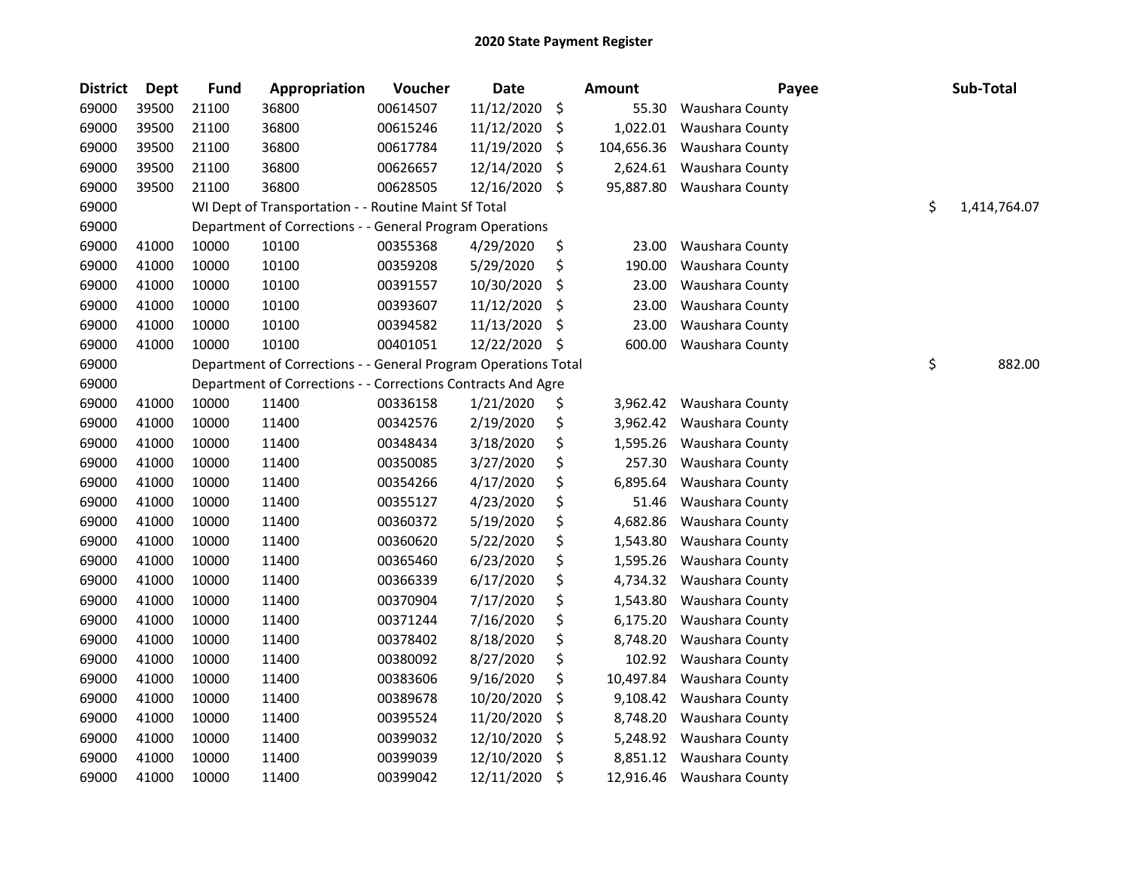| <b>District</b> | Dept  | <b>Fund</b> | Appropriation                                                  | Voucher  | <b>Date</b> |         | <b>Amount</b> | Payee           | Sub-Total          |
|-----------------|-------|-------------|----------------------------------------------------------------|----------|-------------|---------|---------------|-----------------|--------------------|
| 69000           | 39500 | 21100       | 36800                                                          | 00614507 | 11/12/2020  | -\$     | 55.30         | Waushara County |                    |
| 69000           | 39500 | 21100       | 36800                                                          | 00615246 | 11/12/2020  | \$      | 1,022.01      | Waushara County |                    |
| 69000           | 39500 | 21100       | 36800                                                          | 00617784 | 11/19/2020  | \$      | 104,656.36    | Waushara County |                    |
| 69000           | 39500 | 21100       | 36800                                                          | 00626657 | 12/14/2020  | \$      | 2,624.61      | Waushara County |                    |
| 69000           | 39500 | 21100       | 36800                                                          | 00628505 | 12/16/2020  | -\$     | 95,887.80     | Waushara County |                    |
| 69000           |       |             | WI Dept of Transportation - - Routine Maint Sf Total           |          |             |         |               |                 | \$<br>1,414,764.07 |
| 69000           |       |             | Department of Corrections - - General Program Operations       |          |             |         |               |                 |                    |
| 69000           | 41000 | 10000       | 10100                                                          | 00355368 | 4/29/2020   | \$      | 23.00         | Waushara County |                    |
| 69000           | 41000 | 10000       | 10100                                                          | 00359208 | 5/29/2020   | \$      | 190.00        | Waushara County |                    |
| 69000           | 41000 | 10000       | 10100                                                          | 00391557 | 10/30/2020  | \$      | 23.00         | Waushara County |                    |
| 69000           | 41000 | 10000       | 10100                                                          | 00393607 | 11/12/2020  | \$      | 23.00         | Waushara County |                    |
| 69000           | 41000 | 10000       | 10100                                                          | 00394582 | 11/13/2020  | \$      | 23.00         | Waushara County |                    |
| 69000           | 41000 | 10000       | 10100                                                          | 00401051 | 12/22/2020  | \$      | 600.00        | Waushara County |                    |
| 69000           |       |             | Department of Corrections - - General Program Operations Total |          |             |         |               |                 | \$<br>882.00       |
| 69000           |       |             | Department of Corrections - - Corrections Contracts And Agre   |          |             |         |               |                 |                    |
| 69000           | 41000 | 10000       | 11400                                                          | 00336158 | 1/21/2020   | \$      | 3,962.42      | Waushara County |                    |
| 69000           | 41000 | 10000       | 11400                                                          | 00342576 | 2/19/2020   | \$      | 3,962.42      | Waushara County |                    |
| 69000           | 41000 | 10000       | 11400                                                          | 00348434 | 3/18/2020   | \$      | 1,595.26      | Waushara County |                    |
| 69000           | 41000 | 10000       | 11400                                                          | 00350085 | 3/27/2020   | \$      | 257.30        | Waushara County |                    |
| 69000           | 41000 | 10000       | 11400                                                          | 00354266 | 4/17/2020   | \$      | 6,895.64      | Waushara County |                    |
| 69000           | 41000 | 10000       | 11400                                                          | 00355127 | 4/23/2020   | \$      | 51.46         | Waushara County |                    |
| 69000           | 41000 | 10000       | 11400                                                          | 00360372 | 5/19/2020   | \$      | 4,682.86      | Waushara County |                    |
| 69000           | 41000 | 10000       | 11400                                                          | 00360620 | 5/22/2020   | \$      | 1,543.80      | Waushara County |                    |
| 69000           | 41000 | 10000       | 11400                                                          | 00365460 | 6/23/2020   | \$      | 1,595.26      | Waushara County |                    |
| 69000           | 41000 | 10000       | 11400                                                          | 00366339 | 6/17/2020   | \$      | 4,734.32      | Waushara County |                    |
| 69000           | 41000 | 10000       | 11400                                                          | 00370904 | 7/17/2020   | \$      | 1,543.80      | Waushara County |                    |
| 69000           | 41000 | 10000       | 11400                                                          | 00371244 | 7/16/2020   | \$      | 6,175.20      | Waushara County |                    |
| 69000           | 41000 | 10000       | 11400                                                          | 00378402 | 8/18/2020   | \$      | 8,748.20      | Waushara County |                    |
| 69000           | 41000 | 10000       | 11400                                                          | 00380092 | 8/27/2020   | \$      | 102.92        | Waushara County |                    |
| 69000           | 41000 | 10000       | 11400                                                          | 00383606 | 9/16/2020   | \$      | 10,497.84     | Waushara County |                    |
| 69000           | 41000 | 10000       | 11400                                                          | 00389678 | 10/20/2020  | \$      | 9,108.42      | Waushara County |                    |
| 69000           | 41000 | 10000       | 11400                                                          | 00395524 | 11/20/2020  | \$      | 8,748.20      | Waushara County |                    |
| 69000           | 41000 | 10000       | 11400                                                          | 00399032 | 12/10/2020  | \$      | 5,248.92      | Waushara County |                    |
| 69000           | 41000 | 10000       | 11400                                                          | 00399039 | 12/10/2020  | $\zeta$ | 8,851.12      | Waushara County |                    |
| 69000           | 41000 | 10000       | 11400                                                          | 00399042 | 12/11/2020  | \$      | 12,916.46     | Waushara County |                    |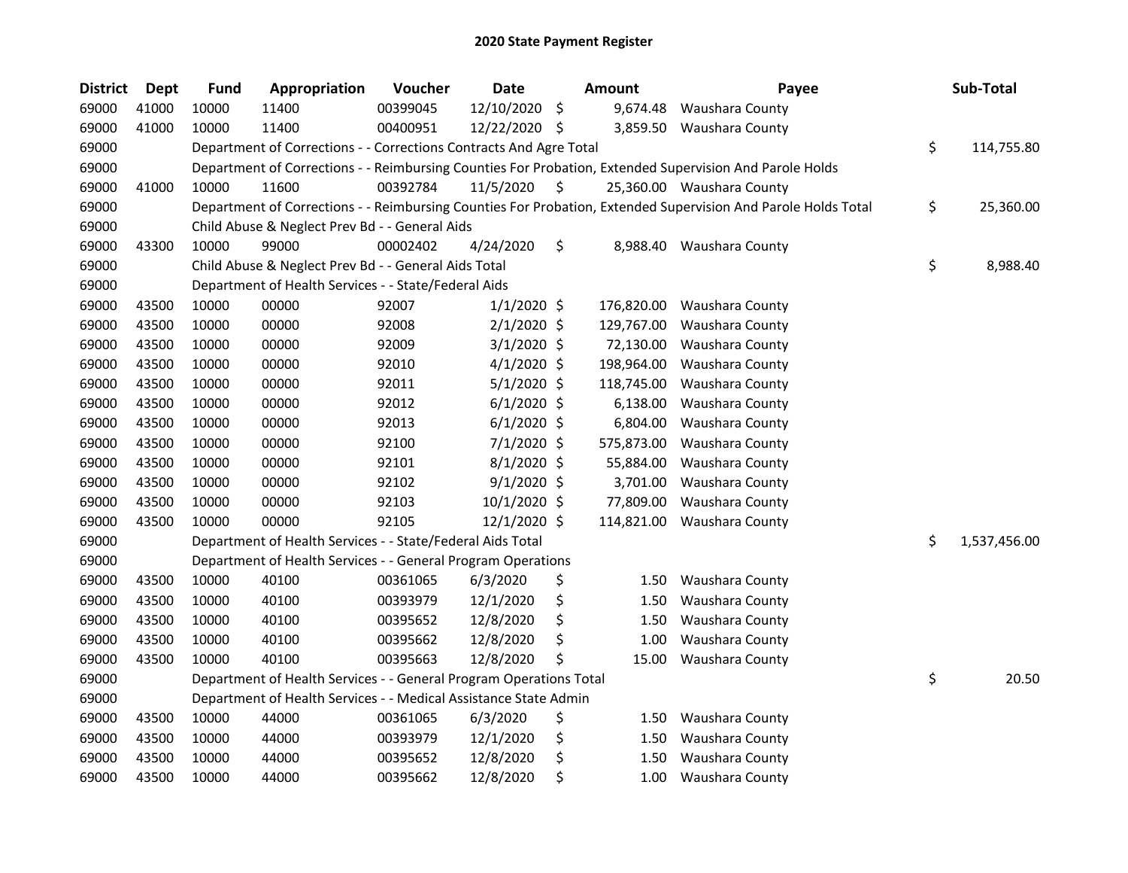| <b>District</b> | Dept  | <b>Fund</b> | Appropriation                                                      | Voucher  | <b>Date</b>   |     | Amount     | Payee                                                                                                         | Sub-Total          |
|-----------------|-------|-------------|--------------------------------------------------------------------|----------|---------------|-----|------------|---------------------------------------------------------------------------------------------------------------|--------------------|
| 69000           | 41000 | 10000       | 11400                                                              | 00399045 | 12/10/2020    | \$  | 9,674.48   | Waushara County                                                                                               |                    |
| 69000           | 41000 | 10000       | 11400                                                              | 00400951 | 12/22/2020 \$ |     |            | 3,859.50 Waushara County                                                                                      |                    |
| 69000           |       |             | Department of Corrections - - Corrections Contracts And Agre Total |          |               |     |            |                                                                                                               | \$<br>114,755.80   |
| 69000           |       |             |                                                                    |          |               |     |            | Department of Corrections - - Reimbursing Counties For Probation, Extended Supervision And Parole Holds       |                    |
| 69000           | 41000 | 10000       | 11600                                                              | 00392784 | 11/5/2020     | \$. |            | 25,360.00 Waushara County                                                                                     |                    |
| 69000           |       |             |                                                                    |          |               |     |            | Department of Corrections - - Reimbursing Counties For Probation, Extended Supervision And Parole Holds Total | \$<br>25,360.00    |
| 69000           |       |             | Child Abuse & Neglect Prev Bd - - General Aids                     |          |               |     |            |                                                                                                               |                    |
| 69000           | 43300 | 10000       | 99000                                                              | 00002402 | 4/24/2020     | \$  |            | 8,988.40 Waushara County                                                                                      |                    |
| 69000           |       |             | Child Abuse & Neglect Prev Bd - - General Aids Total               |          |               |     |            |                                                                                                               | \$<br>8,988.40     |
| 69000           |       |             | Department of Health Services - - State/Federal Aids               |          |               |     |            |                                                                                                               |                    |
| 69000           | 43500 | 10000       | 00000                                                              | 92007    | $1/1/2020$ \$ |     | 176,820.00 | Waushara County                                                                                               |                    |
| 69000           | 43500 | 10000       | 00000                                                              | 92008    | $2/1/2020$ \$ |     | 129,767.00 | Waushara County                                                                                               |                    |
| 69000           | 43500 | 10000       | 00000                                                              | 92009    | $3/1/2020$ \$ |     | 72,130.00  | Waushara County                                                                                               |                    |
| 69000           | 43500 | 10000       | 00000                                                              | 92010    | $4/1/2020$ \$ |     | 198,964.00 | Waushara County                                                                                               |                    |
| 69000           | 43500 | 10000       | 00000                                                              | 92011    | $5/1/2020$ \$ |     | 118,745.00 | Waushara County                                                                                               |                    |
| 69000           | 43500 | 10000       | 00000                                                              | 92012    | $6/1/2020$ \$ |     | 6,138.00   | Waushara County                                                                                               |                    |
| 69000           | 43500 | 10000       | 00000                                                              | 92013    | $6/1/2020$ \$ |     | 6,804.00   | Waushara County                                                                                               |                    |
| 69000           | 43500 | 10000       | 00000                                                              | 92100    | 7/1/2020 \$   |     | 575,873.00 | Waushara County                                                                                               |                    |
| 69000           | 43500 | 10000       | 00000                                                              | 92101    | $8/1/2020$ \$ |     | 55,884.00  | Waushara County                                                                                               |                    |
| 69000           | 43500 | 10000       | 00000                                                              | 92102    | $9/1/2020$ \$ |     | 3,701.00   | Waushara County                                                                                               |                    |
| 69000           | 43500 | 10000       | 00000                                                              | 92103    | 10/1/2020 \$  |     | 77,809.00  | Waushara County                                                                                               |                    |
| 69000           | 43500 | 10000       | 00000                                                              | 92105    | 12/1/2020 \$  |     | 114,821.00 | Waushara County                                                                                               |                    |
| 69000           |       |             | Department of Health Services - - State/Federal Aids Total         |          |               |     |            |                                                                                                               | \$<br>1,537,456.00 |
| 69000           |       |             | Department of Health Services - - General Program Operations       |          |               |     |            |                                                                                                               |                    |
| 69000           | 43500 | 10000       | 40100                                                              | 00361065 | 6/3/2020      | \$  | 1.50       | Waushara County                                                                                               |                    |
| 69000           | 43500 | 10000       | 40100                                                              | 00393979 | 12/1/2020     | \$  | 1.50       | Waushara County                                                                                               |                    |
| 69000           | 43500 | 10000       | 40100                                                              | 00395652 | 12/8/2020     | \$  | 1.50       | Waushara County                                                                                               |                    |
| 69000           | 43500 | 10000       | 40100                                                              | 00395662 | 12/8/2020     | \$  | 1.00       | Waushara County                                                                                               |                    |
| 69000           | 43500 | 10000       | 40100                                                              | 00395663 | 12/8/2020     |     | 15.00      | Waushara County                                                                                               |                    |
| 69000           |       |             | Department of Health Services - - General Program Operations Total |          |               |     |            |                                                                                                               | \$<br>20.50        |
| 69000           |       |             | Department of Health Services - - Medical Assistance State Admin   |          |               |     |            |                                                                                                               |                    |
| 69000           | 43500 | 10000       | 44000                                                              | 00361065 | 6/3/2020      | \$  | 1.50       | Waushara County                                                                                               |                    |
| 69000           | 43500 | 10000       | 44000                                                              | 00393979 | 12/1/2020     | \$  | 1.50       | Waushara County                                                                                               |                    |
| 69000           | 43500 | 10000       | 44000                                                              | 00395652 | 12/8/2020     | \$  | 1.50       | Waushara County                                                                                               |                    |
| 69000           | 43500 | 10000       | 44000                                                              | 00395662 | 12/8/2020     | \$  | 1.00       | Waushara County                                                                                               |                    |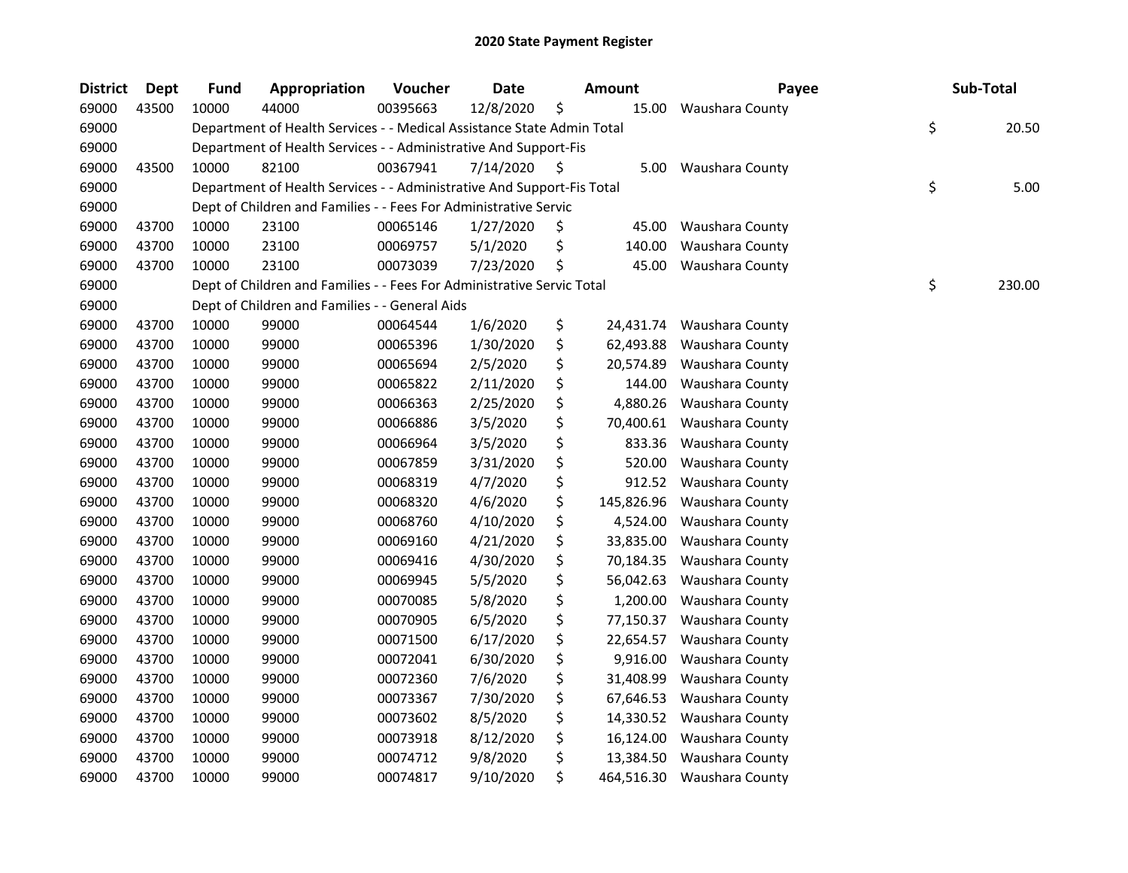| <b>District</b> | Dept  | <b>Fund</b> | Appropriation                                                          | Voucher  | <b>Date</b> |     | <b>Amount</b> | Payee           | Sub-Total    |
|-----------------|-------|-------------|------------------------------------------------------------------------|----------|-------------|-----|---------------|-----------------|--------------|
| 69000           | 43500 | 10000       | 44000                                                                  | 00395663 | 12/8/2020   | \$  | 15.00         | Waushara County |              |
| 69000           |       |             | Department of Health Services - - Medical Assistance State Admin Total |          |             |     |               |                 | \$<br>20.50  |
| 69000           |       |             | Department of Health Services - - Administrative And Support-Fis       |          |             |     |               |                 |              |
| 69000           | 43500 | 10000       | 82100                                                                  | 00367941 | 7/14/2020   | -S  | 5.00          | Waushara County |              |
| 69000           |       |             | Department of Health Services - - Administrative And Support-Fis Total |          |             |     |               |                 | \$<br>5.00   |
| 69000           |       |             | Dept of Children and Families - - Fees For Administrative Servic       |          |             |     |               |                 |              |
| 69000           | 43700 | 10000       | 23100                                                                  | 00065146 | 1/27/2020   | \$. | 45.00         | Waushara County |              |
| 69000           | 43700 | 10000       | 23100                                                                  | 00069757 | 5/1/2020    | \$  | 140.00        | Waushara County |              |
| 69000           | 43700 | 10000       | 23100                                                                  | 00073039 | 7/23/2020   | \$  | 45.00         | Waushara County |              |
| 69000           |       |             | Dept of Children and Families - - Fees For Administrative Servic Total |          |             |     |               |                 | \$<br>230.00 |
| 69000           |       |             | Dept of Children and Families - - General Aids                         |          |             |     |               |                 |              |
| 69000           | 43700 | 10000       | 99000                                                                  | 00064544 | 1/6/2020    | \$  | 24,431.74     | Waushara County |              |
| 69000           | 43700 | 10000       | 99000                                                                  | 00065396 | 1/30/2020   | \$  | 62,493.88     | Waushara County |              |
| 69000           | 43700 | 10000       | 99000                                                                  | 00065694 | 2/5/2020    | \$  | 20,574.89     | Waushara County |              |
| 69000           | 43700 | 10000       | 99000                                                                  | 00065822 | 2/11/2020   | \$  | 144.00        | Waushara County |              |
| 69000           | 43700 | 10000       | 99000                                                                  | 00066363 | 2/25/2020   | \$  | 4,880.26      | Waushara County |              |
| 69000           | 43700 | 10000       | 99000                                                                  | 00066886 | 3/5/2020    | \$  | 70,400.61     | Waushara County |              |
| 69000           | 43700 | 10000       | 99000                                                                  | 00066964 | 3/5/2020    | \$  | 833.36        | Waushara County |              |
| 69000           | 43700 | 10000       | 99000                                                                  | 00067859 | 3/31/2020   | \$  | 520.00        | Waushara County |              |
| 69000           | 43700 | 10000       | 99000                                                                  | 00068319 | 4/7/2020    | \$  | 912.52        | Waushara County |              |
| 69000           | 43700 | 10000       | 99000                                                                  | 00068320 | 4/6/2020    | \$  | 145,826.96    | Waushara County |              |
| 69000           | 43700 | 10000       | 99000                                                                  | 00068760 | 4/10/2020   | \$  | 4,524.00      | Waushara County |              |
| 69000           | 43700 | 10000       | 99000                                                                  | 00069160 | 4/21/2020   | \$  | 33,835.00     | Waushara County |              |
| 69000           | 43700 | 10000       | 99000                                                                  | 00069416 | 4/30/2020   | \$  | 70,184.35     | Waushara County |              |
| 69000           | 43700 | 10000       | 99000                                                                  | 00069945 | 5/5/2020    | \$  | 56,042.63     | Waushara County |              |
| 69000           | 43700 | 10000       | 99000                                                                  | 00070085 | 5/8/2020    | \$  | 1,200.00      | Waushara County |              |
| 69000           | 43700 | 10000       | 99000                                                                  | 00070905 | 6/5/2020    | \$  | 77,150.37     | Waushara County |              |
| 69000           | 43700 | 10000       | 99000                                                                  | 00071500 | 6/17/2020   | \$  | 22,654.57     | Waushara County |              |
| 69000           | 43700 | 10000       | 99000                                                                  | 00072041 | 6/30/2020   | \$  | 9,916.00      | Waushara County |              |
| 69000           | 43700 | 10000       | 99000                                                                  | 00072360 | 7/6/2020    | \$  | 31,408.99     | Waushara County |              |
| 69000           | 43700 | 10000       | 99000                                                                  | 00073367 | 7/30/2020   | \$  | 67,646.53     | Waushara County |              |
| 69000           | 43700 | 10000       | 99000                                                                  | 00073602 | 8/5/2020    | \$  | 14,330.52     | Waushara County |              |
| 69000           | 43700 | 10000       | 99000                                                                  | 00073918 | 8/12/2020   | \$  | 16,124.00     | Waushara County |              |
| 69000           | 43700 | 10000       | 99000                                                                  | 00074712 | 9/8/2020    | \$  | 13,384.50     | Waushara County |              |
| 69000           | 43700 | 10000       | 99000                                                                  | 00074817 | 9/10/2020   | \$  | 464,516.30    | Waushara County |              |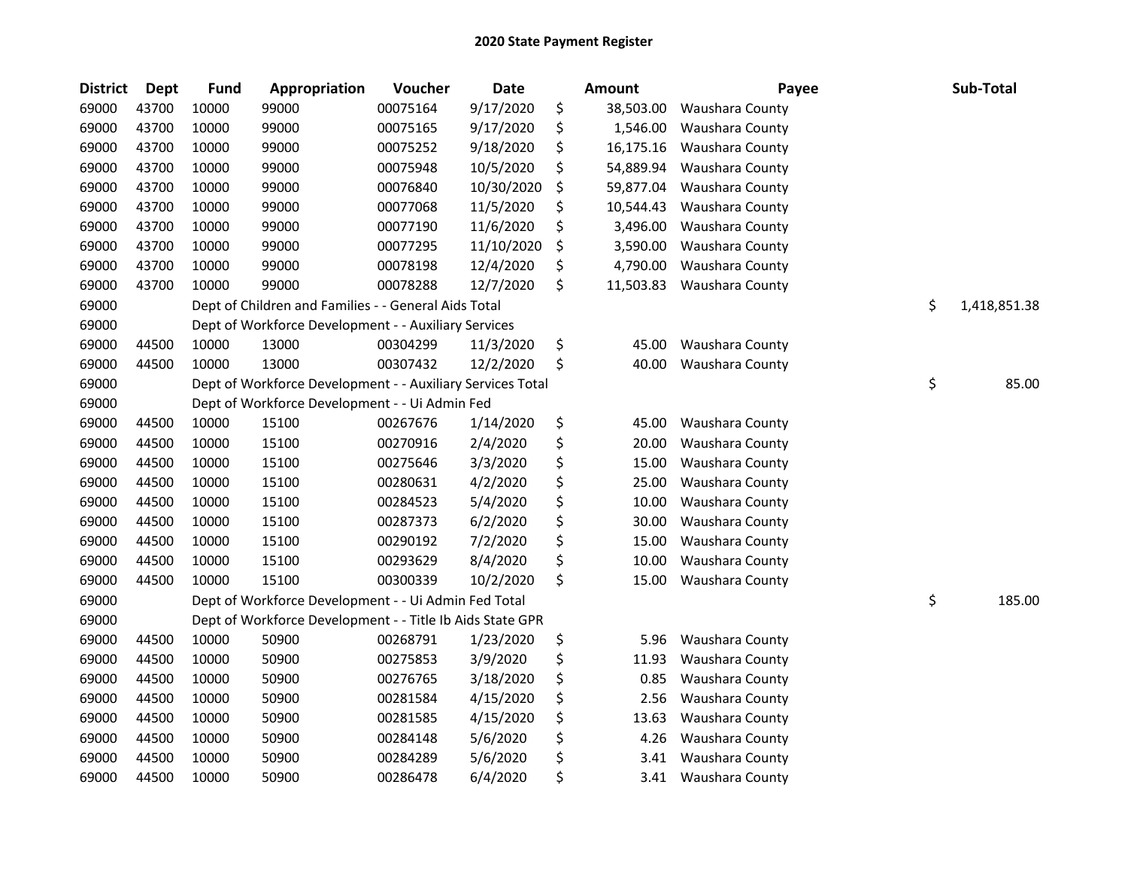| <b>District</b> | <b>Dept</b> | <b>Fund</b> | Appropriation                                              | Voucher  | <b>Date</b> | Amount          | Payee           | Sub-Total          |
|-----------------|-------------|-------------|------------------------------------------------------------|----------|-------------|-----------------|-----------------|--------------------|
| 69000           | 43700       | 10000       | 99000                                                      | 00075164 | 9/17/2020   | \$<br>38,503.00 | Waushara County |                    |
| 69000           | 43700       | 10000       | 99000                                                      | 00075165 | 9/17/2020   | \$<br>1,546.00  | Waushara County |                    |
| 69000           | 43700       | 10000       | 99000                                                      | 00075252 | 9/18/2020   | \$<br>16,175.16 | Waushara County |                    |
| 69000           | 43700       | 10000       | 99000                                                      | 00075948 | 10/5/2020   | \$<br>54,889.94 | Waushara County |                    |
| 69000           | 43700       | 10000       | 99000                                                      | 00076840 | 10/30/2020  | \$<br>59,877.04 | Waushara County |                    |
| 69000           | 43700       | 10000       | 99000                                                      | 00077068 | 11/5/2020   | \$<br>10,544.43 | Waushara County |                    |
| 69000           | 43700       | 10000       | 99000                                                      | 00077190 | 11/6/2020   | \$<br>3,496.00  | Waushara County |                    |
| 69000           | 43700       | 10000       | 99000                                                      | 00077295 | 11/10/2020  | \$<br>3,590.00  | Waushara County |                    |
| 69000           | 43700       | 10000       | 99000                                                      | 00078198 | 12/4/2020   | \$<br>4,790.00  | Waushara County |                    |
| 69000           | 43700       | 10000       | 99000                                                      | 00078288 | 12/7/2020   | \$<br>11,503.83 | Waushara County |                    |
| 69000           |             |             | Dept of Children and Families - - General Aids Total       |          |             |                 |                 | \$<br>1,418,851.38 |
| 69000           |             |             | Dept of Workforce Development - - Auxiliary Services       |          |             |                 |                 |                    |
| 69000           | 44500       | 10000       | 13000                                                      | 00304299 | 11/3/2020   | \$<br>45.00     | Waushara County |                    |
| 69000           | 44500       | 10000       | 13000                                                      | 00307432 | 12/2/2020   | \$<br>40.00     | Waushara County |                    |
| 69000           |             |             | Dept of Workforce Development - - Auxiliary Services Total |          |             |                 |                 | \$<br>85.00        |
| 69000           |             |             | Dept of Workforce Development - - Ui Admin Fed             |          |             |                 |                 |                    |
| 69000           | 44500       | 10000       | 15100                                                      | 00267676 | 1/14/2020   | \$<br>45.00     | Waushara County |                    |
| 69000           | 44500       | 10000       | 15100                                                      | 00270916 | 2/4/2020    | \$<br>20.00     | Waushara County |                    |
| 69000           | 44500       | 10000       | 15100                                                      | 00275646 | 3/3/2020    | \$<br>15.00     | Waushara County |                    |
| 69000           | 44500       | 10000       | 15100                                                      | 00280631 | 4/2/2020    | \$<br>25.00     | Waushara County |                    |
| 69000           | 44500       | 10000       | 15100                                                      | 00284523 | 5/4/2020    | \$<br>10.00     | Waushara County |                    |
| 69000           | 44500       | 10000       | 15100                                                      | 00287373 | 6/2/2020    | \$<br>30.00     | Waushara County |                    |
| 69000           | 44500       | 10000       | 15100                                                      | 00290192 | 7/2/2020    | \$<br>15.00     | Waushara County |                    |
| 69000           | 44500       | 10000       | 15100                                                      | 00293629 | 8/4/2020    | \$<br>10.00     | Waushara County |                    |
| 69000           | 44500       | 10000       | 15100                                                      | 00300339 | 10/2/2020   | \$<br>15.00     | Waushara County |                    |
| 69000           |             |             | Dept of Workforce Development - - Ui Admin Fed Total       |          |             |                 |                 | \$<br>185.00       |
| 69000           |             |             | Dept of Workforce Development - - Title Ib Aids State GPR  |          |             |                 |                 |                    |
| 69000           | 44500       | 10000       | 50900                                                      | 00268791 | 1/23/2020   | \$<br>5.96      | Waushara County |                    |
| 69000           | 44500       | 10000       | 50900                                                      | 00275853 | 3/9/2020    | \$<br>11.93     | Waushara County |                    |
| 69000           | 44500       | 10000       | 50900                                                      | 00276765 | 3/18/2020   | \$<br>0.85      | Waushara County |                    |
| 69000           | 44500       | 10000       | 50900                                                      | 00281584 | 4/15/2020   | \$<br>2.56      | Waushara County |                    |
| 69000           | 44500       | 10000       | 50900                                                      | 00281585 | 4/15/2020   | \$<br>13.63     | Waushara County |                    |
| 69000           | 44500       | 10000       | 50900                                                      | 00284148 | 5/6/2020    | \$<br>4.26      | Waushara County |                    |
| 69000           | 44500       | 10000       | 50900                                                      | 00284289 | 5/6/2020    | \$<br>3.41      | Waushara County |                    |
| 69000           | 44500       | 10000       | 50900                                                      | 00286478 | 6/4/2020    | \$<br>3.41      | Waushara County |                    |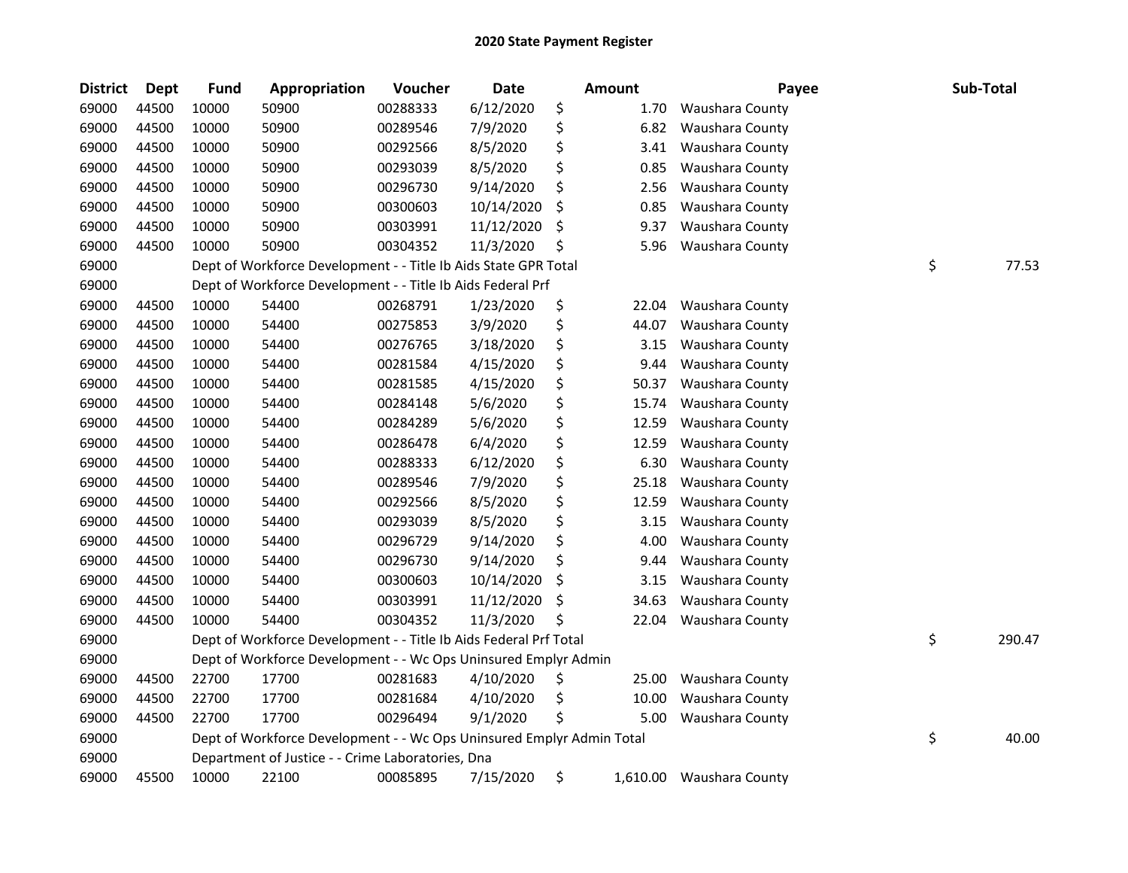| <b>District</b> | <b>Dept</b> | <b>Fund</b> | Appropriation                                                         | Voucher  | <b>Date</b> | Amount         | Payee           |    | Sub-Total |
|-----------------|-------------|-------------|-----------------------------------------------------------------------|----------|-------------|----------------|-----------------|----|-----------|
| 69000           | 44500       | 10000       | 50900                                                                 | 00288333 | 6/12/2020   | \$<br>1.70     | Waushara County |    |           |
| 69000           | 44500       | 10000       | 50900                                                                 | 00289546 | 7/9/2020    | \$<br>6.82     | Waushara County |    |           |
| 69000           | 44500       | 10000       | 50900                                                                 | 00292566 | 8/5/2020    | \$<br>3.41     | Waushara County |    |           |
| 69000           | 44500       | 10000       | 50900                                                                 | 00293039 | 8/5/2020    | \$<br>0.85     | Waushara County |    |           |
| 69000           | 44500       | 10000       | 50900                                                                 | 00296730 | 9/14/2020   | \$<br>2.56     | Waushara County |    |           |
| 69000           | 44500       | 10000       | 50900                                                                 | 00300603 | 10/14/2020  | \$<br>0.85     | Waushara County |    |           |
| 69000           | 44500       | 10000       | 50900                                                                 | 00303991 | 11/12/2020  | \$<br>9.37     | Waushara County |    |           |
| 69000           | 44500       | 10000       | 50900                                                                 | 00304352 | 11/3/2020   | \$<br>5.96     | Waushara County |    |           |
| 69000           |             |             | Dept of Workforce Development - - Title Ib Aids State GPR Total       |          |             |                |                 | \$ | 77.53     |
| 69000           |             |             | Dept of Workforce Development - - Title Ib Aids Federal Prf           |          |             |                |                 |    |           |
| 69000           | 44500       | 10000       | 54400                                                                 | 00268791 | 1/23/2020   | \$<br>22.04    | Waushara County |    |           |
| 69000           | 44500       | 10000       | 54400                                                                 | 00275853 | 3/9/2020    | \$<br>44.07    | Waushara County |    |           |
| 69000           | 44500       | 10000       | 54400                                                                 | 00276765 | 3/18/2020   | \$<br>3.15     | Waushara County |    |           |
| 69000           | 44500       | 10000       | 54400                                                                 | 00281584 | 4/15/2020   | \$<br>9.44     | Waushara County |    |           |
| 69000           | 44500       | 10000       | 54400                                                                 | 00281585 | 4/15/2020   | \$<br>50.37    | Waushara County |    |           |
| 69000           | 44500       | 10000       | 54400                                                                 | 00284148 | 5/6/2020    | \$<br>15.74    | Waushara County |    |           |
| 69000           | 44500       | 10000       | 54400                                                                 | 00284289 | 5/6/2020    | \$<br>12.59    | Waushara County |    |           |
| 69000           | 44500       | 10000       | 54400                                                                 | 00286478 | 6/4/2020    | \$<br>12.59    | Waushara County |    |           |
| 69000           | 44500       | 10000       | 54400                                                                 | 00288333 | 6/12/2020   | \$<br>6.30     | Waushara County |    |           |
| 69000           | 44500       | 10000       | 54400                                                                 | 00289546 | 7/9/2020    | \$<br>25.18    | Waushara County |    |           |
| 69000           | 44500       | 10000       | 54400                                                                 | 00292566 | 8/5/2020    | \$<br>12.59    | Waushara County |    |           |
| 69000           | 44500       | 10000       | 54400                                                                 | 00293039 | 8/5/2020    | \$<br>3.15     | Waushara County |    |           |
| 69000           | 44500       | 10000       | 54400                                                                 | 00296729 | 9/14/2020   | \$<br>4.00     | Waushara County |    |           |
| 69000           | 44500       | 10000       | 54400                                                                 | 00296730 | 9/14/2020   | \$<br>9.44     | Waushara County |    |           |
| 69000           | 44500       | 10000       | 54400                                                                 | 00300603 | 10/14/2020  | \$<br>3.15     | Waushara County |    |           |
| 69000           | 44500       | 10000       | 54400                                                                 | 00303991 | 11/12/2020  | \$<br>34.63    | Waushara County |    |           |
| 69000           | 44500       | 10000       | 54400                                                                 | 00304352 | 11/3/2020   | \$<br>22.04    | Waushara County |    |           |
| 69000           |             |             | Dept of Workforce Development - - Title Ib Aids Federal Prf Total     |          |             |                |                 | \$ | 290.47    |
| 69000           |             |             | Dept of Workforce Development - - Wc Ops Uninsured Emplyr Admin       |          |             |                |                 |    |           |
| 69000           | 44500       | 22700       | 17700                                                                 | 00281683 | 4/10/2020   | \$<br>25.00    | Waushara County |    |           |
| 69000           | 44500       | 22700       | 17700                                                                 | 00281684 | 4/10/2020   | \$<br>10.00    | Waushara County |    |           |
| 69000           | 44500       | 22700       | 17700                                                                 | 00296494 | 9/1/2020    | \$<br>5.00     | Waushara County |    |           |
| 69000           |             |             | Dept of Workforce Development - - Wc Ops Uninsured Emplyr Admin Total |          |             |                |                 | \$ | 40.00     |
| 69000           |             |             | Department of Justice - - Crime Laboratories, Dna                     |          |             |                |                 |    |           |
| 69000           | 45500       | 10000       | 22100                                                                 | 00085895 | 7/15/2020   | \$<br>1,610.00 | Waushara County |    |           |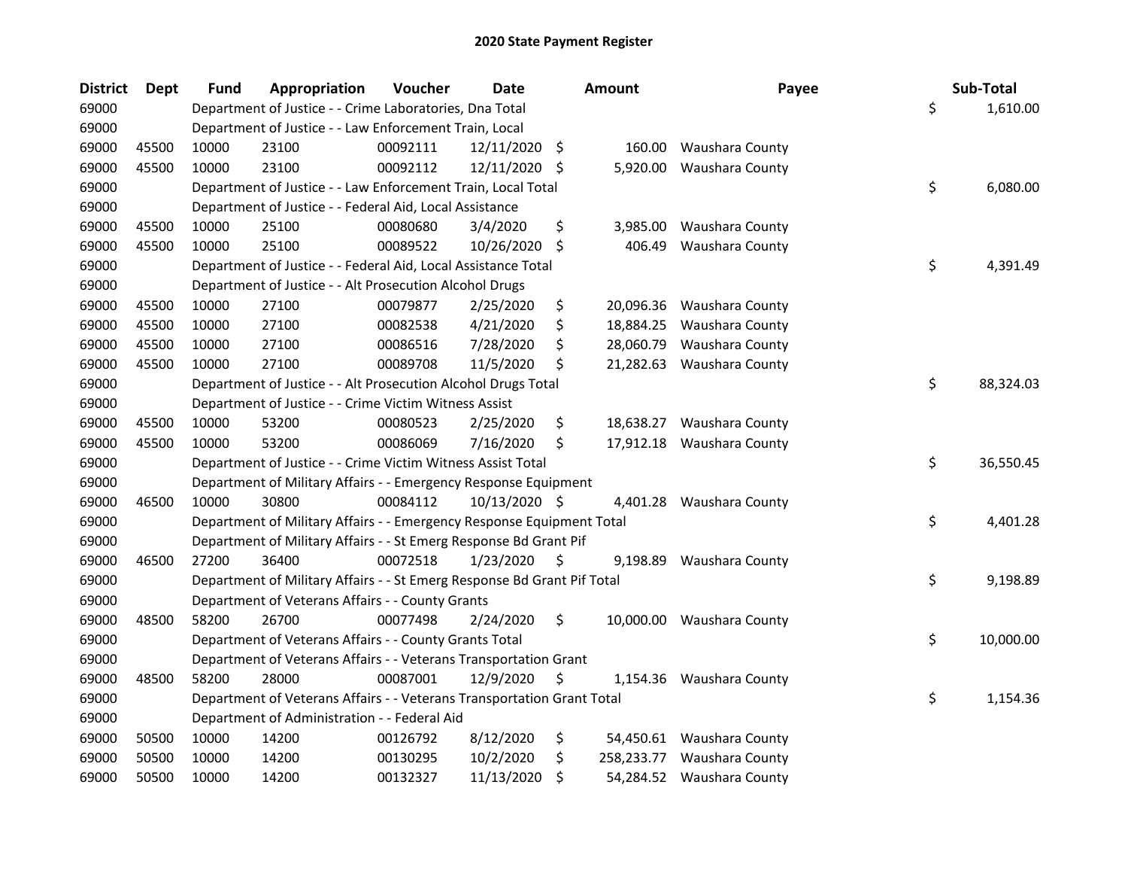| <b>District</b> | <b>Dept</b> | Fund  | Appropriation                                                           | Voucher  | <b>Date</b>   |         | <b>Amount</b> | Payee                     | Sub-Total       |
|-----------------|-------------|-------|-------------------------------------------------------------------------|----------|---------------|---------|---------------|---------------------------|-----------------|
| 69000           |             |       | Department of Justice - - Crime Laboratories, Dna Total                 |          |               |         |               |                           | \$<br>1,610.00  |
| 69000           |             |       | Department of Justice - - Law Enforcement Train, Local                  |          |               |         |               |                           |                 |
| 69000           | 45500       | 10000 | 23100                                                                   | 00092111 | 12/11/2020 \$ |         |               | 160.00 Waushara County    |                 |
| 69000           | 45500       | 10000 | 23100                                                                   | 00092112 | 12/11/2020    | -S      | 5,920.00      | Waushara County           |                 |
| 69000           |             |       | Department of Justice - - Law Enforcement Train, Local Total            |          |               |         |               |                           | \$<br>6,080.00  |
| 69000           |             |       | Department of Justice - - Federal Aid, Local Assistance                 |          |               |         |               |                           |                 |
| 69000           | 45500       | 10000 | 25100                                                                   | 00080680 | 3/4/2020      | \$      | 3,985.00      | Waushara County           |                 |
| 69000           | 45500       | 10000 | 25100                                                                   | 00089522 | 10/26/2020    | \$      | 406.49        | Waushara County           |                 |
| 69000           |             |       | Department of Justice - - Federal Aid, Local Assistance Total           |          |               |         |               |                           | \$<br>4,391.49  |
| 69000           |             |       | Department of Justice - - Alt Prosecution Alcohol Drugs                 |          |               |         |               |                           |                 |
| 69000           | 45500       | 10000 | 27100                                                                   | 00079877 | 2/25/2020     | \$      | 20,096.36     | Waushara County           |                 |
| 69000           | 45500       | 10000 | 27100                                                                   | 00082538 | 4/21/2020     | \$      | 18,884.25     | Waushara County           |                 |
| 69000           | 45500       | 10000 | 27100                                                                   | 00086516 | 7/28/2020     | \$      | 28,060.79     | Waushara County           |                 |
| 69000           | 45500       | 10000 | 27100                                                                   | 00089708 | 11/5/2020     | \$      | 21,282.63     | Waushara County           |                 |
| 69000           |             |       | Department of Justice - - Alt Prosecution Alcohol Drugs Total           |          |               |         |               |                           | \$<br>88,324.03 |
| 69000           |             |       | Department of Justice - - Crime Victim Witness Assist                   |          |               |         |               |                           |                 |
| 69000           | 45500       | 10000 | 53200                                                                   | 00080523 | 2/25/2020     | \$      | 18,638.27     | Waushara County           |                 |
| 69000           | 45500       | 10000 | 53200                                                                   | 00086069 | 7/16/2020     | \$      | 17,912.18     | Waushara County           |                 |
| 69000           |             |       | Department of Justice - - Crime Victim Witness Assist Total             |          |               |         |               |                           | \$<br>36,550.45 |
| 69000           |             |       | Department of Military Affairs - - Emergency Response Equipment         |          |               |         |               |                           |                 |
| 69000           | 46500       | 10000 | 30800                                                                   | 00084112 | 10/13/2020 \$ |         |               | 4,401.28 Waushara County  |                 |
| 69000           |             |       | Department of Military Affairs - - Emergency Response Equipment Total   |          |               |         |               |                           | \$<br>4,401.28  |
| 69000           |             |       | Department of Military Affairs - - St Emerg Response Bd Grant Pif       |          |               |         |               |                           |                 |
| 69000           | 46500       | 27200 | 36400                                                                   | 00072518 | 1/23/2020     | $\zeta$ | 9,198.89      | Waushara County           |                 |
| 69000           |             |       | Department of Military Affairs - - St Emerg Response Bd Grant Pif Total |          |               |         |               |                           | \$<br>9,198.89  |
| 69000           |             |       | Department of Veterans Affairs - - County Grants                        |          |               |         |               |                           |                 |
| 69000           | 48500       | 58200 | 26700                                                                   | 00077498 | 2/24/2020     | \$      |               | 10,000.00 Waushara County |                 |
| 69000           |             |       | Department of Veterans Affairs - - County Grants Total                  |          |               |         |               |                           | \$<br>10,000.00 |
| 69000           |             |       | Department of Veterans Affairs - - Veterans Transportation Grant        |          |               |         |               |                           |                 |
| 69000           | 48500       | 58200 | 28000                                                                   | 00087001 | 12/9/2020     | \$      |               | 1,154.36 Waushara County  |                 |
| 69000           |             |       | Department of Veterans Affairs - - Veterans Transportation Grant Total  |          |               |         |               |                           | \$<br>1,154.36  |
| 69000           |             |       | Department of Administration - - Federal Aid                            |          |               |         |               |                           |                 |
| 69000           | 50500       | 10000 | 14200                                                                   | 00126792 | 8/12/2020     | \$      |               | 54,450.61 Waushara County |                 |
| 69000           | 50500       | 10000 | 14200                                                                   | 00130295 | 10/2/2020     | \$      | 258,233.77    | Waushara County           |                 |
| 69000           | 50500       | 10000 | 14200                                                                   | 00132327 | 11/13/2020    | \$      |               | 54,284.52 Waushara County |                 |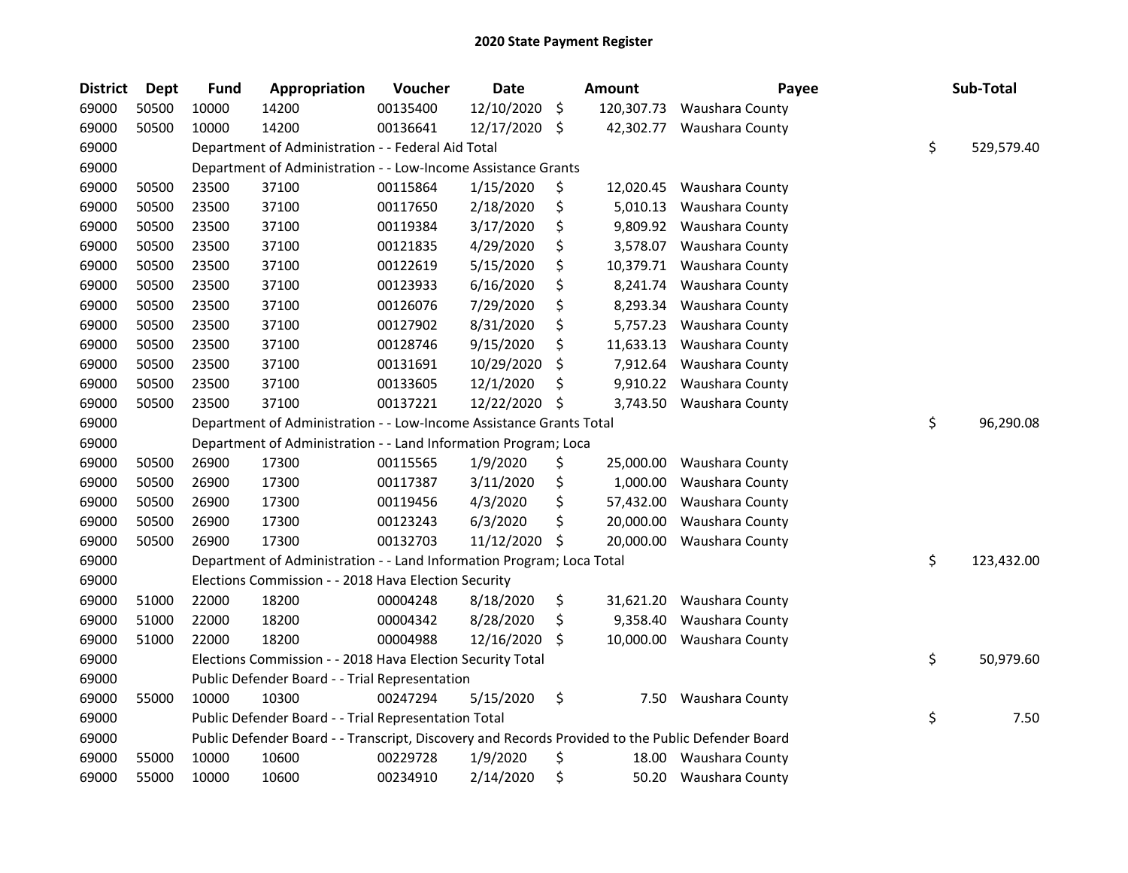| <b>District</b> | Dept  | <b>Fund</b> | Appropriation                                                                                     | Voucher  | Date       |                    | <b>Amount</b> | Payee           | Sub-Total        |
|-----------------|-------|-------------|---------------------------------------------------------------------------------------------------|----------|------------|--------------------|---------------|-----------------|------------------|
| 69000           | 50500 | 10000       | 14200                                                                                             | 00135400 | 12/10/2020 | $\ddot{\varsigma}$ | 120,307.73    | Waushara County |                  |
| 69000           | 50500 | 10000       | 14200                                                                                             | 00136641 | 12/17/2020 | \$                 | 42,302.77     | Waushara County |                  |
| 69000           |       |             | Department of Administration - - Federal Aid Total                                                |          |            |                    |               |                 | \$<br>529,579.40 |
| 69000           |       |             | Department of Administration - - Low-Income Assistance Grants                                     |          |            |                    |               |                 |                  |
| 69000           | 50500 | 23500       | 37100                                                                                             | 00115864 | 1/15/2020  | \$                 | 12,020.45     | Waushara County |                  |
| 69000           | 50500 | 23500       | 37100                                                                                             | 00117650 | 2/18/2020  | \$                 | 5,010.13      | Waushara County |                  |
| 69000           | 50500 | 23500       | 37100                                                                                             | 00119384 | 3/17/2020  | \$                 | 9,809.92      | Waushara County |                  |
| 69000           | 50500 | 23500       | 37100                                                                                             | 00121835 | 4/29/2020  | \$                 | 3,578.07      | Waushara County |                  |
| 69000           | 50500 | 23500       | 37100                                                                                             | 00122619 | 5/15/2020  | \$                 | 10,379.71     | Waushara County |                  |
| 69000           | 50500 | 23500       | 37100                                                                                             | 00123933 | 6/16/2020  | \$                 | 8,241.74      | Waushara County |                  |
| 69000           | 50500 | 23500       | 37100                                                                                             | 00126076 | 7/29/2020  | \$                 | 8,293.34      | Waushara County |                  |
| 69000           | 50500 | 23500       | 37100                                                                                             | 00127902 | 8/31/2020  | \$                 | 5,757.23      | Waushara County |                  |
| 69000           | 50500 | 23500       | 37100                                                                                             | 00128746 | 9/15/2020  | \$                 | 11,633.13     | Waushara County |                  |
| 69000           | 50500 | 23500       | 37100                                                                                             | 00131691 | 10/29/2020 | \$                 | 7,912.64      | Waushara County |                  |
| 69000           | 50500 | 23500       | 37100                                                                                             | 00133605 | 12/1/2020  | \$                 | 9,910.22      | Waushara County |                  |
| 69000           | 50500 | 23500       | 37100                                                                                             | 00137221 | 12/22/2020 | \$                 | 3,743.50      | Waushara County |                  |
| 69000           |       |             | Department of Administration - - Low-Income Assistance Grants Total                               |          |            |                    |               |                 | \$<br>96,290.08  |
| 69000           |       |             | Department of Administration - - Land Information Program; Loca                                   |          |            |                    |               |                 |                  |
| 69000           | 50500 | 26900       | 17300                                                                                             | 00115565 | 1/9/2020   | \$                 | 25,000.00     | Waushara County |                  |
| 69000           | 50500 | 26900       | 17300                                                                                             | 00117387 | 3/11/2020  | \$                 | 1,000.00      | Waushara County |                  |
| 69000           | 50500 | 26900       | 17300                                                                                             | 00119456 | 4/3/2020   | \$                 | 57,432.00     | Waushara County |                  |
| 69000           | 50500 | 26900       | 17300                                                                                             | 00123243 | 6/3/2020   | \$                 | 20,000.00     | Waushara County |                  |
| 69000           | 50500 | 26900       | 17300                                                                                             | 00132703 | 11/12/2020 | \$                 | 20,000.00     | Waushara County |                  |
| 69000           |       |             | Department of Administration - - Land Information Program; Loca Total                             |          |            |                    |               |                 | \$<br>123,432.00 |
| 69000           |       |             | Elections Commission - - 2018 Hava Election Security                                              |          |            |                    |               |                 |                  |
| 69000           | 51000 | 22000       | 18200                                                                                             | 00004248 | 8/18/2020  | \$                 | 31,621.20     | Waushara County |                  |
| 69000           | 51000 | 22000       | 18200                                                                                             | 00004342 | 8/28/2020  | \$                 | 9,358.40      | Waushara County |                  |
| 69000           | 51000 | 22000       | 18200                                                                                             | 00004988 | 12/16/2020 | \$                 | 10,000.00     | Waushara County |                  |
| 69000           |       |             | Elections Commission - - 2018 Hava Election Security Total                                        |          |            |                    |               |                 | \$<br>50,979.60  |
| 69000           |       |             | Public Defender Board - - Trial Representation                                                    |          |            |                    |               |                 |                  |
| 69000           | 55000 | 10000       | 10300                                                                                             | 00247294 | 5/15/2020  | \$                 | 7.50          | Waushara County |                  |
| 69000           |       |             | Public Defender Board - - Trial Representation Total                                              |          |            |                    |               |                 | \$<br>7.50       |
| 69000           |       |             | Public Defender Board - - Transcript, Discovery and Records Provided to the Public Defender Board |          |            |                    |               |                 |                  |
| 69000           | 55000 | 10000       | 10600                                                                                             | 00229728 | 1/9/2020   | \$                 | 18.00         | Waushara County |                  |
| 69000           | 55000 | 10000       | 10600                                                                                             | 00234910 | 2/14/2020  | \$                 | 50.20         | Waushara County |                  |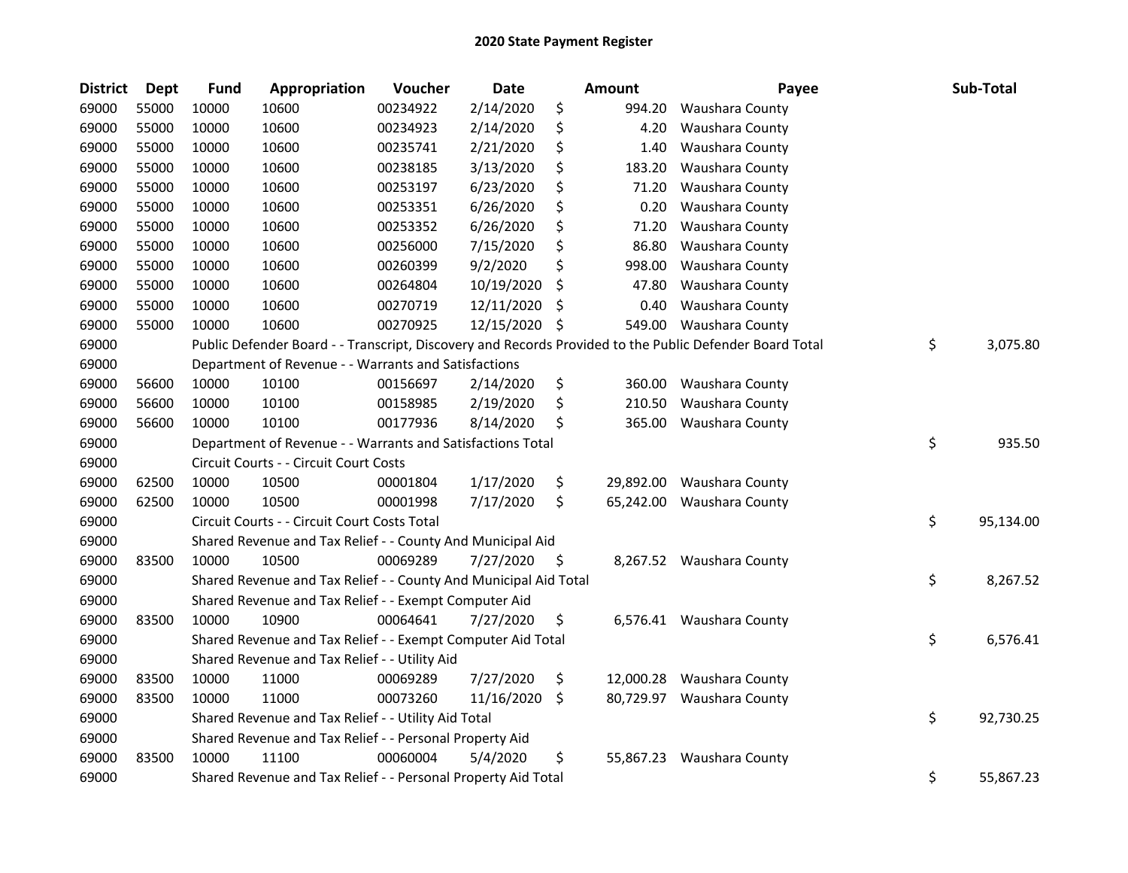| <b>District</b> | Dept  | <b>Fund</b> | Appropriation                                                    | Voucher  | <b>Date</b> |     | Amount    | Payee                                                                                                   | Sub-Total       |
|-----------------|-------|-------------|------------------------------------------------------------------|----------|-------------|-----|-----------|---------------------------------------------------------------------------------------------------------|-----------------|
| 69000           | 55000 | 10000       | 10600                                                            | 00234922 | 2/14/2020   | \$  | 994.20    | Waushara County                                                                                         |                 |
| 69000           | 55000 | 10000       | 10600                                                            | 00234923 | 2/14/2020   | \$  | 4.20      | Waushara County                                                                                         |                 |
| 69000           | 55000 | 10000       | 10600                                                            | 00235741 | 2/21/2020   | \$  | 1.40      | Waushara County                                                                                         |                 |
| 69000           | 55000 | 10000       | 10600                                                            | 00238185 | 3/13/2020   | \$  | 183.20    | Waushara County                                                                                         |                 |
| 69000           | 55000 | 10000       | 10600                                                            | 00253197 | 6/23/2020   | \$  | 71.20     | Waushara County                                                                                         |                 |
| 69000           | 55000 | 10000       | 10600                                                            | 00253351 | 6/26/2020   | \$  | 0.20      | Waushara County                                                                                         |                 |
| 69000           | 55000 | 10000       | 10600                                                            | 00253352 | 6/26/2020   | \$  | 71.20     | Waushara County                                                                                         |                 |
| 69000           | 55000 | 10000       | 10600                                                            | 00256000 | 7/15/2020   | \$  | 86.80     | Waushara County                                                                                         |                 |
| 69000           | 55000 | 10000       | 10600                                                            | 00260399 | 9/2/2020    | \$  | 998.00    | Waushara County                                                                                         |                 |
| 69000           | 55000 | 10000       | 10600                                                            | 00264804 | 10/19/2020  | \$  | 47.80     | Waushara County                                                                                         |                 |
| 69000           | 55000 | 10000       | 10600                                                            | 00270719 | 12/11/2020  | \$  | 0.40      | Waushara County                                                                                         |                 |
| 69000           | 55000 | 10000       | 10600                                                            | 00270925 | 12/15/2020  | \$  | 549.00    | Waushara County                                                                                         |                 |
| 69000           |       |             |                                                                  |          |             |     |           | Public Defender Board - - Transcript, Discovery and Records Provided to the Public Defender Board Total | \$<br>3,075.80  |
| 69000           |       |             | Department of Revenue - - Warrants and Satisfactions             |          |             |     |           |                                                                                                         |                 |
| 69000           | 56600 | 10000       | 10100                                                            | 00156697 | 2/14/2020   | \$  | 360.00    | Waushara County                                                                                         |                 |
| 69000           | 56600 | 10000       | 10100                                                            | 00158985 | 2/19/2020   | \$  | 210.50    | Waushara County                                                                                         |                 |
| 69000           | 56600 | 10000       | 10100                                                            | 00177936 | 8/14/2020   | \$  | 365.00    | Waushara County                                                                                         |                 |
| 69000           |       |             | Department of Revenue - - Warrants and Satisfactions Total       |          |             |     |           |                                                                                                         | \$<br>935.50    |
| 69000           |       |             | Circuit Courts - - Circuit Court Costs                           |          |             |     |           |                                                                                                         |                 |
| 69000           | 62500 | 10000       | 10500                                                            | 00001804 | 1/17/2020   | \$  | 29,892.00 | Waushara County                                                                                         |                 |
| 69000           | 62500 | 10000       | 10500                                                            | 00001998 | 7/17/2020   | \$  | 65,242.00 | Waushara County                                                                                         |                 |
| 69000           |       |             | Circuit Courts - - Circuit Court Costs Total                     |          |             |     |           |                                                                                                         | \$<br>95,134.00 |
| 69000           |       |             | Shared Revenue and Tax Relief - - County And Municipal Aid       |          |             |     |           |                                                                                                         |                 |
| 69000           | 83500 | 10000       | 10500                                                            | 00069289 | 7/27/2020   | -\$ |           | 8,267.52 Waushara County                                                                                |                 |
| 69000           |       |             | Shared Revenue and Tax Relief - - County And Municipal Aid Total |          |             |     |           |                                                                                                         | \$<br>8,267.52  |
| 69000           |       |             | Shared Revenue and Tax Relief - - Exempt Computer Aid            |          |             |     |           |                                                                                                         |                 |
| 69000           | 83500 | 10000       | 10900                                                            | 00064641 | 7/27/2020   | \$  |           | 6,576.41 Waushara County                                                                                |                 |
| 69000           |       |             | Shared Revenue and Tax Relief - - Exempt Computer Aid Total      |          |             |     |           |                                                                                                         | \$<br>6,576.41  |
| 69000           |       |             | Shared Revenue and Tax Relief - - Utility Aid                    |          |             |     |           |                                                                                                         |                 |
| 69000           | 83500 | 10000       | 11000                                                            | 00069289 | 7/27/2020   | \$  |           | 12,000.28 Waushara County                                                                               |                 |
| 69000           | 83500 | 10000       | 11000                                                            | 00073260 | 11/16/2020  | \$  |           | 80,729.97 Waushara County                                                                               |                 |
| 69000           |       |             | Shared Revenue and Tax Relief - - Utility Aid Total              |          |             |     |           |                                                                                                         | \$<br>92,730.25 |
| 69000           |       |             | Shared Revenue and Tax Relief - - Personal Property Aid          |          |             |     |           |                                                                                                         |                 |
| 69000           | 83500 | 10000       | 11100                                                            | 00060004 | 5/4/2020    | \$  |           | 55,867.23 Waushara County                                                                               |                 |
| 69000           |       |             | Shared Revenue and Tax Relief - - Personal Property Aid Total    |          |             |     |           |                                                                                                         | \$<br>55,867.23 |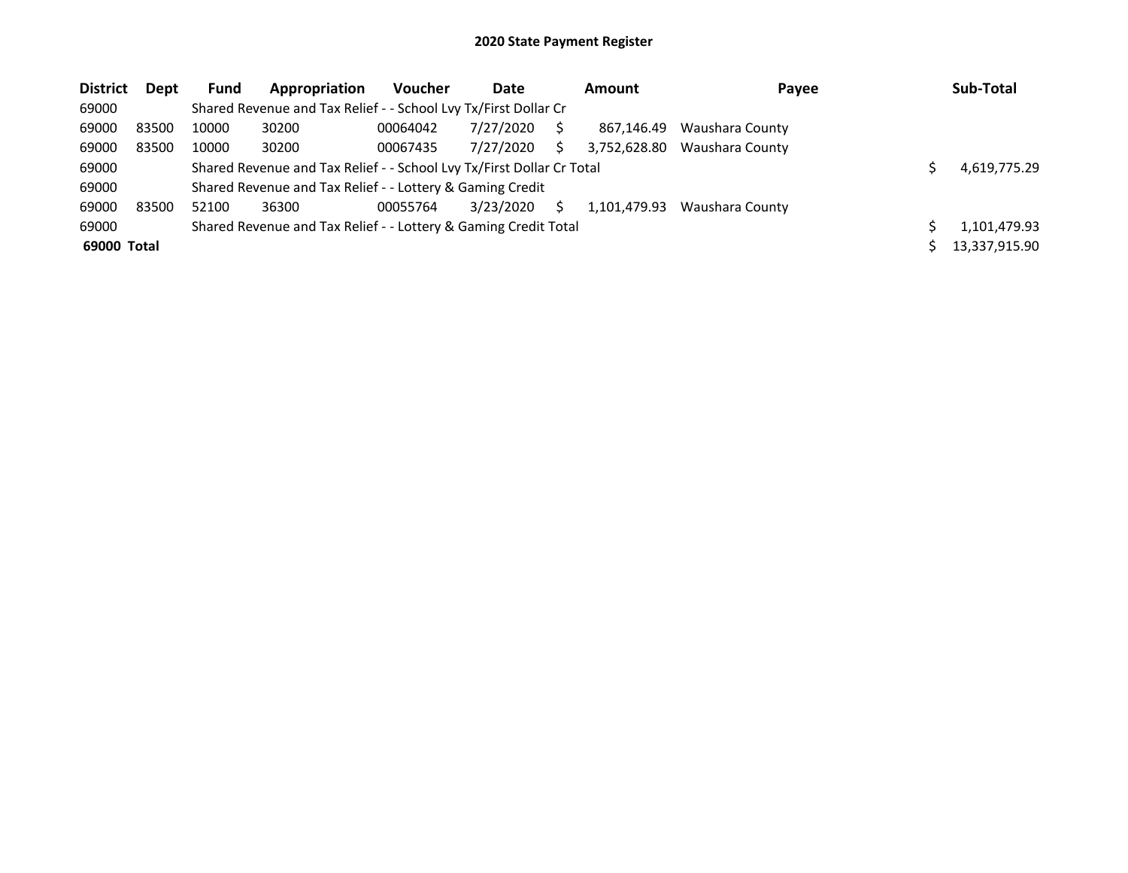| <b>District</b> | <b>Dept</b> | <b>Fund</b> | Appropriation                                                         | <b>Voucher</b> | Date      |    | Amount       | Payee           | Sub-Total     |
|-----------------|-------------|-------------|-----------------------------------------------------------------------|----------------|-----------|----|--------------|-----------------|---------------|
| 69000           |             |             | Shared Revenue and Tax Relief - - School Lvy Tx/First Dollar Cr       |                |           |    |              |                 |               |
| 69000           | 83500       | 10000       | 30200                                                                 | 00064042       | 7/27/2020 |    | 867.146.49   | Waushara County |               |
| 69000           | 83500       | 10000       | 30200                                                                 | 00067435       | 7/27/2020 | S. | 3.752.628.80 | Waushara County |               |
| 69000           |             |             | Shared Revenue and Tax Relief - - School Lvy Tx/First Dollar Cr Total |                |           |    |              |                 | 4,619,775.29  |
| 69000           |             |             | Shared Revenue and Tax Relief - - Lottery & Gaming Credit             |                |           |    |              |                 |               |
| 69000           | 83500       | 52100       | 36300                                                                 | 00055764       | 3/23/2020 | S. | 1,101,479.93 | Waushara County |               |
| 69000           |             |             | Shared Revenue and Tax Relief - - Lottery & Gaming Credit Total       |                |           |    |              |                 | 1,101,479.93  |
| 69000 Total     |             |             |                                                                       |                |           |    |              |                 | 13,337,915.90 |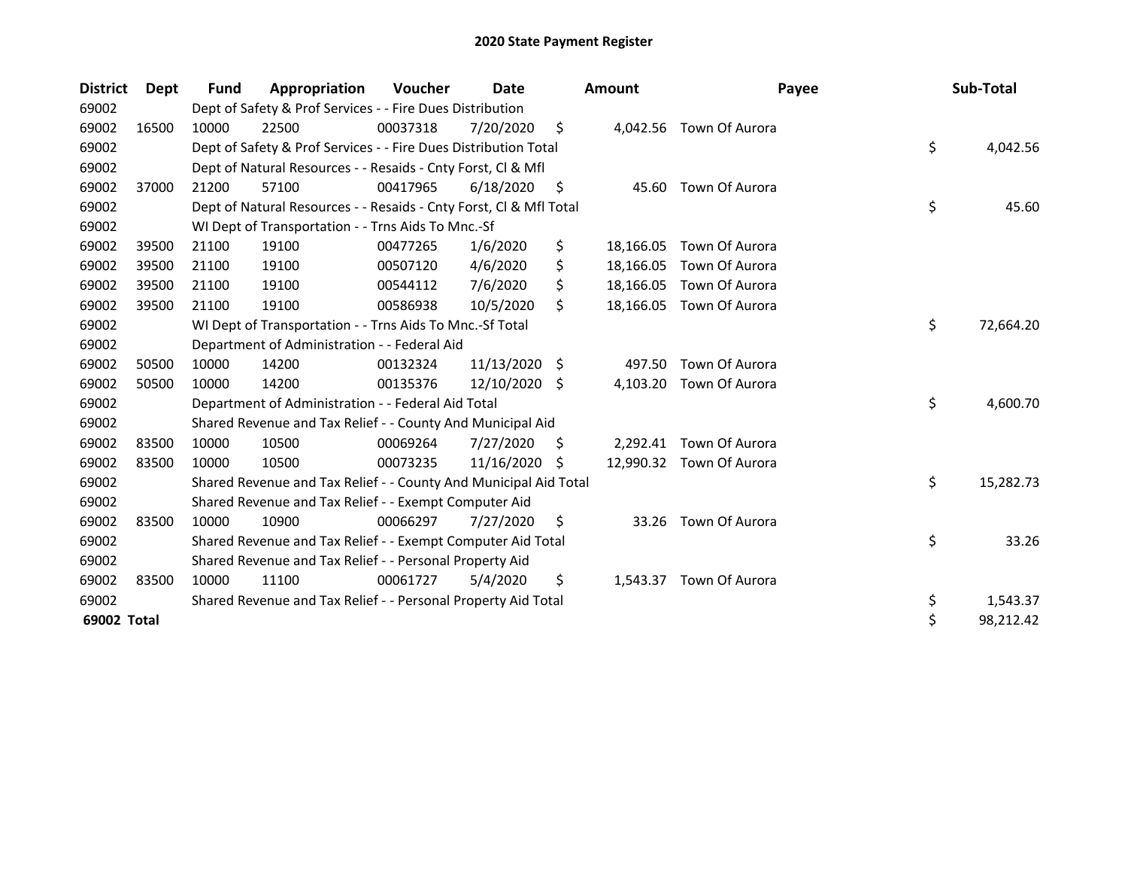| <b>District</b> | <b>Dept</b> | Fund  | Appropriation                                                      | <b>Voucher</b> | Date       |     | <b>Amount</b> | Payee                   | Sub-Total       |
|-----------------|-------------|-------|--------------------------------------------------------------------|----------------|------------|-----|---------------|-------------------------|-----------------|
| 69002           |             |       | Dept of Safety & Prof Services - - Fire Dues Distribution          |                |            |     |               |                         |                 |
| 69002           | 16500       | 10000 | 22500                                                              | 00037318       | 7/20/2020  | \$  |               | 4,042.56 Town Of Aurora |                 |
| 69002           |             |       | Dept of Safety & Prof Services - - Fire Dues Distribution Total    |                |            |     |               |                         | \$<br>4,042.56  |
| 69002           |             |       | Dept of Natural Resources - - Resaids - Cnty Forst, CI & Mfl       |                |            |     |               |                         |                 |
| 69002           | 37000       | 21200 | 57100                                                              | 00417965       | 6/18/2020  | \$  | 45.60         | Town Of Aurora          |                 |
| 69002           |             |       | Dept of Natural Resources - - Resaids - Cnty Forst, Cl & Mfl Total |                |            |     |               |                         | \$<br>45.60     |
| 69002           |             |       | WI Dept of Transportation - - Trns Aids To Mnc.-Sf                 |                |            |     |               |                         |                 |
| 69002           | 39500       | 21100 | 19100                                                              | 00477265       | 1/6/2020   | \$  | 18,166.05     | Town Of Aurora          |                 |
| 69002           | 39500       | 21100 | 19100                                                              | 00507120       | 4/6/2020   | \$  | 18,166.05     | Town Of Aurora          |                 |
| 69002           | 39500       | 21100 | 19100                                                              | 00544112       | 7/6/2020   | \$  | 18,166.05     | Town Of Aurora          |                 |
| 69002           | 39500       | 21100 | 19100                                                              | 00586938       | 10/5/2020  | Ŝ.  | 18,166.05     | Town Of Aurora          |                 |
| 69002           |             |       | WI Dept of Transportation - - Trns Aids To Mnc.-Sf Total           |                |            |     |               |                         | \$<br>72,664.20 |
| 69002           |             |       | Department of Administration - - Federal Aid                       |                |            |     |               |                         |                 |
| 69002           | 50500       | 10000 | 14200                                                              | 00132324       | 11/13/2020 | -\$ | 497.50        | Town Of Aurora          |                 |
| 69002           | 50500       | 10000 | 14200                                                              | 00135376       | 12/10/2020 | \$  | 4,103.20      | Town Of Aurora          |                 |
| 69002           |             |       | Department of Administration - - Federal Aid Total                 |                |            |     |               |                         | \$<br>4,600.70  |
| 69002           |             |       | Shared Revenue and Tax Relief - - County And Municipal Aid         |                |            |     |               |                         |                 |
| 69002           | 83500       | 10000 | 10500                                                              | 00069264       | 7/27/2020  | S.  | 2,292.41      | Town Of Aurora          |                 |
| 69002           | 83500       | 10000 | 10500                                                              | 00073235       | 11/16/2020 | Ŝ.  | 12.990.32     | Town Of Aurora          |                 |
| 69002           |             |       | Shared Revenue and Tax Relief - - County And Municipal Aid Total   |                |            |     |               |                         | \$<br>15,282.73 |
| 69002           |             |       | Shared Revenue and Tax Relief - - Exempt Computer Aid              |                |            |     |               |                         |                 |
| 69002           | 83500       | 10000 | 10900                                                              | 00066297       | 7/27/2020  | \$  | 33.26         | Town Of Aurora          |                 |
| 69002           |             |       | Shared Revenue and Tax Relief - - Exempt Computer Aid Total        |                |            |     |               |                         | \$<br>33.26     |
| 69002           |             |       | Shared Revenue and Tax Relief - - Personal Property Aid            |                |            |     |               |                         |                 |
| 69002           | 83500       | 10000 | 11100                                                              | 00061727       | 5/4/2020   | \$  | 1,543.37      | Town Of Aurora          |                 |
| 69002           |             |       | Shared Revenue and Tax Relief - - Personal Property Aid Total      |                |            |     |               |                         | \$<br>1,543.37  |
| 69002 Total     |             |       |                                                                    |                |            |     |               |                         | \$<br>98,212.42 |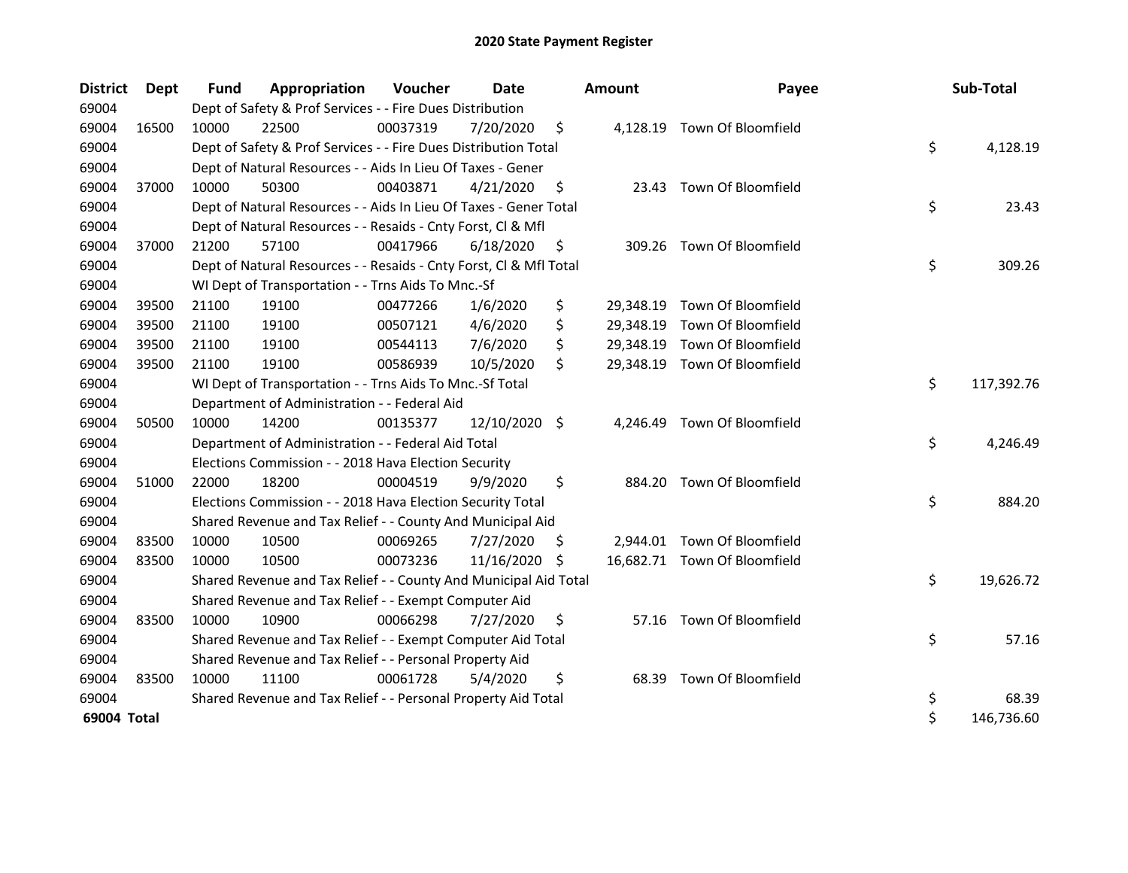| <b>District</b> | Dept  | <b>Fund</b> | Appropriation                                                      | Voucher  | Date          |     | <b>Amount</b> | Payee                        | Sub-Total        |
|-----------------|-------|-------------|--------------------------------------------------------------------|----------|---------------|-----|---------------|------------------------------|------------------|
| 69004           |       |             | Dept of Safety & Prof Services - - Fire Dues Distribution          |          |               |     |               |                              |                  |
| 69004           | 16500 | 10000       | 22500                                                              | 00037319 | 7/20/2020     | \$  |               | 4,128.19 Town Of Bloomfield  |                  |
| 69004           |       |             | Dept of Safety & Prof Services - - Fire Dues Distribution Total    |          |               |     |               |                              | \$<br>4,128.19   |
| 69004           |       |             | Dept of Natural Resources - - Aids In Lieu Of Taxes - Gener        |          |               |     |               |                              |                  |
| 69004           | 37000 | 10000       | 50300                                                              | 00403871 | 4/21/2020     | \$, |               | 23.43 Town Of Bloomfield     |                  |
| 69004           |       |             | Dept of Natural Resources - - Aids In Lieu Of Taxes - Gener Total  |          |               |     |               |                              | \$<br>23.43      |
| 69004           |       |             | Dept of Natural Resources - - Resaids - Cnty Forst, Cl & Mfl       |          |               |     |               |                              |                  |
| 69004           | 37000 | 21200       | 57100                                                              | 00417966 | 6/18/2020     | \$  |               | 309.26 Town Of Bloomfield    |                  |
| 69004           |       |             | Dept of Natural Resources - - Resaids - Cnty Forst, Cl & Mfl Total |          |               |     |               |                              | \$<br>309.26     |
| 69004           |       |             | WI Dept of Transportation - - Trns Aids To Mnc.-Sf                 |          |               |     |               |                              |                  |
| 69004           | 39500 | 21100       | 19100                                                              | 00477266 | 1/6/2020      | \$  | 29,348.19     | Town Of Bloomfield           |                  |
| 69004           | 39500 | 21100       | 19100                                                              | 00507121 | 4/6/2020      | \$  |               | 29,348.19 Town Of Bloomfield |                  |
| 69004           | 39500 | 21100       | 19100                                                              | 00544113 | 7/6/2020      | \$  |               | 29,348.19 Town Of Bloomfield |                  |
| 69004           | 39500 | 21100       | 19100                                                              | 00586939 | 10/5/2020     | \$  |               | 29,348.19 Town Of Bloomfield |                  |
| 69004           |       |             | WI Dept of Transportation - - Trns Aids To Mnc.-Sf Total           |          |               |     |               |                              | \$<br>117,392.76 |
| 69004           |       |             | Department of Administration - - Federal Aid                       |          |               |     |               |                              |                  |
| 69004           | 50500 | 10000       | 14200                                                              | 00135377 | 12/10/2020 \$ |     |               | 4,246.49 Town Of Bloomfield  |                  |
| 69004           |       |             | Department of Administration - - Federal Aid Total                 |          |               |     |               |                              | \$<br>4,246.49   |
| 69004           |       |             | Elections Commission - - 2018 Hava Election Security               |          |               |     |               |                              |                  |
| 69004           | 51000 | 22000       | 18200                                                              | 00004519 | 9/9/2020      | \$  |               | 884.20 Town Of Bloomfield    |                  |
| 69004           |       |             | Elections Commission - - 2018 Hava Election Security Total         |          |               |     |               |                              | \$<br>884.20     |
| 69004           |       |             | Shared Revenue and Tax Relief - - County And Municipal Aid         |          |               |     |               |                              |                  |
| 69004           | 83500 | 10000       | 10500                                                              | 00069265 | 7/27/2020     | S   |               | 2,944.01 Town Of Bloomfield  |                  |
| 69004           | 83500 | 10000       | 10500                                                              | 00073236 | 11/16/2020    | -S  |               | 16,682.71 Town Of Bloomfield |                  |
| 69004           |       |             | Shared Revenue and Tax Relief - - County And Municipal Aid Total   |          |               |     |               |                              | \$<br>19,626.72  |
| 69004           |       |             | Shared Revenue and Tax Relief - - Exempt Computer Aid              |          |               |     |               |                              |                  |
| 69004           | 83500 | 10000       | 10900                                                              | 00066298 | 7/27/2020     | \$  |               | 57.16 Town Of Bloomfield     |                  |
| 69004           |       |             | Shared Revenue and Tax Relief - - Exempt Computer Aid Total        |          |               |     |               |                              | \$<br>57.16      |
| 69004           |       |             | Shared Revenue and Tax Relief - - Personal Property Aid            |          |               |     |               |                              |                  |
| 69004           | 83500 | 10000       | 11100                                                              | 00061728 | 5/4/2020      | \$  |               | 68.39 Town Of Bloomfield     |                  |
| 69004           |       |             | Shared Revenue and Tax Relief - - Personal Property Aid Total      |          |               |     |               |                              | \$<br>68.39      |
| 69004 Total     |       |             |                                                                    |          |               |     |               |                              | \$<br>146,736.60 |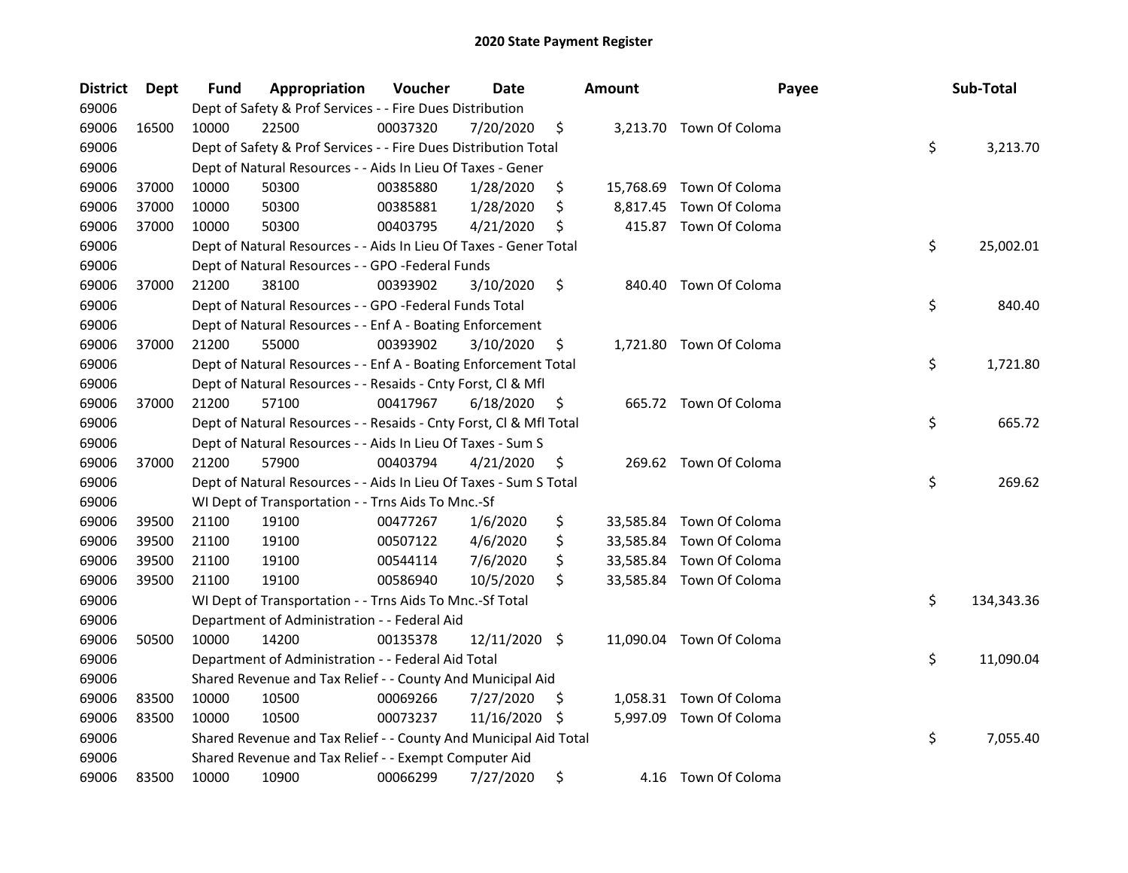| <b>District</b> | <b>Dept</b> | Fund  | Appropriation                                                      | Voucher  | Date          |    | <b>Amount</b> | Payee                    | Sub-Total        |
|-----------------|-------------|-------|--------------------------------------------------------------------|----------|---------------|----|---------------|--------------------------|------------------|
| 69006           |             |       | Dept of Safety & Prof Services - - Fire Dues Distribution          |          |               |    |               |                          |                  |
| 69006           | 16500       | 10000 | 22500                                                              | 00037320 | 7/20/2020     | \$ |               | 3,213.70 Town Of Coloma  |                  |
| 69006           |             |       | Dept of Safety & Prof Services - - Fire Dues Distribution Total    |          |               |    |               |                          | \$<br>3,213.70   |
| 69006           |             |       | Dept of Natural Resources - - Aids In Lieu Of Taxes - Gener        |          |               |    |               |                          |                  |
| 69006           | 37000       | 10000 | 50300                                                              | 00385880 | 1/28/2020     | \$ |               | 15,768.69 Town Of Coloma |                  |
| 69006           | 37000       | 10000 | 50300                                                              | 00385881 | 1/28/2020     | \$ |               | 8,817.45 Town Of Coloma  |                  |
| 69006           | 37000       | 10000 | 50300                                                              | 00403795 | 4/21/2020     | \$ |               | 415.87 Town Of Coloma    |                  |
| 69006           |             |       | Dept of Natural Resources - - Aids In Lieu Of Taxes - Gener Total  |          |               |    |               |                          | \$<br>25,002.01  |
| 69006           |             |       | Dept of Natural Resources - - GPO -Federal Funds                   |          |               |    |               |                          |                  |
| 69006           | 37000       | 21200 | 38100                                                              | 00393902 | 3/10/2020     | \$ |               | 840.40 Town Of Coloma    |                  |
| 69006           |             |       | Dept of Natural Resources - - GPO -Federal Funds Total             |          |               |    |               |                          | \$<br>840.40     |
| 69006           |             |       | Dept of Natural Resources - - Enf A - Boating Enforcement          |          |               |    |               |                          |                  |
| 69006           | 37000       | 21200 | 55000                                                              | 00393902 | 3/10/2020     | \$ |               | 1,721.80 Town Of Coloma  |                  |
| 69006           |             |       | Dept of Natural Resources - - Enf A - Boating Enforcement Total    |          |               |    |               |                          | \$<br>1,721.80   |
| 69006           |             |       | Dept of Natural Resources - - Resaids - Cnty Forst, Cl & Mfl       |          |               |    |               |                          |                  |
| 69006           | 37000       | 21200 | 57100                                                              | 00417967 | 6/18/2020     | \$ |               | 665.72 Town Of Coloma    |                  |
| 69006           |             |       | Dept of Natural Resources - - Resaids - Cnty Forst, Cl & Mfl Total |          |               |    |               |                          | \$<br>665.72     |
| 69006           |             |       | Dept of Natural Resources - - Aids In Lieu Of Taxes - Sum S        |          |               |    |               |                          |                  |
| 69006           | 37000       | 21200 | 57900                                                              | 00403794 | 4/21/2020     | \$ |               | 269.62 Town Of Coloma    |                  |
| 69006           |             |       | Dept of Natural Resources - - Aids In Lieu Of Taxes - Sum S Total  |          |               |    |               |                          | \$<br>269.62     |
| 69006           |             |       | WI Dept of Transportation - - Trns Aids To Mnc.-Sf                 |          |               |    |               |                          |                  |
| 69006           | 39500       | 21100 | 19100                                                              | 00477267 | 1/6/2020      | \$ |               | 33,585.84 Town Of Coloma |                  |
| 69006           | 39500       | 21100 | 19100                                                              | 00507122 | 4/6/2020      | \$ |               | 33,585.84 Town Of Coloma |                  |
| 69006           | 39500       | 21100 | 19100                                                              | 00544114 | 7/6/2020      | \$ | 33,585.84     | Town Of Coloma           |                  |
| 69006           | 39500       | 21100 | 19100                                                              | 00586940 | 10/5/2020     | \$ |               | 33,585.84 Town Of Coloma |                  |
| 69006           |             |       | WI Dept of Transportation - - Trns Aids To Mnc.-Sf Total           |          |               |    |               |                          | \$<br>134,343.36 |
| 69006           |             |       | Department of Administration - - Federal Aid                       |          |               |    |               |                          |                  |
| 69006           | 50500       | 10000 | 14200                                                              | 00135378 | 12/11/2020 \$ |    |               | 11,090.04 Town Of Coloma |                  |
| 69006           |             |       | Department of Administration - - Federal Aid Total                 |          |               |    |               |                          | \$<br>11,090.04  |
| 69006           |             |       | Shared Revenue and Tax Relief - - County And Municipal Aid         |          |               |    |               |                          |                  |
| 69006           | 83500       | 10000 | 10500                                                              | 00069266 | 7/27/2020     | \$ |               | 1,058.31 Town Of Coloma  |                  |
| 69006           | 83500       | 10000 | 10500                                                              | 00073237 | 11/16/2020    | -S |               | 5,997.09 Town Of Coloma  |                  |
| 69006           |             |       | Shared Revenue and Tax Relief - - County And Municipal Aid Total   |          |               |    |               |                          | \$<br>7,055.40   |
| 69006           |             |       | Shared Revenue and Tax Relief - - Exempt Computer Aid              |          |               |    |               |                          |                  |
| 69006           | 83500       | 10000 | 10900                                                              | 00066299 | 7/27/2020     | \$ |               | 4.16 Town Of Coloma      |                  |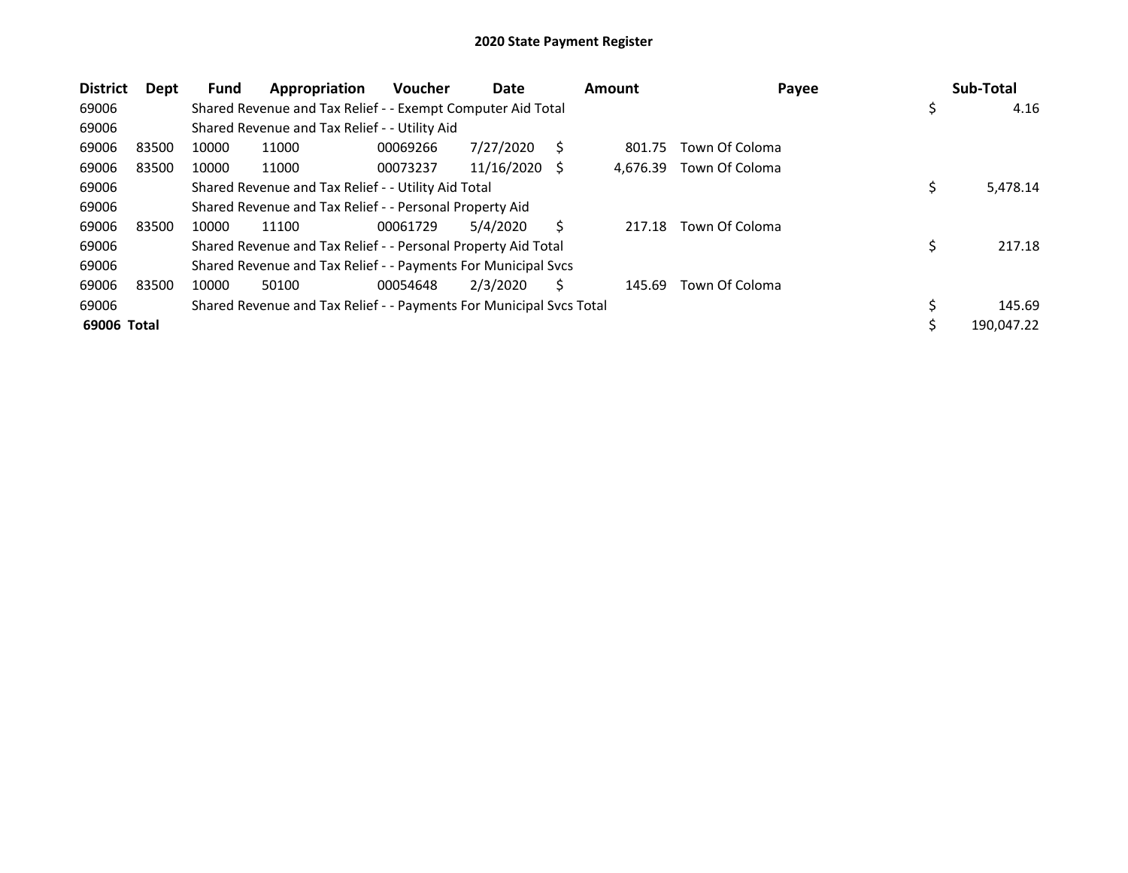| <b>District</b> | Dept  | <b>Fund</b> | Appropriation                                                       | <b>Voucher</b> | Date       |    | <b>Amount</b> | Payee          |     | Sub-Total  |
|-----------------|-------|-------------|---------------------------------------------------------------------|----------------|------------|----|---------------|----------------|-----|------------|
| 69006           |       |             | Shared Revenue and Tax Relief - - Exempt Computer Aid Total         |                |            |    |               |                | \$, | 4.16       |
| 69006           |       |             | Shared Revenue and Tax Relief - - Utility Aid                       |                |            |    |               |                |     |            |
| 69006           | 83500 | 10000       | 11000                                                               | 00069266       | 7/27/2020  | S  | 801.75        | Town Of Coloma |     |            |
| 69006           | 83500 | 10000       | 11000                                                               | 00073237       | 11/16/2020 | -S | 4,676.39      | Town Of Coloma |     |            |
| 69006           |       |             | Shared Revenue and Tax Relief - - Utility Aid Total                 |                |            |    |               |                | \$  | 5,478.14   |
| 69006           |       |             | Shared Revenue and Tax Relief - - Personal Property Aid             |                |            |    |               |                |     |            |
| 69006           | 83500 | 10000       | 11100                                                               | 00061729       | 5/4/2020   |    | 217.18        | Town Of Coloma |     |            |
| 69006           |       |             | Shared Revenue and Tax Relief - - Personal Property Aid Total       |                |            |    |               |                | \$  | 217.18     |
| 69006           |       |             | Shared Revenue and Tax Relief - - Payments For Municipal Svcs       |                |            |    |               |                |     |            |
| 69006           | 83500 | 10000       | 50100                                                               | 00054648       | 2/3/2020   | Ś  | 145.69        | Town Of Coloma |     |            |
| 69006           |       |             | Shared Revenue and Tax Relief - - Payments For Municipal Svcs Total |                |            |    |               |                | \$  | 145.69     |
| 69006 Total     |       |             |                                                                     |                |            |    |               |                |     | 190,047.22 |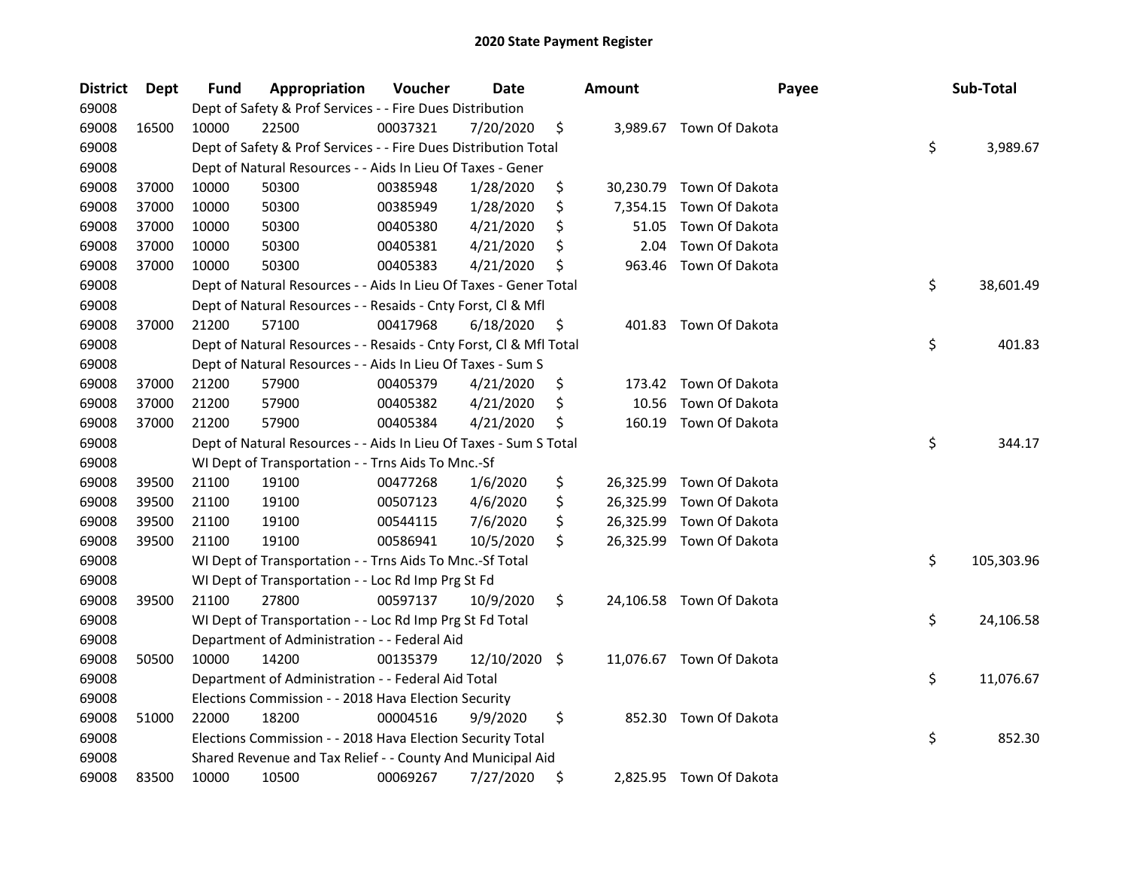| <b>District</b> | Dept  | <b>Fund</b> | Appropriation                                                      | Voucher  | Date          | <b>Amount</b>  | Payee                    | Sub-Total        |
|-----------------|-------|-------------|--------------------------------------------------------------------|----------|---------------|----------------|--------------------------|------------------|
| 69008           |       |             | Dept of Safety & Prof Services - - Fire Dues Distribution          |          |               |                |                          |                  |
| 69008           | 16500 | 10000       | 22500                                                              | 00037321 | 7/20/2020     | \$             | 3,989.67 Town Of Dakota  |                  |
| 69008           |       |             | Dept of Safety & Prof Services - - Fire Dues Distribution Total    |          |               |                |                          | \$<br>3,989.67   |
| 69008           |       |             | Dept of Natural Resources - - Aids In Lieu Of Taxes - Gener        |          |               |                |                          |                  |
| 69008           | 37000 | 10000       | 50300                                                              | 00385948 | 1/28/2020     | \$             | 30,230.79 Town Of Dakota |                  |
| 69008           | 37000 | 10000       | 50300                                                              | 00385949 | 1/28/2020     | \$<br>7,354.15 | Town Of Dakota           |                  |
| 69008           | 37000 | 10000       | 50300                                                              | 00405380 | 4/21/2020     | \$<br>51.05    | Town Of Dakota           |                  |
| 69008           | 37000 | 10000       | 50300                                                              | 00405381 | 4/21/2020     | \$<br>2.04     | Town Of Dakota           |                  |
| 69008           | 37000 | 10000       | 50300                                                              | 00405383 | 4/21/2020     | \$<br>963.46   | Town Of Dakota           |                  |
| 69008           |       |             | Dept of Natural Resources - - Aids In Lieu Of Taxes - Gener Total  |          |               |                |                          | \$<br>38,601.49  |
| 69008           |       |             | Dept of Natural Resources - - Resaids - Cnty Forst, Cl & Mfl       |          |               |                |                          |                  |
| 69008           | 37000 | 21200       | 57100                                                              | 00417968 | 6/18/2020     | \$             | 401.83 Town Of Dakota    |                  |
| 69008           |       |             | Dept of Natural Resources - - Resaids - Cnty Forst, Cl & Mfl Total |          |               |                |                          | \$<br>401.83     |
| 69008           |       |             | Dept of Natural Resources - - Aids In Lieu Of Taxes - Sum S        |          |               |                |                          |                  |
| 69008           | 37000 | 21200       | 57900                                                              | 00405379 | 4/21/2020     | \$             | 173.42 Town Of Dakota    |                  |
| 69008           | 37000 | 21200       | 57900                                                              | 00405382 | 4/21/2020     | \$<br>10.56    | Town Of Dakota           |                  |
| 69008           | 37000 | 21200       | 57900                                                              | 00405384 | 4/21/2020     | \$             | 160.19 Town Of Dakota    |                  |
| 69008           |       |             | Dept of Natural Resources - - Aids In Lieu Of Taxes - Sum S Total  |          |               |                |                          | \$<br>344.17     |
| 69008           |       |             | WI Dept of Transportation - - Trns Aids To Mnc.-Sf                 |          |               |                |                          |                  |
| 69008           | 39500 | 21100       | 19100                                                              | 00477268 | 1/6/2020      | \$             | 26,325.99 Town Of Dakota |                  |
| 69008           | 39500 | 21100       | 19100                                                              | 00507123 | 4/6/2020      | \$             | 26,325.99 Town Of Dakota |                  |
| 69008           | 39500 | 21100       | 19100                                                              | 00544115 | 7/6/2020      | \$             | 26,325.99 Town Of Dakota |                  |
| 69008           | 39500 | 21100       | 19100                                                              | 00586941 | 10/5/2020     | \$             | 26,325.99 Town Of Dakota |                  |
| 69008           |       |             | WI Dept of Transportation - - Trns Aids To Mnc.-Sf Total           |          |               |                |                          | \$<br>105,303.96 |
| 69008           |       |             | WI Dept of Transportation - - Loc Rd Imp Prg St Fd                 |          |               |                |                          |                  |
| 69008           | 39500 | 21100       | 27800                                                              | 00597137 | 10/9/2020     | \$             | 24,106.58 Town Of Dakota |                  |
| 69008           |       |             | WI Dept of Transportation - - Loc Rd Imp Prg St Fd Total           |          |               |                |                          | \$<br>24,106.58  |
| 69008           |       |             | Department of Administration - - Federal Aid                       |          |               |                |                          |                  |
| 69008           | 50500 | 10000       | 14200                                                              | 00135379 | 12/10/2020 \$ |                | 11,076.67 Town Of Dakota |                  |
| 69008           |       |             | Department of Administration - - Federal Aid Total                 |          |               |                |                          | \$<br>11,076.67  |
| 69008           |       |             | Elections Commission - - 2018 Hava Election Security               |          |               |                |                          |                  |
| 69008           | 51000 | 22000       | 18200                                                              | 00004516 | 9/9/2020      | \$<br>852.30   | Town Of Dakota           |                  |
| 69008           |       |             | Elections Commission - - 2018 Hava Election Security Total         |          |               |                |                          | \$<br>852.30     |
| 69008           |       |             | Shared Revenue and Tax Relief - - County And Municipal Aid         |          |               |                |                          |                  |
| 69008           | 83500 | 10000       | 10500                                                              | 00069267 | 7/27/2020     | \$             | 2,825.95 Town Of Dakota  |                  |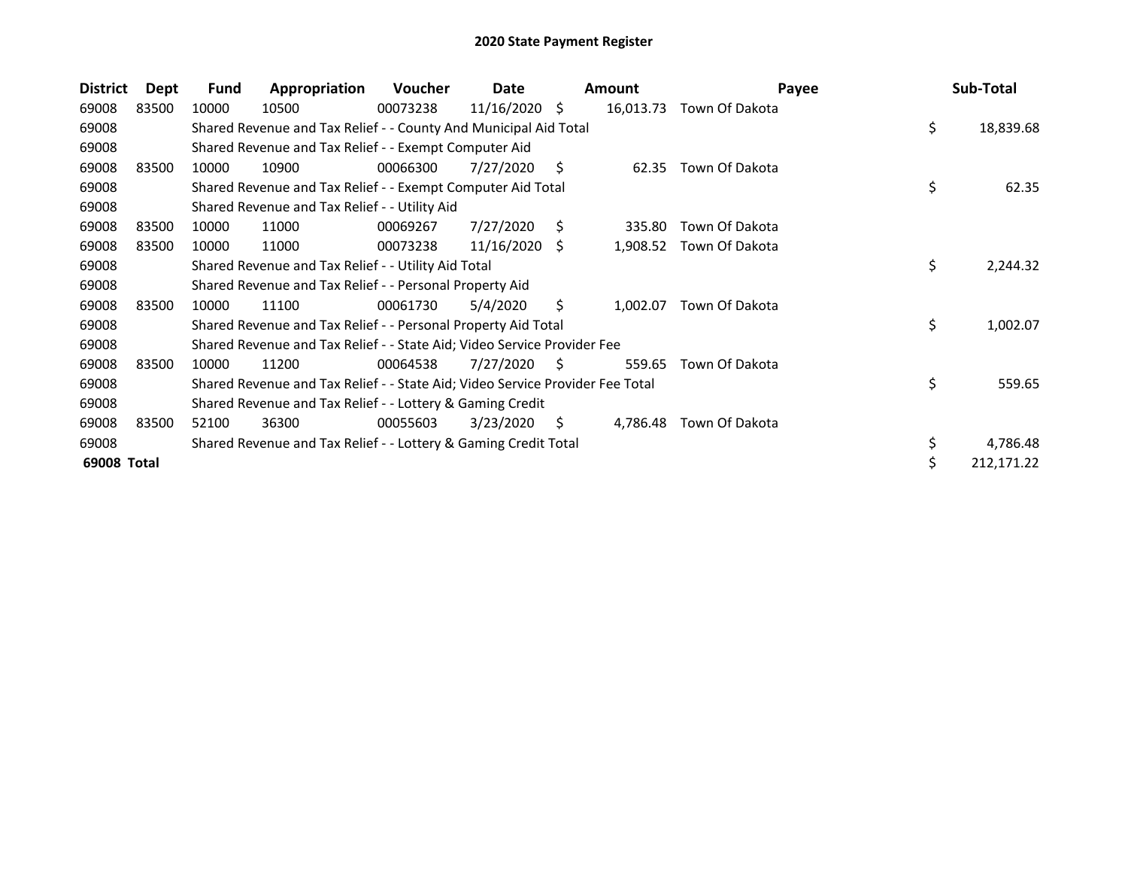| <b>District</b> | <b>Dept</b> | <b>Fund</b> | Appropriation                                                                 | <b>Voucher</b> | Date            |    | <b>Amount</b> | Payee          | Sub-Total        |
|-----------------|-------------|-------------|-------------------------------------------------------------------------------|----------------|-----------------|----|---------------|----------------|------------------|
| 69008           | 83500       | 10000       | 10500                                                                         | 00073238       | $11/16/2020$ \$ |    | 16,013.73     | Town Of Dakota |                  |
| 69008           |             |             | Shared Revenue and Tax Relief - - County And Municipal Aid Total              |                |                 |    |               |                | \$<br>18,839.68  |
| 69008           |             |             | Shared Revenue and Tax Relief - - Exempt Computer Aid                         |                |                 |    |               |                |                  |
| 69008           | 83500       | 10000       | 10900                                                                         | 00066300       | 7/27/2020       | S  | 62.35         | Town Of Dakota |                  |
| 69008           |             |             | Shared Revenue and Tax Relief - - Exempt Computer Aid Total                   |                |                 |    |               |                | \$<br>62.35      |
| 69008           |             |             | Shared Revenue and Tax Relief - - Utility Aid                                 |                |                 |    |               |                |                  |
| 69008           | 83500       | 10000       | 11000                                                                         | 00069267       | 7/27/2020       | S. | 335.80        | Town Of Dakota |                  |
| 69008           | 83500       | 10000       | 11000                                                                         | 00073238       | $11/16/2020$ \$ |    | 1,908.52      | Town Of Dakota |                  |
| 69008           |             |             | Shared Revenue and Tax Relief - - Utility Aid Total                           |                |                 |    |               |                | \$<br>2,244.32   |
| 69008           |             |             | Shared Revenue and Tax Relief - - Personal Property Aid                       |                |                 |    |               |                |                  |
| 69008           | 83500       | 10000       | 11100                                                                         | 00061730       | 5/4/2020        | Ŝ. | 1,002.07      | Town Of Dakota |                  |
| 69008           |             |             | Shared Revenue and Tax Relief - - Personal Property Aid Total                 |                |                 |    |               |                | \$<br>1,002.07   |
| 69008           |             |             | Shared Revenue and Tax Relief - - State Aid; Video Service Provider Fee       |                |                 |    |               |                |                  |
| 69008           | 83500       | 10000       | 11200                                                                         | 00064538       | 7/27/2020       | S  | 559.65        | Town Of Dakota |                  |
| 69008           |             |             | Shared Revenue and Tax Relief - - State Aid; Video Service Provider Fee Total |                |                 |    |               |                | \$<br>559.65     |
| 69008           |             |             | Shared Revenue and Tax Relief - - Lottery & Gaming Credit                     |                |                 |    |               |                |                  |
| 69008           | 83500       | 52100       | 36300                                                                         | 00055603       | 3/23/2020       | S. | 4,786.48      | Town Of Dakota |                  |
| 69008           |             |             | Shared Revenue and Tax Relief - - Lottery & Gaming Credit Total               |                |                 |    |               |                | \$<br>4,786.48   |
| 69008 Total     |             |             |                                                                               |                |                 |    |               |                | \$<br>212,171.22 |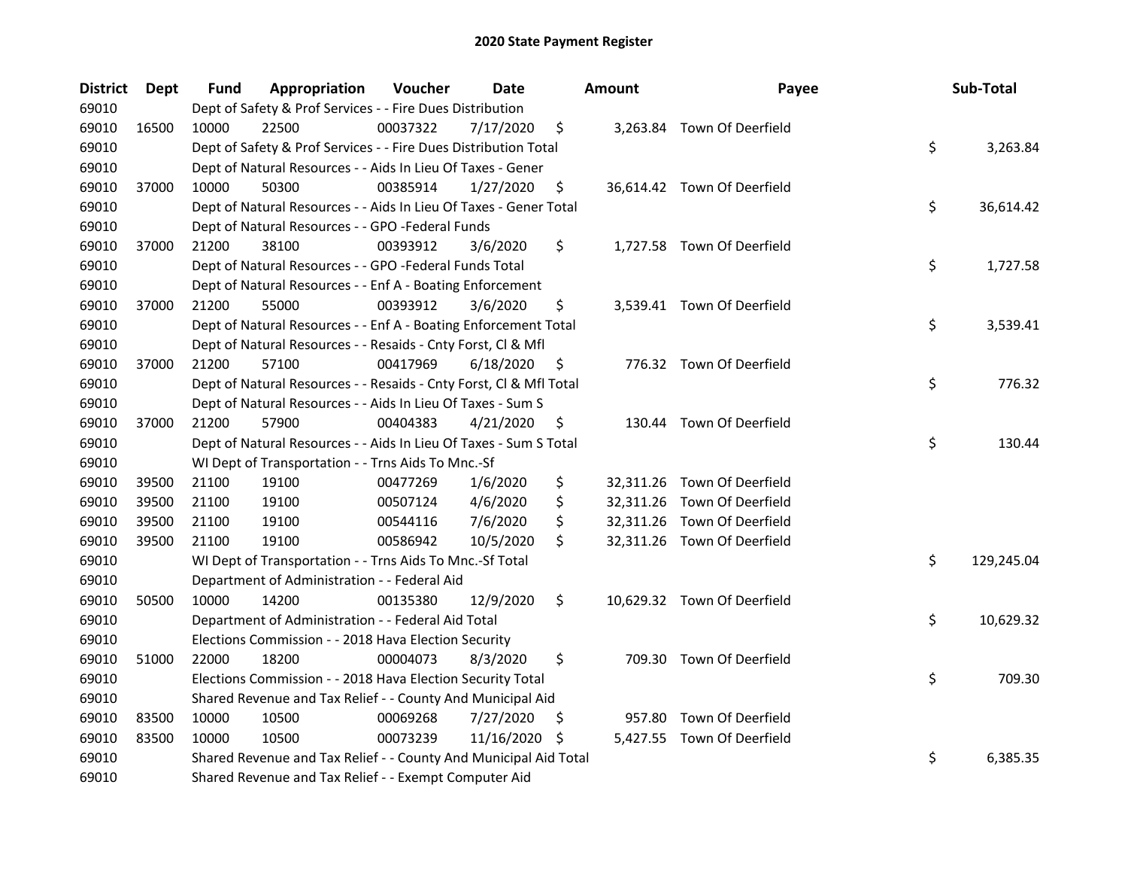| <b>District</b> | Dept  | Fund  | Appropriation                                                      | Voucher  | <b>Date</b> |     | <b>Amount</b> | Payee                       | Sub-Total        |
|-----------------|-------|-------|--------------------------------------------------------------------|----------|-------------|-----|---------------|-----------------------------|------------------|
| 69010           |       |       | Dept of Safety & Prof Services - - Fire Dues Distribution          |          |             |     |               |                             |                  |
| 69010           | 16500 | 10000 | 22500                                                              | 00037322 | 7/17/2020   | \$  |               | 3,263.84 Town Of Deerfield  |                  |
| 69010           |       |       | Dept of Safety & Prof Services - - Fire Dues Distribution Total    |          |             |     |               |                             | \$<br>3,263.84   |
| 69010           |       |       | Dept of Natural Resources - - Aids In Lieu Of Taxes - Gener        |          |             |     |               |                             |                  |
| 69010           | 37000 | 10000 | 50300                                                              | 00385914 | 1/27/2020   | \$  |               | 36,614.42 Town Of Deerfield |                  |
| 69010           |       |       | Dept of Natural Resources - - Aids In Lieu Of Taxes - Gener Total  |          |             |     |               |                             | \$<br>36,614.42  |
| 69010           |       |       | Dept of Natural Resources - - GPO -Federal Funds                   |          |             |     |               |                             |                  |
| 69010           | 37000 | 21200 | 38100                                                              | 00393912 | 3/6/2020    | \$  |               | 1,727.58 Town Of Deerfield  |                  |
| 69010           |       |       | Dept of Natural Resources - - GPO -Federal Funds Total             |          |             |     |               |                             | \$<br>1,727.58   |
| 69010           |       |       | Dept of Natural Resources - - Enf A - Boating Enforcement          |          |             |     |               |                             |                  |
| 69010           | 37000 | 21200 | 55000                                                              | 00393912 | 3/6/2020    | \$  |               | 3,539.41 Town Of Deerfield  |                  |
| 69010           |       |       | Dept of Natural Resources - - Enf A - Boating Enforcement Total    |          |             |     |               |                             | \$<br>3,539.41   |
| 69010           |       |       | Dept of Natural Resources - - Resaids - Cnty Forst, Cl & Mfl       |          |             |     |               |                             |                  |
| 69010           | 37000 | 21200 | 57100                                                              | 00417969 | 6/18/2020   | \$. |               | 776.32 Town Of Deerfield    |                  |
| 69010           |       |       | Dept of Natural Resources - - Resaids - Cnty Forst, Cl & Mfl Total |          |             |     |               |                             | \$<br>776.32     |
| 69010           |       |       | Dept of Natural Resources - - Aids In Lieu Of Taxes - Sum S        |          |             |     |               |                             |                  |
| 69010           | 37000 | 21200 | 57900                                                              | 00404383 | 4/21/2020   | \$  |               | 130.44 Town Of Deerfield    |                  |
| 69010           |       |       | Dept of Natural Resources - - Aids In Lieu Of Taxes - Sum S Total  |          |             |     |               |                             | \$<br>130.44     |
| 69010           |       |       | WI Dept of Transportation - - Trns Aids To Mnc.-Sf                 |          |             |     |               |                             |                  |
| 69010           | 39500 | 21100 | 19100                                                              | 00477269 | 1/6/2020    | \$  |               | 32,311.26 Town Of Deerfield |                  |
| 69010           | 39500 | 21100 | 19100                                                              | 00507124 | 4/6/2020    | \$  |               | 32,311.26 Town Of Deerfield |                  |
| 69010           | 39500 | 21100 | 19100                                                              | 00544116 | 7/6/2020    | \$  |               | 32,311.26 Town Of Deerfield |                  |
| 69010           | 39500 | 21100 | 19100                                                              | 00586942 | 10/5/2020   | \$  |               | 32,311.26 Town Of Deerfield |                  |
| 69010           |       |       | WI Dept of Transportation - - Trns Aids To Mnc.-Sf Total           |          |             |     |               |                             | \$<br>129,245.04 |
| 69010           |       |       | Department of Administration - - Federal Aid                       |          |             |     |               |                             |                  |
| 69010           | 50500 | 10000 | 14200                                                              | 00135380 | 12/9/2020   | \$  |               | 10,629.32 Town Of Deerfield |                  |
| 69010           |       |       | Department of Administration - - Federal Aid Total                 |          |             |     |               |                             | \$<br>10,629.32  |
| 69010           |       |       | Elections Commission - - 2018 Hava Election Security               |          |             |     |               |                             |                  |
| 69010           | 51000 | 22000 | 18200                                                              | 00004073 | 8/3/2020    | \$  |               | 709.30 Town Of Deerfield    |                  |
| 69010           |       |       | Elections Commission - - 2018 Hava Election Security Total         |          |             |     |               |                             | \$<br>709.30     |
| 69010           |       |       | Shared Revenue and Tax Relief - - County And Municipal Aid         |          |             |     |               |                             |                  |
| 69010           | 83500 | 10000 | 10500                                                              | 00069268 | 7/27/2020   | S   |               | 957.80 Town Of Deerfield    |                  |
| 69010           | 83500 | 10000 | 10500                                                              | 00073239 | 11/16/2020  | S   |               | 5,427.55 Town Of Deerfield  |                  |
| 69010           |       |       | Shared Revenue and Tax Relief - - County And Municipal Aid Total   |          |             |     |               |                             | \$<br>6,385.35   |
| 69010           |       |       | Shared Revenue and Tax Relief - - Exempt Computer Aid              |          |             |     |               |                             |                  |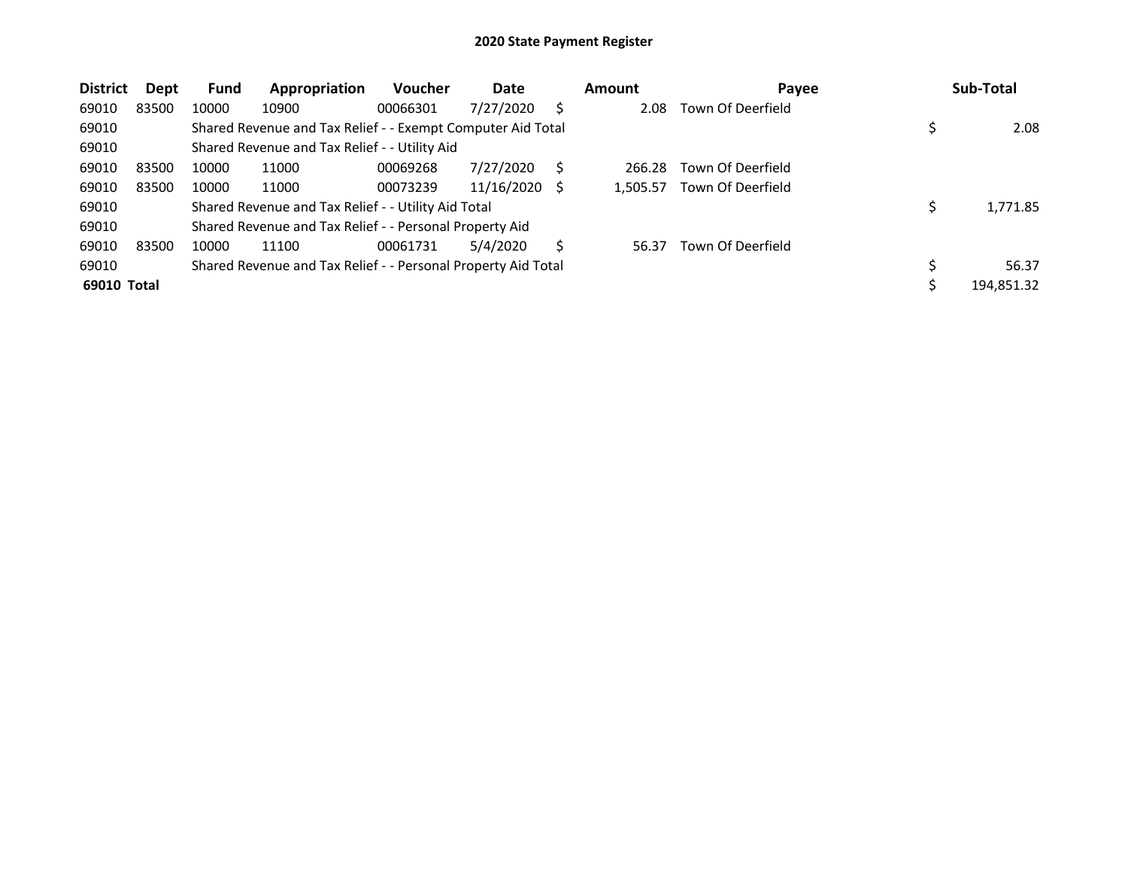| <b>District</b> | Dept  | <b>Fund</b> | Appropriation                                                 | <b>Voucher</b> | Date       |   | <b>Amount</b> | Payee             | Sub-Total  |
|-----------------|-------|-------------|---------------------------------------------------------------|----------------|------------|---|---------------|-------------------|------------|
| 69010           | 83500 | 10000       | 10900                                                         | 00066301       | 7/27/2020  |   | 2.08          | Town Of Deerfield |            |
| 69010           |       |             | Shared Revenue and Tax Relief - - Exempt Computer Aid Total   |                |            |   |               |                   | 2.08       |
| 69010           |       |             | Shared Revenue and Tax Relief - - Utility Aid                 |                |            |   |               |                   |            |
| 69010           | 83500 | 10000       | 11000                                                         | 00069268       | 7/27/2020  |   | 266.28        | Town Of Deerfield |            |
| 69010           | 83500 | 10000       | 11000                                                         | 00073239       | 11/16/2020 | S | 1,505.57      | Town Of Deerfield |            |
| 69010           |       |             | Shared Revenue and Tax Relief - - Utility Aid Total           |                |            |   |               |                   | 1,771.85   |
| 69010           |       |             | Shared Revenue and Tax Relief - - Personal Property Aid       |                |            |   |               |                   |            |
| 69010           | 83500 | 10000       | 11100                                                         | 00061731       | 5/4/2020   |   | 56.37         | Town Of Deerfield |            |
| 69010           |       |             | Shared Revenue and Tax Relief - - Personal Property Aid Total |                |            |   |               |                   | 56.37      |
| 69010 Total     |       |             |                                                               |                |            |   |               |                   | 194,851.32 |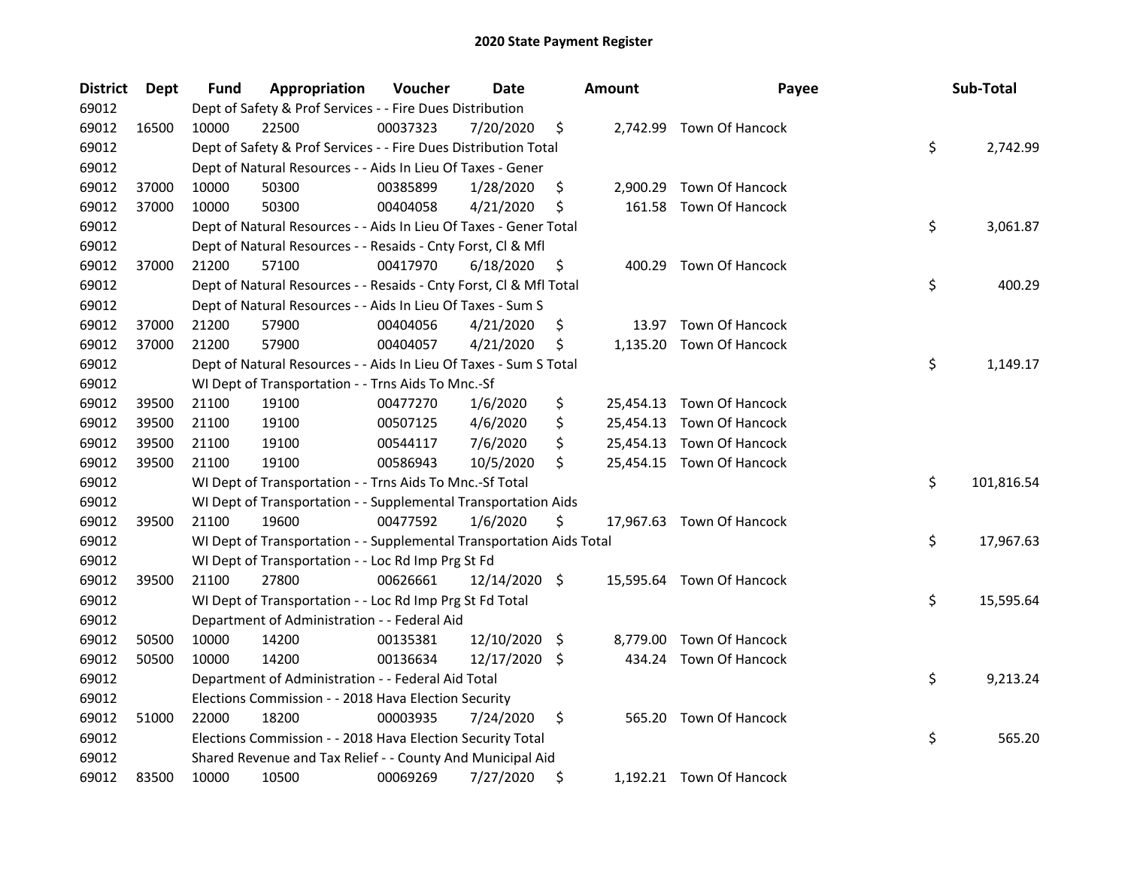| <b>District</b> | Dept  | Fund  | Appropriation                                                        | Voucher  | Date          |      | <b>Amount</b> | Payee                     | Sub-Total        |
|-----------------|-------|-------|----------------------------------------------------------------------|----------|---------------|------|---------------|---------------------------|------------------|
| 69012           |       |       | Dept of Safety & Prof Services - - Fire Dues Distribution            |          |               |      |               |                           |                  |
| 69012           | 16500 | 10000 | 22500                                                                | 00037323 | 7/20/2020     | \$   |               | 2,742.99 Town Of Hancock  |                  |
| 69012           |       |       | Dept of Safety & Prof Services - - Fire Dues Distribution Total      |          |               |      |               |                           | \$<br>2,742.99   |
| 69012           |       |       | Dept of Natural Resources - - Aids In Lieu Of Taxes - Gener          |          |               |      |               |                           |                  |
| 69012           | 37000 | 10000 | 50300                                                                | 00385899 | 1/28/2020     | \$   | 2,900.29      | Town Of Hancock           |                  |
| 69012           | 37000 | 10000 | 50300                                                                | 00404058 | 4/21/2020     | \$   | 161.58        | <b>Town Of Hancock</b>    |                  |
| 69012           |       |       | Dept of Natural Resources - - Aids In Lieu Of Taxes - Gener Total    |          |               |      |               |                           | \$<br>3,061.87   |
| 69012           |       |       | Dept of Natural Resources - - Resaids - Cnty Forst, Cl & Mfl         |          |               |      |               |                           |                  |
| 69012           | 37000 | 21200 | 57100                                                                | 00417970 | 6/18/2020     | \$   |               | 400.29 Town Of Hancock    |                  |
| 69012           |       |       | Dept of Natural Resources - - Resaids - Cnty Forst, Cl & Mfl Total   |          |               |      |               |                           | \$<br>400.29     |
| 69012           |       |       | Dept of Natural Resources - - Aids In Lieu Of Taxes - Sum S          |          |               |      |               |                           |                  |
| 69012           | 37000 | 21200 | 57900                                                                | 00404056 | 4/21/2020     | \$   | 13.97         | Town Of Hancock           |                  |
| 69012           | 37000 | 21200 | 57900                                                                | 00404057 | 4/21/2020     | \$   | 1,135.20      | Town Of Hancock           |                  |
| 69012           |       |       | Dept of Natural Resources - - Aids In Lieu Of Taxes - Sum S Total    |          |               |      |               |                           | \$<br>1,149.17   |
| 69012           |       |       | WI Dept of Transportation - - Trns Aids To Mnc.-Sf                   |          |               |      |               |                           |                  |
| 69012           | 39500 | 21100 | 19100                                                                | 00477270 | 1/6/2020      | \$   |               | 25,454.13 Town Of Hancock |                  |
| 69012           | 39500 | 21100 | 19100                                                                | 00507125 | 4/6/2020      | \$   |               | 25,454.13 Town Of Hancock |                  |
| 69012           | 39500 | 21100 | 19100                                                                | 00544117 | 7/6/2020      | \$   |               | 25,454.13 Town Of Hancock |                  |
| 69012           | 39500 | 21100 | 19100                                                                | 00586943 | 10/5/2020     | \$   |               | 25,454.15 Town Of Hancock |                  |
| 69012           |       |       | WI Dept of Transportation - - Trns Aids To Mnc.-Sf Total             |          |               |      |               |                           | \$<br>101,816.54 |
| 69012           |       |       | WI Dept of Transportation - - Supplemental Transportation Aids       |          |               |      |               |                           |                  |
| 69012           | 39500 | 21100 | 19600                                                                | 00477592 | 1/6/2020      | \$   |               | 17,967.63 Town Of Hancock |                  |
| 69012           |       |       | WI Dept of Transportation - - Supplemental Transportation Aids Total |          |               |      |               |                           | \$<br>17,967.63  |
| 69012           |       |       | WI Dept of Transportation - - Loc Rd Imp Prg St Fd                   |          |               |      |               |                           |                  |
| 69012           | 39500 | 21100 | 27800                                                                | 00626661 | 12/14/2020 \$ |      |               | 15,595.64 Town Of Hancock |                  |
| 69012           |       |       | WI Dept of Transportation - - Loc Rd Imp Prg St Fd Total             |          |               |      |               |                           | \$<br>15,595.64  |
| 69012           |       |       | Department of Administration - - Federal Aid                         |          |               |      |               |                           |                  |
| 69012           | 50500 | 10000 | 14200                                                                | 00135381 | 12/10/2020    | - \$ |               | 8,779.00 Town Of Hancock  |                  |
| 69012           | 50500 | 10000 | 14200                                                                | 00136634 | 12/17/2020    | \$   |               | 434.24 Town Of Hancock    |                  |
| 69012           |       |       | Department of Administration - - Federal Aid Total                   |          |               |      |               |                           | \$<br>9,213.24   |
| 69012           |       |       | Elections Commission - - 2018 Hava Election Security                 |          |               |      |               |                           |                  |
| 69012           | 51000 | 22000 | 18200                                                                | 00003935 | 7/24/2020     | \$   |               | 565.20 Town Of Hancock    |                  |
| 69012           |       |       | Elections Commission - - 2018 Hava Election Security Total           |          |               |      |               |                           | \$<br>565.20     |
| 69012           |       |       | Shared Revenue and Tax Relief - - County And Municipal Aid           |          |               |      |               |                           |                  |
| 69012           | 83500 | 10000 | 10500                                                                | 00069269 | 7/27/2020     | \$   |               | 1,192.21 Town Of Hancock  |                  |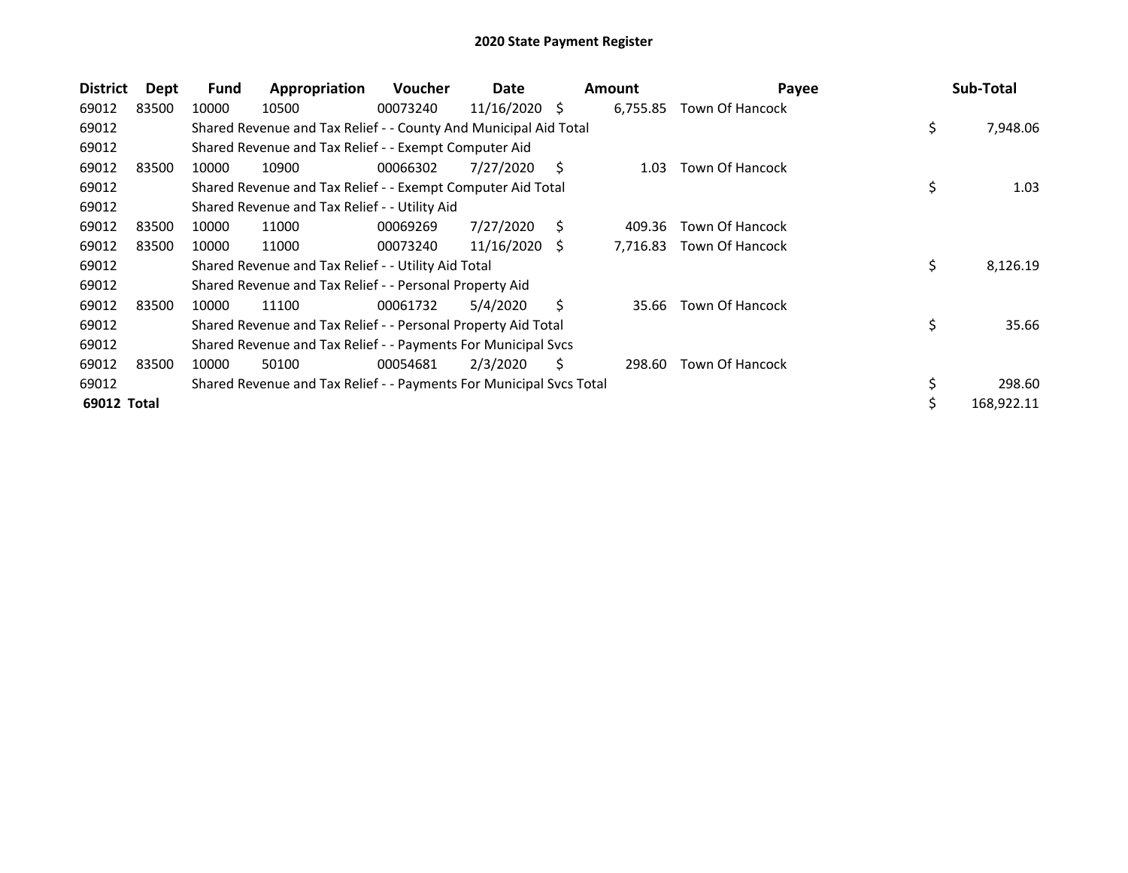| <b>District</b> | Dept  | Fund  | Appropriation                                                       | <b>Voucher</b> | Date       |    | <b>Amount</b> | Payee                  | Sub-Total      |
|-----------------|-------|-------|---------------------------------------------------------------------|----------------|------------|----|---------------|------------------------|----------------|
| 69012           | 83500 | 10000 | 10500                                                               | 00073240       | 11/16/2020 | -S | 6,755.85      | <b>Town Of Hancock</b> |                |
| 69012           |       |       | Shared Revenue and Tax Relief - - County And Municipal Aid Total    |                |            |    |               |                        | \$<br>7,948.06 |
| 69012           |       |       | Shared Revenue and Tax Relief - - Exempt Computer Aid               |                |            |    |               |                        |                |
| 69012           | 83500 | 10000 | 10900                                                               | 00066302       | 7/27/2020  | S  | 1.03          | Town Of Hancock        |                |
| 69012           |       |       | Shared Revenue and Tax Relief - - Exempt Computer Aid Total         |                |            |    |               |                        | \$<br>1.03     |
| 69012           |       |       | Shared Revenue and Tax Relief - - Utility Aid                       |                |            |    |               |                        |                |
| 69012           | 83500 | 10000 | 11000                                                               | 00069269       | 7/27/2020  | S  | 409.36        | <b>Town Of Hancock</b> |                |
| 69012           | 83500 | 10000 | 11000                                                               | 00073240       | 11/16/2020 | -S | 7,716.83      | <b>Town Of Hancock</b> |                |
| 69012           |       |       | Shared Revenue and Tax Relief - - Utility Aid Total                 |                |            |    |               |                        | \$<br>8,126.19 |
| 69012           |       |       | Shared Revenue and Tax Relief - - Personal Property Aid             |                |            |    |               |                        |                |
| 69012           | 83500 | 10000 | 11100                                                               | 00061732       | 5/4/2020   | S  | 35.66         | <b>Town Of Hancock</b> |                |
| 69012           |       |       | Shared Revenue and Tax Relief - - Personal Property Aid Total       |                |            |    |               |                        | \$<br>35.66    |
| 69012           |       |       | Shared Revenue and Tax Relief - - Payments For Municipal Svcs       |                |            |    |               |                        |                |
| 69012           | 83500 | 10000 | 50100                                                               | 00054681       | 2/3/2020   | S  | 298.60        | <b>Town Of Hancock</b> |                |
| 69012           |       |       | Shared Revenue and Tax Relief - - Payments For Municipal Svcs Total |                |            |    |               |                        | 298.60         |
| 69012 Total     |       |       |                                                                     |                |            |    |               |                        | 168,922.11     |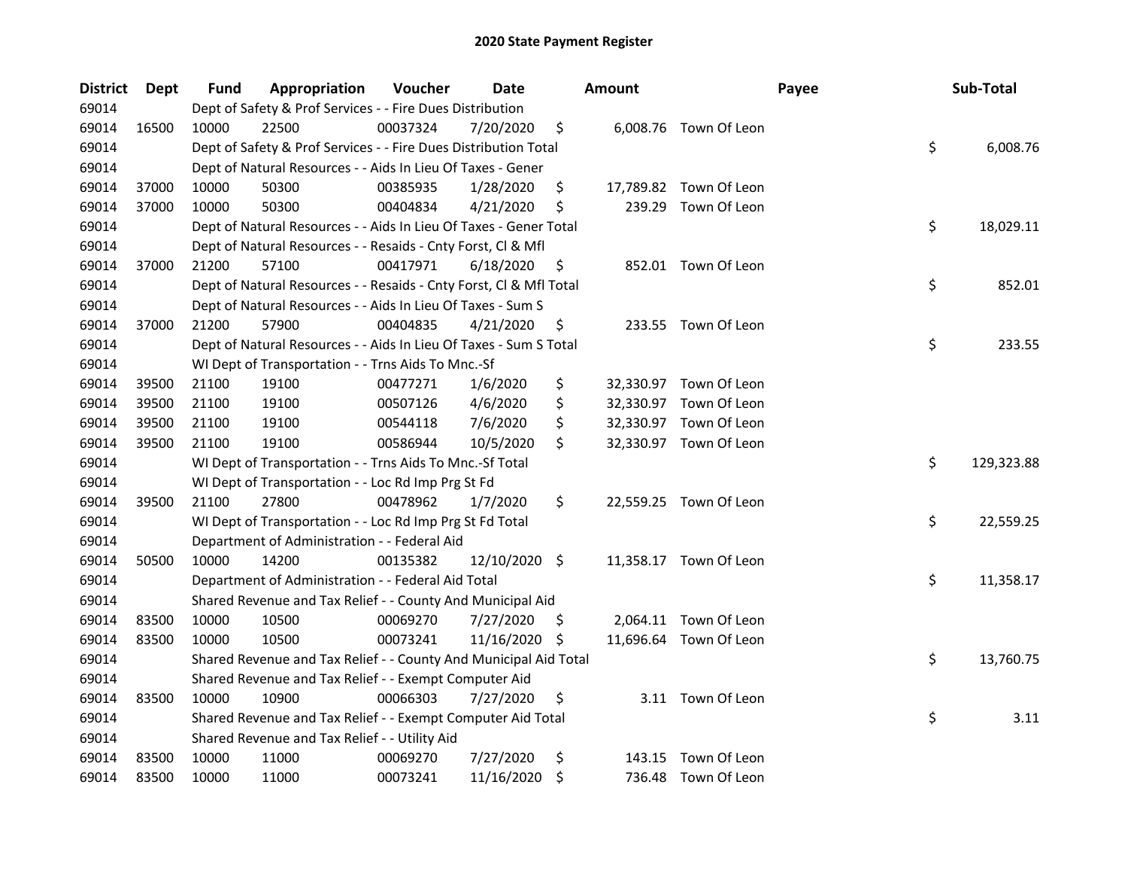| <b>District</b> | <b>Dept</b> | Fund  | Appropriation                                                      | Voucher  | <b>Date</b>   |    | <b>Amount</b> |                        | Payee | Sub-Total  |
|-----------------|-------------|-------|--------------------------------------------------------------------|----------|---------------|----|---------------|------------------------|-------|------------|
| 69014           |             |       | Dept of Safety & Prof Services - - Fire Dues Distribution          |          |               |    |               |                        |       |            |
| 69014           | 16500       | 10000 | 22500                                                              | 00037324 | 7/20/2020     | \$ |               | 6,008.76 Town Of Leon  |       |            |
| 69014           |             |       | Dept of Safety & Prof Services - - Fire Dues Distribution Total    |          |               |    |               |                        | \$    | 6,008.76   |
| 69014           |             |       | Dept of Natural Resources - - Aids In Lieu Of Taxes - Gener        |          |               |    |               |                        |       |            |
| 69014           | 37000       | 10000 | 50300                                                              | 00385935 | 1/28/2020     | \$ |               | 17,789.82 Town Of Leon |       |            |
| 69014           | 37000       | 10000 | 50300                                                              | 00404834 | 4/21/2020     | \$ |               | 239.29 Town Of Leon    |       |            |
| 69014           |             |       | Dept of Natural Resources - - Aids In Lieu Of Taxes - Gener Total  |          |               |    |               |                        | \$    | 18,029.11  |
| 69014           |             |       | Dept of Natural Resources - - Resaids - Cnty Forst, Cl & Mfl       |          |               |    |               |                        |       |            |
| 69014           | 37000       | 21200 | 57100                                                              | 00417971 | 6/18/2020     | \$ |               | 852.01 Town Of Leon    |       |            |
| 69014           |             |       | Dept of Natural Resources - - Resaids - Cnty Forst, Cl & Mfl Total |          |               |    |               |                        | \$    | 852.01     |
| 69014           |             |       | Dept of Natural Resources - - Aids In Lieu Of Taxes - Sum S        |          |               |    |               |                        |       |            |
| 69014           | 37000       | 21200 | 57900                                                              | 00404835 | 4/21/2020     | \$ |               | 233.55 Town Of Leon    |       |            |
| 69014           |             |       | Dept of Natural Resources - - Aids In Lieu Of Taxes - Sum S Total  |          |               |    |               |                        | \$    | 233.55     |
| 69014           |             |       | WI Dept of Transportation - - Trns Aids To Mnc.-Sf                 |          |               |    |               |                        |       |            |
| 69014           | 39500       | 21100 | 19100                                                              | 00477271 | 1/6/2020      | \$ |               | 32,330.97 Town Of Leon |       |            |
| 69014           | 39500       | 21100 | 19100                                                              | 00507126 | 4/6/2020      | \$ |               | 32,330.97 Town Of Leon |       |            |
| 69014           | 39500       | 21100 | 19100                                                              | 00544118 | 7/6/2020      | \$ |               | 32,330.97 Town Of Leon |       |            |
| 69014           | 39500       | 21100 | 19100                                                              | 00586944 | 10/5/2020     | \$ |               | 32,330.97 Town Of Leon |       |            |
| 69014           |             |       | WI Dept of Transportation - - Trns Aids To Mnc.-Sf Total           |          |               |    |               |                        | \$    | 129,323.88 |
| 69014           |             |       | WI Dept of Transportation - - Loc Rd Imp Prg St Fd                 |          |               |    |               |                        |       |            |
| 69014           | 39500       | 21100 | 27800                                                              | 00478962 | 1/7/2020      | \$ |               | 22,559.25 Town Of Leon |       |            |
| 69014           |             |       | WI Dept of Transportation - - Loc Rd Imp Prg St Fd Total           |          |               |    |               |                        | \$    | 22,559.25  |
| 69014           |             |       | Department of Administration - - Federal Aid                       |          |               |    |               |                        |       |            |
| 69014           | 50500       | 10000 | 14200                                                              | 00135382 | 12/10/2020 \$ |    |               | 11,358.17 Town Of Leon |       |            |
| 69014           |             |       | Department of Administration - - Federal Aid Total                 |          |               |    |               |                        | \$    | 11,358.17  |
| 69014           |             |       | Shared Revenue and Tax Relief - - County And Municipal Aid         |          |               |    |               |                        |       |            |
| 69014           | 83500       | 10000 | 10500                                                              | 00069270 | 7/27/2020     | -Ş |               | 2,064.11 Town Of Leon  |       |            |
| 69014           | 83500       | 10000 | 10500                                                              | 00073241 | 11/16/2020    | \$ |               | 11,696.64 Town Of Leon |       |            |
| 69014           |             |       | Shared Revenue and Tax Relief - - County And Municipal Aid Total   |          |               |    |               |                        | \$    | 13,760.75  |
| 69014           |             |       | Shared Revenue and Tax Relief - - Exempt Computer Aid              |          |               |    |               |                        |       |            |
| 69014           | 83500       | 10000 | 10900                                                              | 00066303 | 7/27/2020     | \$ |               | 3.11 Town Of Leon      |       |            |
| 69014           |             |       | Shared Revenue and Tax Relief - - Exempt Computer Aid Total        |          |               |    |               |                        | \$    | 3.11       |
| 69014           |             |       | Shared Revenue and Tax Relief - - Utility Aid                      |          |               |    |               |                        |       |            |
| 69014           | 83500       | 10000 | 11000                                                              | 00069270 | 7/27/2020     | \$ | 143.15        | Town Of Leon           |       |            |
| 69014           | 83500       | 10000 | 11000                                                              | 00073241 | 11/16/2020    | \$ |               | 736.48 Town Of Leon    |       |            |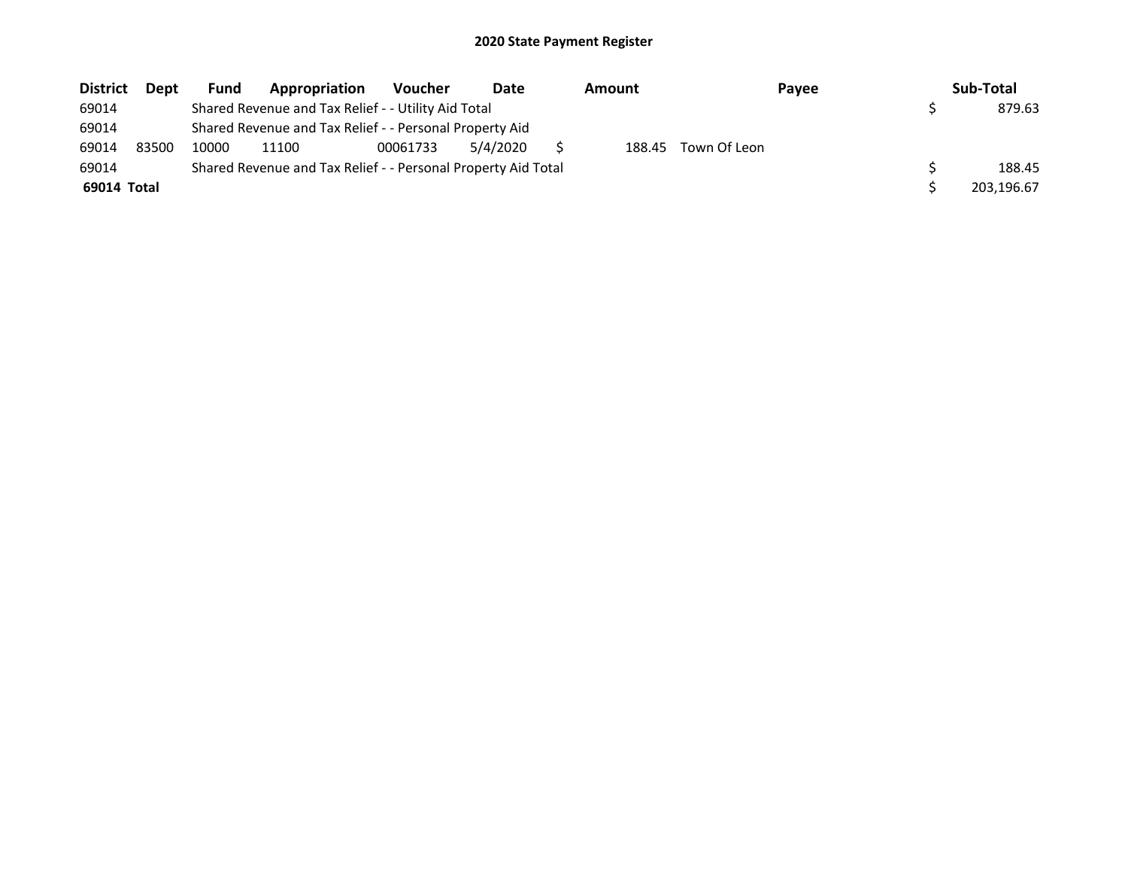| <b>District</b> | Dept  | Fund  | Appropriation                                                 | <b>Voucher</b> | Date     | Amount |              | Payee | Sub-Total  |
|-----------------|-------|-------|---------------------------------------------------------------|----------------|----------|--------|--------------|-------|------------|
| 69014           |       |       | Shared Revenue and Tax Relief - - Utility Aid Total           |                |          |        |              |       | 879.63     |
| 69014           |       |       | Shared Revenue and Tax Relief - - Personal Property Aid       |                |          |        |              |       |            |
| 69014           | 83500 | 10000 | 11100                                                         | 00061733       | 5/4/2020 | 188.45 | Town Of Leon |       |            |
| 69014           |       |       | Shared Revenue and Tax Relief - - Personal Property Aid Total |                |          |        |              |       | 188.45     |
| 69014 Total     |       |       |                                                               |                |          |        |              |       | 203,196.67 |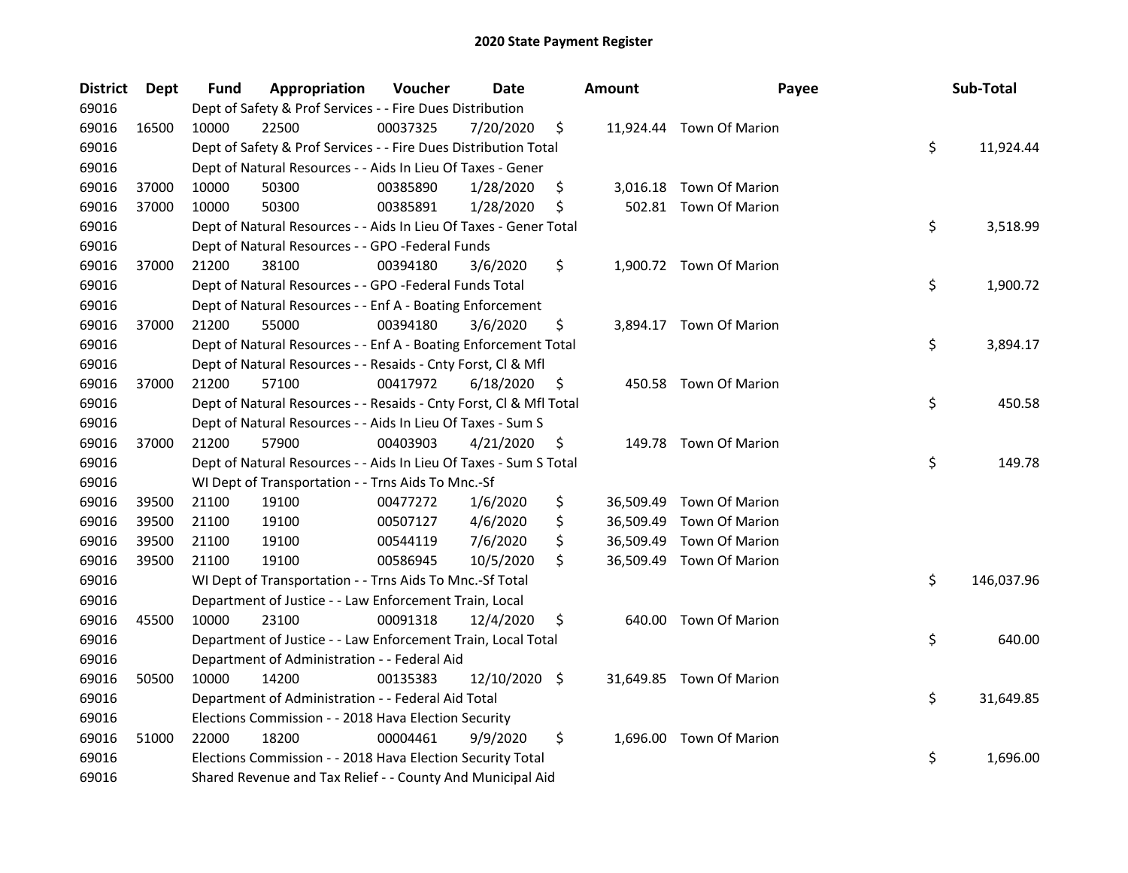| <b>District</b> | <b>Dept</b> | Fund  | Appropriation                                                      | Voucher  | Date          | <b>Amount</b> | Payee                    | Sub-Total        |
|-----------------|-------------|-------|--------------------------------------------------------------------|----------|---------------|---------------|--------------------------|------------------|
| 69016           |             |       | Dept of Safety & Prof Services - - Fire Dues Distribution          |          |               |               |                          |                  |
| 69016           | 16500       | 10000 | 22500                                                              | 00037325 | 7/20/2020     | \$            | 11,924.44 Town Of Marion |                  |
| 69016           |             |       | Dept of Safety & Prof Services - - Fire Dues Distribution Total    |          |               |               |                          | \$<br>11,924.44  |
| 69016           |             |       | Dept of Natural Resources - - Aids In Lieu Of Taxes - Gener        |          |               |               |                          |                  |
| 69016           | 37000       | 10000 | 50300                                                              | 00385890 | 1/28/2020     | \$            | 3,016.18 Town Of Marion  |                  |
| 69016           | 37000       | 10000 | 50300                                                              | 00385891 | 1/28/2020     | \$            | 502.81 Town Of Marion    |                  |
| 69016           |             |       | Dept of Natural Resources - - Aids In Lieu Of Taxes - Gener Total  |          |               |               |                          | \$<br>3,518.99   |
| 69016           |             |       | Dept of Natural Resources - - GPO -Federal Funds                   |          |               |               |                          |                  |
| 69016           | 37000       | 21200 | 38100                                                              | 00394180 | 3/6/2020      | \$            | 1,900.72 Town Of Marion  |                  |
| 69016           |             |       | Dept of Natural Resources - - GPO -Federal Funds Total             |          |               |               |                          | \$<br>1,900.72   |
| 69016           |             |       | Dept of Natural Resources - - Enf A - Boating Enforcement          |          |               |               |                          |                  |
| 69016           | 37000       | 21200 | 55000                                                              | 00394180 | 3/6/2020      | \$            | 3,894.17 Town Of Marion  |                  |
| 69016           |             |       | Dept of Natural Resources - - Enf A - Boating Enforcement Total    |          |               |               |                          | \$<br>3,894.17   |
| 69016           |             |       | Dept of Natural Resources - - Resaids - Cnty Forst, Cl & Mfl       |          |               |               |                          |                  |
| 69016           | 37000       | 21200 | 57100                                                              | 00417972 | 6/18/2020     | \$            | 450.58 Town Of Marion    |                  |
| 69016           |             |       | Dept of Natural Resources - - Resaids - Cnty Forst, Cl & Mfl Total |          |               |               |                          | \$<br>450.58     |
| 69016           |             |       | Dept of Natural Resources - - Aids In Lieu Of Taxes - Sum S        |          |               |               |                          |                  |
| 69016           | 37000       | 21200 | 57900                                                              | 00403903 | 4/21/2020     | \$            | 149.78 Town Of Marion    |                  |
| 69016           |             |       | Dept of Natural Resources - - Aids In Lieu Of Taxes - Sum S Total  |          |               |               |                          | \$<br>149.78     |
| 69016           |             |       | WI Dept of Transportation - - Trns Aids To Mnc.-Sf                 |          |               |               |                          |                  |
| 69016           | 39500       | 21100 | 19100                                                              | 00477272 | 1/6/2020      | \$            | 36,509.49 Town Of Marion |                  |
| 69016           | 39500       | 21100 | 19100                                                              | 00507127 | 4/6/2020      | \$            | 36,509.49 Town Of Marion |                  |
| 69016           | 39500       | 21100 | 19100                                                              | 00544119 | 7/6/2020      | \$            | 36,509.49 Town Of Marion |                  |
| 69016           | 39500       | 21100 | 19100                                                              | 00586945 | 10/5/2020     | \$            | 36,509.49 Town Of Marion |                  |
| 69016           |             |       | WI Dept of Transportation - - Trns Aids To Mnc.-Sf Total           |          |               |               |                          | \$<br>146,037.96 |
| 69016           |             |       | Department of Justice - - Law Enforcement Train, Local             |          |               |               |                          |                  |
| 69016           | 45500       | 10000 | 23100                                                              | 00091318 | 12/4/2020     | \$            | 640.00 Town Of Marion    |                  |
| 69016           |             |       | Department of Justice - - Law Enforcement Train, Local Total       |          |               |               |                          | \$<br>640.00     |
| 69016           |             |       | Department of Administration - - Federal Aid                       |          |               |               |                          |                  |
| 69016           | 50500       | 10000 | 14200                                                              | 00135383 | 12/10/2020 \$ |               | 31,649.85 Town Of Marion |                  |
| 69016           |             |       | Department of Administration - - Federal Aid Total                 |          |               |               |                          | \$<br>31,649.85  |
| 69016           |             |       | Elections Commission - - 2018 Hava Election Security               |          |               |               |                          |                  |
| 69016           | 51000       | 22000 | 18200                                                              | 00004461 | 9/9/2020      | \$            | 1,696.00 Town Of Marion  |                  |
| 69016           |             |       | Elections Commission - - 2018 Hava Election Security Total         |          |               |               |                          | \$<br>1,696.00   |
| 69016           |             |       | Shared Revenue and Tax Relief - - County And Municipal Aid         |          |               |               |                          |                  |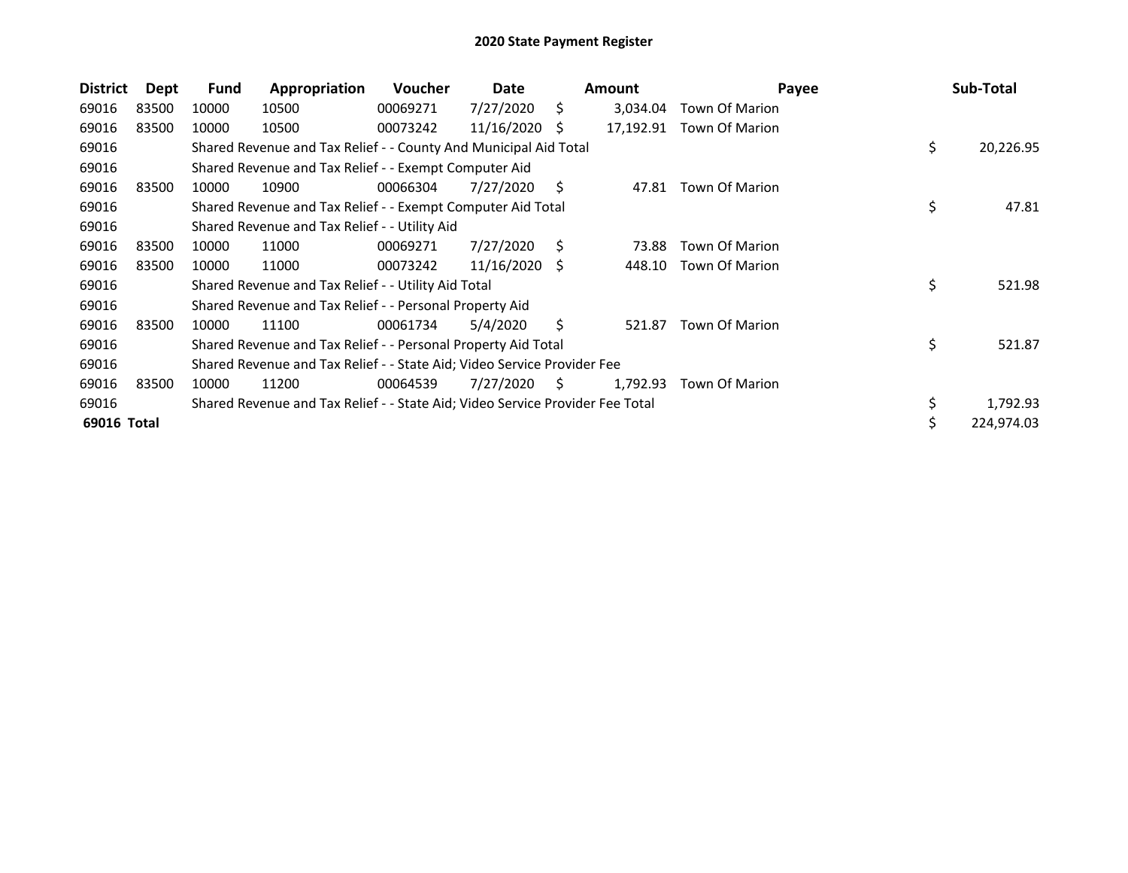| <b>District</b> | Dept  | <b>Fund</b> | Appropriation                                                                 | <b>Voucher</b> | Date          |    | <b>Amount</b> | Payee                 | Sub-Total       |
|-----------------|-------|-------------|-------------------------------------------------------------------------------|----------------|---------------|----|---------------|-----------------------|-----------------|
| 69016           | 83500 | 10000       | 10500                                                                         | 00069271       | 7/27/2020     | S. | 3,034.04      | Town Of Marion        |                 |
| 69016           | 83500 | 10000       | 10500                                                                         | 00073242       | 11/16/2020    | S  | 17,192.91     | <b>Town Of Marion</b> |                 |
| 69016           |       |             | Shared Revenue and Tax Relief - - County And Municipal Aid Total              |                |               |    |               |                       | \$<br>20,226.95 |
| 69016           |       |             | Shared Revenue and Tax Relief - - Exempt Computer Aid                         |                |               |    |               |                       |                 |
| 69016           | 83500 | 10000       | 10900                                                                         | 00066304       | 7/27/2020     | S  | 47.81         | <b>Town Of Marion</b> |                 |
| 69016           |       |             | Shared Revenue and Tax Relief - - Exempt Computer Aid Total                   |                |               |    |               |                       | \$<br>47.81     |
| 69016           |       |             | Shared Revenue and Tax Relief - - Utility Aid                                 |                |               |    |               |                       |                 |
| 69016           | 83500 | 10000       | 11000                                                                         | 00069271       | 7/27/2020     | S. | 73.88         | <b>Town Of Marion</b> |                 |
| 69016           | 83500 | 10000       | 11000                                                                         | 00073242       | 11/16/2020 \$ |    | 448.10        | <b>Town Of Marion</b> |                 |
| 69016           |       |             | Shared Revenue and Tax Relief - - Utility Aid Total                           |                |               |    |               |                       | \$<br>521.98    |
| 69016           |       |             | Shared Revenue and Tax Relief - - Personal Property Aid                       |                |               |    |               |                       |                 |
| 69016           | 83500 | 10000       | 11100                                                                         | 00061734       | 5/4/2020      | S. | 521.87        | <b>Town Of Marion</b> |                 |
| 69016           |       |             | Shared Revenue and Tax Relief - - Personal Property Aid Total                 |                |               |    |               |                       | \$<br>521.87    |
| 69016           |       |             | Shared Revenue and Tax Relief - - State Aid; Video Service Provider Fee       |                |               |    |               |                       |                 |
| 69016           | 83500 | 10000       | 11200                                                                         | 00064539       | 7/27/2020     | S. | 1,792.93      | Town Of Marion        |                 |
| 69016           |       |             | Shared Revenue and Tax Relief - - State Aid; Video Service Provider Fee Total |                |               |    |               |                       | \$<br>1,792.93  |
| 69016 Total     |       |             |                                                                               |                |               |    |               |                       | 224,974.03      |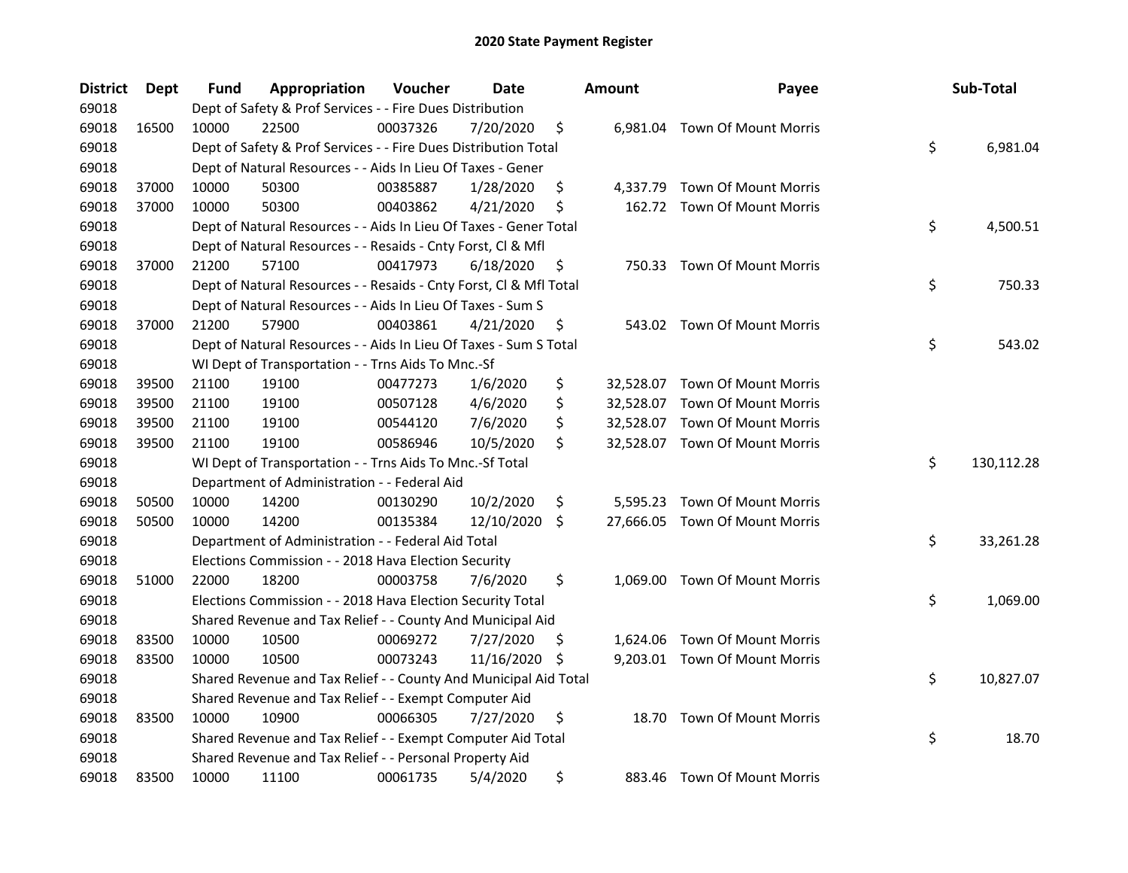| <b>District</b> | Dept  | Fund  | Appropriation                                                      | Voucher  | Date       |    | <b>Amount</b> | Payee                          | Sub-Total        |
|-----------------|-------|-------|--------------------------------------------------------------------|----------|------------|----|---------------|--------------------------------|------------------|
| 69018           |       |       | Dept of Safety & Prof Services - - Fire Dues Distribution          |          |            |    |               |                                |                  |
| 69018           | 16500 | 10000 | 22500                                                              | 00037326 | 7/20/2020  | \$ |               | 6,981.04 Town Of Mount Morris  |                  |
| 69018           |       |       | Dept of Safety & Prof Services - - Fire Dues Distribution Total    |          |            |    |               |                                | \$<br>6,981.04   |
| 69018           |       |       | Dept of Natural Resources - - Aids In Lieu Of Taxes - Gener        |          |            |    |               |                                |                  |
| 69018           | 37000 | 10000 | 50300                                                              | 00385887 | 1/28/2020  | \$ |               | 4,337.79 Town Of Mount Morris  |                  |
| 69018           | 37000 | 10000 | 50300                                                              | 00403862 | 4/21/2020  | \$ |               | 162.72 Town Of Mount Morris    |                  |
| 69018           |       |       | Dept of Natural Resources - - Aids In Lieu Of Taxes - Gener Total  |          |            |    |               |                                | \$<br>4,500.51   |
| 69018           |       |       | Dept of Natural Resources - - Resaids - Cnty Forst, Cl & Mfl       |          |            |    |               |                                |                  |
| 69018           | 37000 | 21200 | 57100                                                              | 00417973 | 6/18/2020  | \$ |               | 750.33 Town Of Mount Morris    |                  |
| 69018           |       |       | Dept of Natural Resources - - Resaids - Cnty Forst, Cl & Mfl Total |          |            |    |               |                                | \$<br>750.33     |
| 69018           |       |       | Dept of Natural Resources - - Aids In Lieu Of Taxes - Sum S        |          |            |    |               |                                |                  |
| 69018           | 37000 | 21200 | 57900                                                              | 00403861 | 4/21/2020  | \$ |               | 543.02 Town Of Mount Morris    |                  |
| 69018           |       |       | Dept of Natural Resources - - Aids In Lieu Of Taxes - Sum S Total  |          |            |    |               |                                | \$<br>543.02     |
| 69018           |       |       | WI Dept of Transportation - - Trns Aids To Mnc.-Sf                 |          |            |    |               |                                |                  |
| 69018           | 39500 | 21100 | 19100                                                              | 00477273 | 1/6/2020   | \$ |               | 32,528.07 Town Of Mount Morris |                  |
| 69018           | 39500 | 21100 | 19100                                                              | 00507128 | 4/6/2020   | \$ |               | 32,528.07 Town Of Mount Morris |                  |
| 69018           | 39500 | 21100 | 19100                                                              | 00544120 | 7/6/2020   | \$ |               | 32,528.07 Town Of Mount Morris |                  |
| 69018           | 39500 | 21100 | 19100                                                              | 00586946 | 10/5/2020  | \$ |               | 32,528.07 Town Of Mount Morris |                  |
| 69018           |       |       | WI Dept of Transportation - - Trns Aids To Mnc.-Sf Total           |          |            |    |               |                                | \$<br>130,112.28 |
| 69018           |       |       | Department of Administration - - Federal Aid                       |          |            |    |               |                                |                  |
| 69018           | 50500 | 10000 | 14200                                                              | 00130290 | 10/2/2020  | \$ |               | 5,595.23 Town Of Mount Morris  |                  |
| 69018           | 50500 | 10000 | 14200                                                              | 00135384 | 12/10/2020 | \$ |               | 27,666.05 Town Of Mount Morris |                  |
| 69018           |       |       | Department of Administration - - Federal Aid Total                 |          |            |    |               |                                | \$<br>33,261.28  |
| 69018           |       |       | Elections Commission - - 2018 Hava Election Security               |          |            |    |               |                                |                  |
| 69018           | 51000 | 22000 | 18200                                                              | 00003758 | 7/6/2020   | \$ |               | 1,069.00 Town Of Mount Morris  |                  |
| 69018           |       |       | Elections Commission - - 2018 Hava Election Security Total         |          |            |    |               |                                | \$<br>1,069.00   |
| 69018           |       |       | Shared Revenue and Tax Relief - - County And Municipal Aid         |          |            |    |               |                                |                  |
| 69018           | 83500 | 10000 | 10500                                                              | 00069272 | 7/27/2020  | \$ |               | 1,624.06 Town Of Mount Morris  |                  |
| 69018           | 83500 | 10000 | 10500                                                              | 00073243 | 11/16/2020 | S  |               | 9,203.01 Town Of Mount Morris  |                  |
| 69018           |       |       | Shared Revenue and Tax Relief - - County And Municipal Aid Total   |          |            |    |               |                                | \$<br>10,827.07  |
| 69018           |       |       | Shared Revenue and Tax Relief - - Exempt Computer Aid              |          |            |    |               |                                |                  |
| 69018           | 83500 | 10000 | 10900                                                              | 00066305 | 7/27/2020  | \$ | 18.70         | <b>Town Of Mount Morris</b>    |                  |
| 69018           |       |       | Shared Revenue and Tax Relief - - Exempt Computer Aid Total        |          |            |    |               |                                | \$<br>18.70      |
| 69018           |       |       | Shared Revenue and Tax Relief - - Personal Property Aid            |          |            |    |               |                                |                  |
| 69018           | 83500 | 10000 | 11100                                                              | 00061735 | 5/4/2020   | \$ |               | 883.46 Town Of Mount Morris    |                  |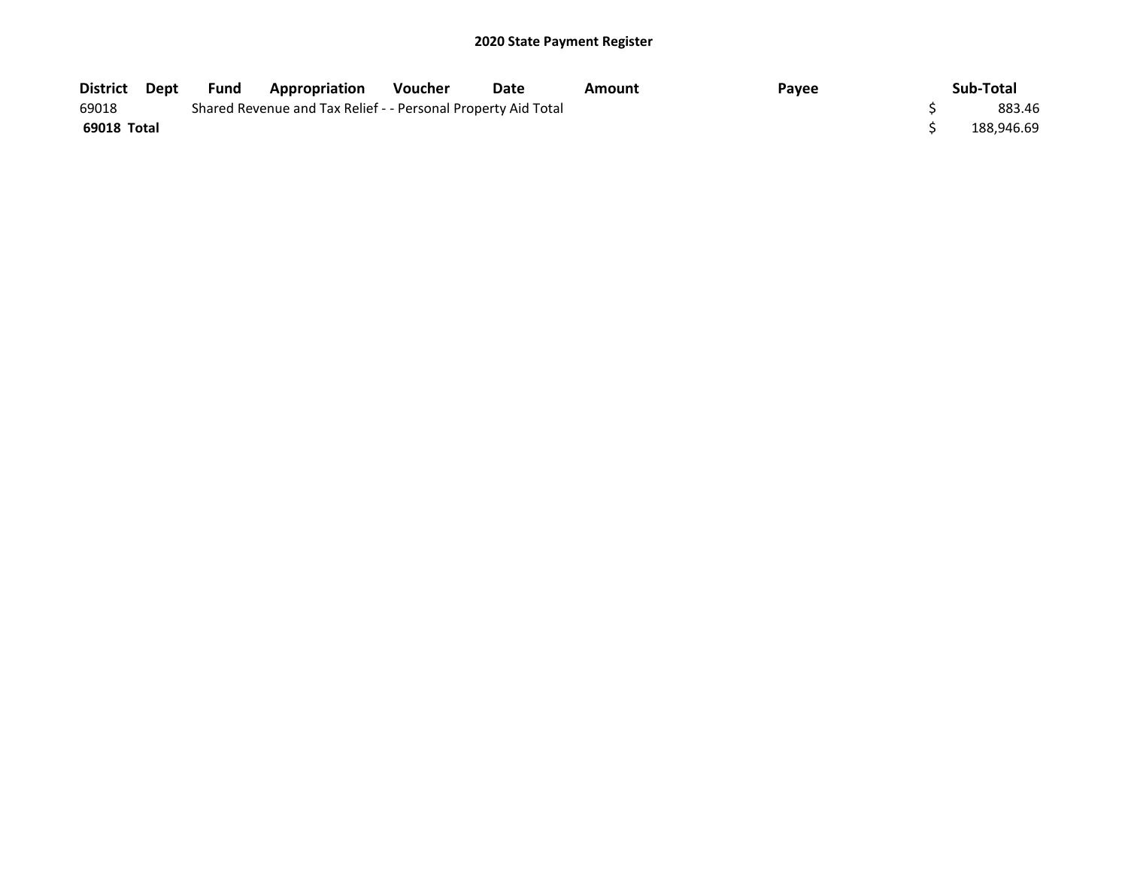| <b>District</b> | Dept | Fund | <b>Appropriation</b>                                          | <b>Voucher</b> | Date | Amount | Payee | Sub-Total  |
|-----------------|------|------|---------------------------------------------------------------|----------------|------|--------|-------|------------|
| 69018           |      |      | Shared Revenue and Tax Relief - - Personal Property Aid Total |                |      |        |       | 883.46     |
| 69018 Total     |      |      |                                                               |                |      |        |       | 188.946.69 |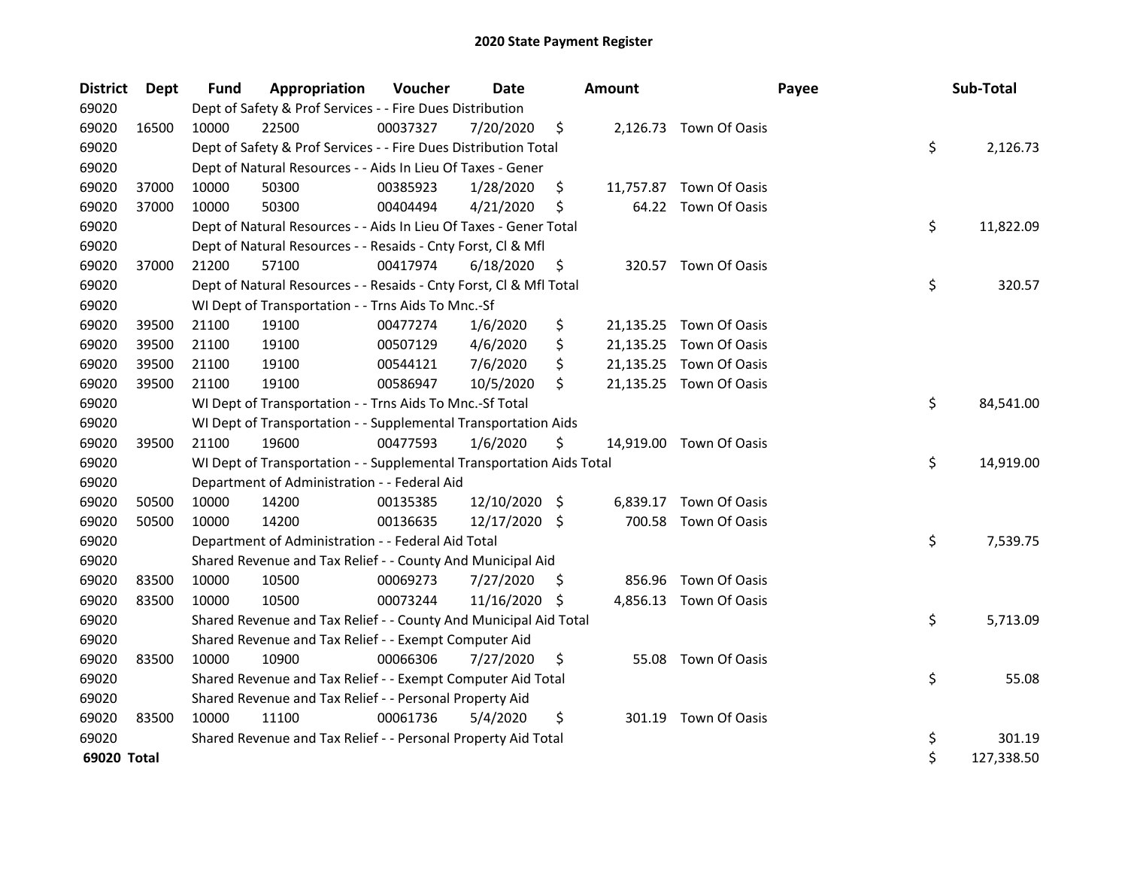| <b>District</b> | Dept  | Fund  | Appropriation                                                        | Voucher  | <b>Date</b>   |     | <b>Amount</b> | Payee                   | Sub-Total        |
|-----------------|-------|-------|----------------------------------------------------------------------|----------|---------------|-----|---------------|-------------------------|------------------|
| 69020           |       |       | Dept of Safety & Prof Services - - Fire Dues Distribution            |          |               |     |               |                         |                  |
| 69020           | 16500 | 10000 | 22500                                                                | 00037327 | 7/20/2020     | \$  |               | 2,126.73 Town Of Oasis  |                  |
| 69020           |       |       | Dept of Safety & Prof Services - - Fire Dues Distribution Total      |          |               |     |               |                         | \$<br>2,126.73   |
| 69020           |       |       | Dept of Natural Resources - - Aids In Lieu Of Taxes - Gener          |          |               |     |               |                         |                  |
| 69020           | 37000 | 10000 | 50300                                                                | 00385923 | 1/28/2020     | \$  |               | 11,757.87 Town Of Oasis |                  |
| 69020           | 37000 | 10000 | 50300                                                                | 00404494 | 4/21/2020     | \$  |               | 64.22 Town Of Oasis     |                  |
| 69020           |       |       | Dept of Natural Resources - - Aids In Lieu Of Taxes - Gener Total    |          |               |     |               |                         | \$<br>11,822.09  |
| 69020           |       |       | Dept of Natural Resources - - Resaids - Cnty Forst, Cl & Mfl         |          |               |     |               |                         |                  |
| 69020           | 37000 | 21200 | 57100                                                                | 00417974 | 6/18/2020     | \$  |               | 320.57 Town Of Oasis    |                  |
| 69020           |       |       | Dept of Natural Resources - - Resaids - Cnty Forst, Cl & Mfl Total   |          |               |     |               |                         | \$<br>320.57     |
| 69020           |       |       | WI Dept of Transportation - - Trns Aids To Mnc.-Sf                   |          |               |     |               |                         |                  |
| 69020           | 39500 | 21100 | 19100                                                                | 00477274 | 1/6/2020      | \$  |               | 21,135.25 Town Of Oasis |                  |
| 69020           | 39500 | 21100 | 19100                                                                | 00507129 | 4/6/2020      | \$  |               | 21,135.25 Town Of Oasis |                  |
| 69020           | 39500 | 21100 | 19100                                                                | 00544121 | 7/6/2020      | \$  | 21,135.25     | Town Of Oasis           |                  |
| 69020           | 39500 | 21100 | 19100                                                                | 00586947 | 10/5/2020     | \$  |               | 21,135.25 Town Of Oasis |                  |
| 69020           |       |       | WI Dept of Transportation - - Trns Aids To Mnc.-Sf Total             |          |               |     |               |                         | \$<br>84,541.00  |
| 69020           |       |       | WI Dept of Transportation - - Supplemental Transportation Aids       |          |               |     |               |                         |                  |
| 69020           | 39500 | 21100 | 19600                                                                | 00477593 | 1/6/2020      | \$  |               | 14,919.00 Town Of Oasis |                  |
| 69020           |       |       | WI Dept of Transportation - - Supplemental Transportation Aids Total |          |               |     |               |                         | \$<br>14,919.00  |
| 69020           |       |       | Department of Administration - - Federal Aid                         |          |               |     |               |                         |                  |
| 69020           | 50500 | 10000 | 14200                                                                | 00135385 | 12/10/2020 \$ |     | 6,839.17      | Town Of Oasis           |                  |
| 69020           | 50500 | 10000 | 14200                                                                | 00136635 | 12/17/2020 \$ |     | 700.58        | Town Of Oasis           |                  |
| 69020           |       |       | Department of Administration - - Federal Aid Total                   |          |               |     |               |                         | \$<br>7,539.75   |
| 69020           |       |       | Shared Revenue and Tax Relief - - County And Municipal Aid           |          |               |     |               |                         |                  |
| 69020           | 83500 | 10000 | 10500                                                                | 00069273 | 7/27/2020     | \$. | 856.96        | Town Of Oasis           |                  |
| 69020           | 83500 | 10000 | 10500                                                                | 00073244 | 11/16/2020    | S   |               | 4,856.13 Town Of Oasis  |                  |
| 69020           |       |       | Shared Revenue and Tax Relief - - County And Municipal Aid Total     |          |               |     |               |                         | \$<br>5,713.09   |
| 69020           |       |       | Shared Revenue and Tax Relief - - Exempt Computer Aid                |          |               |     |               |                         |                  |
| 69020           | 83500 | 10000 | 10900                                                                | 00066306 | 7/27/2020     | \$  | 55.08         | Town Of Oasis           |                  |
| 69020           |       |       | Shared Revenue and Tax Relief - - Exempt Computer Aid Total          |          |               |     |               |                         | \$<br>55.08      |
| 69020           |       |       | Shared Revenue and Tax Relief - - Personal Property Aid              |          |               |     |               |                         |                  |
| 69020           | 83500 | 10000 | 11100                                                                | 00061736 | 5/4/2020      | \$  |               | 301.19 Town Of Oasis    |                  |
| 69020           |       |       | Shared Revenue and Tax Relief - - Personal Property Aid Total        |          |               |     |               |                         | \$<br>301.19     |
| 69020 Total     |       |       |                                                                      |          |               |     |               |                         | \$<br>127,338.50 |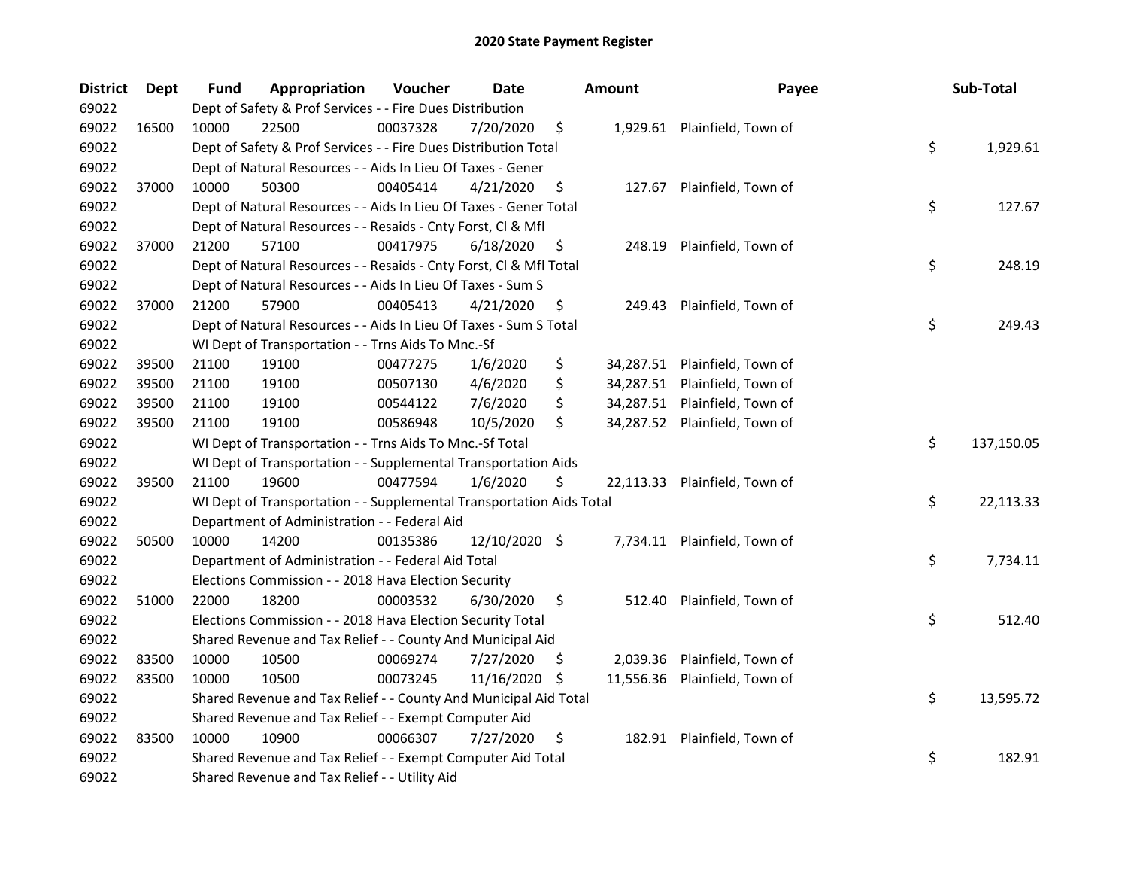| <b>District</b> | Dept  | Fund  | Appropriation                                                        | Voucher  | <b>Date</b>   |     | <b>Amount</b> | Payee                         | Sub-Total        |
|-----------------|-------|-------|----------------------------------------------------------------------|----------|---------------|-----|---------------|-------------------------------|------------------|
| 69022           |       |       | Dept of Safety & Prof Services - - Fire Dues Distribution            |          |               |     |               |                               |                  |
| 69022           | 16500 | 10000 | 22500                                                                | 00037328 | 7/20/2020     | \$  |               | 1,929.61 Plainfield, Town of  |                  |
| 69022           |       |       | Dept of Safety & Prof Services - - Fire Dues Distribution Total      |          |               |     |               |                               | \$<br>1,929.61   |
| 69022           |       |       | Dept of Natural Resources - - Aids In Lieu Of Taxes - Gener          |          |               |     |               |                               |                  |
| 69022           | 37000 | 10000 | 50300                                                                | 00405414 | 4/21/2020     | \$  |               | 127.67 Plainfield, Town of    |                  |
| 69022           |       |       | Dept of Natural Resources - - Aids In Lieu Of Taxes - Gener Total    |          |               |     |               |                               | \$<br>127.67     |
| 69022           |       |       | Dept of Natural Resources - - Resaids - Cnty Forst, Cl & Mfl         |          |               |     |               |                               |                  |
| 69022           | 37000 | 21200 | 57100                                                                | 00417975 | 6/18/2020     | \$  |               | 248.19 Plainfield, Town of    |                  |
| 69022           |       |       | Dept of Natural Resources - - Resaids - Cnty Forst, Cl & Mfl Total   |          |               |     |               |                               | \$<br>248.19     |
| 69022           |       |       | Dept of Natural Resources - - Aids In Lieu Of Taxes - Sum S          |          |               |     |               |                               |                  |
| 69022           | 37000 | 21200 | 57900                                                                | 00405413 | 4/21/2020     | \$  |               | 249.43 Plainfield, Town of    |                  |
| 69022           |       |       | Dept of Natural Resources - - Aids In Lieu Of Taxes - Sum S Total    |          |               |     |               |                               | \$<br>249.43     |
| 69022           |       |       | WI Dept of Transportation - - Trns Aids To Mnc.-Sf                   |          |               |     |               |                               |                  |
| 69022           | 39500 | 21100 | 19100                                                                | 00477275 | 1/6/2020      | \$  |               | 34,287.51 Plainfield, Town of |                  |
| 69022           | 39500 | 21100 | 19100                                                                | 00507130 | 4/6/2020      | \$  |               | 34,287.51 Plainfield, Town of |                  |
| 69022           | 39500 | 21100 | 19100                                                                | 00544122 | 7/6/2020      | \$  |               | 34,287.51 Plainfield, Town of |                  |
| 69022           | 39500 | 21100 | 19100                                                                | 00586948 | 10/5/2020     | \$  |               | 34,287.52 Plainfield, Town of |                  |
| 69022           |       |       | WI Dept of Transportation - - Trns Aids To Mnc.-Sf Total             |          |               |     |               |                               | \$<br>137,150.05 |
| 69022           |       |       | WI Dept of Transportation - - Supplemental Transportation Aids       |          |               |     |               |                               |                  |
| 69022           | 39500 | 21100 | 19600                                                                | 00477594 | 1/6/2020      | \$  |               | 22,113.33 Plainfield, Town of |                  |
| 69022           |       |       | WI Dept of Transportation - - Supplemental Transportation Aids Total |          |               |     |               |                               | \$<br>22,113.33  |
| 69022           |       |       | Department of Administration - - Federal Aid                         |          |               |     |               |                               |                  |
| 69022           | 50500 | 10000 | 14200                                                                | 00135386 | 12/10/2020 \$ |     |               | 7,734.11 Plainfield, Town of  |                  |
| 69022           |       |       | Department of Administration - - Federal Aid Total                   |          |               |     |               |                               | \$<br>7,734.11   |
| 69022           |       |       | Elections Commission - - 2018 Hava Election Security                 |          |               |     |               |                               |                  |
| 69022           | 51000 | 22000 | 18200                                                                | 00003532 | 6/30/2020     | \$  |               | 512.40 Plainfield, Town of    |                  |
| 69022           |       |       | Elections Commission - - 2018 Hava Election Security Total           |          |               |     |               |                               | \$<br>512.40     |
| 69022           |       |       | Shared Revenue and Tax Relief - - County And Municipal Aid           |          |               |     |               |                               |                  |
| 69022           | 83500 | 10000 | 10500                                                                | 00069274 | 7/27/2020     | S   | 2,039.36      | Plainfield, Town of           |                  |
| 69022           | 83500 | 10000 | 10500                                                                | 00073245 | 11/16/2020    | \$. | 11,556.36     | Plainfield, Town of           |                  |
| 69022           |       |       | Shared Revenue and Tax Relief - - County And Municipal Aid Total     |          |               |     |               |                               | \$<br>13,595.72  |
| 69022           |       |       | Shared Revenue and Tax Relief - - Exempt Computer Aid                |          |               |     |               |                               |                  |
| 69022           | 83500 | 10000 | 10900                                                                | 00066307 | 7/27/2020     | \$  |               | 182.91 Plainfield, Town of    |                  |
| 69022           |       |       | Shared Revenue and Tax Relief - - Exempt Computer Aid Total          |          |               |     |               |                               | \$<br>182.91     |
| 69022           |       |       | Shared Revenue and Tax Relief - - Utility Aid                        |          |               |     |               |                               |                  |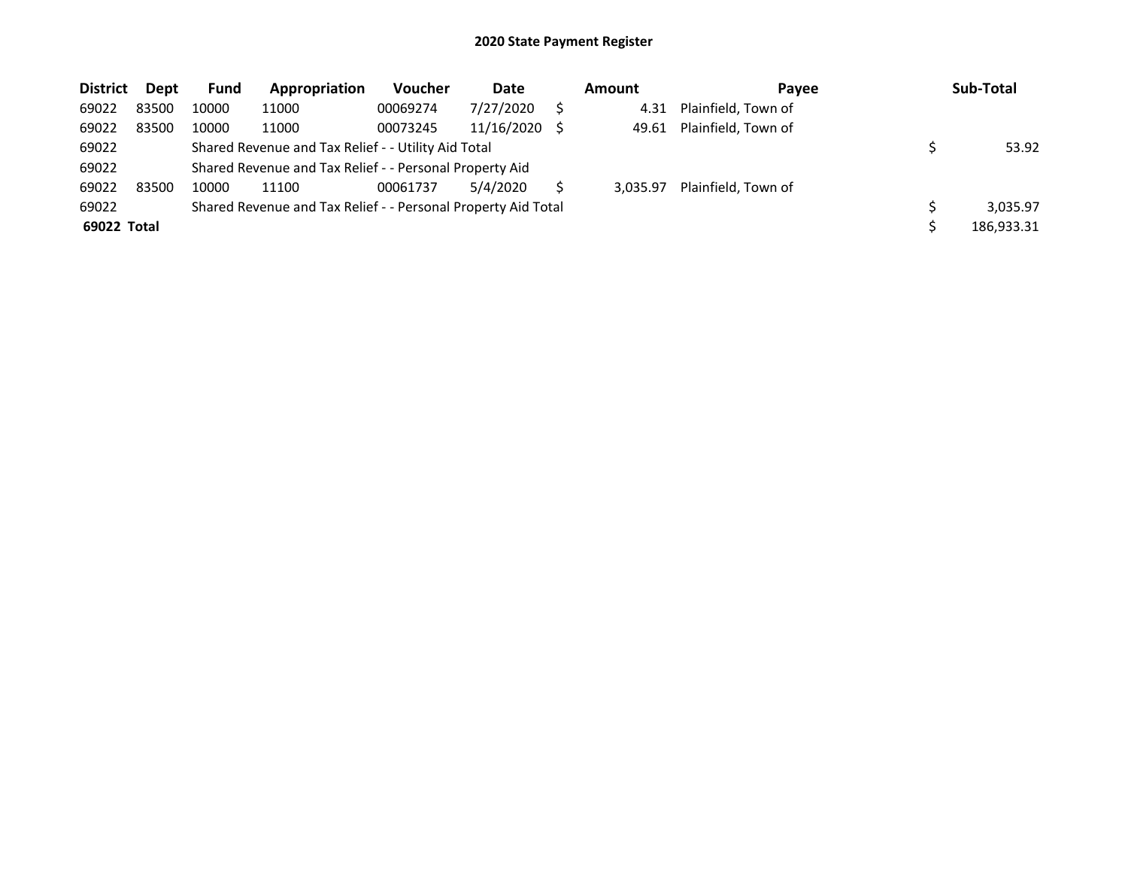| <b>District</b> | Dept  | Fund  | Appropriation                                                 | <b>Voucher</b> | Date       | <b>Amount</b> | Payee               | Sub-Total  |
|-----------------|-------|-------|---------------------------------------------------------------|----------------|------------|---------------|---------------------|------------|
| 69022           | 83500 | 10000 | 11000                                                         | 00069274       | 7/27/2020  | 4.31          | Plainfield, Town of |            |
| 69022           | 83500 | 10000 | 11000                                                         | 00073245       | 11/16/2020 | 49.61         | Plainfield, Town of |            |
| 69022           |       |       | Shared Revenue and Tax Relief - - Utility Aid Total           |                |            |               |                     | 53.92      |
| 69022           |       |       | Shared Revenue and Tax Relief - - Personal Property Aid       |                |            |               |                     |            |
| 69022           | 83500 | 10000 | 11100                                                         | 00061737       | 5/4/2020   | 3.035.97      | Plainfield, Town of |            |
| 69022           |       |       | Shared Revenue and Tax Relief - - Personal Property Aid Total |                |            |               |                     | 3,035.97   |
| 69022 Total     |       |       |                                                               |                |            |               |                     | 186,933.31 |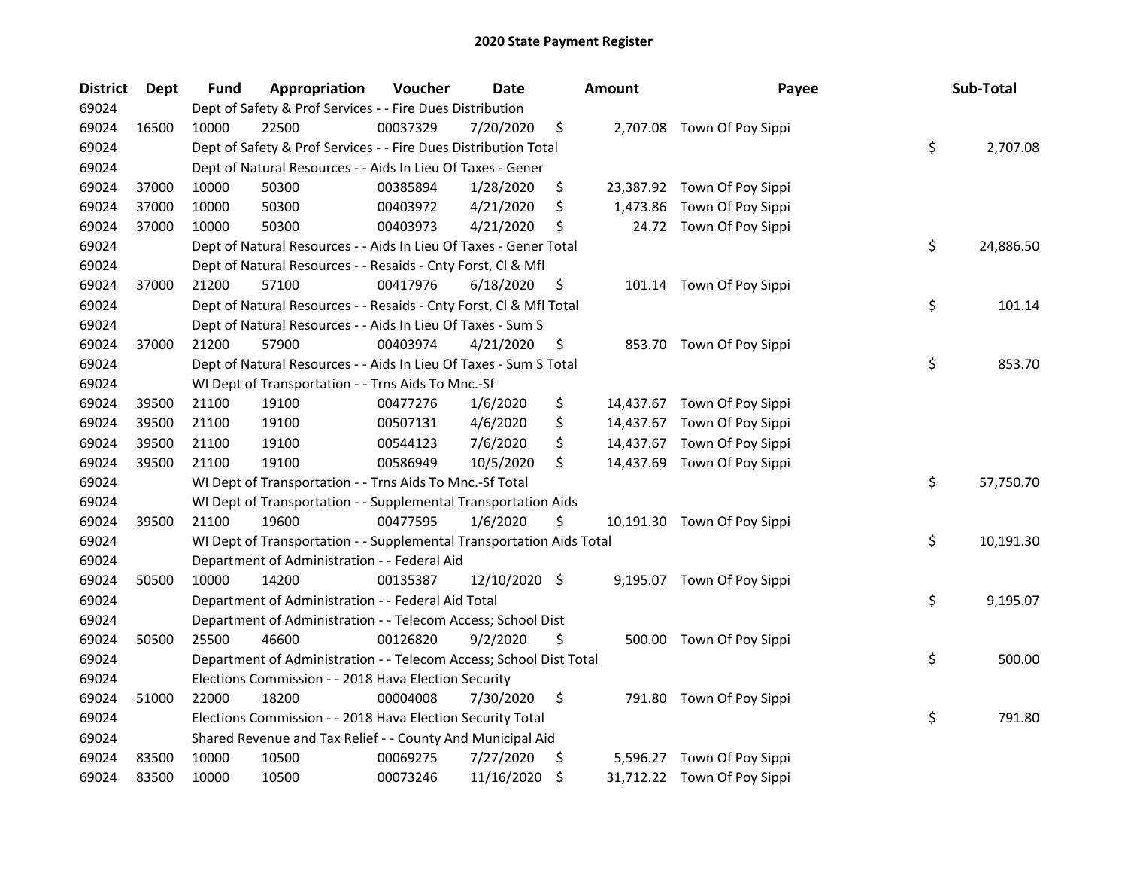| <b>District</b> | <b>Dept</b> | Fund  | Appropriation                                                        | Voucher  | Date          |     | <b>Amount</b> | Payee                       | Sub-Total       |
|-----------------|-------------|-------|----------------------------------------------------------------------|----------|---------------|-----|---------------|-----------------------------|-----------------|
| 69024           |             |       | Dept of Safety & Prof Services - - Fire Dues Distribution            |          |               |     |               |                             |                 |
| 69024           | 16500       | 10000 | 22500                                                                | 00037329 | 7/20/2020     | \$  |               | 2,707.08 Town Of Poy Sippi  |                 |
| 69024           |             |       | Dept of Safety & Prof Services - - Fire Dues Distribution Total      |          |               |     |               |                             | \$<br>2,707.08  |
| 69024           |             |       | Dept of Natural Resources - - Aids In Lieu Of Taxes - Gener          |          |               |     |               |                             |                 |
| 69024           | 37000       | 10000 | 50300                                                                | 00385894 | 1/28/2020     | \$  |               | 23,387.92 Town Of Poy Sippi |                 |
| 69024           | 37000       | 10000 | 50300                                                                | 00403972 | 4/21/2020     | \$  |               | 1,473.86 Town Of Poy Sippi  |                 |
| 69024           | 37000       | 10000 | 50300                                                                | 00403973 | 4/21/2020     | \$  |               | 24.72 Town Of Poy Sippi     |                 |
| 69024           |             |       | Dept of Natural Resources - - Aids In Lieu Of Taxes - Gener Total    |          |               |     |               |                             | \$<br>24,886.50 |
| 69024           |             |       | Dept of Natural Resources - - Resaids - Cnty Forst, Cl & Mfl         |          |               |     |               |                             |                 |
| 69024           | 37000       | 21200 | 57100                                                                | 00417976 | 6/18/2020     | \$, |               | 101.14 Town Of Poy Sippi    |                 |
| 69024           |             |       | Dept of Natural Resources - - Resaids - Cnty Forst, Cl & Mfl Total   |          |               |     |               |                             | \$<br>101.14    |
| 69024           |             |       | Dept of Natural Resources - - Aids In Lieu Of Taxes - Sum S          |          |               |     |               |                             |                 |
| 69024           | 37000       | 21200 | 57900                                                                | 00403974 | 4/21/2020     | \$, |               | 853.70 Town Of Poy Sippi    |                 |
| 69024           |             |       | Dept of Natural Resources - - Aids In Lieu Of Taxes - Sum S Total    |          |               |     |               |                             | \$<br>853.70    |
| 69024           |             |       | WI Dept of Transportation - - Trns Aids To Mnc.-Sf                   |          |               |     |               |                             |                 |
| 69024           | 39500       | 21100 | 19100                                                                | 00477276 | 1/6/2020      | \$  |               | 14,437.67 Town Of Poy Sippi |                 |
| 69024           | 39500       | 21100 | 19100                                                                | 00507131 | 4/6/2020      | \$  |               | 14,437.67 Town Of Poy Sippi |                 |
| 69024           | 39500       | 21100 | 19100                                                                | 00544123 | 7/6/2020      | \$  |               | 14,437.67 Town Of Poy Sippi |                 |
| 69024           | 39500       | 21100 | 19100                                                                | 00586949 | 10/5/2020     | \$  |               | 14,437.69 Town Of Poy Sippi |                 |
| 69024           |             |       | WI Dept of Transportation - - Trns Aids To Mnc.-Sf Total             |          |               |     |               |                             | \$<br>57,750.70 |
| 69024           |             |       | WI Dept of Transportation - - Supplemental Transportation Aids       |          |               |     |               |                             |                 |
| 69024           | 39500       | 21100 | 19600                                                                | 00477595 | 1/6/2020      | \$  |               | 10,191.30 Town Of Poy Sippi |                 |
| 69024           |             |       | WI Dept of Transportation - - Supplemental Transportation Aids Total |          |               |     |               |                             | \$<br>10,191.30 |
| 69024           |             |       | Department of Administration - - Federal Aid                         |          |               |     |               |                             |                 |
| 69024           | 50500       | 10000 | 14200                                                                | 00135387 | 12/10/2020 \$ |     |               | 9,195.07 Town Of Poy Sippi  |                 |
| 69024           |             |       | Department of Administration - - Federal Aid Total                   |          |               |     |               |                             | \$<br>9,195.07  |
| 69024           |             |       | Department of Administration - - Telecom Access; School Dist         |          |               |     |               |                             |                 |
| 69024           | 50500       | 25500 | 46600                                                                | 00126820 | 9/2/2020      | \$  |               | 500.00 Town Of Poy Sippi    |                 |
| 69024           |             |       | Department of Administration - - Telecom Access; School Dist Total   |          |               |     |               |                             | \$<br>500.00    |
| 69024           |             |       | Elections Commission - - 2018 Hava Election Security                 |          |               |     |               |                             |                 |
| 69024           | 51000       | 22000 | 18200                                                                | 00004008 | 7/30/2020     | \$  |               | 791.80 Town Of Poy Sippi    |                 |
| 69024           |             |       | Elections Commission - - 2018 Hava Election Security Total           |          |               |     |               |                             | \$<br>791.80    |
| 69024           |             |       | Shared Revenue and Tax Relief - - County And Municipal Aid           |          |               |     |               |                             |                 |
| 69024           | 83500       | 10000 | 10500                                                                | 00069275 | 7/27/2020     | \$. |               | 5,596.27 Town Of Poy Sippi  |                 |
| 69024           | 83500       | 10000 | 10500                                                                | 00073246 | 11/16/2020    | \$  |               | 31,712.22 Town Of Poy Sippi |                 |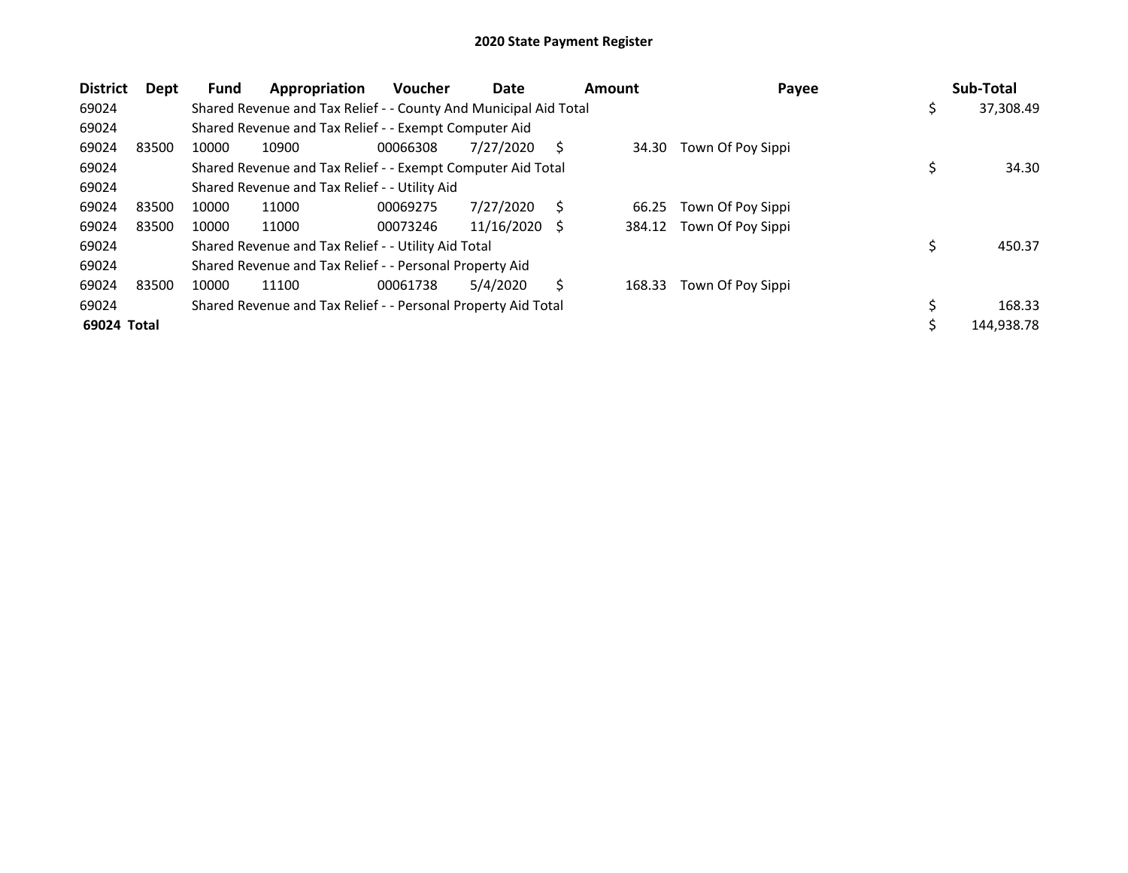| <b>District</b> | Dept  | Fund  | Appropriation                                                    | <b>Voucher</b> | Date       |    | Amount | Payee             |    | Sub-Total  |
|-----------------|-------|-------|------------------------------------------------------------------|----------------|------------|----|--------|-------------------|----|------------|
| 69024           |       |       | Shared Revenue and Tax Relief - - County And Municipal Aid Total |                |            |    |        |                   | \$ | 37,308.49  |
| 69024           |       |       | Shared Revenue and Tax Relief - - Exempt Computer Aid            |                |            |    |        |                   |    |            |
| 69024           | 83500 | 10000 | 10900                                                            | 00066308       | 7/27/2020  | S  | 34.30  | Town Of Poy Sippi |    |            |
| 69024           |       |       | Shared Revenue and Tax Relief - - Exempt Computer Aid Total      |                |            |    |        |                   |    | 34.30      |
| 69024           |       |       | Shared Revenue and Tax Relief - - Utility Aid                    |                |            |    |        |                   |    |            |
| 69024           | 83500 | 10000 | 11000                                                            | 00069275       | 7/27/2020  | S  | 66.25  | Town Of Poy Sippi |    |            |
| 69024           | 83500 | 10000 | 11000                                                            | 00073246       | 11/16/2020 | -S | 384.12 | Town Of Poy Sippi |    |            |
| 69024           |       |       | Shared Revenue and Tax Relief - - Utility Aid Total              |                |            |    |        |                   | \$ | 450.37     |
| 69024           |       |       | Shared Revenue and Tax Relief - - Personal Property Aid          |                |            |    |        |                   |    |            |
| 69024           | 83500 | 10000 | 11100                                                            | 00061738       | 5/4/2020   | S  | 168.33 | Town Of Poy Sippi |    |            |
| 69024           |       |       | Shared Revenue and Tax Relief - - Personal Property Aid Total    |                |            |    |        |                   | Ś  | 168.33     |
| 69024 Total     |       |       |                                                                  |                |            |    |        |                   | Ś  | 144,938.78 |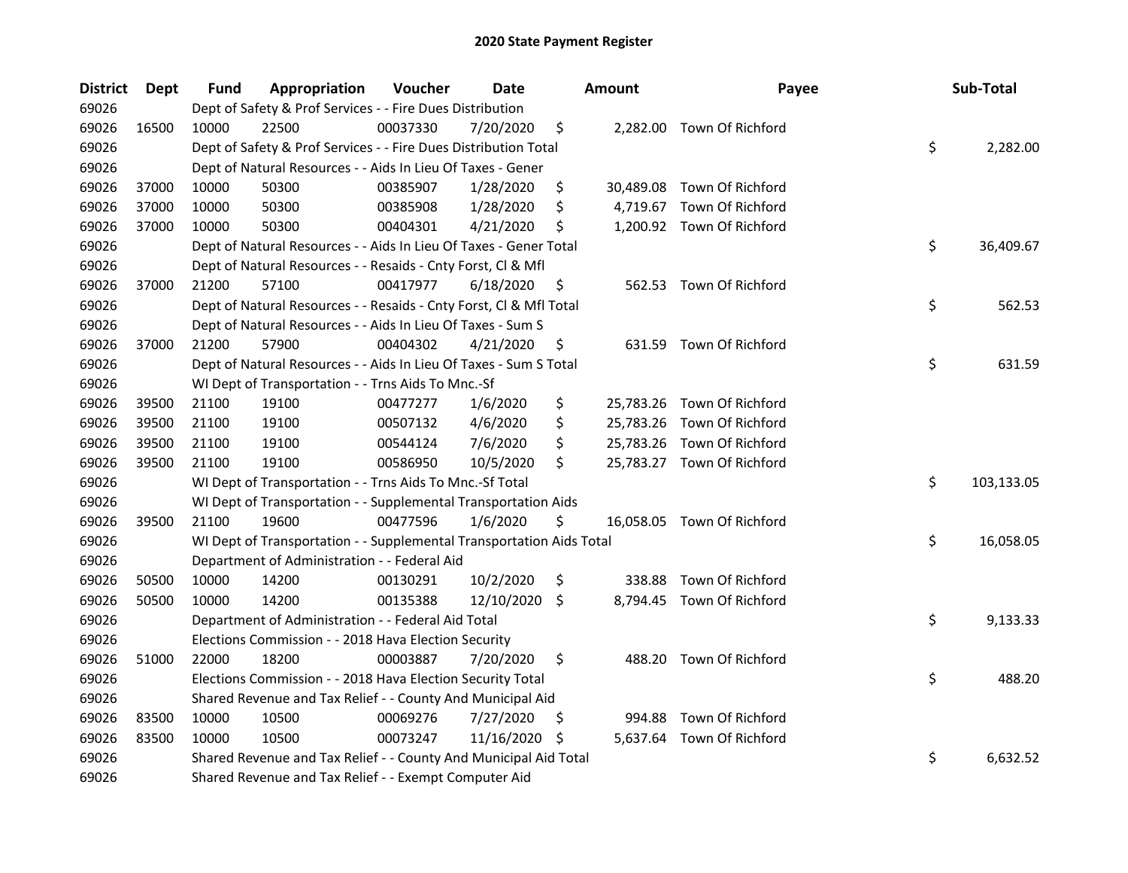| <b>District</b> | <b>Dept</b> | Fund  | Appropriation                                                        | Voucher  | <b>Date</b> |     | <b>Amount</b> | Payee                      | Sub-Total        |
|-----------------|-------------|-------|----------------------------------------------------------------------|----------|-------------|-----|---------------|----------------------------|------------------|
| 69026           |             |       | Dept of Safety & Prof Services - - Fire Dues Distribution            |          |             |     |               |                            |                  |
| 69026           | 16500       | 10000 | 22500                                                                | 00037330 | 7/20/2020   | \$  |               | 2,282.00 Town Of Richford  |                  |
| 69026           |             |       | Dept of Safety & Prof Services - - Fire Dues Distribution Total      |          |             |     |               |                            | \$<br>2,282.00   |
| 69026           |             |       | Dept of Natural Resources - - Aids In Lieu Of Taxes - Gener          |          |             |     |               |                            |                  |
| 69026           | 37000       | 10000 | 50300                                                                | 00385907 | 1/28/2020   | \$  |               | 30,489.08 Town Of Richford |                  |
| 69026           | 37000       | 10000 | 50300                                                                | 00385908 | 1/28/2020   | \$  | 4,719.67      | Town Of Richford           |                  |
| 69026           | 37000       | 10000 | 50300                                                                | 00404301 | 4/21/2020   | \$  |               | 1,200.92 Town Of Richford  |                  |
| 69026           |             |       | Dept of Natural Resources - - Aids In Lieu Of Taxes - Gener Total    |          |             |     |               |                            | \$<br>36,409.67  |
| 69026           |             |       | Dept of Natural Resources - - Resaids - Cnty Forst, Cl & Mfl         |          |             |     |               |                            |                  |
| 69026           | 37000       | 21200 | 57100                                                                | 00417977 | 6/18/2020   | \$  |               | 562.53 Town Of Richford    |                  |
| 69026           |             |       | Dept of Natural Resources - - Resaids - Cnty Forst, Cl & Mfl Total   |          |             |     |               |                            | \$<br>562.53     |
| 69026           |             |       | Dept of Natural Resources - - Aids In Lieu Of Taxes - Sum S          |          |             |     |               |                            |                  |
| 69026           | 37000       | 21200 | 57900                                                                | 00404302 | 4/21/2020   | \$  |               | 631.59 Town Of Richford    |                  |
| 69026           |             |       | Dept of Natural Resources - - Aids In Lieu Of Taxes - Sum S Total    |          |             |     |               |                            | \$<br>631.59     |
| 69026           |             |       | WI Dept of Transportation - - Trns Aids To Mnc.-Sf                   |          |             |     |               |                            |                  |
| 69026           | 39500       | 21100 | 19100                                                                | 00477277 | 1/6/2020    | \$  |               | 25,783.26 Town Of Richford |                  |
| 69026           | 39500       | 21100 | 19100                                                                | 00507132 | 4/6/2020    | \$  |               | 25,783.26 Town Of Richford |                  |
| 69026           | 39500       | 21100 | 19100                                                                | 00544124 | 7/6/2020    | \$  |               | 25,783.26 Town Of Richford |                  |
| 69026           | 39500       | 21100 | 19100                                                                | 00586950 | 10/5/2020   | \$  |               | 25,783.27 Town Of Richford |                  |
| 69026           |             |       | WI Dept of Transportation - - Trns Aids To Mnc.-Sf Total             |          |             |     |               |                            | \$<br>103,133.05 |
| 69026           |             |       | WI Dept of Transportation - - Supplemental Transportation Aids       |          |             |     |               |                            |                  |
| 69026           | 39500       | 21100 | 19600                                                                | 00477596 | 1/6/2020    | \$  |               | 16,058.05 Town Of Richford |                  |
| 69026           |             |       | WI Dept of Transportation - - Supplemental Transportation Aids Total |          |             |     |               |                            | \$<br>16,058.05  |
| 69026           |             |       | Department of Administration - - Federal Aid                         |          |             |     |               |                            |                  |
| 69026           | 50500       | 10000 | 14200                                                                | 00130291 | 10/2/2020   | \$  | 338.88        | Town Of Richford           |                  |
| 69026           | 50500       | 10000 | 14200                                                                | 00135388 | 12/10/2020  | S.  |               | 8,794.45 Town Of Richford  |                  |
| 69026           |             |       | Department of Administration - - Federal Aid Total                   |          |             |     |               |                            | \$<br>9,133.33   |
| 69026           |             |       | Elections Commission - - 2018 Hava Election Security                 |          |             |     |               |                            |                  |
| 69026           | 51000       | 22000 | 18200                                                                | 00003887 | 7/20/2020   | \$  |               | 488.20 Town Of Richford    |                  |
| 69026           |             |       | Elections Commission - - 2018 Hava Election Security Total           |          |             |     |               |                            | \$<br>488.20     |
| 69026           |             |       | Shared Revenue and Tax Relief - - County And Municipal Aid           |          |             |     |               |                            |                  |
| 69026           | 83500       | 10000 | 10500                                                                | 00069276 | 7/27/2020   | \$, | 994.88        | Town Of Richford           |                  |
| 69026           | 83500       | 10000 | 10500                                                                | 00073247 | 11/16/2020  | S   |               | 5,637.64 Town Of Richford  |                  |
| 69026           |             |       | Shared Revenue and Tax Relief - - County And Municipal Aid Total     |          |             |     |               |                            | \$<br>6,632.52   |
| 69026           |             |       | Shared Revenue and Tax Relief - - Exempt Computer Aid                |          |             |     |               |                            |                  |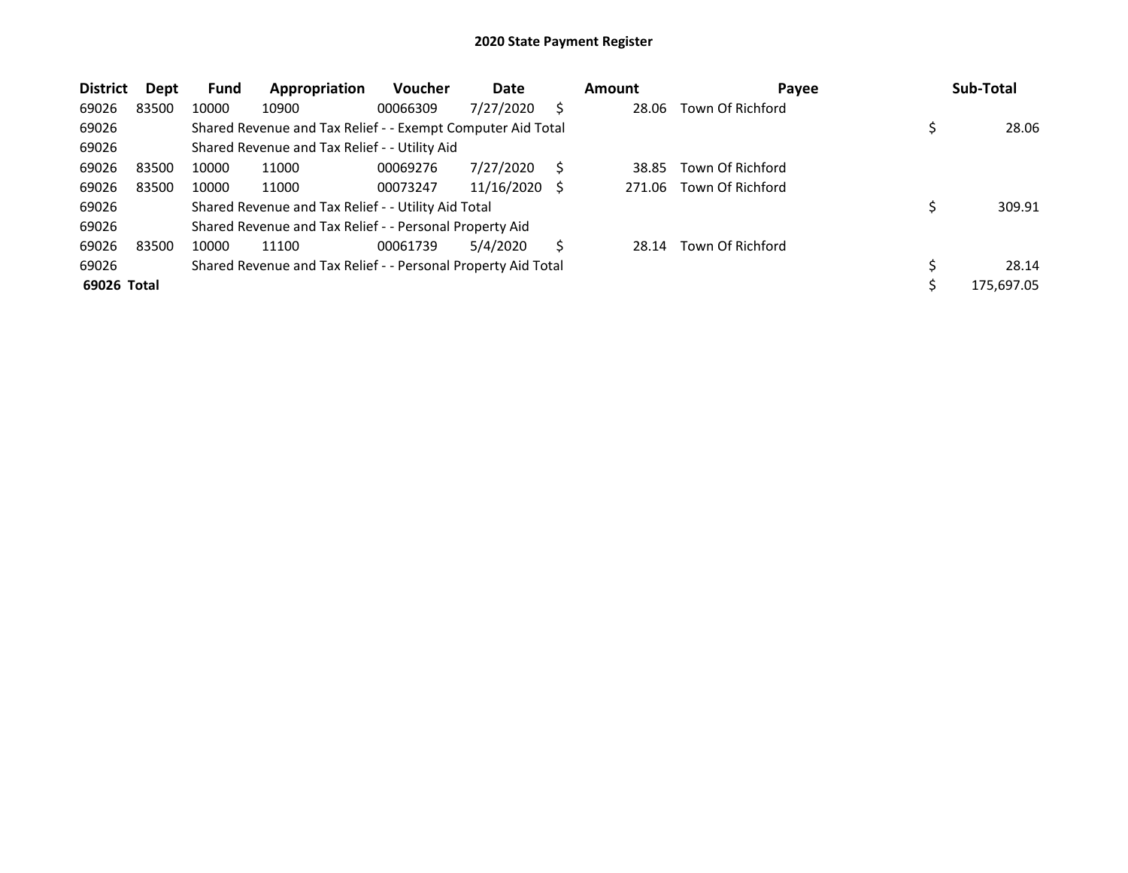| <b>District</b> | Dept  | <b>Fund</b> | Appropriation                                                 | <b>Voucher</b> | Date       |   | <b>Amount</b> | Payee            | Sub-Total  |
|-----------------|-------|-------------|---------------------------------------------------------------|----------------|------------|---|---------------|------------------|------------|
| 69026           | 83500 | 10000       | 10900                                                         | 00066309       | 7/27/2020  | S | 28.06         | Town Of Richford |            |
| 69026           |       |             | Shared Revenue and Tax Relief - - Exempt Computer Aid Total   |                |            |   |               |                  | 28.06      |
| 69026           |       |             | Shared Revenue and Tax Relief - - Utility Aid                 |                |            |   |               |                  |            |
| 69026           | 83500 | 10000       | 11000                                                         | 00069276       | 7/27/2020  |   | 38.85         | Town Of Richford |            |
| 69026           | 83500 | 10000       | 11000                                                         | 00073247       | 11/16/2020 | S | 271.06        | Town Of Richford |            |
| 69026           |       |             | Shared Revenue and Tax Relief - - Utility Aid Total           |                |            |   |               |                  | 309.91     |
| 69026           |       |             | Shared Revenue and Tax Relief - - Personal Property Aid       |                |            |   |               |                  |            |
| 69026           | 83500 | 10000       | 11100                                                         | 00061739       | 5/4/2020   | S | 28.14         | Town Of Richford |            |
| 69026           |       |             | Shared Revenue and Tax Relief - - Personal Property Aid Total |                |            |   |               |                  | 28.14      |
| 69026 Total     |       |             |                                                               |                |            |   |               |                  | 175,697.05 |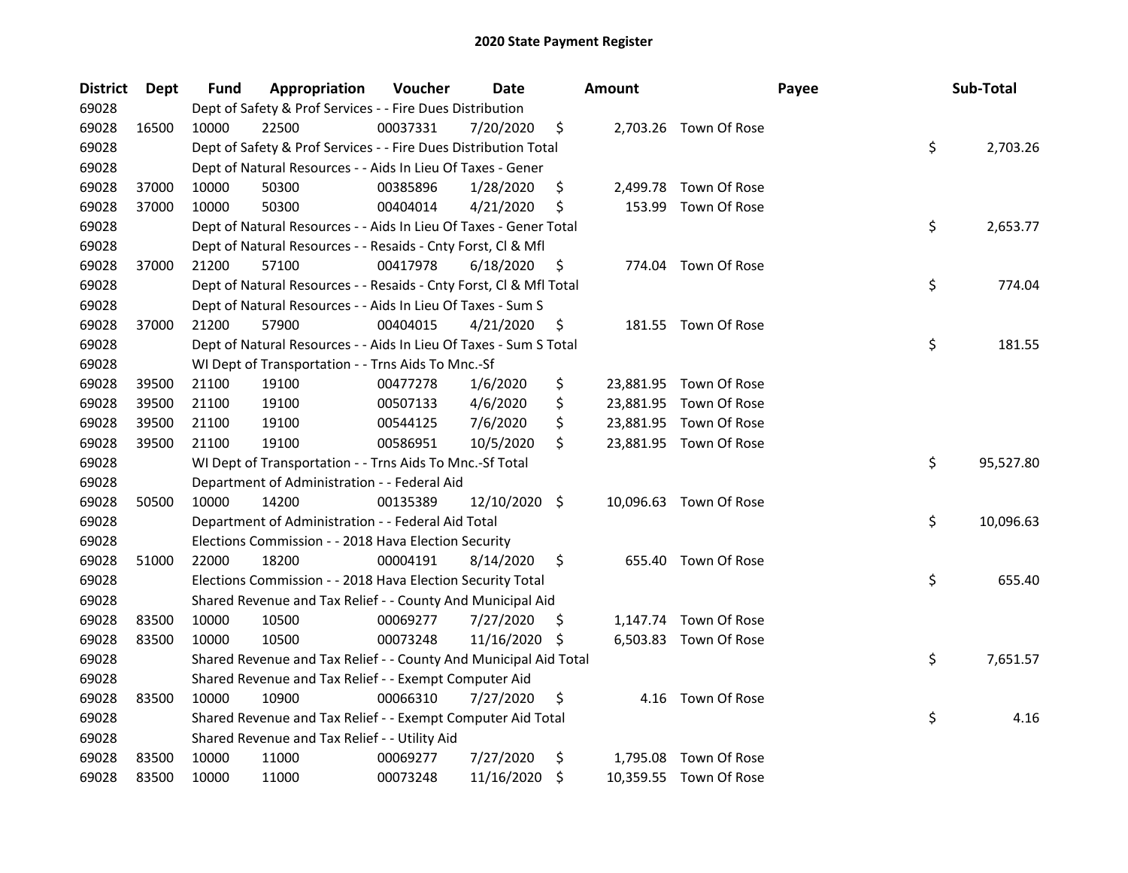| <b>District</b> | <b>Dept</b> | Fund  | Appropriation                                                      | Voucher  | Date          |     | <b>Amount</b> |                        | Payee | Sub-Total |
|-----------------|-------------|-------|--------------------------------------------------------------------|----------|---------------|-----|---------------|------------------------|-------|-----------|
| 69028           |             |       | Dept of Safety & Prof Services - - Fire Dues Distribution          |          |               |     |               |                        |       |           |
| 69028           | 16500       | 10000 | 22500                                                              | 00037331 | 7/20/2020     | \$  |               | 2,703.26 Town Of Rose  |       |           |
| 69028           |             |       | Dept of Safety & Prof Services - - Fire Dues Distribution Total    |          |               |     |               |                        | \$    | 2,703.26  |
| 69028           |             |       | Dept of Natural Resources - - Aids In Lieu Of Taxes - Gener        |          |               |     |               |                        |       |           |
| 69028           | 37000       | 10000 | 50300                                                              | 00385896 | 1/28/2020     | \$  |               | 2,499.78 Town Of Rose  |       |           |
| 69028           | 37000       | 10000 | 50300                                                              | 00404014 | 4/21/2020     | \$  | 153.99        | Town Of Rose           |       |           |
| 69028           |             |       | Dept of Natural Resources - - Aids In Lieu Of Taxes - Gener Total  |          |               |     |               |                        | \$    | 2,653.77  |
| 69028           |             |       | Dept of Natural Resources - - Resaids - Cnty Forst, Cl & Mfl       |          |               |     |               |                        |       |           |
| 69028           | 37000       | 21200 | 57100                                                              | 00417978 | 6/18/2020     | \$  |               | 774.04 Town Of Rose    |       |           |
| 69028           |             |       | Dept of Natural Resources - - Resaids - Cnty Forst, Cl & Mfl Total |          |               |     |               |                        | \$    | 774.04    |
| 69028           |             |       | Dept of Natural Resources - - Aids In Lieu Of Taxes - Sum S        |          |               |     |               |                        |       |           |
| 69028           | 37000       | 21200 | 57900                                                              | 00404015 | 4/21/2020     | \$, |               | 181.55 Town Of Rose    |       |           |
| 69028           |             |       | Dept of Natural Resources - - Aids In Lieu Of Taxes - Sum S Total  |          |               |     |               |                        | \$    | 181.55    |
| 69028           |             |       | WI Dept of Transportation - - Trns Aids To Mnc.-Sf                 |          |               |     |               |                        |       |           |
| 69028           | 39500       | 21100 | 19100                                                              | 00477278 | 1/6/2020      | \$  |               | 23,881.95 Town Of Rose |       |           |
| 69028           | 39500       | 21100 | 19100                                                              | 00507133 | 4/6/2020      | \$  |               | 23,881.95 Town Of Rose |       |           |
| 69028           | 39500       | 21100 | 19100                                                              | 00544125 | 7/6/2020      | \$  |               | 23,881.95 Town Of Rose |       |           |
| 69028           | 39500       | 21100 | 19100                                                              | 00586951 | 10/5/2020     | \$  |               | 23,881.95 Town Of Rose |       |           |
| 69028           |             |       | WI Dept of Transportation - - Trns Aids To Mnc.-Sf Total           |          |               |     |               |                        | \$    | 95,527.80 |
| 69028           |             |       | Department of Administration - - Federal Aid                       |          |               |     |               |                        |       |           |
| 69028           | 50500       | 10000 | 14200                                                              | 00135389 | 12/10/2020 \$ |     |               | 10,096.63 Town Of Rose |       |           |
| 69028           |             |       | Department of Administration - - Federal Aid Total                 |          |               |     |               |                        | \$    | 10,096.63 |
| 69028           |             |       | Elections Commission - - 2018 Hava Election Security               |          |               |     |               |                        |       |           |
| 69028           | 51000       | 22000 | 18200                                                              | 00004191 | 8/14/2020     | \$  |               | 655.40 Town Of Rose    |       |           |
| 69028           |             |       | Elections Commission - - 2018 Hava Election Security Total         |          |               |     |               |                        | \$    | 655.40    |
| 69028           |             |       | Shared Revenue and Tax Relief - - County And Municipal Aid         |          |               |     |               |                        |       |           |
| 69028           | 83500       | 10000 | 10500                                                              | 00069277 | 7/27/2020     | \$, |               | 1,147.74 Town Of Rose  |       |           |
| 69028           | 83500       | 10000 | 10500                                                              | 00073248 | 11/16/2020    | -S  |               | 6,503.83 Town Of Rose  |       |           |
| 69028           |             |       | Shared Revenue and Tax Relief - - County And Municipal Aid Total   |          |               |     |               |                        | \$    | 7,651.57  |
| 69028           |             |       | Shared Revenue and Tax Relief - - Exempt Computer Aid              |          |               |     |               |                        |       |           |
| 69028           | 83500       | 10000 | 10900                                                              | 00066310 | 7/27/2020     | \$  |               | 4.16 Town Of Rose      |       |           |
| 69028           |             |       | Shared Revenue and Tax Relief - - Exempt Computer Aid Total        |          |               |     |               |                        | \$    | 4.16      |
| 69028           |             |       | Shared Revenue and Tax Relief - - Utility Aid                      |          |               |     |               |                        |       |           |
| 69028           | 83500       | 10000 | 11000                                                              | 00069277 | 7/27/2020     | \$  |               | 1,795.08 Town Of Rose  |       |           |
| 69028           | 83500       | 10000 | 11000                                                              | 00073248 | 11/16/2020    | \$  |               | 10,359.55 Town Of Rose |       |           |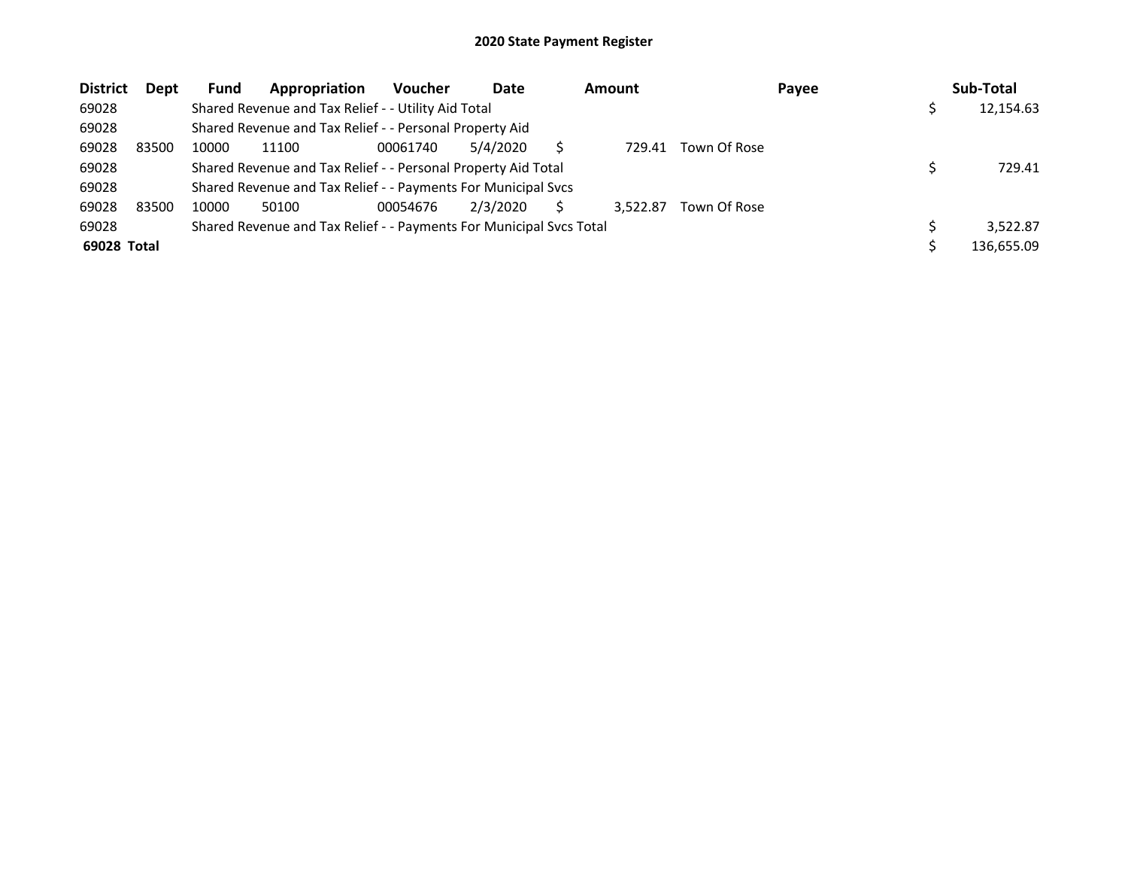| <b>District</b> | Dept  | <b>Fund</b> | Appropriation                                                       | <b>Voucher</b> | Date     | <b>Amount</b> |              | Payee | Sub-Total  |
|-----------------|-------|-------------|---------------------------------------------------------------------|----------------|----------|---------------|--------------|-------|------------|
| 69028           |       |             | Shared Revenue and Tax Relief - - Utility Aid Total                 |                |          |               |              |       | 12,154.63  |
| 69028           |       |             | Shared Revenue and Tax Relief - - Personal Property Aid             |                |          |               |              |       |            |
| 69028           | 83500 | 10000       | 11100                                                               | 00061740       | 5/4/2020 | 729.41        | Town Of Rose |       |            |
| 69028           |       |             | Shared Revenue and Tax Relief - - Personal Property Aid Total       |                |          |               |              |       | 729.41     |
| 69028           |       |             | Shared Revenue and Tax Relief - - Payments For Municipal Svcs       |                |          |               |              |       |            |
| 69028           | 83500 | 10000       | 50100                                                               | 00054676       | 2/3/2020 | 3.522.87      | Town Of Rose |       |            |
| 69028           |       |             | Shared Revenue and Tax Relief - - Payments For Municipal Svcs Total |                |          |               |              |       | 3.522.87   |
| 69028 Total     |       |             |                                                                     |                |          |               |              |       | 136,655.09 |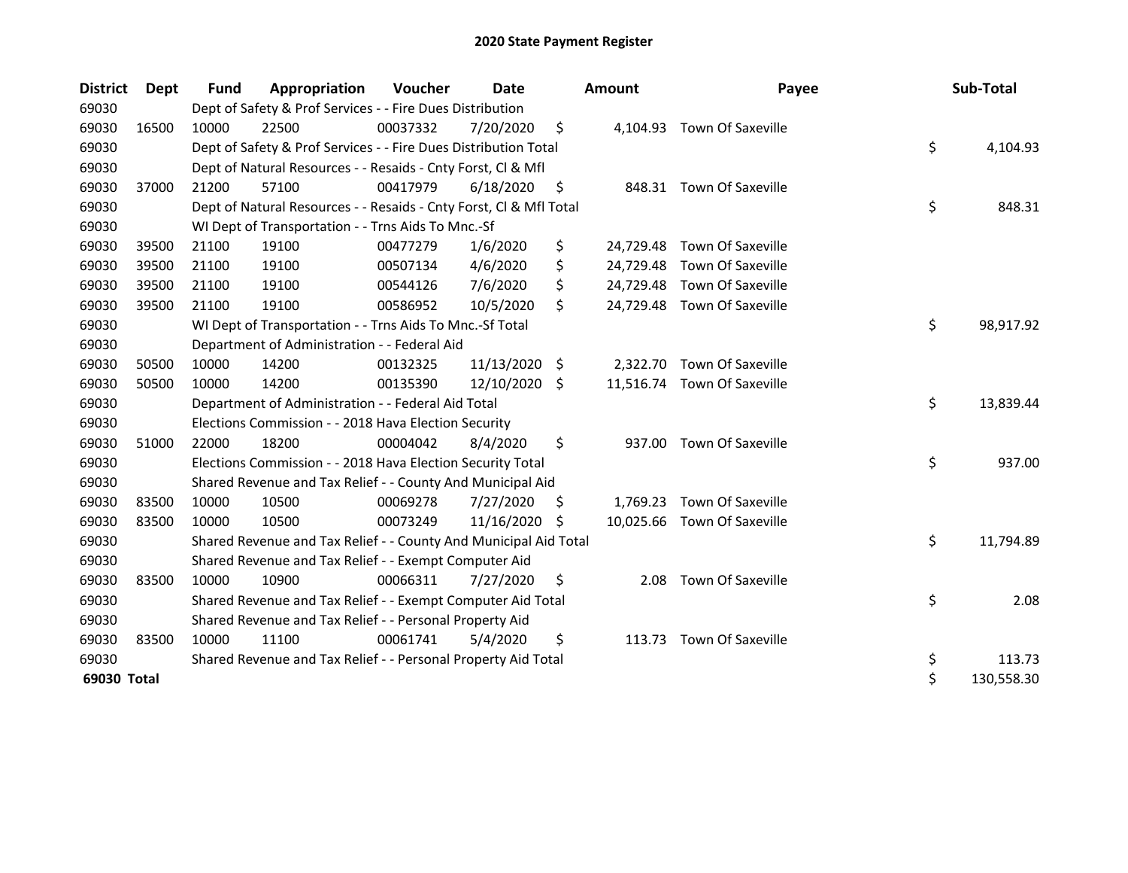| <b>District</b> | Dept  | <b>Fund</b> | Appropriation                                                      | Voucher  | Date          |     | Amount   | Payee                       | Sub-Total        |
|-----------------|-------|-------------|--------------------------------------------------------------------|----------|---------------|-----|----------|-----------------------------|------------------|
| 69030           |       |             | Dept of Safety & Prof Services - - Fire Dues Distribution          |          |               |     |          |                             |                  |
| 69030           | 16500 | 10000       | 22500                                                              | 00037332 | 7/20/2020     | \$  |          | 4,104.93 Town Of Saxeville  |                  |
| 69030           |       |             | Dept of Safety & Prof Services - - Fire Dues Distribution Total    |          |               |     |          |                             | \$<br>4,104.93   |
| 69030           |       |             | Dept of Natural Resources - - Resaids - Cnty Forst, Cl & Mfl       |          |               |     |          |                             |                  |
| 69030           | 37000 | 21200       | 57100                                                              | 00417979 | 6/18/2020     | \$, |          | 848.31 Town Of Saxeville    |                  |
| 69030           |       |             | Dept of Natural Resources - - Resaids - Cnty Forst, Cl & Mfl Total |          |               |     |          |                             | \$<br>848.31     |
| 69030           |       |             | WI Dept of Transportation - - Trns Aids To Mnc.-Sf                 |          |               |     |          |                             |                  |
| 69030           | 39500 | 21100       | 19100                                                              | 00477279 | 1/6/2020      | \$  |          | 24,729.48 Town Of Saxeville |                  |
| 69030           | 39500 | 21100       | 19100                                                              | 00507134 | 4/6/2020      | \$  |          | 24,729.48 Town Of Saxeville |                  |
| 69030           | 39500 | 21100       | 19100                                                              | 00544126 | 7/6/2020      | \$  |          | 24,729.48 Town Of Saxeville |                  |
| 69030           | 39500 | 21100       | 19100                                                              | 00586952 | 10/5/2020     | \$  |          | 24,729.48 Town Of Saxeville |                  |
| 69030           |       |             | WI Dept of Transportation - - Trns Aids To Mnc.-Sf Total           |          |               |     |          |                             | \$<br>98,917.92  |
| 69030           |       |             | Department of Administration - - Federal Aid                       |          |               |     |          |                             |                  |
| 69030           | 50500 | 10000       | 14200                                                              | 00132325 | 11/13/2020 \$ |     |          | 2,322.70 Town Of Saxeville  |                  |
| 69030           | 50500 | 10000       | 14200                                                              | 00135390 | 12/10/2020    | -S  |          | 11,516.74 Town Of Saxeville |                  |
| 69030           |       |             | Department of Administration - - Federal Aid Total                 |          |               |     |          |                             | \$<br>13,839.44  |
| 69030           |       |             | Elections Commission - - 2018 Hava Election Security               |          |               |     |          |                             |                  |
| 69030           | 51000 | 22000       | 18200                                                              | 00004042 | 8/4/2020      | \$  | 937.00   | Town Of Saxeville           |                  |
| 69030           |       |             | Elections Commission - - 2018 Hava Election Security Total         |          |               |     |          |                             | \$<br>937.00     |
| 69030           |       |             | Shared Revenue and Tax Relief - - County And Municipal Aid         |          |               |     |          |                             |                  |
| 69030           | 83500 | 10000       | 10500                                                              | 00069278 | 7/27/2020     | \$. | 1,769.23 | <b>Town Of Saxeville</b>    |                  |
| 69030           | 83500 | 10000       | 10500                                                              | 00073249 | 11/16/2020    | S   |          | 10,025.66 Town Of Saxeville |                  |
| 69030           |       |             | Shared Revenue and Tax Relief - - County And Municipal Aid Total   |          |               |     |          |                             | \$<br>11,794.89  |
| 69030           |       |             | Shared Revenue and Tax Relief - - Exempt Computer Aid              |          |               |     |          |                             |                  |
| 69030           | 83500 | 10000       | 10900                                                              | 00066311 | 7/27/2020     | \$  | 2.08     | Town Of Saxeville           |                  |
| 69030           |       |             | Shared Revenue and Tax Relief - - Exempt Computer Aid Total        |          |               |     |          |                             | \$<br>2.08       |
| 69030           |       |             | Shared Revenue and Tax Relief - - Personal Property Aid            |          |               |     |          |                             |                  |
| 69030           | 83500 | 10000       | 11100                                                              | 00061741 | 5/4/2020      | \$  | 113.73   | <b>Town Of Saxeville</b>    |                  |
| 69030           |       |             | Shared Revenue and Tax Relief - - Personal Property Aid Total      |          |               |     |          |                             | \$<br>113.73     |
| 69030 Total     |       |             |                                                                    |          |               |     |          |                             | \$<br>130,558.30 |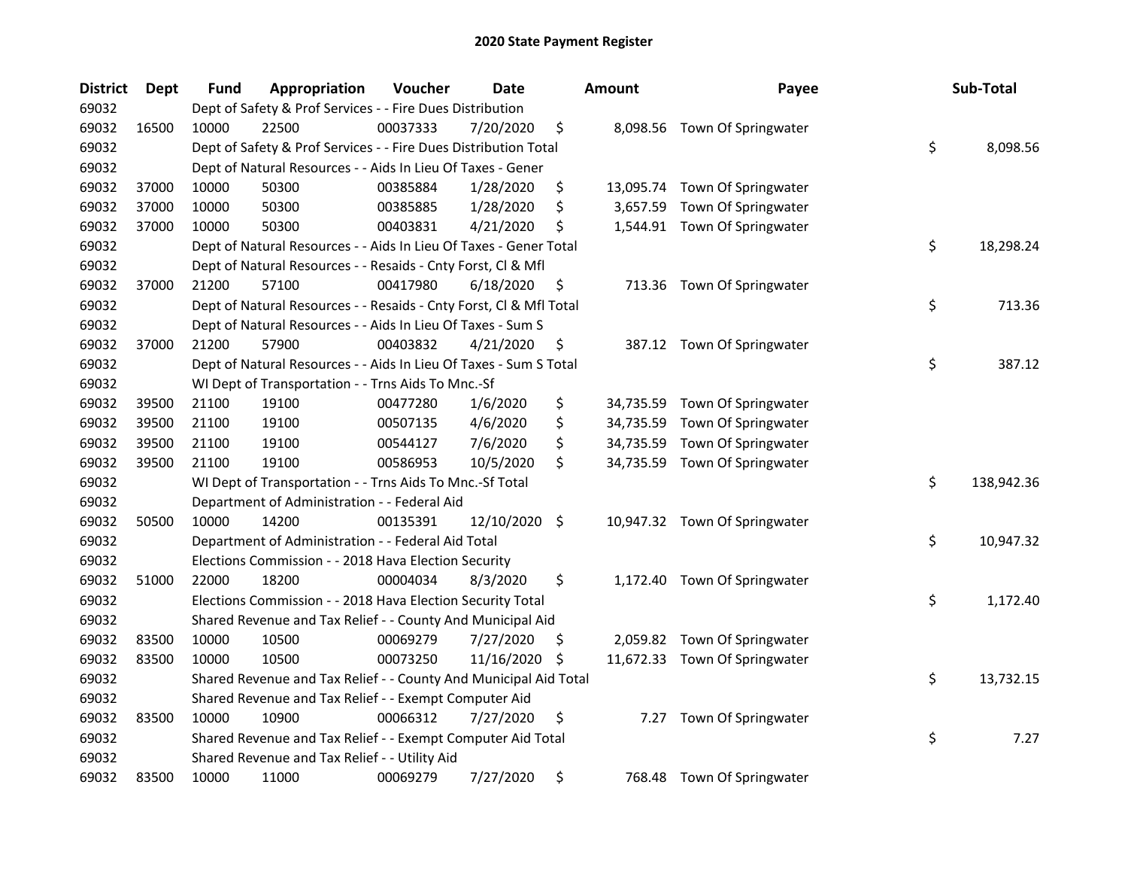| <b>District</b> | Dept  | Fund  | Appropriation                                                      | Voucher  | <b>Date</b>   |     | Amount    | Payee                         | Sub-Total        |
|-----------------|-------|-------|--------------------------------------------------------------------|----------|---------------|-----|-----------|-------------------------------|------------------|
| 69032           |       |       | Dept of Safety & Prof Services - - Fire Dues Distribution          |          |               |     |           |                               |                  |
| 69032           | 16500 | 10000 | 22500                                                              | 00037333 | 7/20/2020     | \$  |           | 8,098.56 Town Of Springwater  |                  |
| 69032           |       |       | Dept of Safety & Prof Services - - Fire Dues Distribution Total    |          |               |     |           |                               | \$<br>8,098.56   |
| 69032           |       |       | Dept of Natural Resources - - Aids In Lieu Of Taxes - Gener        |          |               |     |           |                               |                  |
| 69032           | 37000 | 10000 | 50300                                                              | 00385884 | 1/28/2020     | \$  |           | 13,095.74 Town Of Springwater |                  |
| 69032           | 37000 | 10000 | 50300                                                              | 00385885 | 1/28/2020     | \$  | 3,657.59  | Town Of Springwater           |                  |
| 69032           | 37000 | 10000 | 50300                                                              | 00403831 | 4/21/2020     | \$  |           | 1,544.91 Town Of Springwater  |                  |
| 69032           |       |       | Dept of Natural Resources - - Aids In Lieu Of Taxes - Gener Total  |          |               |     |           |                               | \$<br>18,298.24  |
| 69032           |       |       | Dept of Natural Resources - - Resaids - Cnty Forst, Cl & Mfl       |          |               |     |           |                               |                  |
| 69032           | 37000 | 21200 | 57100                                                              | 00417980 | 6/18/2020     | \$  |           | 713.36 Town Of Springwater    |                  |
| 69032           |       |       | Dept of Natural Resources - - Resaids - Cnty Forst, Cl & Mfl Total |          |               |     |           |                               | \$<br>713.36     |
| 69032           |       |       | Dept of Natural Resources - - Aids In Lieu Of Taxes - Sum S        |          |               |     |           |                               |                  |
| 69032           | 37000 | 21200 | 57900                                                              | 00403832 | 4/21/2020     | \$  |           | 387.12 Town Of Springwater    |                  |
| 69032           |       |       | Dept of Natural Resources - - Aids In Lieu Of Taxes - Sum S Total  |          |               |     |           |                               | \$<br>387.12     |
| 69032           |       |       | WI Dept of Transportation - - Trns Aids To Mnc.-Sf                 |          |               |     |           |                               |                  |
| 69032           | 39500 | 21100 | 19100                                                              | 00477280 | 1/6/2020      | \$  | 34,735.59 | Town Of Springwater           |                  |
| 69032           | 39500 | 21100 | 19100                                                              | 00507135 | 4/6/2020      | \$  | 34,735.59 | Town Of Springwater           |                  |
| 69032           | 39500 | 21100 | 19100                                                              | 00544127 | 7/6/2020      | \$  | 34,735.59 | Town Of Springwater           |                  |
| 69032           | 39500 | 21100 | 19100                                                              | 00586953 | 10/5/2020     | \$  |           | 34,735.59 Town Of Springwater |                  |
| 69032           |       |       | WI Dept of Transportation - - Trns Aids To Mnc.-Sf Total           |          |               |     |           |                               | \$<br>138,942.36 |
| 69032           |       |       | Department of Administration - - Federal Aid                       |          |               |     |           |                               |                  |
| 69032           | 50500 | 10000 | 14200                                                              | 00135391 | 12/10/2020 \$ |     |           | 10,947.32 Town Of Springwater |                  |
| 69032           |       |       | Department of Administration - - Federal Aid Total                 |          |               |     |           |                               | \$<br>10,947.32  |
| 69032           |       |       | Elections Commission - - 2018 Hava Election Security               |          |               |     |           |                               |                  |
| 69032           | 51000 | 22000 | 18200                                                              | 00004034 | 8/3/2020      | \$  |           | 1,172.40 Town Of Springwater  |                  |
| 69032           |       |       | Elections Commission - - 2018 Hava Election Security Total         |          |               |     |           |                               | \$<br>1,172.40   |
| 69032           |       |       | Shared Revenue and Tax Relief - - County And Municipal Aid         |          |               |     |           |                               |                  |
| 69032           | 83500 | 10000 | 10500                                                              | 00069279 | 7/27/2020     | \$. |           | 2,059.82 Town Of Springwater  |                  |
| 69032           | 83500 | 10000 | 10500                                                              | 00073250 | 11/16/2020    | \$. |           | 11,672.33 Town Of Springwater |                  |
| 69032           |       |       | Shared Revenue and Tax Relief - - County And Municipal Aid Total   |          |               |     |           |                               | \$<br>13,732.15  |
| 69032           |       |       | Shared Revenue and Tax Relief - - Exempt Computer Aid              |          |               |     |           |                               |                  |
| 69032           | 83500 | 10000 | 10900                                                              | 00066312 | 7/27/2020     | \$  | 7.27      | Town Of Springwater           |                  |
| 69032           |       |       | Shared Revenue and Tax Relief - - Exempt Computer Aid Total        |          |               |     |           |                               | \$<br>7.27       |
| 69032           |       |       | Shared Revenue and Tax Relief - - Utility Aid                      |          |               |     |           |                               |                  |
| 69032           | 83500 | 10000 | 11000                                                              | 00069279 | 7/27/2020     | \$  | 768.48    | Town Of Springwater           |                  |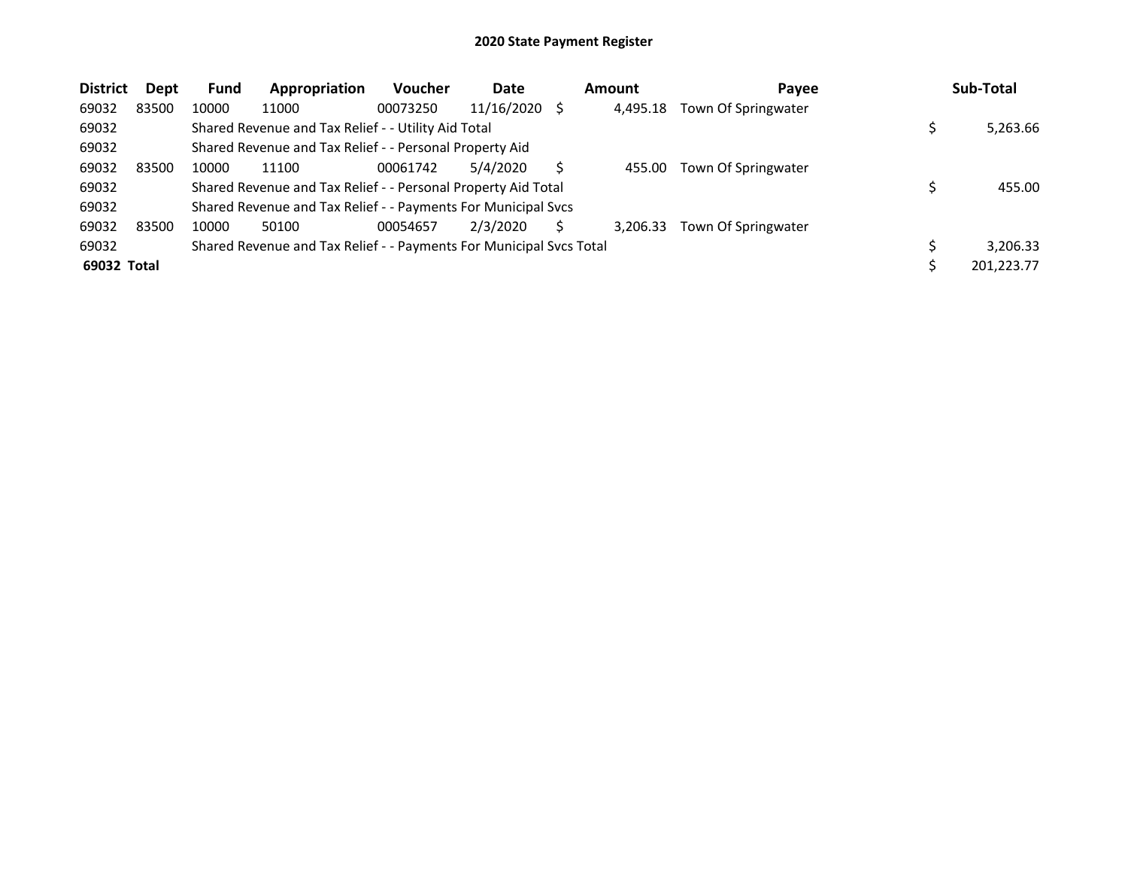| <b>District</b> | <b>Dept</b> | <b>Fund</b> | Appropriation                                                       | <b>Voucher</b> | Date       | Amount   | Payee               | Sub-Total  |
|-----------------|-------------|-------------|---------------------------------------------------------------------|----------------|------------|----------|---------------------|------------|
| 69032           | 83500       | 10000       | 11000                                                               | 00073250       | 11/16/2020 | 4.495.18 | Town Of Springwater |            |
| 69032           |             |             | Shared Revenue and Tax Relief - - Utility Aid Total                 |                |            |          |                     | 5,263.66   |
| 69032           |             |             | Shared Revenue and Tax Relief - - Personal Property Aid             |                |            |          |                     |            |
| 69032           | 83500       | 10000       | 11100                                                               | 00061742       | 5/4/2020   | 455.00   | Town Of Springwater |            |
| 69032           |             |             | Shared Revenue and Tax Relief - - Personal Property Aid Total       |                |            |          |                     | 455.00     |
| 69032           |             |             | Shared Revenue and Tax Relief - - Payments For Municipal Svcs       |                |            |          |                     |            |
| 69032           | 83500       | 10000       | 50100                                                               | 00054657       | 2/3/2020   | 3.206.33 | Town Of Springwater |            |
| 69032           |             |             | Shared Revenue and Tax Relief - - Payments For Municipal Svcs Total |                |            |          |                     | 3.206.33   |
| 69032 Total     |             |             |                                                                     |                |            |          |                     | 201,223.77 |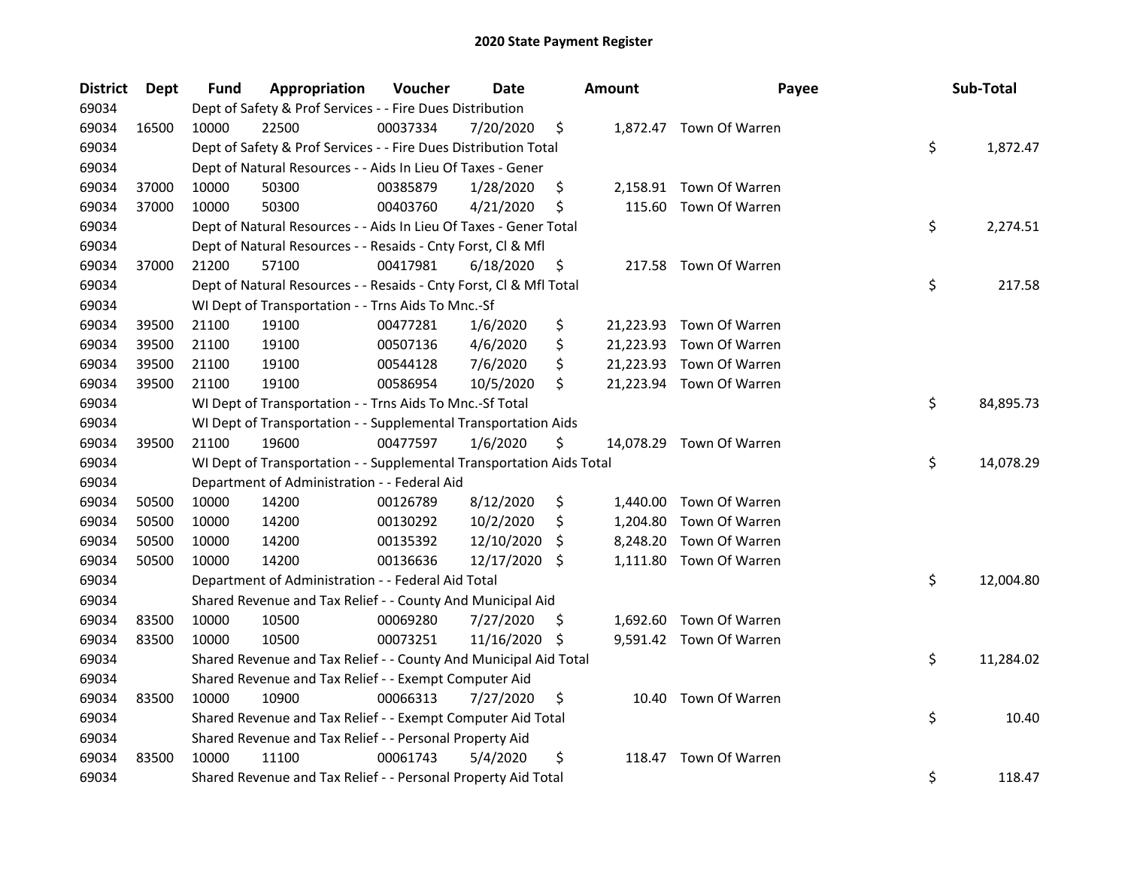| <b>District</b> | <b>Dept</b> | Fund  | Appropriation                                                        | Voucher  | Date          |     | <b>Amount</b> | Payee                    | Sub-Total       |
|-----------------|-------------|-------|----------------------------------------------------------------------|----------|---------------|-----|---------------|--------------------------|-----------------|
| 69034           |             |       | Dept of Safety & Prof Services - - Fire Dues Distribution            |          |               |     |               |                          |                 |
| 69034           | 16500       | 10000 | 22500                                                                | 00037334 | 7/20/2020     | \$  |               | 1,872.47 Town Of Warren  |                 |
| 69034           |             |       | Dept of Safety & Prof Services - - Fire Dues Distribution Total      |          |               |     |               |                          | \$<br>1,872.47  |
| 69034           |             |       | Dept of Natural Resources - - Aids In Lieu Of Taxes - Gener          |          |               |     |               |                          |                 |
| 69034           | 37000       | 10000 | 50300                                                                | 00385879 | 1/28/2020     | \$  |               | 2,158.91 Town Of Warren  |                 |
| 69034           | 37000       | 10000 | 50300                                                                | 00403760 | 4/21/2020     | \$  | 115.60        | Town Of Warren           |                 |
| 69034           |             |       | Dept of Natural Resources - - Aids In Lieu Of Taxes - Gener Total    |          |               |     |               |                          | \$<br>2,274.51  |
| 69034           |             |       | Dept of Natural Resources - - Resaids - Cnty Forst, Cl & Mfl         |          |               |     |               |                          |                 |
| 69034           | 37000       | 21200 | 57100                                                                | 00417981 | 6/18/2020     | \$  |               | 217.58 Town Of Warren    |                 |
| 69034           |             |       | Dept of Natural Resources - - Resaids - Cnty Forst, Cl & Mfl Total   |          |               |     |               |                          | \$<br>217.58    |
| 69034           |             |       | WI Dept of Transportation - - Trns Aids To Mnc.-Sf                   |          |               |     |               |                          |                 |
| 69034           | 39500       | 21100 | 19100                                                                | 00477281 | 1/6/2020      | \$  |               | 21,223.93 Town Of Warren |                 |
| 69034           | 39500       | 21100 | 19100                                                                | 00507136 | 4/6/2020      | \$  |               | 21,223.93 Town Of Warren |                 |
| 69034           | 39500       | 21100 | 19100                                                                | 00544128 | 7/6/2020      | \$  |               | 21,223.93 Town Of Warren |                 |
| 69034           | 39500       | 21100 | 19100                                                                | 00586954 | 10/5/2020     | \$  |               | 21,223.94 Town Of Warren |                 |
| 69034           |             |       | WI Dept of Transportation - - Trns Aids To Mnc.-Sf Total             |          |               |     |               |                          | \$<br>84,895.73 |
| 69034           |             |       | WI Dept of Transportation - - Supplemental Transportation Aids       |          |               |     |               |                          |                 |
| 69034           | 39500       | 21100 | 19600                                                                | 00477597 | 1/6/2020      | \$  |               | 14,078.29 Town Of Warren |                 |
| 69034           |             |       | WI Dept of Transportation - - Supplemental Transportation Aids Total |          |               |     |               |                          | \$<br>14,078.29 |
| 69034           |             |       | Department of Administration - - Federal Aid                         |          |               |     |               |                          |                 |
| 69034           | 50500       | 10000 | 14200                                                                | 00126789 | 8/12/2020     | \$  |               | 1,440.00 Town Of Warren  |                 |
| 69034           | 50500       | 10000 | 14200                                                                | 00130292 | 10/2/2020     | \$  | 1,204.80      | Town Of Warren           |                 |
| 69034           | 50500       | 10000 | 14200                                                                | 00135392 | 12/10/2020    | \$  | 8,248.20      | Town Of Warren           |                 |
| 69034           | 50500       | 10000 | 14200                                                                | 00136636 | 12/17/2020 \$ |     |               | 1,111.80 Town Of Warren  |                 |
| 69034           |             |       | Department of Administration - - Federal Aid Total                   |          |               |     |               |                          | \$<br>12,004.80 |
| 69034           |             |       | Shared Revenue and Tax Relief - - County And Municipal Aid           |          |               |     |               |                          |                 |
| 69034           | 83500       | 10000 | 10500                                                                | 00069280 | 7/27/2020     | \$. |               | 1,692.60 Town Of Warren  |                 |
| 69034           | 83500       | 10000 | 10500                                                                | 00073251 | 11/16/2020    | \$  |               | 9,591.42 Town Of Warren  |                 |
| 69034           |             |       | Shared Revenue and Tax Relief - - County And Municipal Aid Total     |          |               |     |               |                          | \$<br>11,284.02 |
| 69034           |             |       | Shared Revenue and Tax Relief - - Exempt Computer Aid                |          |               |     |               |                          |                 |
| 69034           | 83500       | 10000 | 10900                                                                | 00066313 | 7/27/2020     | \$  |               | 10.40 Town Of Warren     |                 |
| 69034           |             |       | Shared Revenue and Tax Relief - - Exempt Computer Aid Total          |          |               |     |               |                          | \$<br>10.40     |
| 69034           |             |       | Shared Revenue and Tax Relief - - Personal Property Aid              |          |               |     |               |                          |                 |
| 69034           | 83500       | 10000 | 11100                                                                | 00061743 | 5/4/2020      | \$  | 118.47        | Town Of Warren           |                 |
| 69034           |             |       | Shared Revenue and Tax Relief - - Personal Property Aid Total        |          |               |     |               |                          | \$<br>118.47    |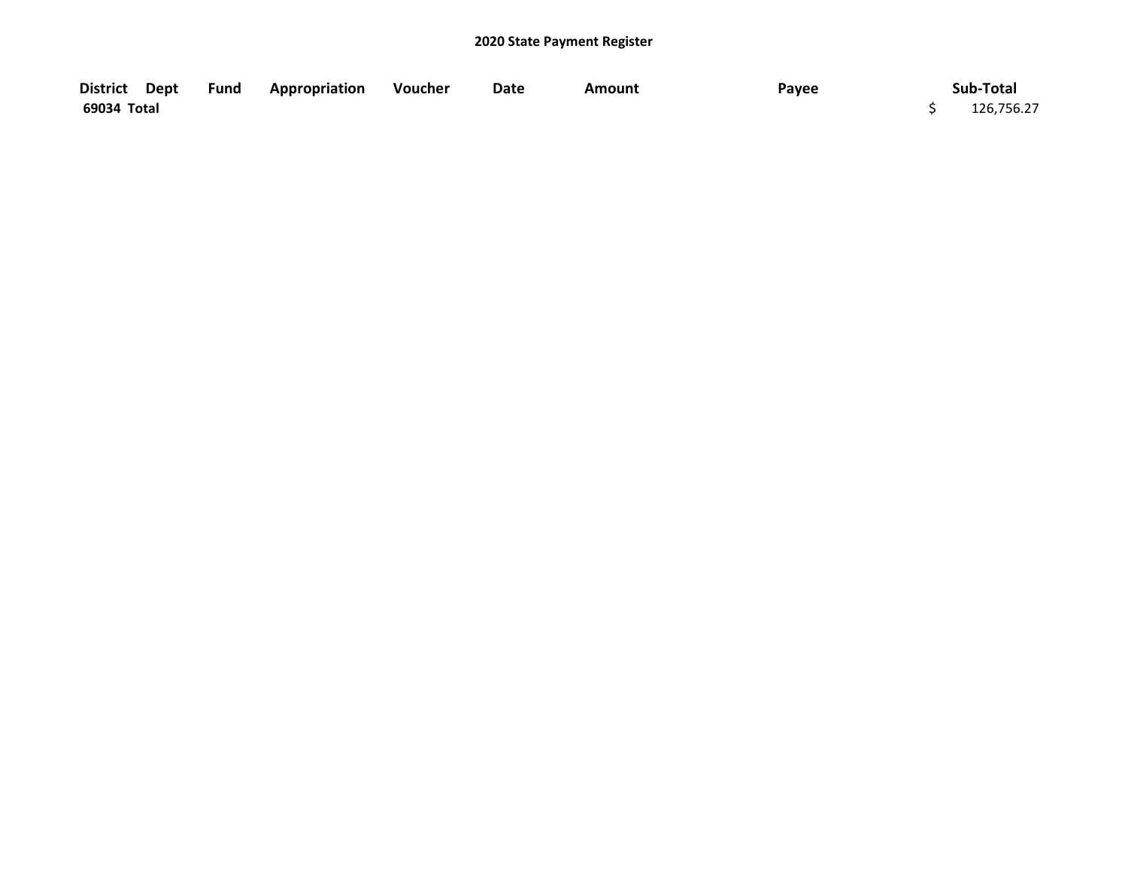| District Dept | <b>Fund Appropriation Voucher</b> | Date | Amount | Payee | Sub-Total  |
|---------------|-----------------------------------|------|--------|-------|------------|
| 69034 Total   |                                   |      |        |       | 126,756.27 |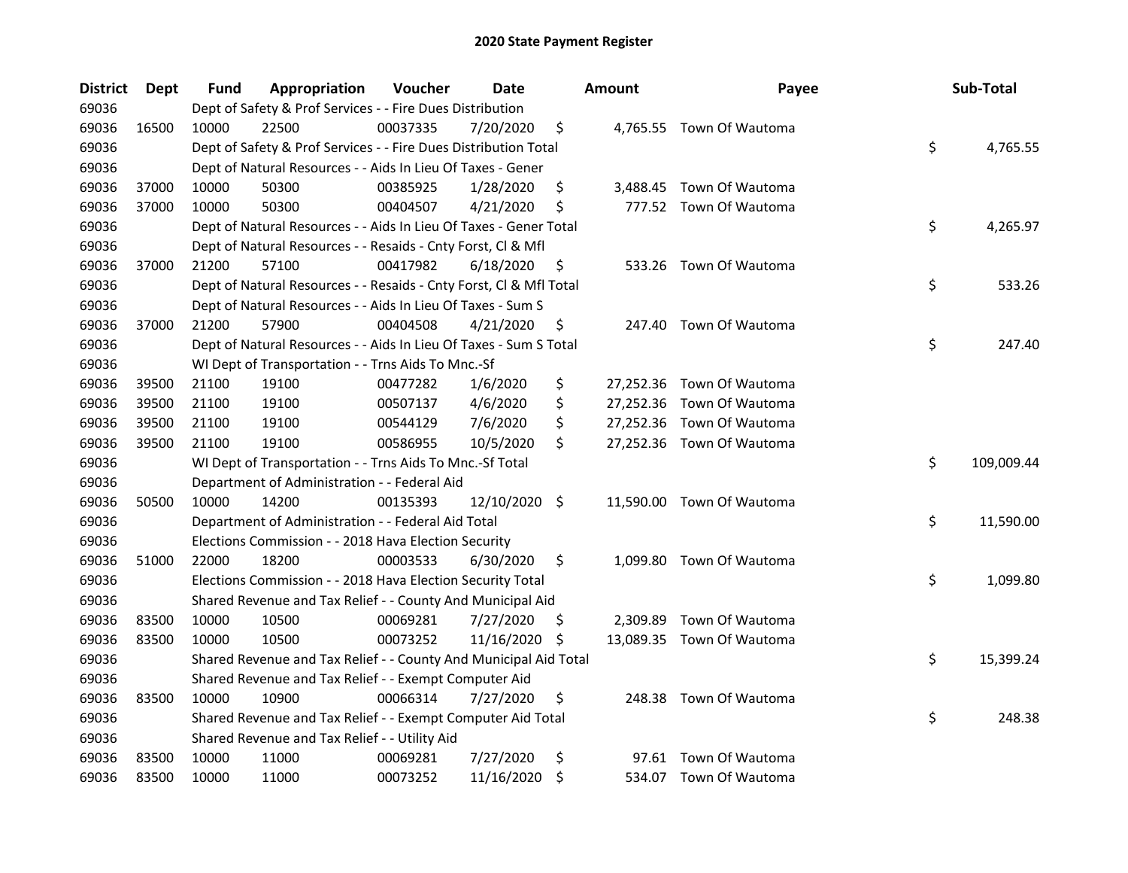| <b>District</b> | Dept  | Fund  | Appropriation                                                      | Voucher  | <b>Date</b>   |     | <b>Amount</b> | Payee                     | Sub-Total        |
|-----------------|-------|-------|--------------------------------------------------------------------|----------|---------------|-----|---------------|---------------------------|------------------|
| 69036           |       |       | Dept of Safety & Prof Services - - Fire Dues Distribution          |          |               |     |               |                           |                  |
| 69036           | 16500 | 10000 | 22500                                                              | 00037335 | 7/20/2020     | \$  |               | 4,765.55 Town Of Wautoma  |                  |
| 69036           |       |       | Dept of Safety & Prof Services - - Fire Dues Distribution Total    |          |               |     |               |                           | \$<br>4,765.55   |
| 69036           |       |       | Dept of Natural Resources - - Aids In Lieu Of Taxes - Gener        |          |               |     |               |                           |                  |
| 69036           | 37000 | 10000 | 50300                                                              | 00385925 | 1/28/2020     | \$  |               | 3,488.45 Town Of Wautoma  |                  |
| 69036           | 37000 | 10000 | 50300                                                              | 00404507 | 4/21/2020     | \$  |               | 777.52 Town Of Wautoma    |                  |
| 69036           |       |       | Dept of Natural Resources - - Aids In Lieu Of Taxes - Gener Total  |          |               |     |               |                           | \$<br>4,265.97   |
| 69036           |       |       | Dept of Natural Resources - - Resaids - Cnty Forst, Cl & Mfl       |          |               |     |               |                           |                  |
| 69036           | 37000 | 21200 | 57100                                                              | 00417982 | 6/18/2020     | \$  |               | 533.26 Town Of Wautoma    |                  |
| 69036           |       |       | Dept of Natural Resources - - Resaids - Cnty Forst, Cl & Mfl Total |          |               |     |               |                           | \$<br>533.26     |
| 69036           |       |       | Dept of Natural Resources - - Aids In Lieu Of Taxes - Sum S        |          |               |     |               |                           |                  |
| 69036           | 37000 | 21200 | 57900                                                              | 00404508 | 4/21/2020     | \$  |               | 247.40 Town Of Wautoma    |                  |
| 69036           |       |       | Dept of Natural Resources - - Aids In Lieu Of Taxes - Sum S Total  |          |               |     |               |                           | \$<br>247.40     |
| 69036           |       |       | WI Dept of Transportation - - Trns Aids To Mnc.-Sf                 |          |               |     |               |                           |                  |
| 69036           | 39500 | 21100 | 19100                                                              | 00477282 | 1/6/2020      | \$  |               | 27,252.36 Town Of Wautoma |                  |
| 69036           | 39500 | 21100 | 19100                                                              | 00507137 | 4/6/2020      | \$  |               | 27,252.36 Town Of Wautoma |                  |
| 69036           | 39500 | 21100 | 19100                                                              | 00544129 | 7/6/2020      | \$  |               | 27,252.36 Town Of Wautoma |                  |
| 69036           | 39500 | 21100 | 19100                                                              | 00586955 | 10/5/2020     | \$  |               | 27,252.36 Town Of Wautoma |                  |
| 69036           |       |       | WI Dept of Transportation - - Trns Aids To Mnc.-Sf Total           |          |               |     |               |                           | \$<br>109,009.44 |
| 69036           |       |       | Department of Administration - - Federal Aid                       |          |               |     |               |                           |                  |
| 69036           | 50500 | 10000 | 14200                                                              | 00135393 | 12/10/2020 \$ |     |               | 11,590.00 Town Of Wautoma |                  |
| 69036           |       |       | Department of Administration - - Federal Aid Total                 |          |               |     |               |                           | \$<br>11,590.00  |
| 69036           |       |       | Elections Commission - - 2018 Hava Election Security               |          |               |     |               |                           |                  |
| 69036           | 51000 | 22000 | 18200                                                              | 00003533 | 6/30/2020     | \$  |               | 1,099.80 Town Of Wautoma  |                  |
| 69036           |       |       | Elections Commission - - 2018 Hava Election Security Total         |          |               |     |               |                           | \$<br>1,099.80   |
| 69036           |       |       | Shared Revenue and Tax Relief - - County And Municipal Aid         |          |               |     |               |                           |                  |
| 69036           | 83500 | 10000 | 10500                                                              | 00069281 | 7/27/2020     | \$. | 2,309.89      | Town Of Wautoma           |                  |
| 69036           | 83500 | 10000 | 10500                                                              | 00073252 | 11/16/2020    | \$  |               | 13,089.35 Town Of Wautoma |                  |
| 69036           |       |       | Shared Revenue and Tax Relief - - County And Municipal Aid Total   |          |               |     |               |                           | \$<br>15,399.24  |
| 69036           |       |       | Shared Revenue and Tax Relief - - Exempt Computer Aid              |          |               |     |               |                           |                  |
| 69036           | 83500 | 10000 | 10900                                                              | 00066314 | 7/27/2020     | \$  |               | 248.38 Town Of Wautoma    |                  |
| 69036           |       |       | Shared Revenue and Tax Relief - - Exempt Computer Aid Total        |          |               |     |               |                           | \$<br>248.38     |
| 69036           |       |       | Shared Revenue and Tax Relief - - Utility Aid                      |          |               |     |               |                           |                  |
| 69036           | 83500 | 10000 | 11000                                                              | 00069281 | 7/27/2020     | \$  |               | 97.61 Town Of Wautoma     |                  |
| 69036           | 83500 | 10000 | 11000                                                              | 00073252 | 11/16/2020    | \$  |               | 534.07 Town Of Wautoma    |                  |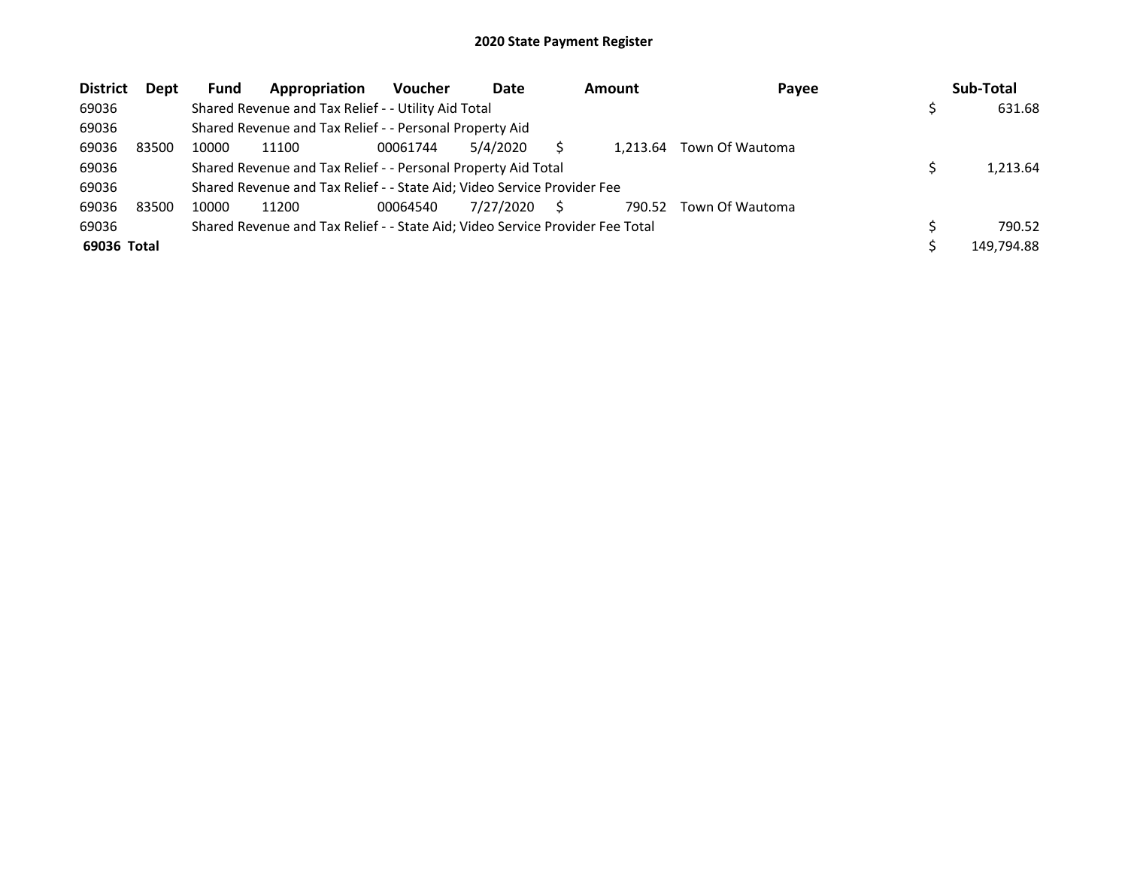| <b>District</b> | Dept  | <b>Fund</b> | Appropriation                                                                 | <b>Voucher</b> | Date      | <b>Amount</b> | Payee           | Sub-Total  |
|-----------------|-------|-------------|-------------------------------------------------------------------------------|----------------|-----------|---------------|-----------------|------------|
| 69036           |       |             | Shared Revenue and Tax Relief - - Utility Aid Total                           |                |           |               |                 | 631.68     |
| 69036           |       |             | Shared Revenue and Tax Relief - - Personal Property Aid                       |                |           |               |                 |            |
| 69036           | 83500 | 10000       | 11100                                                                         | 00061744       | 5/4/2020  | 1.213.64      | Town Of Wautoma |            |
| 69036           |       |             | Shared Revenue and Tax Relief - - Personal Property Aid Total                 |                |           |               |                 | 1,213.64   |
| 69036           |       |             | Shared Revenue and Tax Relief - - State Aid; Video Service Provider Fee       |                |           |               |                 |            |
| 69036           | 83500 | 10000       | 11200                                                                         | 00064540       | 7/27/2020 | 790.52        | Town Of Wautoma |            |
| 69036           |       |             | Shared Revenue and Tax Relief - - State Aid; Video Service Provider Fee Total |                |           |               |                 | 790.52     |
| 69036 Total     |       |             |                                                                               |                |           |               |                 | 149,794.88 |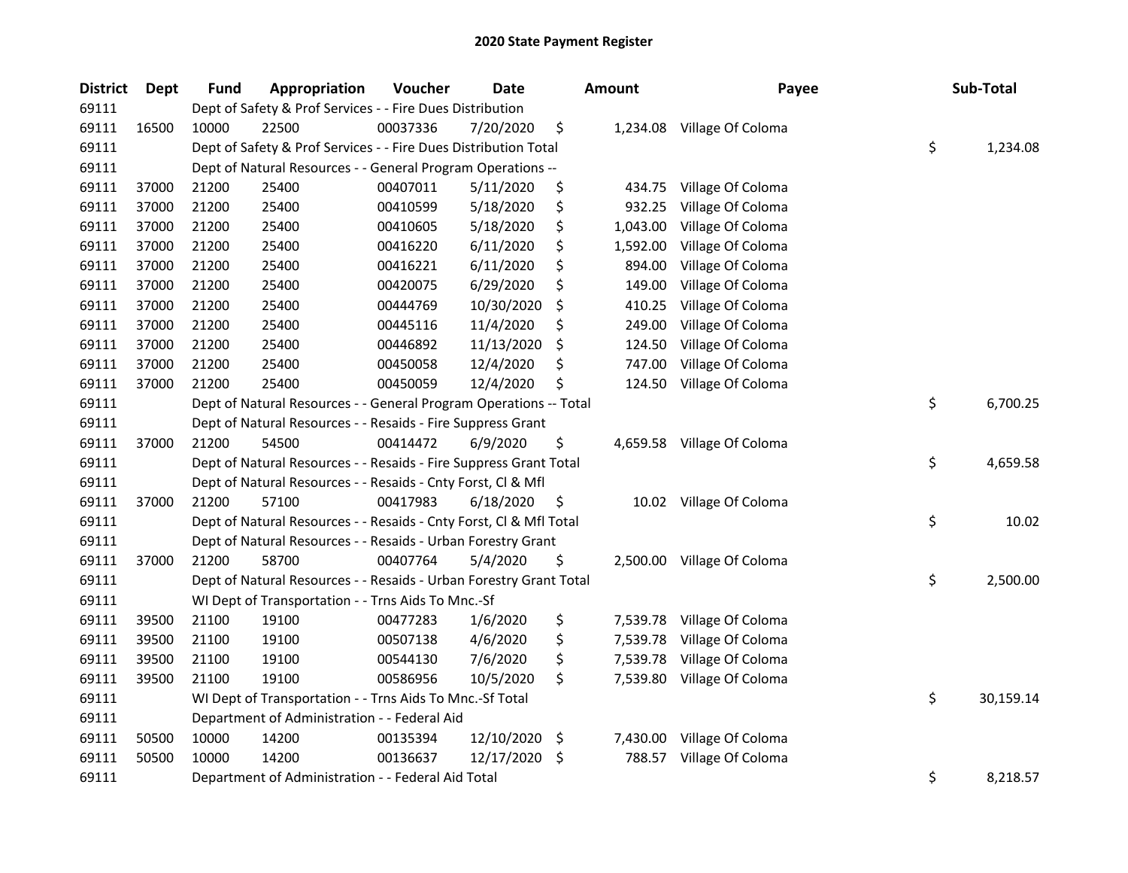| <b>District</b> | <b>Dept</b> | Fund  | Appropriation                                                      | Voucher  | <b>Date</b> | <b>Amount</b>  | Payee                      | Sub-Total       |
|-----------------|-------------|-------|--------------------------------------------------------------------|----------|-------------|----------------|----------------------------|-----------------|
| 69111           |             |       | Dept of Safety & Prof Services - - Fire Dues Distribution          |          |             |                |                            |                 |
| 69111           | 16500       | 10000 | 22500                                                              | 00037336 | 7/20/2020   | \$             | 1,234.08 Village Of Coloma |                 |
| 69111           |             |       | Dept of Safety & Prof Services - - Fire Dues Distribution Total    |          |             |                |                            | \$<br>1,234.08  |
| 69111           |             |       | Dept of Natural Resources - - General Program Operations --        |          |             |                |                            |                 |
| 69111           | 37000       | 21200 | 25400                                                              | 00407011 | 5/11/2020   | \$<br>434.75   | Village Of Coloma          |                 |
| 69111           | 37000       | 21200 | 25400                                                              | 00410599 | 5/18/2020   | \$<br>932.25   | Village Of Coloma          |                 |
| 69111           | 37000       | 21200 | 25400                                                              | 00410605 | 5/18/2020   | \$<br>1,043.00 | Village Of Coloma          |                 |
| 69111           | 37000       | 21200 | 25400                                                              | 00416220 | 6/11/2020   | \$<br>1,592.00 | Village Of Coloma          |                 |
| 69111           | 37000       | 21200 | 25400                                                              | 00416221 | 6/11/2020   | \$<br>894.00   | Village Of Coloma          |                 |
| 69111           | 37000       | 21200 | 25400                                                              | 00420075 | 6/29/2020   | \$<br>149.00   | Village Of Coloma          |                 |
| 69111           | 37000       | 21200 | 25400                                                              | 00444769 | 10/30/2020  | \$<br>410.25   | Village Of Coloma          |                 |
| 69111           | 37000       | 21200 | 25400                                                              | 00445116 | 11/4/2020   | \$<br>249.00   | Village Of Coloma          |                 |
| 69111           | 37000       | 21200 | 25400                                                              | 00446892 | 11/13/2020  | \$<br>124.50   | Village Of Coloma          |                 |
| 69111           | 37000       | 21200 | 25400                                                              | 00450058 | 12/4/2020   | \$<br>747.00   | Village Of Coloma          |                 |
| 69111           | 37000       | 21200 | 25400                                                              | 00450059 | 12/4/2020   | \$<br>124.50   | Village Of Coloma          |                 |
| 69111           |             |       | Dept of Natural Resources - - General Program Operations -- Total  |          |             |                |                            | \$<br>6,700.25  |
| 69111           |             |       | Dept of Natural Resources - - Resaids - Fire Suppress Grant        |          |             |                |                            |                 |
| 69111           | 37000       | 21200 | 54500                                                              | 00414472 | 6/9/2020    | \$<br>4,659.58 | Village Of Coloma          |                 |
| 69111           |             |       | Dept of Natural Resources - - Resaids - Fire Suppress Grant Total  |          |             |                |                            | \$<br>4,659.58  |
| 69111           |             |       | Dept of Natural Resources - - Resaids - Cnty Forst, Cl & Mfl       |          |             |                |                            |                 |
| 69111           | 37000       | 21200 | 57100                                                              | 00417983 | 6/18/2020   | \$             | 10.02 Village Of Coloma    |                 |
| 69111           |             |       | Dept of Natural Resources - - Resaids - Cnty Forst, Cl & Mfl Total |          |             |                |                            | \$<br>10.02     |
| 69111           |             |       | Dept of Natural Resources - - Resaids - Urban Forestry Grant       |          |             |                |                            |                 |
| 69111           | 37000       | 21200 | 58700                                                              | 00407764 | 5/4/2020    | \$<br>2,500.00 | Village Of Coloma          |                 |
| 69111           |             |       | Dept of Natural Resources - - Resaids - Urban Forestry Grant Total |          |             |                |                            | \$<br>2,500.00  |
| 69111           |             |       | WI Dept of Transportation - - Trns Aids To Mnc.-Sf                 |          |             |                |                            |                 |
| 69111           | 39500       | 21100 | 19100                                                              | 00477283 | 1/6/2020    | \$<br>7,539.78 | Village Of Coloma          |                 |
| 69111           | 39500       | 21100 | 19100                                                              | 00507138 | 4/6/2020    | \$<br>7,539.78 | Village Of Coloma          |                 |
| 69111           | 39500       | 21100 | 19100                                                              | 00544130 | 7/6/2020    | \$<br>7,539.78 | Village Of Coloma          |                 |
| 69111           | 39500       | 21100 | 19100                                                              | 00586956 | 10/5/2020   | \$<br>7,539.80 | Village Of Coloma          |                 |
| 69111           |             |       | WI Dept of Transportation - - Trns Aids To Mnc.-Sf Total           |          |             |                |                            | \$<br>30,159.14 |
| 69111           |             |       | Department of Administration - - Federal Aid                       |          |             |                |                            |                 |
| 69111           | 50500       | 10000 | 14200                                                              | 00135394 | 12/10/2020  | \$<br>7,430.00 | Village Of Coloma          |                 |
| 69111           | 50500       | 10000 | 14200                                                              | 00136637 | 12/17/2020  | \$<br>788.57   | Village Of Coloma          |                 |
| 69111           |             |       | Department of Administration - - Federal Aid Total                 |          |             |                |                            | \$<br>8,218.57  |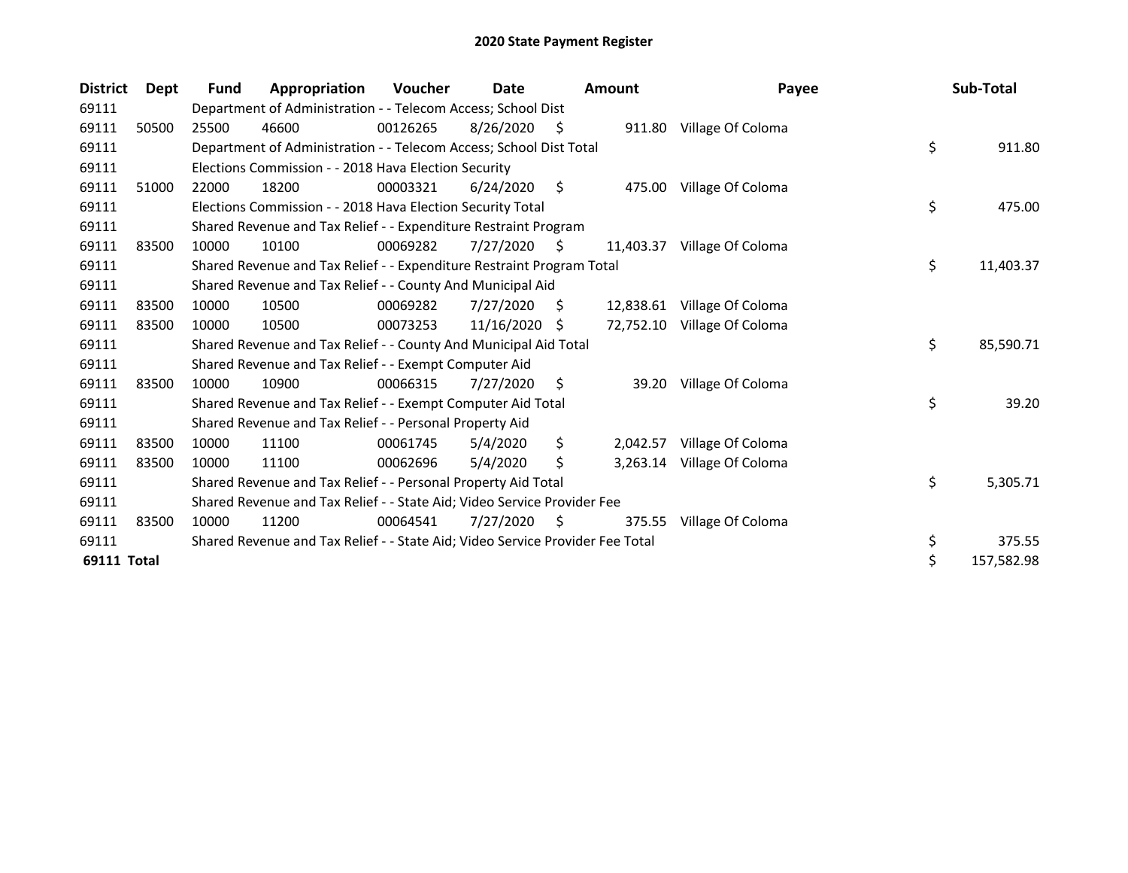| <b>District</b>    | <b>Dept</b> | <b>Fund</b> | Appropriation                                                                 | <b>Voucher</b> | Date       |    | <b>Amount</b> | Payee                       | Sub-Total       |
|--------------------|-------------|-------------|-------------------------------------------------------------------------------|----------------|------------|----|---------------|-----------------------------|-----------------|
| 69111              |             |             | Department of Administration - - Telecom Access; School Dist                  |                |            |    |               |                             |                 |
| 69111              | 50500       | 25500       | 46600                                                                         | 00126265       | 8/26/2020  | S  |               | 911.80 Village Of Coloma    |                 |
| 69111              |             |             | Department of Administration - - Telecom Access; School Dist Total            |                |            |    |               |                             | \$<br>911.80    |
| 69111              |             |             | Elections Commission - - 2018 Hava Election Security                          |                |            |    |               |                             |                 |
| 69111              | 51000       | 22000       | 18200                                                                         | 00003321       | 6/24/2020  | \$ | 475.00        | Village Of Coloma           |                 |
| 69111              |             |             | Elections Commission - - 2018 Hava Election Security Total                    |                |            |    |               |                             | \$<br>475.00    |
| 69111              |             |             | Shared Revenue and Tax Relief - - Expenditure Restraint Program               |                |            |    |               |                             |                 |
| 69111              | 83500       | 10000       | 10100                                                                         | 00069282       | 7/27/2020  | Ŝ. | 11.403.37     | Village Of Coloma           |                 |
| 69111              |             |             | Shared Revenue and Tax Relief - - Expenditure Restraint Program Total         |                |            |    |               |                             | \$<br>11,403.37 |
| 69111              |             |             | Shared Revenue and Tax Relief - - County And Municipal Aid                    |                |            |    |               |                             |                 |
| 69111              | 83500       | 10000       | 10500                                                                         | 00069282       | 7/27/2020  | S. | 12,838.61     | Village Of Coloma           |                 |
| 69111              | 83500       | 10000       | 10500                                                                         | 00073253       | 11/16/2020 | -S |               | 72,752.10 Village Of Coloma |                 |
| 69111              |             |             | Shared Revenue and Tax Relief - - County And Municipal Aid Total              |                |            |    |               |                             | \$<br>85,590.71 |
| 69111              |             |             | Shared Revenue and Tax Relief - - Exempt Computer Aid                         |                |            |    |               |                             |                 |
| 69111              | 83500       | 10000       | 10900                                                                         | 00066315       | 7/27/2020  | S  | 39.20         | Village Of Coloma           |                 |
| 69111              |             |             | Shared Revenue and Tax Relief - - Exempt Computer Aid Total                   |                |            |    |               |                             | \$<br>39.20     |
| 69111              |             |             | Shared Revenue and Tax Relief - - Personal Property Aid                       |                |            |    |               |                             |                 |
| 69111              | 83500       | 10000       | 11100                                                                         | 00061745       | 5/4/2020   | \$ | 2,042.57      | Village Of Coloma           |                 |
| 69111              | 83500       | 10000       | 11100                                                                         | 00062696       | 5/4/2020   | \$ | 3,263.14      | Village Of Coloma           |                 |
| 69111              |             |             | Shared Revenue and Tax Relief - - Personal Property Aid Total                 |                |            |    |               |                             | \$<br>5,305.71  |
| 69111              |             |             | Shared Revenue and Tax Relief - - State Aid; Video Service Provider Fee       |                |            |    |               |                             |                 |
| 69111              | 83500       | 10000       | 11200                                                                         | 00064541       | 7/27/2020  | \$ | 375.55        | Village Of Coloma           |                 |
| 69111              |             |             | Shared Revenue and Tax Relief - - State Aid; Video Service Provider Fee Total |                |            |    |               |                             | \$<br>375.55    |
| <b>69111 Total</b> |             |             |                                                                               |                |            |    |               |                             | 157,582.98      |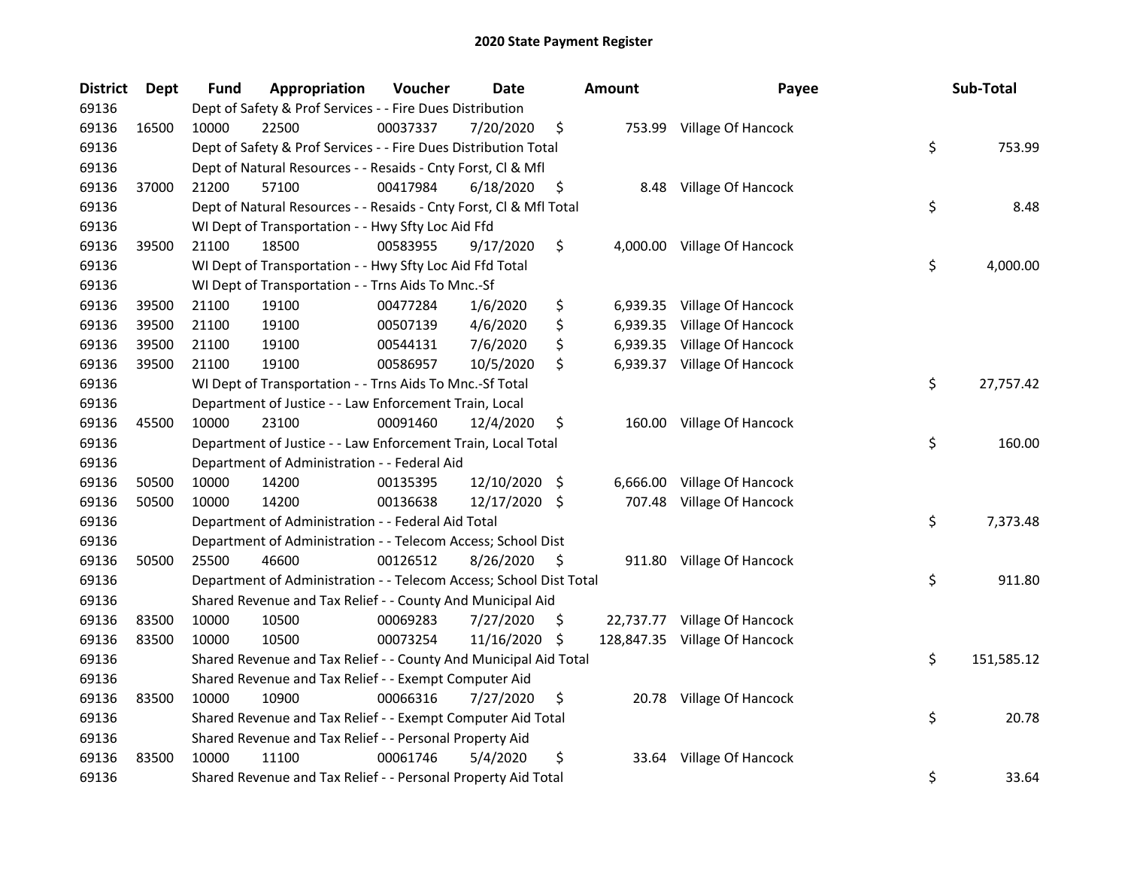| <b>District</b> | Dept  | Fund  | Appropriation                                                      | Voucher  | <b>Date</b>   |     | <b>Amount</b> | Payee                         | Sub-Total        |
|-----------------|-------|-------|--------------------------------------------------------------------|----------|---------------|-----|---------------|-------------------------------|------------------|
| 69136           |       |       | Dept of Safety & Prof Services - - Fire Dues Distribution          |          |               |     |               |                               |                  |
| 69136           | 16500 | 10000 | 22500                                                              | 00037337 | 7/20/2020     | \$  |               | 753.99 Village Of Hancock     |                  |
| 69136           |       |       | Dept of Safety & Prof Services - - Fire Dues Distribution Total    |          |               |     |               |                               | \$<br>753.99     |
| 69136           |       |       | Dept of Natural Resources - - Resaids - Cnty Forst, Cl & Mfl       |          |               |     |               |                               |                  |
| 69136           | 37000 | 21200 | 57100                                                              | 00417984 | 6/18/2020     | \$  | 8.48          | Village Of Hancock            |                  |
| 69136           |       |       | Dept of Natural Resources - - Resaids - Cnty Forst, Cl & Mfl Total |          |               |     |               |                               | \$<br>8.48       |
| 69136           |       |       | WI Dept of Transportation - - Hwy Sfty Loc Aid Ffd                 |          |               |     |               |                               |                  |
| 69136           | 39500 | 21100 | 18500                                                              | 00583955 | 9/17/2020     | \$  |               | 4,000.00 Village Of Hancock   |                  |
| 69136           |       |       | WI Dept of Transportation - - Hwy Sfty Loc Aid Ffd Total           |          |               |     |               |                               | \$<br>4,000.00   |
| 69136           |       |       | WI Dept of Transportation - - Trns Aids To Mnc.-Sf                 |          |               |     |               |                               |                  |
| 69136           | 39500 | 21100 | 19100                                                              | 00477284 | 1/6/2020      | \$  | 6,939.35      | Village Of Hancock            |                  |
| 69136           | 39500 | 21100 | 19100                                                              | 00507139 | 4/6/2020      | \$  | 6,939.35      | Village Of Hancock            |                  |
| 69136           | 39500 | 21100 | 19100                                                              | 00544131 | 7/6/2020      | \$  | 6,939.35      | Village Of Hancock            |                  |
| 69136           | 39500 | 21100 | 19100                                                              | 00586957 | 10/5/2020     | \$  |               | 6,939.37 Village Of Hancock   |                  |
| 69136           |       |       | WI Dept of Transportation - - Trns Aids To Mnc.-Sf Total           |          |               |     |               |                               | \$<br>27,757.42  |
| 69136           |       |       | Department of Justice - - Law Enforcement Train, Local             |          |               |     |               |                               |                  |
| 69136           | 45500 | 10000 | 23100                                                              | 00091460 | 12/4/2020     | \$  | 160.00        | Village Of Hancock            |                  |
| 69136           |       |       | Department of Justice - - Law Enforcement Train, Local Total       |          |               |     |               |                               | \$<br>160.00     |
| 69136           |       |       | Department of Administration - - Federal Aid                       |          |               |     |               |                               |                  |
| 69136           | 50500 | 10000 | 14200                                                              | 00135395 | 12/10/2020    | -\$ | 6,666.00      | Village Of Hancock            |                  |
| 69136           | 50500 | 10000 | 14200                                                              | 00136638 | 12/17/2020 \$ |     |               | 707.48 Village Of Hancock     |                  |
| 69136           |       |       | Department of Administration - - Federal Aid Total                 |          |               |     |               |                               | \$<br>7,373.48   |
| 69136           |       |       | Department of Administration - - Telecom Access; School Dist       |          |               |     |               |                               |                  |
| 69136           | 50500 | 25500 | 46600                                                              | 00126512 | 8/26/2020     | \$. |               | 911.80 Village Of Hancock     |                  |
| 69136           |       |       | Department of Administration - - Telecom Access; School Dist Total |          |               |     |               |                               | \$<br>911.80     |
| 69136           |       |       | Shared Revenue and Tax Relief - - County And Municipal Aid         |          |               |     |               |                               |                  |
| 69136           | 83500 | 10000 | 10500                                                              | 00069283 | 7/27/2020     | \$. |               | 22,737.77 Village Of Hancock  |                  |
| 69136           | 83500 | 10000 | 10500                                                              | 00073254 | 11/16/2020    | \$  |               | 128,847.35 Village Of Hancock |                  |
| 69136           |       |       | Shared Revenue and Tax Relief - - County And Municipal Aid Total   |          |               |     |               |                               | \$<br>151,585.12 |
| 69136           |       |       | Shared Revenue and Tax Relief - - Exempt Computer Aid              |          |               |     |               |                               |                  |
| 69136           | 83500 | 10000 | 10900                                                              | 00066316 | 7/27/2020     | \$  |               | 20.78 Village Of Hancock      |                  |
| 69136           |       |       | Shared Revenue and Tax Relief - - Exempt Computer Aid Total        |          |               |     |               |                               | \$<br>20.78      |
| 69136           |       |       | Shared Revenue and Tax Relief - - Personal Property Aid            |          |               |     |               |                               |                  |
| 69136           | 83500 | 10000 | 11100                                                              | 00061746 | 5/4/2020      | \$  |               | 33.64 Village Of Hancock      |                  |
| 69136           |       |       | Shared Revenue and Tax Relief - - Personal Property Aid Total      |          |               |     |               |                               | \$<br>33.64      |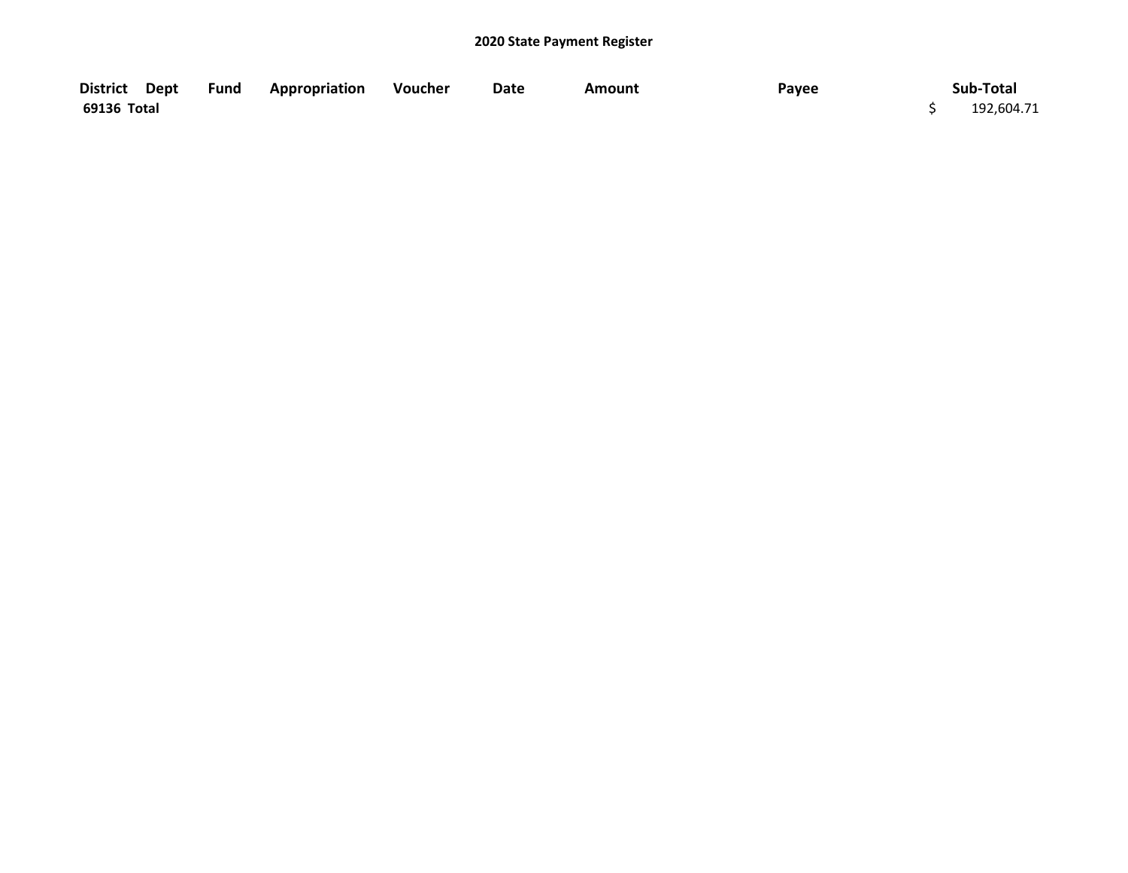|             | District Dept Fund Appropriation Voucher | Date | Amount | Payee | Sub-Total  |
|-------------|------------------------------------------|------|--------|-------|------------|
| 69136 Total |                                          |      |        |       | 192,604.71 |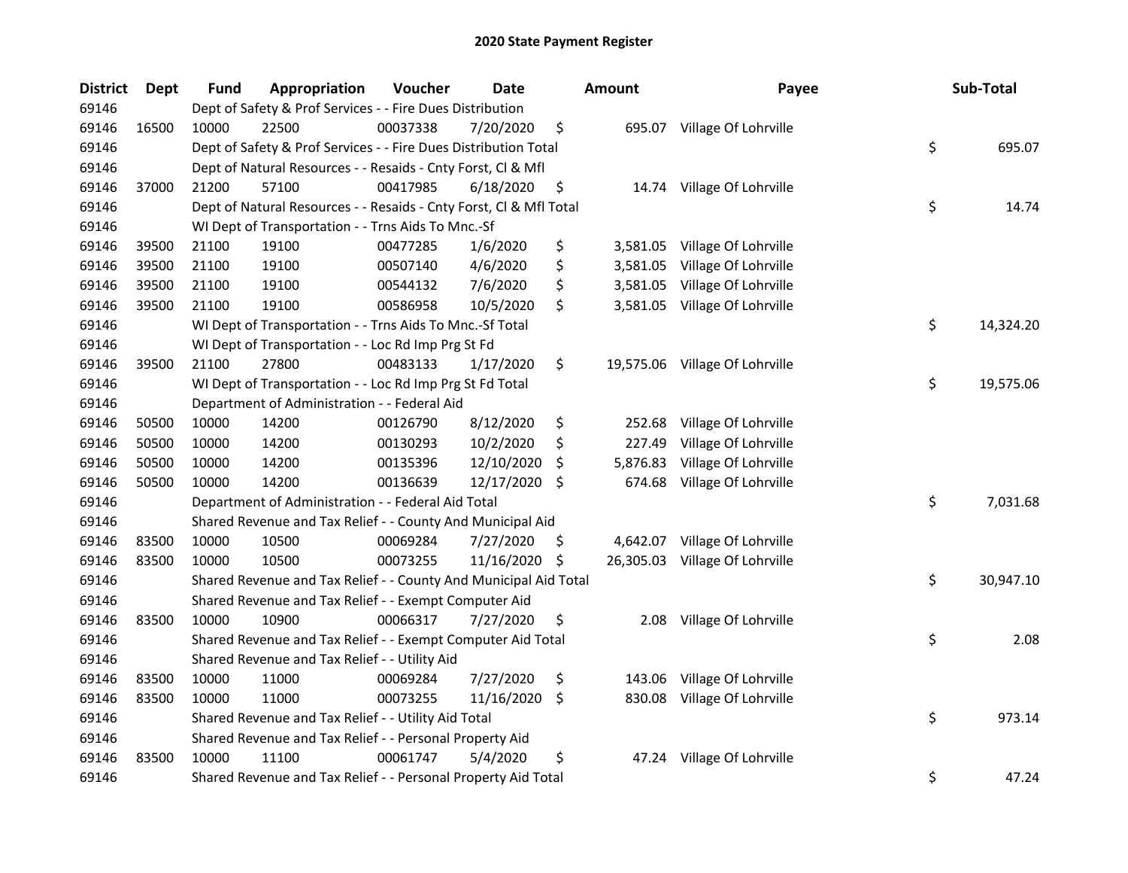| <b>District</b> | Dept  | <b>Fund</b> | Appropriation                                                      | Voucher  | <b>Date</b> |     | <b>Amount</b> | Payee                          | Sub-Total       |
|-----------------|-------|-------------|--------------------------------------------------------------------|----------|-------------|-----|---------------|--------------------------------|-----------------|
| 69146           |       |             | Dept of Safety & Prof Services - - Fire Dues Distribution          |          |             |     |               |                                |                 |
| 69146           | 16500 | 10000       | 22500                                                              | 00037338 | 7/20/2020   | \$  |               | 695.07 Village Of Lohrville    |                 |
| 69146           |       |             | Dept of Safety & Prof Services - - Fire Dues Distribution Total    |          |             |     |               |                                | \$<br>695.07    |
| 69146           |       |             | Dept of Natural Resources - - Resaids - Cnty Forst, Cl & Mfl       |          |             |     |               |                                |                 |
| 69146           | 37000 | 21200       | 57100                                                              | 00417985 | 6/18/2020   | \$  |               | 14.74 Village Of Lohrville     |                 |
| 69146           |       |             | Dept of Natural Resources - - Resaids - Cnty Forst, Cl & Mfl Total |          |             |     |               |                                | \$<br>14.74     |
| 69146           |       |             | WI Dept of Transportation - - Trns Aids To Mnc.-Sf                 |          |             |     |               |                                |                 |
| 69146           | 39500 | 21100       | 19100                                                              | 00477285 | 1/6/2020    | \$  |               | 3,581.05 Village Of Lohrville  |                 |
| 69146           | 39500 | 21100       | 19100                                                              | 00507140 | 4/6/2020    | \$  | 3,581.05      | Village Of Lohrville           |                 |
| 69146           | 39500 | 21100       | 19100                                                              | 00544132 | 7/6/2020    | \$  | 3,581.05      | Village Of Lohrville           |                 |
| 69146           | 39500 | 21100       | 19100                                                              | 00586958 | 10/5/2020   | \$  |               | 3,581.05 Village Of Lohrville  |                 |
| 69146           |       |             | WI Dept of Transportation - - Trns Aids To Mnc.-Sf Total           |          |             |     |               |                                | \$<br>14,324.20 |
| 69146           |       |             | WI Dept of Transportation - - Loc Rd Imp Prg St Fd                 |          |             |     |               |                                |                 |
| 69146           | 39500 | 21100       | 27800                                                              | 00483133 | 1/17/2020   | \$  |               | 19,575.06 Village Of Lohrville |                 |
| 69146           |       |             | WI Dept of Transportation - - Loc Rd Imp Prg St Fd Total           |          |             |     |               |                                | \$<br>19,575.06 |
| 69146           |       |             | Department of Administration - - Federal Aid                       |          |             |     |               |                                |                 |
| 69146           | 50500 | 10000       | 14200                                                              | 00126790 | 8/12/2020   | \$  | 252.68        | Village Of Lohrville           |                 |
| 69146           | 50500 | 10000       | 14200                                                              | 00130293 | 10/2/2020   | \$  | 227.49        | Village Of Lohrville           |                 |
| 69146           | 50500 | 10000       | 14200                                                              | 00135396 | 12/10/2020  | \$  | 5,876.83      | Village Of Lohrville           |                 |
| 69146           | 50500 | 10000       | 14200                                                              | 00136639 | 12/17/2020  | \$  | 674.68        | Village Of Lohrville           |                 |
| 69146           |       |             | Department of Administration - - Federal Aid Total                 |          |             |     |               |                                | \$<br>7,031.68  |
| 69146           |       |             | Shared Revenue and Tax Relief - - County And Municipal Aid         |          |             |     |               |                                |                 |
| 69146           | 83500 | 10000       | 10500                                                              | 00069284 | 7/27/2020   | \$. |               | 4,642.07 Village Of Lohrville  |                 |
| 69146           | 83500 | 10000       | 10500                                                              | 00073255 | 11/16/2020  | -\$ |               | 26,305.03 Village Of Lohrville |                 |
| 69146           |       |             | Shared Revenue and Tax Relief - - County And Municipal Aid Total   |          |             |     |               |                                | \$<br>30,947.10 |
| 69146           |       |             | Shared Revenue and Tax Relief - - Exempt Computer Aid              |          |             |     |               |                                |                 |
| 69146           | 83500 | 10000       | 10900                                                              | 00066317 | 7/27/2020   | \$  | 2.08          | Village Of Lohrville           |                 |
| 69146           |       |             | Shared Revenue and Tax Relief - - Exempt Computer Aid Total        |          |             |     |               |                                | \$<br>2.08      |
| 69146           |       |             | Shared Revenue and Tax Relief - - Utility Aid                      |          |             |     |               |                                |                 |
| 69146           | 83500 | 10000       | 11000                                                              | 00069284 | 7/27/2020   | \$  | 143.06        | Village Of Lohrville           |                 |
| 69146           | 83500 | 10000       | 11000                                                              | 00073255 | 11/16/2020  | -S  | 830.08        | Village Of Lohrville           |                 |
| 69146           |       |             | Shared Revenue and Tax Relief - - Utility Aid Total                |          |             |     |               |                                | \$<br>973.14    |
| 69146           |       |             | Shared Revenue and Tax Relief - - Personal Property Aid            |          |             |     |               |                                |                 |
| 69146           | 83500 | 10000       | 11100                                                              | 00061747 | 5/4/2020    | \$  | 47.24         | Village Of Lohrville           |                 |
| 69146           |       |             | Shared Revenue and Tax Relief - - Personal Property Aid Total      |          |             |     |               |                                | \$<br>47.24     |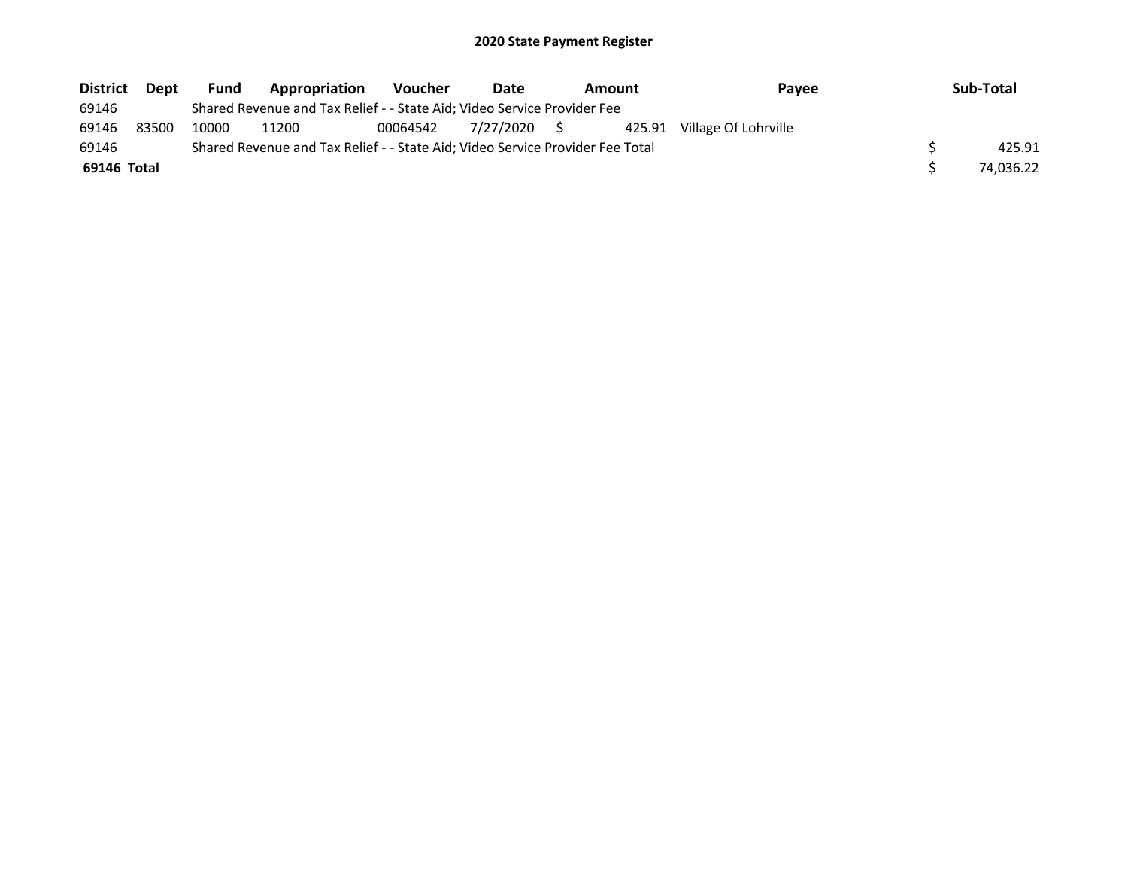| <b>District</b> | Dept  | <b>Fund</b> | Appropriation                                                                 | <b>Voucher</b> | Date         | <b>Amount</b> | Pavee                | Sub-Total |
|-----------------|-------|-------------|-------------------------------------------------------------------------------|----------------|--------------|---------------|----------------------|-----------|
| 69146           |       |             | Shared Revenue and Tax Relief - - State Aid; Video Service Provider Fee       |                |              |               |                      |           |
| 69146           | 83500 | 10000       | 11200                                                                         | 00064542       | 7/27/2020 \$ | 425.91        | Village Of Lohrville |           |
| 69146           |       |             | Shared Revenue and Tax Relief - - State Aid; Video Service Provider Fee Total |                |              |               |                      | 425.91    |
| 69146 Total     |       |             |                                                                               |                |              |               |                      | 74.036.22 |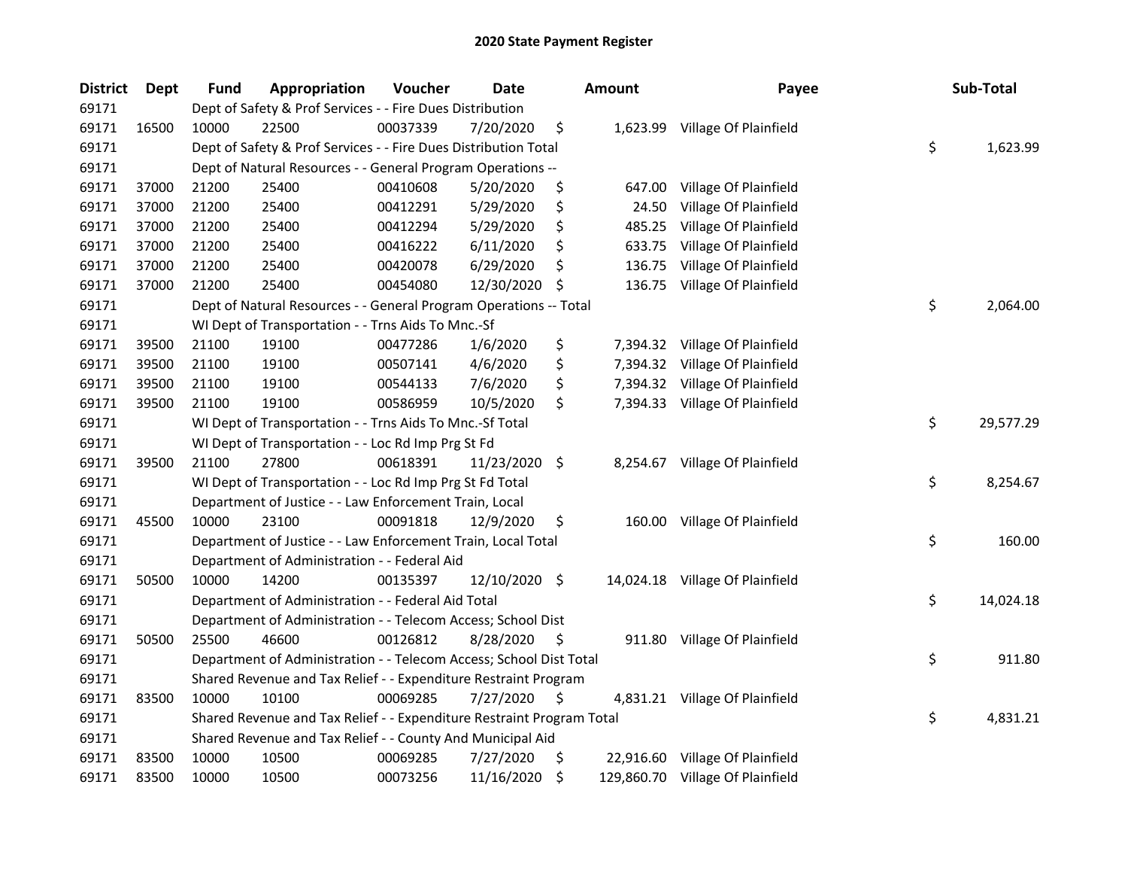| <b>District</b> | Dept  | <b>Fund</b> | Appropriation                                                         | Voucher  | Date          |     | <b>Amount</b> | Payee                            | Sub-Total       |
|-----------------|-------|-------------|-----------------------------------------------------------------------|----------|---------------|-----|---------------|----------------------------------|-----------------|
| 69171           |       |             | Dept of Safety & Prof Services - - Fire Dues Distribution             |          |               |     |               |                                  |                 |
| 69171           | 16500 | 10000       | 22500                                                                 | 00037339 | 7/20/2020     | \$  |               | 1,623.99 Village Of Plainfield   |                 |
| 69171           |       |             | Dept of Safety & Prof Services - - Fire Dues Distribution Total       |          |               |     |               |                                  | \$<br>1,623.99  |
| 69171           |       |             | Dept of Natural Resources - - General Program Operations --           |          |               |     |               |                                  |                 |
| 69171           | 37000 | 21200       | 25400                                                                 | 00410608 | 5/20/2020     | \$  |               | 647.00 Village Of Plainfield     |                 |
| 69171           | 37000 | 21200       | 25400                                                                 | 00412291 | 5/29/2020     | \$  | 24.50         | Village Of Plainfield            |                 |
| 69171           | 37000 | 21200       | 25400                                                                 | 00412294 | 5/29/2020     | \$  | 485.25        | Village Of Plainfield            |                 |
| 69171           | 37000 | 21200       | 25400                                                                 | 00416222 | 6/11/2020     | \$  | 633.75        | Village Of Plainfield            |                 |
| 69171           | 37000 | 21200       | 25400                                                                 | 00420078 | 6/29/2020     | \$  | 136.75        | Village Of Plainfield            |                 |
| 69171           | 37000 | 21200       | 25400                                                                 | 00454080 | 12/30/2020    | \$  |               | 136.75 Village Of Plainfield     |                 |
| 69171           |       |             | Dept of Natural Resources - - General Program Operations -- Total     |          |               |     |               |                                  | \$<br>2,064.00  |
| 69171           |       |             | WI Dept of Transportation - - Trns Aids To Mnc.-Sf                    |          |               |     |               |                                  |                 |
| 69171           | 39500 | 21100       | 19100                                                                 | 00477286 | 1/6/2020      | \$  | 7,394.32      | Village Of Plainfield            |                 |
| 69171           | 39500 | 21100       | 19100                                                                 | 00507141 | 4/6/2020      | \$  |               | 7,394.32 Village Of Plainfield   |                 |
| 69171           | 39500 | 21100       | 19100                                                                 | 00544133 | 7/6/2020      | \$  |               | 7,394.32 Village Of Plainfield   |                 |
| 69171           | 39500 | 21100       | 19100                                                                 | 00586959 | 10/5/2020     | \$  |               | 7,394.33 Village Of Plainfield   |                 |
| 69171           |       |             | WI Dept of Transportation - - Trns Aids To Mnc.-Sf Total              |          |               |     |               |                                  | \$<br>29,577.29 |
| 69171           |       |             | WI Dept of Transportation - - Loc Rd Imp Prg St Fd                    |          |               |     |               |                                  |                 |
| 69171           | 39500 | 21100       | 27800                                                                 | 00618391 | 11/23/2020 \$ |     |               | 8,254.67 Village Of Plainfield   |                 |
| 69171           |       |             | WI Dept of Transportation - - Loc Rd Imp Prg St Fd Total              |          |               |     |               |                                  | \$<br>8,254.67  |
| 69171           |       |             | Department of Justice - - Law Enforcement Train, Local                |          |               |     |               |                                  |                 |
| 69171           | 45500 | 10000       | 23100                                                                 | 00091818 | 12/9/2020     | \$  |               | 160.00 Village Of Plainfield     |                 |
| 69171           |       |             | Department of Justice - - Law Enforcement Train, Local Total          |          |               |     |               |                                  | \$<br>160.00    |
| 69171           |       |             | Department of Administration - - Federal Aid                          |          |               |     |               |                                  |                 |
| 69171           | 50500 | 10000       | 14200                                                                 | 00135397 | 12/10/2020 \$ |     |               | 14,024.18 Village Of Plainfield  |                 |
| 69171           |       |             | Department of Administration - - Federal Aid Total                    |          |               |     |               |                                  | \$<br>14,024.18 |
| 69171           |       |             | Department of Administration - - Telecom Access; School Dist          |          |               |     |               |                                  |                 |
| 69171           | 50500 | 25500       | 46600                                                                 | 00126812 | 8/28/2020     | \$  |               | 911.80 Village Of Plainfield     |                 |
| 69171           |       |             | Department of Administration - - Telecom Access; School Dist Total    |          |               |     |               |                                  | \$<br>911.80    |
| 69171           |       |             | Shared Revenue and Tax Relief - - Expenditure Restraint Program       |          |               |     |               |                                  |                 |
| 69171           | 83500 | 10000       | 10100                                                                 | 00069285 | 7/27/2020     | \$, |               | 4,831.21 Village Of Plainfield   |                 |
| 69171           |       |             | Shared Revenue and Tax Relief - - Expenditure Restraint Program Total |          |               |     |               |                                  | \$<br>4,831.21  |
| 69171           |       |             | Shared Revenue and Tax Relief - - County And Municipal Aid            |          |               |     |               |                                  |                 |
| 69171           | 83500 | 10000       | 10500                                                                 | 00069285 | 7/27/2020     | \$  |               | 22,916.60 Village Of Plainfield  |                 |
| 69171           | 83500 | 10000       | 10500                                                                 | 00073256 | 11/16/2020    | \$  |               | 129,860.70 Village Of Plainfield |                 |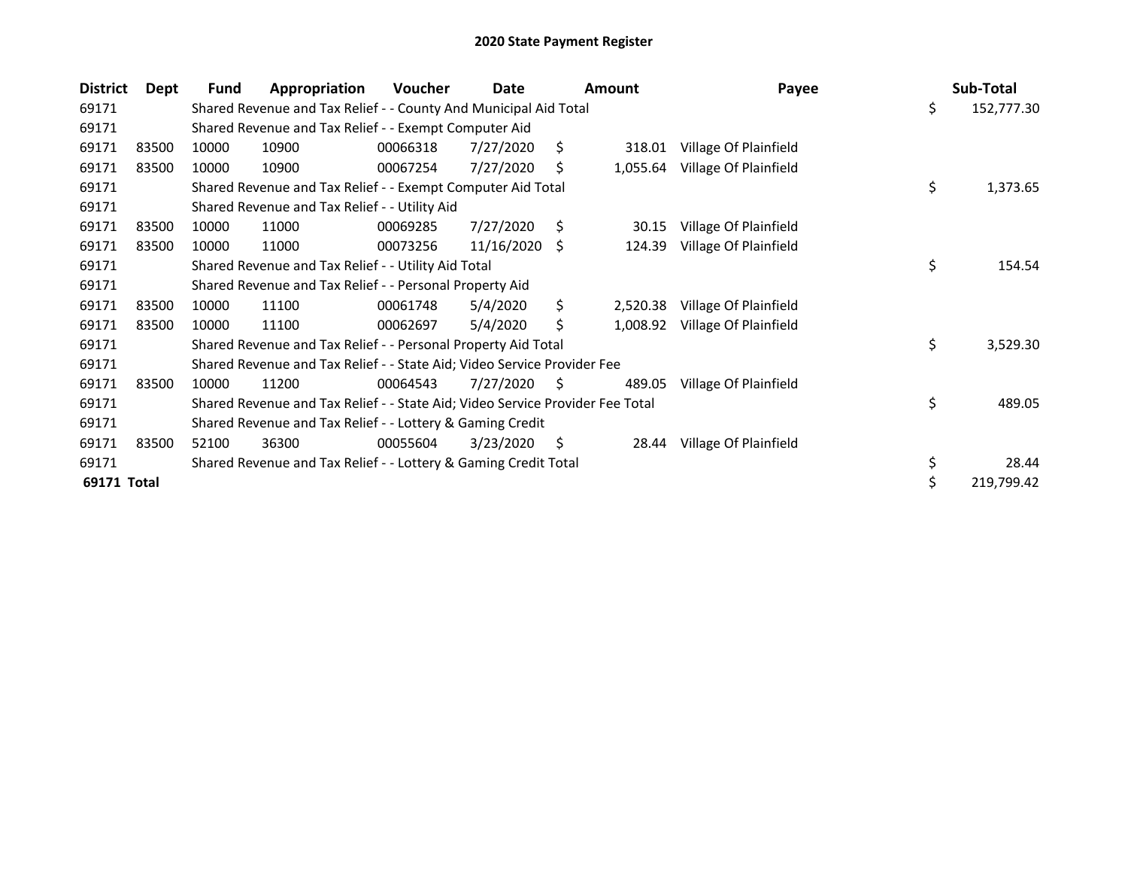| <b>District</b> | Dept  | <b>Fund</b> | Appropriation                                                                 | Voucher  | Date       |     | <b>Amount</b> | Payee                 | Sub-Total        |
|-----------------|-------|-------------|-------------------------------------------------------------------------------|----------|------------|-----|---------------|-----------------------|------------------|
| 69171           |       |             | Shared Revenue and Tax Relief - - County And Municipal Aid Total              |          |            |     |               |                       | \$<br>152,777.30 |
| 69171           |       |             | Shared Revenue and Tax Relief - - Exempt Computer Aid                         |          |            |     |               |                       |                  |
| 69171           | 83500 | 10000       | 10900                                                                         | 00066318 | 7/27/2020  | Ŝ.  | 318.01        | Village Of Plainfield |                  |
| 69171           | 83500 | 10000       | 10900                                                                         | 00067254 | 7/27/2020  | \$  | 1,055.64      | Village Of Plainfield |                  |
| 69171           |       |             | Shared Revenue and Tax Relief - - Exempt Computer Aid Total                   |          |            |     |               |                       | \$<br>1,373.65   |
| 69171           |       |             | Shared Revenue and Tax Relief - - Utility Aid                                 |          |            |     |               |                       |                  |
| 69171           | 83500 | 10000       | 11000                                                                         | 00069285 | 7/27/2020  | S   | 30.15         | Village Of Plainfield |                  |
| 69171           | 83500 | 10000       | 11000                                                                         | 00073256 | 11/16/2020 | -S  | 124.39        | Village Of Plainfield |                  |
| 69171           |       |             | Shared Revenue and Tax Relief - - Utility Aid Total                           |          |            |     |               |                       | \$<br>154.54     |
| 69171           |       |             | Shared Revenue and Tax Relief - - Personal Property Aid                       |          |            |     |               |                       |                  |
| 69171           | 83500 | 10000       | 11100                                                                         | 00061748 | 5/4/2020   | \$  | 2,520.38      | Village Of Plainfield |                  |
| 69171           | 83500 | 10000       | 11100                                                                         | 00062697 | 5/4/2020   | \$  | 1,008.92      | Village Of Plainfield |                  |
| 69171           |       |             | Shared Revenue and Tax Relief - - Personal Property Aid Total                 |          |            |     |               |                       | \$<br>3,529.30   |
| 69171           |       |             | Shared Revenue and Tax Relief - - State Aid; Video Service Provider Fee       |          |            |     |               |                       |                  |
| 69171           | 83500 | 10000       | 11200                                                                         | 00064543 | 7/27/2020  | S.  | 489.05        | Village Of Plainfield |                  |
| 69171           |       |             | Shared Revenue and Tax Relief - - State Aid; Video Service Provider Fee Total |          |            |     |               |                       | \$<br>489.05     |
| 69171           |       |             | Shared Revenue and Tax Relief - - Lottery & Gaming Credit                     |          |            |     |               |                       |                  |
| 69171           | 83500 | 52100       | 36300                                                                         | 00055604 | 3/23/2020  | \$. | 28.44         | Village Of Plainfield |                  |
| 69171           |       |             | Shared Revenue and Tax Relief - - Lottery & Gaming Credit Total               |          |            |     |               |                       | \$<br>28.44      |
| 69171 Total     |       |             |                                                                               |          |            |     |               |                       | \$<br>219,799.42 |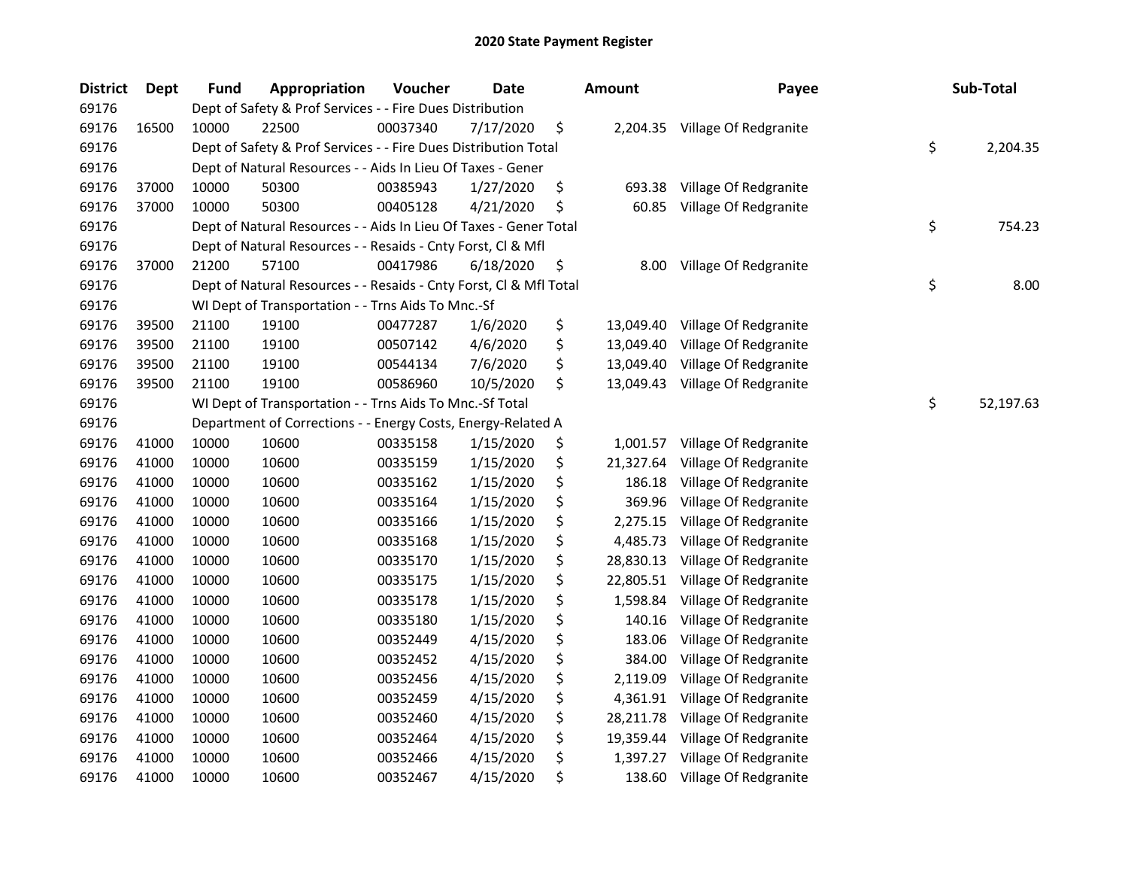| <b>District</b> | <b>Dept</b> | <b>Fund</b> | Appropriation                                                      | Voucher  | <b>Date</b> | <b>Amount</b>   | Payee                          | Sub-Total       |
|-----------------|-------------|-------------|--------------------------------------------------------------------|----------|-------------|-----------------|--------------------------------|-----------------|
| 69176           |             |             | Dept of Safety & Prof Services - - Fire Dues Distribution          |          |             |                 |                                |                 |
| 69176           | 16500       | 10000       | 22500                                                              | 00037340 | 7/17/2020   | \$              | 2,204.35 Village Of Redgranite |                 |
| 69176           |             |             | Dept of Safety & Prof Services - - Fire Dues Distribution Total    |          |             |                 |                                | \$<br>2,204.35  |
| 69176           |             |             | Dept of Natural Resources - - Aids In Lieu Of Taxes - Gener        |          |             |                 |                                |                 |
| 69176           | 37000       | 10000       | 50300                                                              | 00385943 | 1/27/2020   | \$<br>693.38    | Village Of Redgranite          |                 |
| 69176           | 37000       | 10000       | 50300                                                              | 00405128 | 4/21/2020   | \$<br>60.85     | Village Of Redgranite          |                 |
| 69176           |             |             | Dept of Natural Resources - - Aids In Lieu Of Taxes - Gener Total  |          |             |                 |                                | \$<br>754.23    |
| 69176           |             |             | Dept of Natural Resources - - Resaids - Cnty Forst, Cl & Mfl       |          |             |                 |                                |                 |
| 69176           | 37000       | 21200       | 57100                                                              | 00417986 | 6/18/2020   | \$<br>8.00      | Village Of Redgranite          |                 |
| 69176           |             |             | Dept of Natural Resources - - Resaids - Cnty Forst, Cl & Mfl Total |          |             |                 |                                | \$<br>8.00      |
| 69176           |             |             | WI Dept of Transportation - - Trns Aids To Mnc.-Sf                 |          |             |                 |                                |                 |
| 69176           | 39500       | 21100       | 19100                                                              | 00477287 | 1/6/2020    | \$<br>13,049.40 | Village Of Redgranite          |                 |
| 69176           | 39500       | 21100       | 19100                                                              | 00507142 | 4/6/2020    | \$<br>13,049.40 | Village Of Redgranite          |                 |
| 69176           | 39500       | 21100       | 19100                                                              | 00544134 | 7/6/2020    | \$<br>13,049.40 | Village Of Redgranite          |                 |
| 69176           | 39500       | 21100       | 19100                                                              | 00586960 | 10/5/2020   | \$<br>13,049.43 | Village Of Redgranite          |                 |
| 69176           |             |             | WI Dept of Transportation - - Trns Aids To Mnc.-Sf Total           |          |             |                 |                                | \$<br>52,197.63 |
| 69176           |             |             | Department of Corrections - - Energy Costs, Energy-Related A       |          |             |                 |                                |                 |
| 69176           | 41000       | 10000       | 10600                                                              | 00335158 | 1/15/2020   | \$<br>1,001.57  | Village Of Redgranite          |                 |
| 69176           | 41000       | 10000       | 10600                                                              | 00335159 | 1/15/2020   | \$<br>21,327.64 | Village Of Redgranite          |                 |
| 69176           | 41000       | 10000       | 10600                                                              | 00335162 | 1/15/2020   | \$<br>186.18    | Village Of Redgranite          |                 |
| 69176           | 41000       | 10000       | 10600                                                              | 00335164 | 1/15/2020   | \$<br>369.96    | Village Of Redgranite          |                 |
| 69176           | 41000       | 10000       | 10600                                                              | 00335166 | 1/15/2020   | \$<br>2,275.15  | Village Of Redgranite          |                 |
| 69176           | 41000       | 10000       | 10600                                                              | 00335168 | 1/15/2020   | \$<br>4,485.73  | Village Of Redgranite          |                 |
| 69176           | 41000       | 10000       | 10600                                                              | 00335170 | 1/15/2020   | \$<br>28,830.13 | Village Of Redgranite          |                 |
| 69176           | 41000       | 10000       | 10600                                                              | 00335175 | 1/15/2020   | \$<br>22,805.51 | Village Of Redgranite          |                 |
| 69176           | 41000       | 10000       | 10600                                                              | 00335178 | 1/15/2020   | \$<br>1,598.84  | Village Of Redgranite          |                 |
| 69176           | 41000       | 10000       | 10600                                                              | 00335180 | 1/15/2020   | \$<br>140.16    | Village Of Redgranite          |                 |
| 69176           | 41000       | 10000       | 10600                                                              | 00352449 | 4/15/2020   | \$<br>183.06    | Village Of Redgranite          |                 |
| 69176           | 41000       | 10000       | 10600                                                              | 00352452 | 4/15/2020   | \$<br>384.00    | Village Of Redgranite          |                 |
| 69176           | 41000       | 10000       | 10600                                                              | 00352456 | 4/15/2020   | \$<br>2,119.09  | Village Of Redgranite          |                 |
| 69176           | 41000       | 10000       | 10600                                                              | 00352459 | 4/15/2020   | \$<br>4,361.91  | Village Of Redgranite          |                 |
| 69176           | 41000       | 10000       | 10600                                                              | 00352460 | 4/15/2020   | \$<br>28,211.78 | Village Of Redgranite          |                 |
| 69176           | 41000       | 10000       | 10600                                                              | 00352464 | 4/15/2020   | \$<br>19,359.44 | Village Of Redgranite          |                 |
| 69176           | 41000       | 10000       | 10600                                                              | 00352466 | 4/15/2020   | \$<br>1,397.27  | Village Of Redgranite          |                 |
| 69176           | 41000       | 10000       | 10600                                                              | 00352467 | 4/15/2020   | \$<br>138.60    | Village Of Redgranite          |                 |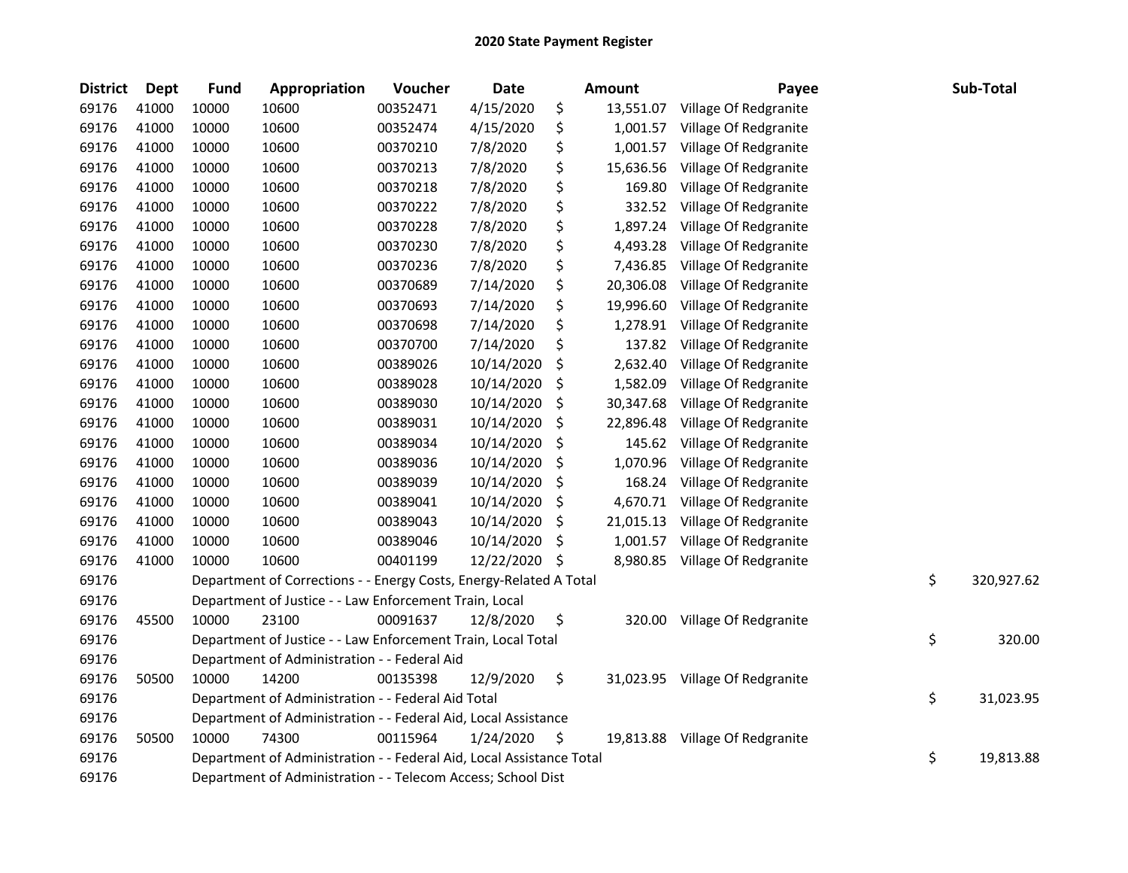| <b>District</b> | Dept  | <b>Fund</b> | Appropriation                                                        | Voucher  | <b>Date</b> |     | Amount    | Payee                           | Sub-Total        |
|-----------------|-------|-------------|----------------------------------------------------------------------|----------|-------------|-----|-----------|---------------------------------|------------------|
| 69176           | 41000 | 10000       | 10600                                                                | 00352471 | 4/15/2020   | \$  | 13,551.07 | Village Of Redgranite           |                  |
| 69176           | 41000 | 10000       | 10600                                                                | 00352474 | 4/15/2020   | \$  | 1,001.57  | Village Of Redgranite           |                  |
| 69176           | 41000 | 10000       | 10600                                                                | 00370210 | 7/8/2020    | \$  | 1,001.57  | Village Of Redgranite           |                  |
| 69176           | 41000 | 10000       | 10600                                                                | 00370213 | 7/8/2020    | \$  | 15,636.56 | Village Of Redgranite           |                  |
| 69176           | 41000 | 10000       | 10600                                                                | 00370218 | 7/8/2020    | \$  | 169.80    | Village Of Redgranite           |                  |
| 69176           | 41000 | 10000       | 10600                                                                | 00370222 | 7/8/2020    | \$  | 332.52    | Village Of Redgranite           |                  |
| 69176           | 41000 | 10000       | 10600                                                                | 00370228 | 7/8/2020    | \$  | 1,897.24  | Village Of Redgranite           |                  |
| 69176           | 41000 | 10000       | 10600                                                                | 00370230 | 7/8/2020    | \$  | 4,493.28  | Village Of Redgranite           |                  |
| 69176           | 41000 | 10000       | 10600                                                                | 00370236 | 7/8/2020    | \$  | 7,436.85  | Village Of Redgranite           |                  |
| 69176           | 41000 | 10000       | 10600                                                                | 00370689 | 7/14/2020   | \$  | 20,306.08 | Village Of Redgranite           |                  |
| 69176           | 41000 | 10000       | 10600                                                                | 00370693 | 7/14/2020   | \$  | 19,996.60 | Village Of Redgranite           |                  |
| 69176           | 41000 | 10000       | 10600                                                                | 00370698 | 7/14/2020   | \$  | 1,278.91  | Village Of Redgranite           |                  |
| 69176           | 41000 | 10000       | 10600                                                                | 00370700 | 7/14/2020   | \$  | 137.82    | Village Of Redgranite           |                  |
| 69176           | 41000 | 10000       | 10600                                                                | 00389026 | 10/14/2020  | \$  | 2,632.40  | Village Of Redgranite           |                  |
| 69176           | 41000 | 10000       | 10600                                                                | 00389028 | 10/14/2020  | \$  | 1,582.09  | Village Of Redgranite           |                  |
| 69176           | 41000 | 10000       | 10600                                                                | 00389030 | 10/14/2020  | \$  | 30,347.68 | Village Of Redgranite           |                  |
| 69176           | 41000 | 10000       | 10600                                                                | 00389031 | 10/14/2020  | S.  | 22,896.48 | Village Of Redgranite           |                  |
| 69176           | 41000 | 10000       | 10600                                                                | 00389034 | 10/14/2020  | \$  | 145.62    | Village Of Redgranite           |                  |
| 69176           | 41000 | 10000       | 10600                                                                | 00389036 | 10/14/2020  | \$  | 1,070.96  | Village Of Redgranite           |                  |
| 69176           | 41000 | 10000       | 10600                                                                | 00389039 | 10/14/2020  | \$  | 168.24    | Village Of Redgranite           |                  |
| 69176           | 41000 | 10000       | 10600                                                                | 00389041 | 10/14/2020  | \$  | 4,670.71  | Village Of Redgranite           |                  |
| 69176           | 41000 | 10000       | 10600                                                                | 00389043 | 10/14/2020  | \$  | 21,015.13 | Village Of Redgranite           |                  |
| 69176           | 41000 | 10000       | 10600                                                                | 00389046 | 10/14/2020  | \$  | 1,001.57  | Village Of Redgranite           |                  |
| 69176           | 41000 | 10000       | 10600                                                                | 00401199 | 12/22/2020  | -\$ | 8,980.85  | Village Of Redgranite           |                  |
| 69176           |       |             | Department of Corrections - - Energy Costs, Energy-Related A Total   |          |             |     |           |                                 | \$<br>320,927.62 |
| 69176           |       |             | Department of Justice - - Law Enforcement Train, Local               |          |             |     |           |                                 |                  |
| 69176           | 45500 | 10000       | 23100                                                                | 00091637 | 12/8/2020   | \$  |           | 320.00 Village Of Redgranite    |                  |
| 69176           |       |             | Department of Justice - - Law Enforcement Train, Local Total         |          |             |     |           |                                 | \$<br>320.00     |
| 69176           |       |             | Department of Administration - - Federal Aid                         |          |             |     |           |                                 |                  |
| 69176           | 50500 | 10000       | 14200                                                                | 00135398 | 12/9/2020   | \$  |           | 31,023.95 Village Of Redgranite |                  |
| 69176           |       |             | Department of Administration - - Federal Aid Total                   |          |             |     |           |                                 | \$<br>31,023.95  |
| 69176           |       |             | Department of Administration - - Federal Aid, Local Assistance       |          |             |     |           |                                 |                  |
| 69176           | 50500 | 10000       | 74300                                                                | 00115964 | 1/24/2020   | \$  |           | 19,813.88 Village Of Redgranite |                  |
| 69176           |       |             | Department of Administration - - Federal Aid, Local Assistance Total |          |             |     |           |                                 | \$<br>19,813.88  |
| 69176           |       |             | Department of Administration - - Telecom Access; School Dist         |          |             |     |           |                                 |                  |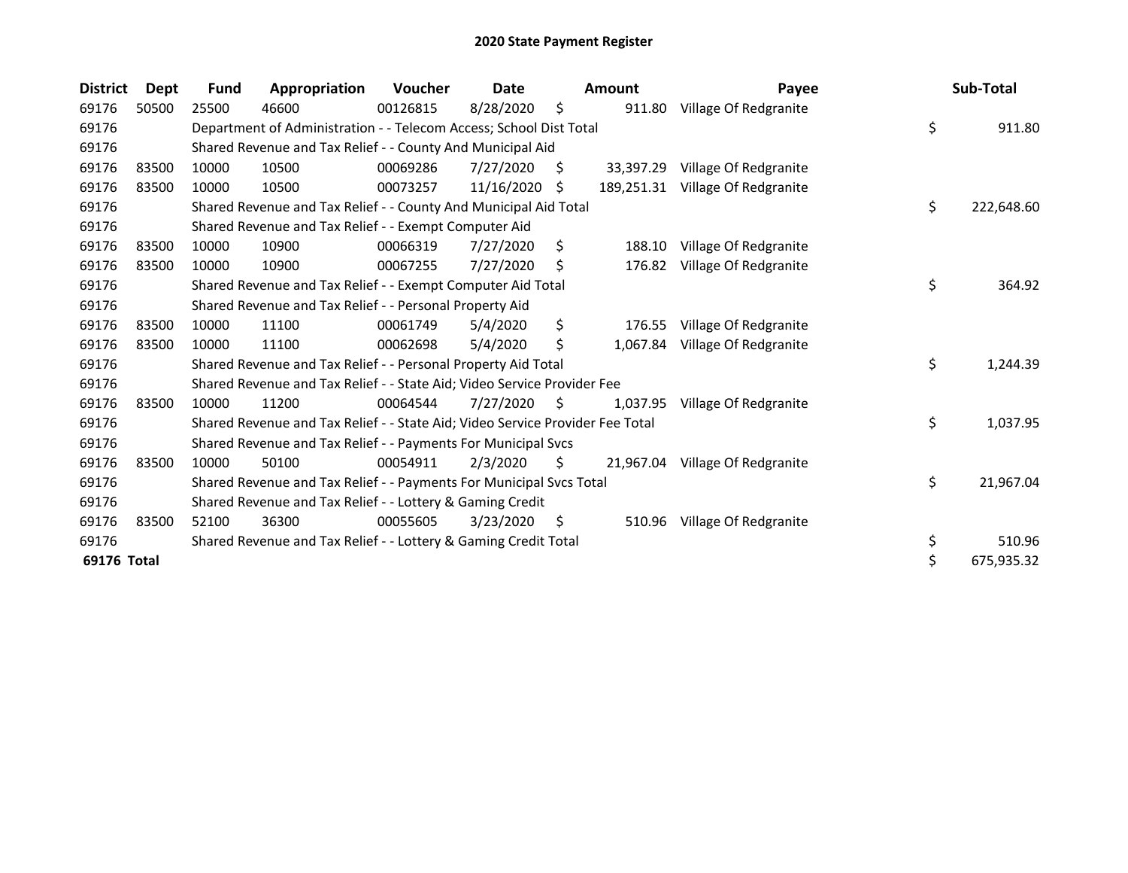| <b>District</b> | Dept  | <b>Fund</b> | Appropriation                                                                 | Voucher  | Date       |     | Amount     | Payee                           | Sub-Total        |
|-----------------|-------|-------------|-------------------------------------------------------------------------------|----------|------------|-----|------------|---------------------------------|------------------|
| 69176           | 50500 | 25500       | 46600                                                                         | 00126815 | 8/28/2020  | \$  | 911.80     | Village Of Redgranite           |                  |
| 69176           |       |             | Department of Administration - - Telecom Access; School Dist Total            |          |            |     |            |                                 | \$<br>911.80     |
| 69176           |       |             | Shared Revenue and Tax Relief - - County And Municipal Aid                    |          |            |     |            |                                 |                  |
| 69176           | 83500 | 10000       | 10500                                                                         | 00069286 | 7/27/2020  | \$. | 33.397.29  | Village Of Redgranite           |                  |
| 69176           | 83500 | 10000       | 10500                                                                         | 00073257 | 11/16/2020 | S   | 189,251.31 | Village Of Redgranite           |                  |
| 69176           |       |             | Shared Revenue and Tax Relief - - County And Municipal Aid Total              |          |            |     |            |                                 | \$<br>222,648.60 |
| 69176           |       |             | Shared Revenue and Tax Relief - - Exempt Computer Aid                         |          |            |     |            |                                 |                  |
| 69176           | 83500 | 10000       | 10900                                                                         | 00066319 | 7/27/2020  | \$  | 188.10     | Village Of Redgranite           |                  |
| 69176           | 83500 | 10000       | 10900                                                                         | 00067255 | 7/27/2020  | \$  | 176.82     | Village Of Redgranite           |                  |
| 69176           |       |             | Shared Revenue and Tax Relief - - Exempt Computer Aid Total                   |          |            |     |            |                                 | \$<br>364.92     |
| 69176           |       |             | Shared Revenue and Tax Relief - - Personal Property Aid                       |          |            |     |            |                                 |                  |
| 69176           | 83500 | 10000       | 11100                                                                         | 00061749 | 5/4/2020   | \$  | 176.55     | Village Of Redgranite           |                  |
| 69176           | 83500 | 10000       | 11100                                                                         | 00062698 | 5/4/2020   | \$  | 1,067.84   | Village Of Redgranite           |                  |
| 69176           |       |             | Shared Revenue and Tax Relief - - Personal Property Aid Total                 |          |            |     |            |                                 | \$<br>1,244.39   |
| 69176           |       |             | Shared Revenue and Tax Relief - - State Aid; Video Service Provider Fee       |          |            |     |            |                                 |                  |
| 69176           | 83500 | 10000       | 11200                                                                         | 00064544 | 7/27/2020  | \$. | 1,037.95   | Village Of Redgranite           |                  |
| 69176           |       |             | Shared Revenue and Tax Relief - - State Aid; Video Service Provider Fee Total |          |            |     |            |                                 | \$<br>1,037.95   |
| 69176           |       |             | Shared Revenue and Tax Relief - - Payments For Municipal Svcs                 |          |            |     |            |                                 |                  |
| 69176           | 83500 | 10000       | 50100                                                                         | 00054911 | 2/3/2020   | \$  |            | 21,967.04 Village Of Redgranite |                  |
| 69176           |       |             | Shared Revenue and Tax Relief - - Payments For Municipal Svcs Total           |          |            |     |            |                                 | \$<br>21,967.04  |
| 69176           |       |             | Shared Revenue and Tax Relief - - Lottery & Gaming Credit                     |          |            |     |            |                                 |                  |
| 69176           | 83500 | 52100       | 36300                                                                         | 00055605 | 3/23/2020  | \$, | 510.96     | Village Of Redgranite           |                  |
| 69176           |       |             | Shared Revenue and Tax Relief - - Lottery & Gaming Credit Total               |          |            |     |            |                                 | \$<br>510.96     |
| 69176 Total     |       |             |                                                                               |          |            |     |            |                                 | \$<br>675,935.32 |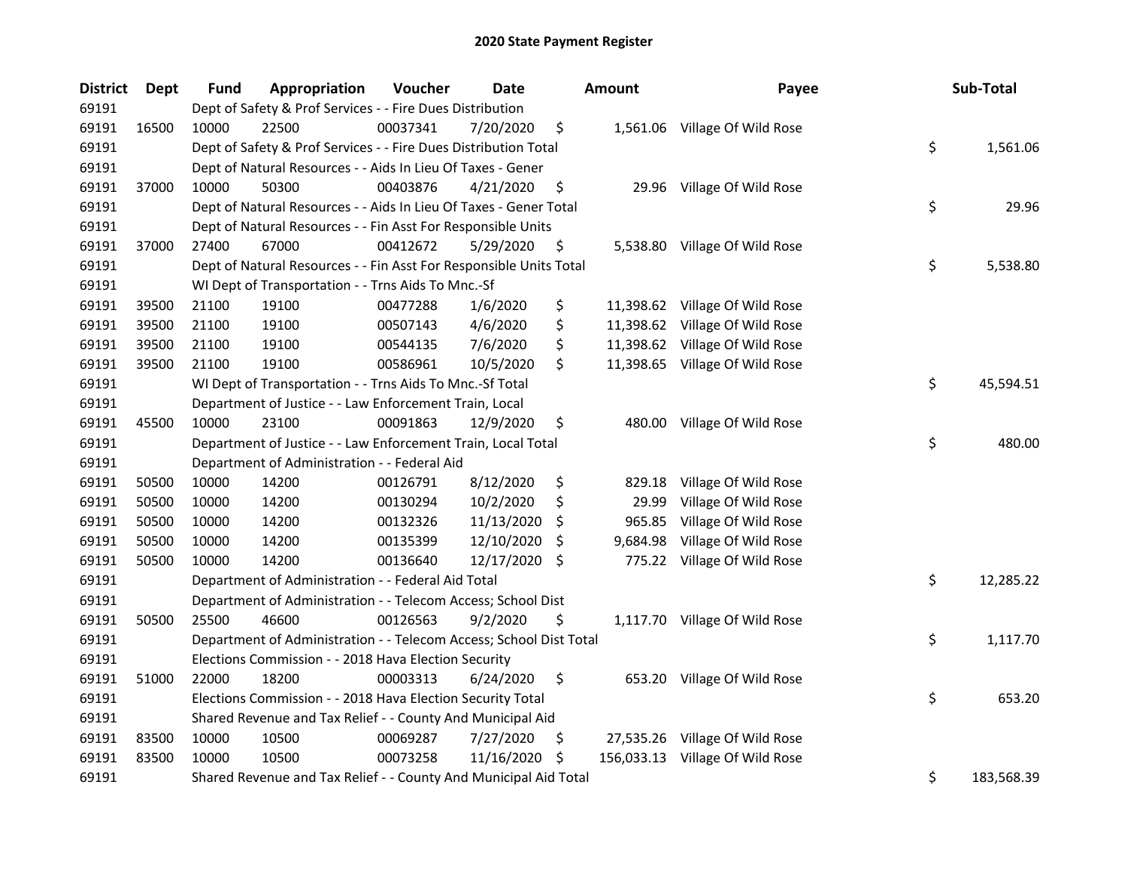| <b>District</b> | Dept  | <b>Fund</b> | Appropriation                                                      | Voucher  | <b>Date</b>   |     | Amount     | Payee                          | Sub-Total        |
|-----------------|-------|-------------|--------------------------------------------------------------------|----------|---------------|-----|------------|--------------------------------|------------------|
| 69191           |       |             | Dept of Safety & Prof Services - - Fire Dues Distribution          |          |               |     |            |                                |                  |
| 69191           | 16500 | 10000       | 22500                                                              | 00037341 | 7/20/2020     | \$  |            | 1,561.06 Village Of Wild Rose  |                  |
| 69191           |       |             | Dept of Safety & Prof Services - - Fire Dues Distribution Total    |          |               |     |            |                                | \$<br>1,561.06   |
| 69191           |       |             | Dept of Natural Resources - - Aids In Lieu Of Taxes - Gener        |          |               |     |            |                                |                  |
| 69191           | 37000 | 10000       | 50300                                                              | 00403876 | 4/21/2020     | \$  |            | 29.96 Village Of Wild Rose     |                  |
| 69191           |       |             | Dept of Natural Resources - - Aids In Lieu Of Taxes - Gener Total  |          |               |     |            |                                | \$<br>29.96      |
| 69191           |       |             | Dept of Natural Resources - - Fin Asst For Responsible Units       |          |               |     |            |                                |                  |
| 69191           | 37000 | 27400       | 67000                                                              | 00412672 | 5/29/2020     | \$  |            | 5,538.80 Village Of Wild Rose  |                  |
| 69191           |       |             | Dept of Natural Resources - - Fin Asst For Responsible Units Total |          |               |     |            |                                | \$<br>5,538.80   |
| 69191           |       |             | WI Dept of Transportation - - Trns Aids To Mnc.-Sf                 |          |               |     |            |                                |                  |
| 69191           | 39500 | 21100       | 19100                                                              | 00477288 | 1/6/2020      | \$  |            | 11,398.62 Village Of Wild Rose |                  |
| 69191           | 39500 | 21100       | 19100                                                              | 00507143 | 4/6/2020      | \$  |            | 11,398.62 Village Of Wild Rose |                  |
| 69191           | 39500 | 21100       | 19100                                                              | 00544135 | 7/6/2020      | \$  |            | 11,398.62 Village Of Wild Rose |                  |
| 69191           | 39500 | 21100       | 19100                                                              | 00586961 | 10/5/2020     | \$  |            | 11,398.65 Village Of Wild Rose |                  |
| 69191           |       |             | WI Dept of Transportation - - Trns Aids To Mnc.-Sf Total           |          |               |     |            |                                | \$<br>45,594.51  |
| 69191           |       |             | Department of Justice - - Law Enforcement Train, Local             |          |               |     |            |                                |                  |
| 69191           | 45500 | 10000       | 23100                                                              | 00091863 | 12/9/2020     | \$  | 480.00     | Village Of Wild Rose           |                  |
| 69191           |       |             | Department of Justice - - Law Enforcement Train, Local Total       |          |               |     |            |                                | \$<br>480.00     |
| 69191           |       |             | Department of Administration - - Federal Aid                       |          |               |     |            |                                |                  |
| 69191           | 50500 | 10000       | 14200                                                              | 00126791 | 8/12/2020     | \$  | 829.18     | Village Of Wild Rose           |                  |
| 69191           | 50500 | 10000       | 14200                                                              | 00130294 | 10/2/2020     | \$  | 29.99      | Village Of Wild Rose           |                  |
| 69191           | 50500 | 10000       | 14200                                                              | 00132326 | 11/13/2020    | S   | 965.85     | Village Of Wild Rose           |                  |
| 69191           | 50500 | 10000       | 14200                                                              | 00135399 | 12/10/2020    | \$, | 9,684.98   | Village Of Wild Rose           |                  |
| 69191           | 50500 | 10000       | 14200                                                              | 00136640 | 12/17/2020 \$ |     |            | 775.22 Village Of Wild Rose    |                  |
| 69191           |       |             | Department of Administration - - Federal Aid Total                 |          |               |     |            |                                | \$<br>12,285.22  |
| 69191           |       |             | Department of Administration - - Telecom Access; School Dist       |          |               |     |            |                                |                  |
| 69191           | 50500 | 25500       | 46600                                                              | 00126563 | 9/2/2020      | \$  |            | 1,117.70 Village Of Wild Rose  |                  |
| 69191           |       |             | Department of Administration - - Telecom Access; School Dist Total |          |               |     |            |                                | \$<br>1,117.70   |
| 69191           |       |             | Elections Commission - - 2018 Hava Election Security               |          |               |     |            |                                |                  |
| 69191           | 51000 | 22000       | 18200                                                              | 00003313 | 6/24/2020     | \$  |            | 653.20 Village Of Wild Rose    |                  |
| 69191           |       |             | Elections Commission - - 2018 Hava Election Security Total         |          |               |     |            |                                | \$<br>653.20     |
| 69191           |       |             | Shared Revenue and Tax Relief - - County And Municipal Aid         |          |               |     |            |                                |                  |
| 69191           | 83500 | 10000       | 10500                                                              | 00069287 | 7/27/2020     | \$, |            | 27,535.26 Village Of Wild Rose |                  |
| 69191           | 83500 | 10000       | 10500                                                              | 00073258 | 11/16/2020    | -\$ | 156,033.13 | Village Of Wild Rose           |                  |
| 69191           |       |             | Shared Revenue and Tax Relief - - County And Municipal Aid Total   |          |               |     |            |                                | \$<br>183,568.39 |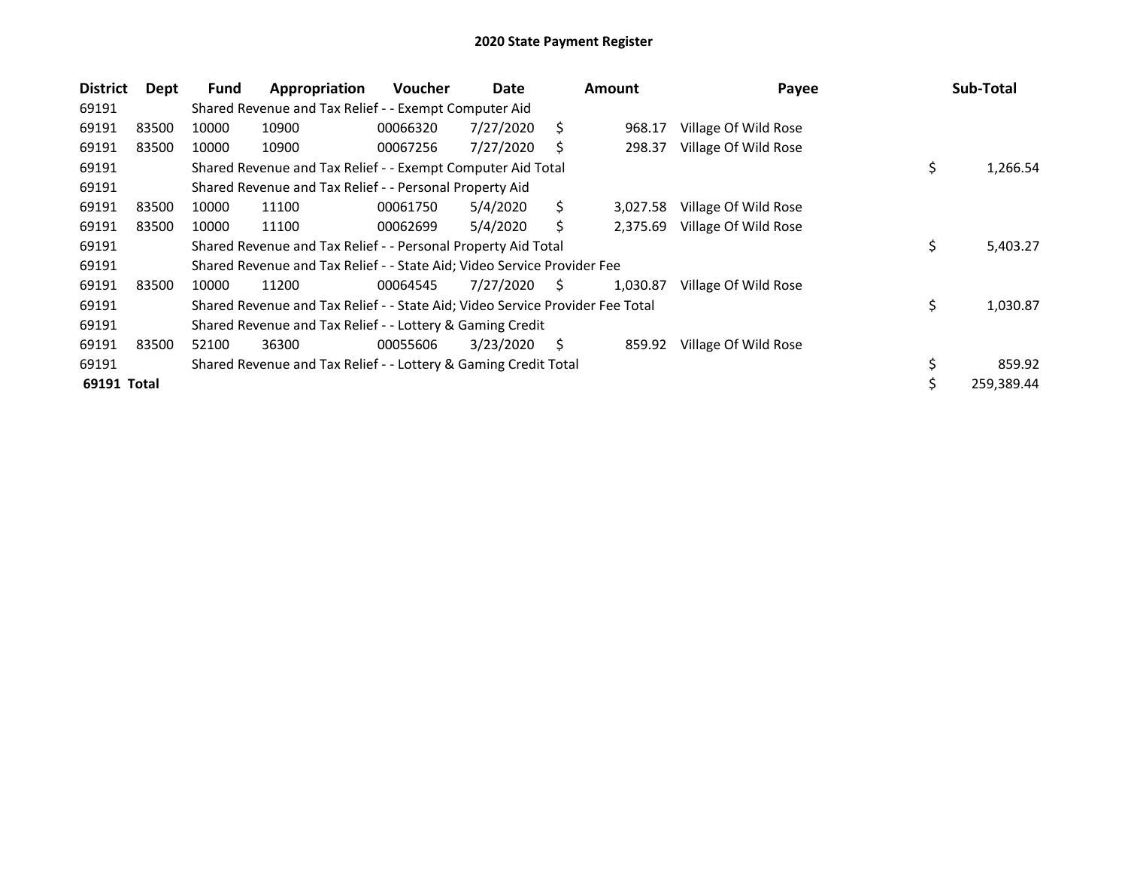| <b>District</b> | Dept  | Fund  | Appropriation                                                                 | Voucher  | Date      |    | <b>Amount</b> | Payee                |    | Sub-Total  |
|-----------------|-------|-------|-------------------------------------------------------------------------------|----------|-----------|----|---------------|----------------------|----|------------|
| 69191           |       |       | Shared Revenue and Tax Relief - - Exempt Computer Aid                         |          |           |    |               |                      |    |            |
| 69191           | 83500 | 10000 | 10900                                                                         | 00066320 | 7/27/2020 | S. | 968.17        | Village Of Wild Rose |    |            |
| 69191           | 83500 | 10000 | 10900                                                                         | 00067256 | 7/27/2020 | S  | 298.37        | Village Of Wild Rose |    |            |
| 69191           |       |       | Shared Revenue and Tax Relief - - Exempt Computer Aid Total                   |          |           |    |               |                      | \$ | 1,266.54   |
| 69191           |       |       | Shared Revenue and Tax Relief - - Personal Property Aid                       |          |           |    |               |                      |    |            |
| 69191           | 83500 | 10000 | 11100                                                                         | 00061750 | 5/4/2020  | \$ | 3,027.58      | Village Of Wild Rose |    |            |
| 69191           | 83500 | 10000 | 11100                                                                         | 00062699 | 5/4/2020  | Ś  | 2,375.69      | Village Of Wild Rose |    |            |
| 69191           |       |       | Shared Revenue and Tax Relief - - Personal Property Aid Total                 |          |           |    |               |                      | \$ | 5,403.27   |
| 69191           |       |       | Shared Revenue and Tax Relief - - State Aid; Video Service Provider Fee       |          |           |    |               |                      |    |            |
| 69191           | 83500 | 10000 | 11200                                                                         | 00064545 | 7/27/2020 | S. | 1,030.87      | Village Of Wild Rose |    |            |
| 69191           |       |       | Shared Revenue and Tax Relief - - State Aid; Video Service Provider Fee Total |          |           |    |               |                      | \$ | 1,030.87   |
| 69191           |       |       | Shared Revenue and Tax Relief - - Lottery & Gaming Credit                     |          |           |    |               |                      |    |            |
| 69191           | 83500 | 52100 | 36300                                                                         | 00055606 | 3/23/2020 | Ś. | 859.92        | Village Of Wild Rose |    |            |
| 69191           |       |       | Shared Revenue and Tax Relief - - Lottery & Gaming Credit Total               |          |           |    |               |                      | \$ | 859.92     |
| 69191 Total     |       |       |                                                                               |          |           |    |               |                      | э  | 259,389.44 |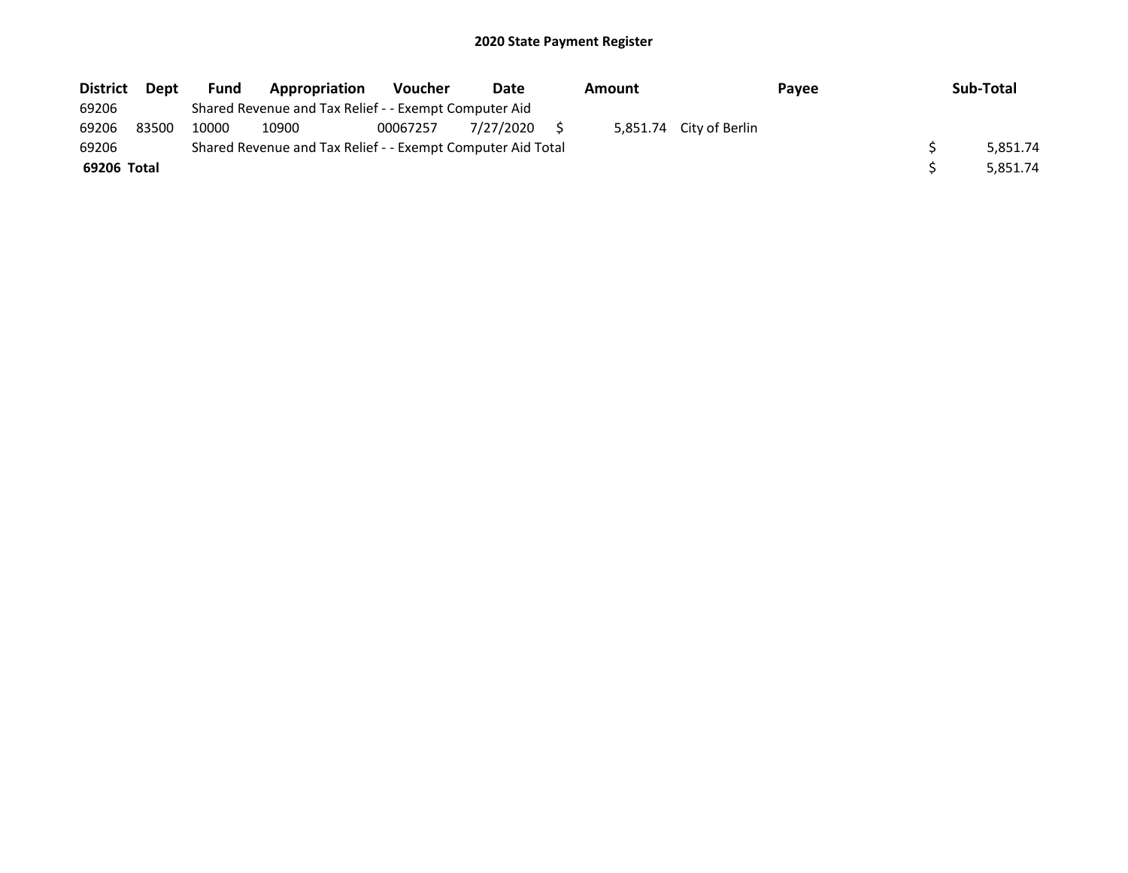| <b>District</b> | Dept  | <b>Fund</b> | Appropriation                                               | <b>Voucher</b> | Date      | Amount |                         | Payee | Sub-Total |
|-----------------|-------|-------------|-------------------------------------------------------------|----------------|-----------|--------|-------------------------|-------|-----------|
| 69206           |       |             | Shared Revenue and Tax Relief - - Exempt Computer Aid       |                |           |        |                         |       |           |
| 69206           | 83500 | 10000       | 10900                                                       | 00067257       | 7/27/2020 |        | 5,851.74 City of Berlin |       |           |
| 69206           |       |             | Shared Revenue and Tax Relief - - Exempt Computer Aid Total |                |           |        |                         |       | 5.851.74  |
| 69206 Total     |       |             |                                                             |                |           |        |                         |       | 5.851.74  |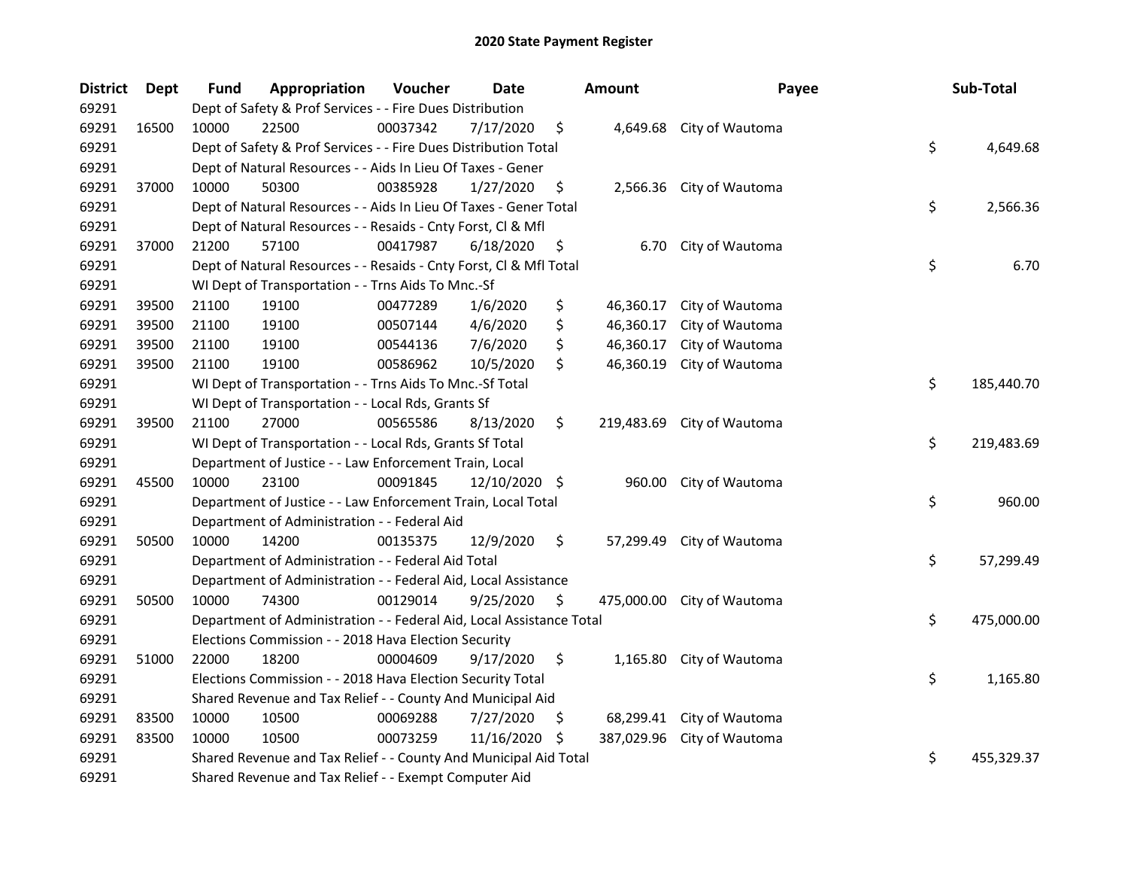| <b>District</b> | <b>Dept</b> | <b>Fund</b> | Appropriation                                                        | Voucher  | <b>Date</b> |     | Amount     | Payee                    | Sub-Total        |
|-----------------|-------------|-------------|----------------------------------------------------------------------|----------|-------------|-----|------------|--------------------------|------------------|
| 69291           |             |             | Dept of Safety & Prof Services - - Fire Dues Distribution            |          |             |     |            |                          |                  |
| 69291           | 16500       | 10000       | 22500                                                                | 00037342 | 7/17/2020   | \$  | 4,649.68   | City of Wautoma          |                  |
| 69291           |             |             | Dept of Safety & Prof Services - - Fire Dues Distribution Total      |          |             |     |            |                          | \$<br>4,649.68   |
| 69291           |             |             | Dept of Natural Resources - - Aids In Lieu Of Taxes - Gener          |          |             |     |            |                          |                  |
| 69291           | 37000       | 10000       | 50300                                                                | 00385928 | 1/27/2020   | \$  |            | 2,566.36 City of Wautoma |                  |
| 69291           |             |             | Dept of Natural Resources - - Aids In Lieu Of Taxes - Gener Total    |          |             |     |            |                          | \$<br>2,566.36   |
| 69291           |             |             | Dept of Natural Resources - - Resaids - Cnty Forst, Cl & Mfl         |          |             |     |            |                          |                  |
| 69291           | 37000       | 21200       | 57100                                                                | 00417987 | 6/18/2020   | \$  | 6.70       | City of Wautoma          |                  |
| 69291           |             |             | Dept of Natural Resources - - Resaids - Cnty Forst, Cl & Mfl Total   |          |             |     |            |                          | \$<br>6.70       |
| 69291           |             |             | WI Dept of Transportation - - Trns Aids To Mnc.-Sf                   |          |             |     |            |                          |                  |
| 69291           | 39500       | 21100       | 19100                                                                | 00477289 | 1/6/2020    | \$  | 46,360.17  | City of Wautoma          |                  |
| 69291           | 39500       | 21100       | 19100                                                                | 00507144 | 4/6/2020    | \$  | 46,360.17  | City of Wautoma          |                  |
| 69291           | 39500       | 21100       | 19100                                                                | 00544136 | 7/6/2020    | \$  | 46,360.17  | City of Wautoma          |                  |
| 69291           | 39500       | 21100       | 19100                                                                | 00586962 | 10/5/2020   | \$  | 46,360.19  | City of Wautoma          |                  |
| 69291           |             |             | WI Dept of Transportation - - Trns Aids To Mnc.-Sf Total             |          |             |     |            |                          | \$<br>185,440.70 |
| 69291           |             |             | WI Dept of Transportation - - Local Rds, Grants Sf                   |          |             |     |            |                          |                  |
| 69291           | 39500       | 21100       | 27000                                                                | 00565586 | 8/13/2020   | \$  | 219,483.69 | City of Wautoma          |                  |
| 69291           |             |             | WI Dept of Transportation - - Local Rds, Grants Sf Total             |          |             |     |            |                          | \$<br>219,483.69 |
| 69291           |             |             | Department of Justice - - Law Enforcement Train, Local               |          |             |     |            |                          |                  |
| 69291           | 45500       | 10000       | 23100                                                                | 00091845 | 12/10/2020  | -\$ | 960.00     | City of Wautoma          |                  |
| 69291           |             |             | Department of Justice - - Law Enforcement Train, Local Total         |          |             |     |            |                          | \$<br>960.00     |
| 69291           |             |             | Department of Administration - - Federal Aid                         |          |             |     |            |                          |                  |
| 69291           | 50500       | 10000       | 14200                                                                | 00135375 | 12/9/2020   | \$  | 57,299.49  | City of Wautoma          |                  |
| 69291           |             |             | Department of Administration - - Federal Aid Total                   |          |             |     |            |                          | \$<br>57,299.49  |
| 69291           |             |             | Department of Administration - - Federal Aid, Local Assistance       |          |             |     |            |                          |                  |
| 69291           | 50500       | 10000       | 74300                                                                | 00129014 | 9/25/2020   | \$  | 475,000.00 | City of Wautoma          |                  |
| 69291           |             |             | Department of Administration - - Federal Aid, Local Assistance Total |          |             |     |            |                          | \$<br>475,000.00 |
| 69291           |             |             | Elections Commission - - 2018 Hava Election Security                 |          |             |     |            |                          |                  |
| 69291           | 51000       | 22000       | 18200                                                                | 00004609 | 9/17/2020   | \$  |            | 1,165.80 City of Wautoma |                  |
| 69291           |             |             | Elections Commission - - 2018 Hava Election Security Total           |          |             |     |            |                          | \$<br>1,165.80   |
| 69291           |             |             | Shared Revenue and Tax Relief - - County And Municipal Aid           |          |             |     |            |                          |                  |
| 69291           | 83500       | 10000       | 10500                                                                | 00069288 | 7/27/2020   | \$  | 68,299.41  | City of Wautoma          |                  |
| 69291           | 83500       | 10000       | 10500                                                                | 00073259 | 11/16/2020  | -\$ | 387,029.96 | City of Wautoma          |                  |
| 69291           |             |             | Shared Revenue and Tax Relief - - County And Municipal Aid Total     |          |             |     |            |                          | \$<br>455,329.37 |
| 69291           |             |             | Shared Revenue and Tax Relief - - Exempt Computer Aid                |          |             |     |            |                          |                  |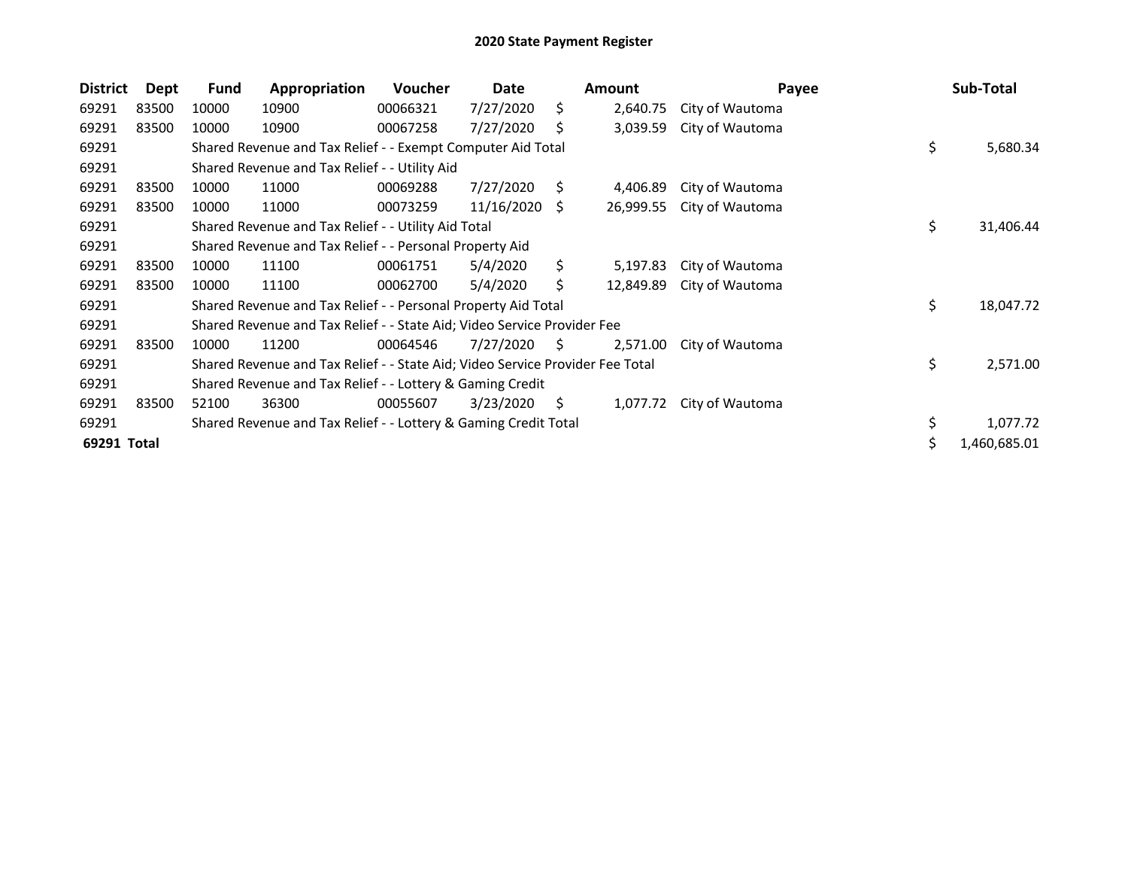| <b>District</b> | Dept  | <b>Fund</b>                                                                   | Appropriation                                                   | <b>Voucher</b> | Date       |     | <b>Amount</b> | Payee           |    | Sub-Total    |
|-----------------|-------|-------------------------------------------------------------------------------|-----------------------------------------------------------------|----------------|------------|-----|---------------|-----------------|----|--------------|
| 69291           | 83500 | 10000                                                                         | 10900                                                           | 00066321       | 7/27/2020  | \$  | 2,640.75      | City of Wautoma |    |              |
| 69291           | 83500 | 10000                                                                         | 10900                                                           | 00067258       | 7/27/2020  | S   | 3,039.59      | City of Wautoma |    |              |
| 69291           |       | Shared Revenue and Tax Relief - - Exempt Computer Aid Total                   |                                                                 |                |            |     |               |                 |    | 5,680.34     |
| 69291           |       | Shared Revenue and Tax Relief - - Utility Aid                                 |                                                                 |                |            |     |               |                 |    |              |
| 69291           | 83500 | 10000                                                                         | 11000                                                           | 00069288       | 7/27/2020  | S.  | 4,406.89      | City of Wautoma |    |              |
| 69291           | 83500 | 10000                                                                         | 11000                                                           | 00073259       | 11/16/2020 | -S  | 26,999.55     | City of Wautoma |    |              |
| 69291           |       | Shared Revenue and Tax Relief - - Utility Aid Total                           |                                                                 |                |            |     |               |                 | \$ | 31,406.44    |
| 69291           |       | Shared Revenue and Tax Relief - - Personal Property Aid                       |                                                                 |                |            |     |               |                 |    |              |
| 69291           | 83500 | 10000                                                                         | 11100                                                           | 00061751       | 5/4/2020   | \$  | 5,197.83      | City of Wautoma |    |              |
| 69291           | 83500 | 10000                                                                         | 11100                                                           | 00062700       | 5/4/2020   | Ś.  | 12,849.89     | City of Wautoma |    |              |
| 69291           |       | Shared Revenue and Tax Relief - - Personal Property Aid Total                 |                                                                 |                |            |     |               |                 | \$ | 18,047.72    |
| 69291           |       | Shared Revenue and Tax Relief - - State Aid; Video Service Provider Fee       |                                                                 |                |            |     |               |                 |    |              |
| 69291           | 83500 | 10000                                                                         | 11200                                                           | 00064546       | 7/27/2020  | \$. | 2,571.00      | City of Wautoma |    |              |
| 69291           |       | Shared Revenue and Tax Relief - - State Aid; Video Service Provider Fee Total |                                                                 |                |            |     |               |                 | \$ | 2,571.00     |
| 69291           |       | Shared Revenue and Tax Relief - - Lottery & Gaming Credit                     |                                                                 |                |            |     |               |                 |    |              |
| 69291           | 83500 | 52100                                                                         | 36300                                                           | 00055607       | 3/23/2020  | \$. | 1,077.72      | City of Wautoma |    |              |
| 69291           |       |                                                                               | Shared Revenue and Tax Relief - - Lottery & Gaming Credit Total |                |            |     |               |                 | \$ | 1,077.72     |
| 69291 Total     |       |                                                                               |                                                                 |                |            |     |               |                 | \$ | 1,460,685.01 |